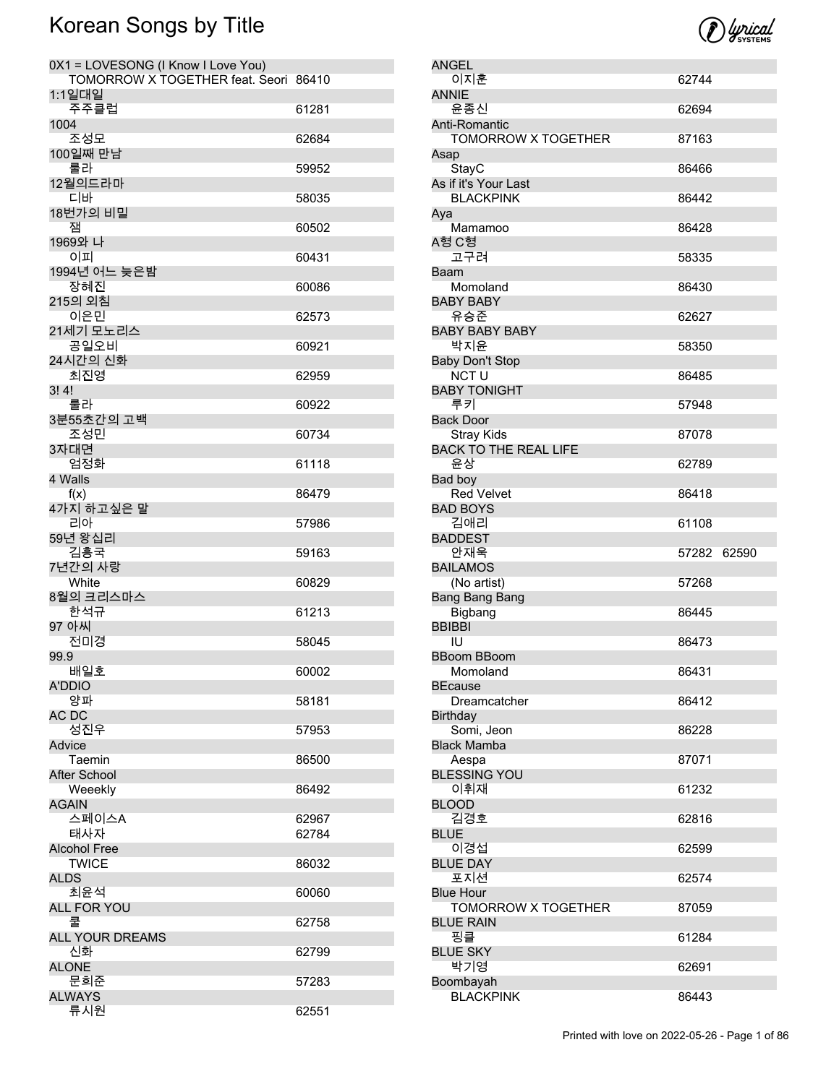| 0X1 = LOVESONG (I Know I Love You)<br>TOMORROW X TOGETHER feat. Seori 86410 |                |
|-----------------------------------------------------------------------------|----------------|
| 1:1일대일<br>주주클럽                                                              | 61281          |
| 1004                                                                        |                |
| 조성모<br>100일째 만남                                                             | 62684          |
| 룰라                                                                          | 59952          |
| 12월의드라마<br>디바                                                               | 58035          |
| 18번가의 비밀<br>잼                                                               | 60502          |
| 1969와 나                                                                     |                |
| 이피<br>1994년 어느 늦은밤                                                          | 60431          |
| 장혜진                                                                         | 60086          |
| 215의 외침<br>이은민                                                              | 62573          |
| 21세기 모노리스<br>공일오비                                                           |                |
| 24시간의 신화                                                                    | 60921          |
| 최진영<br>3!4!                                                                 | 62959          |
| 룰라                                                                          | 60922          |
| 3분55초간의 고백<br>조성민                                                           | 60734          |
| 3자대면                                                                        |                |
| 엄정화<br>4 Walls                                                              | 61118          |
| f(x)                                                                        | 86479          |
| 4가지 하고싶은 말<br>리아                                                            | 57986          |
| 59년 왕십리<br>김흥국                                                              | 59163          |
| 7년간의 사랑                                                                     |                |
| White<br>8월의 크리스마스                                                          | 60829          |
| 한석규                                                                         | 61213          |
| 97 아씨<br>전미경                                                                | 58045          |
| 99.9                                                                        |                |
| 배일호<br>A'DDIO                                                               | 60002          |
| 양파                                                                          | 58181          |
| AC DC<br>성진우                                                                | 57953          |
| Advice                                                                      |                |
| Taemin<br>After School                                                      | 86500          |
| Weeekly                                                                     | 86492          |
| AGAIN                                                                       |                |
| 스페이스A<br>태사자                                                                | 62967<br>62784 |
| <b>Alcohol Free</b>                                                         |                |
| <b>TWICE</b><br><b>ALDS</b>                                                 | 86032          |
| 최윤석                                                                         | 60060          |
| <b>ALL FOR YOU</b><br>쿨                                                     | 62758          |
| <b>ALL YOUR DREAMS</b>                                                      |                |
| 신화                                                                          | 62799          |
| <b>ALONE</b><br>문희준                                                         | 57283          |
| <b>ALWAYS</b>                                                               |                |
| 류시원                                                                         | 62551          |



| ANGEL                                                                           |       |       |
|---------------------------------------------------------------------------------|-------|-------|
| 이지훈                                                                             | 62744 |       |
| <b>ANNIE</b>                                                                    |       |       |
| 윤종신                                                                             | 62694 |       |
| Anti-Romantic                                                                   |       |       |
| <b>TOMORROW X TOGETHER</b>                                                      | 87163 |       |
| Asap                                                                            |       |       |
| StayC                                                                           | 86466 |       |
| As if it's Your Last                                                            |       |       |
| <b>BLACKPINK</b>                                                                | 86442 |       |
| Aya                                                                             |       |       |
| Mamamoo<br>A형 C형                                                                | 86428 |       |
| 고구려                                                                             | 58335 |       |
| Baam                                                                            |       |       |
| Momoland                                                                        | 86430 |       |
| <b>BABY BABY</b>                                                                |       |       |
| 유승준                                                                             | 62627 |       |
| <b>BABY BABY BABY</b>                                                           |       |       |
| 박지윤                                                                             | 58350 |       |
| <b>Baby Don't Stop</b>                                                          |       |       |
| <b>NCT U</b>                                                                    | 86485 |       |
| <b>BABY TONIGHT</b>                                                             |       |       |
| 루키                                                                              | 57948 |       |
| <b>Back Door</b>                                                                |       |       |
| <b>Stray Kids</b>                                                               | 87078 |       |
| <b>BACK TO THE REAL LIFE</b>                                                    |       |       |
| 윤상                                                                              | 62789 |       |
| Bad boy<br><b>Red Velvet</b>                                                    |       |       |
| <b>BAD BOYS</b>                                                                 | 86418 |       |
| 김애리                                                                             | 61108 |       |
|                                                                                 |       |       |
|                                                                                 |       |       |
| <b>BADDEST</b>                                                                  | 57282 |       |
| 안재욱                                                                             |       | 62590 |
| <b>BAILAMOS</b>                                                                 | 57268 |       |
| (No artist)<br>Bang Bang Bang                                                   |       |       |
| Bigbang                                                                         | 86445 |       |
| <b>BBIBBI</b>                                                                   |       |       |
| IU                                                                              | 86473 |       |
| <b>BBoom BBoom</b>                                                              |       |       |
| Momoland                                                                        | 86431 |       |
| <b>BEcause</b>                                                                  |       |       |
| Dreamcatcher                                                                    | 86412 |       |
| <b>Birthday</b>                                                                 |       |       |
| Somi, Jeon                                                                      | 86228 |       |
|                                                                                 |       |       |
| Aespa                                                                           | 87071 |       |
| 이휘재                                                                             | 61232 |       |
|                                                                                 |       |       |
| 김경호                                                                             | 62816 |       |
|                                                                                 |       |       |
| <b>Black Mamba</b><br><b>BLESSING YOU</b><br><b>BLOOD</b><br><b>BLUE</b><br>이경섭 | 62599 |       |
| <b>BLUE DAY</b>                                                                 |       |       |
| 포지션                                                                             | 62574 |       |
| <b>Blue Hour</b>                                                                |       |       |
| TOMORROW X TOGETHER                                                             | 87059 |       |
| <b>BLUE RAIN</b>                                                                |       |       |
| 핑클                                                                              | 61284 |       |
| <b>BLUE SKY</b>                                                                 |       |       |
| 박기영<br>Boombayah                                                                | 62691 |       |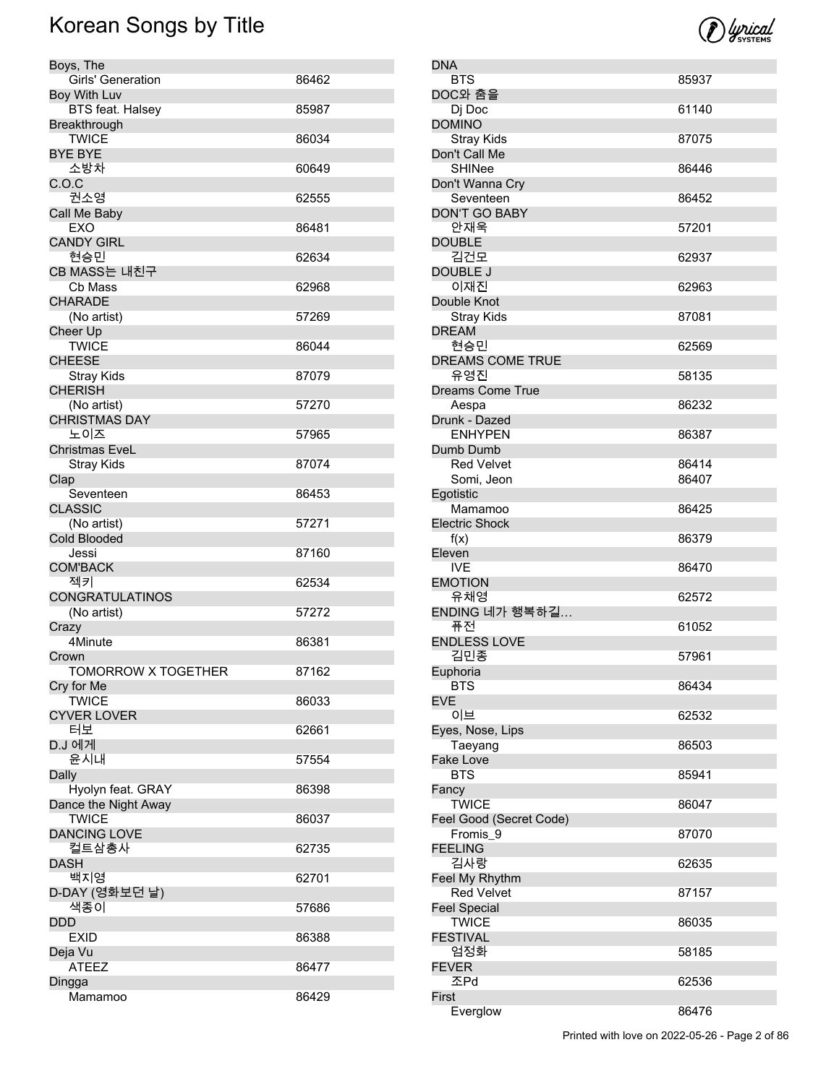DNA

DOMINO

DOUBLE

DREAM

**Egotistic** 

Eleven

**Euphoria** 

EVE

Fancy

FEELING

FEVER

First

| Boys, The                  |       |
|----------------------------|-------|
| Girls' Generation          | 86462 |
| Boy With Luv               |       |
| <b>BTS feat. Halsey</b>    | 85987 |
| Breakthrough               |       |
| <b>TWICE</b>               | 86034 |
| <b>BYE BYE</b>             |       |
| 소방차                        | 60649 |
| C.O.C                      |       |
| 권소영                        | 62555 |
| Call Me Baby               |       |
| <b>EXO</b>                 | 86481 |
| <b>CANDY GIRL</b>          |       |
| 현승민                        | 62634 |
| CB MASS는 내친구               |       |
| Cb Mass                    | 62968 |
| <b>CHARADE</b>             |       |
| (No artist)                | 57269 |
| Cheer Up                   |       |
| <b>TWICE</b>               | 86044 |
| <b>CHEESE</b>              |       |
| <b>Stray Kids</b>          | 87079 |
| <b>CHERISH</b>             |       |
| (No artist)                | 57270 |
| <b>CHRISTMAS DAY</b>       |       |
| 노이즈                        | 57965 |
| <b>Christmas EveL</b>      |       |
| Stray Kids                 | 87074 |
| Clap                       |       |
| Seventeen                  | 86453 |
| <b>CLASSIC</b>             |       |
| (No artist)                | 57271 |
| <b>Cold Blooded</b>        |       |
| Jessi                      | 87160 |
| <b>COM'BACK</b>            |       |
| 젝키                         | 62534 |
| <b>CONGRATULATINOS</b>     |       |
| (No artist)                | 57272 |
| Crazy                      |       |
| 4Minute                    | 86381 |
| Crown                      |       |
| <b>TOMORROW X TOGETHER</b> | 87162 |
| Cry for Me                 |       |
| <b>TWICE</b>               | 86033 |
| <b>CYVER LOVER</b>         |       |
| 터보                         | 62661 |
| D.J 에게                     |       |
| 윤시내                        | 57554 |
| Dally                      |       |
| Hyolyn feat. GRAY          | 86398 |
| Dance the Night Away       |       |
| <b>TWICE</b>               | 86037 |
| <b>DANCING LOVE</b>        |       |
| 컬트삼총사                      | 62735 |
| <b>DASH</b>                |       |
| 백지영                        | 62701 |
| D-DAY (영화보던 날)             |       |
| 색종이                        | 57686 |
| DDD                        |       |
| EXID                       | 86388 |
| Deja Vu                    |       |
| <b>ATEEZ</b>               | 86477 |
| Dingga                     |       |
| Mamamoo                    | 86429 |

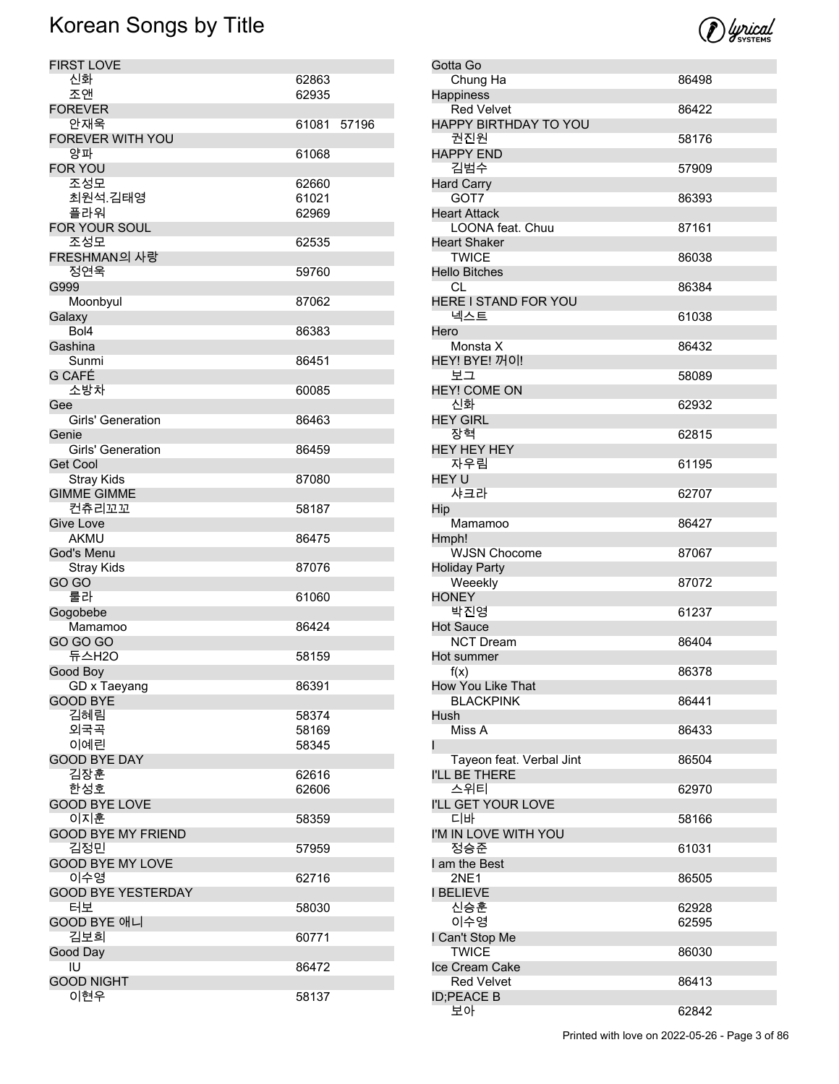| <b>FIRST LOVE</b>         |       |       |
|---------------------------|-------|-------|
| 신화                        | 62863 |       |
| 조앤                        | 62935 |       |
| <b>FOREVER</b>            |       |       |
|                           |       |       |
| 안재욱                       | 61081 | 57196 |
| FOREVER WITH YOU          |       |       |
| 양파                        | 61068 |       |
| FOR YOU                   |       |       |
| 조성모                       | 62660 |       |
| 최원석.김태영                   | 61021 |       |
| 플라워                       | 62969 |       |
| FOR YOUR SOUL             |       |       |
| 조성모                       | 62535 |       |
| FRESHMAN의 사랑              |       |       |
| 정연욱                       |       |       |
|                           | 59760 |       |
| G999                      |       |       |
| Moonbyul                  | 87062 |       |
| Galaxy                    |       |       |
| Bol4                      | 86383 |       |
| Gashina                   |       |       |
| Sunmi                     | 86451 |       |
| G CAFÉ                    |       |       |
| 소방차                       | 60085 |       |
| Gee                       |       |       |
|                           |       |       |
| <b>Girls' Generation</b>  | 86463 |       |
| Genie                     |       |       |
| Girls' Generation         | 86459 |       |
| <b>Get Cool</b>           |       |       |
| <b>Stray Kids</b>         | 87080 |       |
| <b>GIMME GIMME</b>        |       |       |
| 컨츄리꼬꼬                     | 58187 |       |
| Give Love                 |       |       |
| <b>AKMU</b>               | 86475 |       |
|                           |       |       |
| God's Menu                |       |       |
| <b>Stray Kids</b>         | 87076 |       |
| GO GO                     |       |       |
| 룰라                        | 61060 |       |
| Gogobebe                  |       |       |
| Mamamoo                   | 86424 |       |
| <b>GO GO GO</b>           |       |       |
| 듀스H2O                     | 58159 |       |
| Good Boy                  |       |       |
| GD x Taeyang              | 86391 |       |
| <b>GOOD BYE</b>           |       |       |
|                           |       |       |
| 김혜림                       | 58374 |       |
| 외국곡                       | 58169 |       |
| 이예린                       | 58345 |       |
| <b>GOOD BYE DAY</b>       |       |       |
| 김장훈                       | 62616 |       |
| 한성호                       | 62606 |       |
| <b>GOOD BYE LOVE</b>      |       |       |
| 이지훈                       | 58359 |       |
| <b>GOOD BYE MY FRIEND</b> |       |       |
|                           |       |       |
| 김정민                       | 57959 |       |
| <b>GOOD BYE MY LOVE</b>   |       |       |
| 이수영                       | 62716 |       |
| <b>GOOD BYE YESTERDAY</b> |       |       |
| 터보                        | 58030 |       |
| GOOD BYE 애니               |       |       |
| 김보희                       | 60771 |       |
| Good Day                  |       |       |
| IU                        | 86472 |       |
| <b>GOOD NIGHT</b>         |       |       |
| 이현우                       | 58137 |       |
|                           |       |       |



| Gotta Go                                |       |
|-----------------------------------------|-------|
| Chung Ha                                | 86498 |
| Happiness                               |       |
| <b>Red Velvet</b>                       | 86422 |
| HAPPY BIRTHDAY TO YOU                   |       |
| 권진원                                     | 58176 |
| <b>HAPPY END</b>                        |       |
| 김범수                                     | 57909 |
| <b>Hard Carry</b>                       |       |
| GOT7                                    | 86393 |
| <b>Heart Attack</b>                     |       |
| LOONA feat. Chuu<br><b>Heart Shaker</b> | 87161 |
| <b>TWICE</b>                            | 86038 |
| <b>Hello Bitches</b>                    |       |
| CL.                                     | 86384 |
| HERE I STAND FOR YOU                    |       |
| 넥스트                                     | 61038 |
| Hero                                    |       |
| Monsta X                                | 86432 |
| HEY! BYE! 꺼이!                           |       |
| 보그                                      | 58089 |
| <b>HEY! COME ON</b>                     |       |
| 신화                                      | 62932 |
| <b>HEY GIRL</b>                         |       |
| 장혁                                      | 62815 |
| <b>HEY HEY HEY</b>                      |       |
| 자우림                                     | 61195 |
| HEY U                                   |       |
| 샤크라                                     | 62707 |
| Hip                                     |       |
| Mamamoo                                 | 86427 |
| Hmph!                                   |       |
| <b>WJSN Chocome</b>                     | 87067 |
| <b>Holiday Party</b><br>Weeekly         | 87072 |
| <b>HONEY</b>                            |       |
| 박진영                                     | 61237 |
| <b>Hot Sauce</b>                        |       |
| <b>NCT Dream</b>                        | 86404 |
| Hot summer                              |       |
| f(x)                                    | 86378 |
| How You Like That                       |       |
| <b>BLACKPINK</b>                        | 86441 |
| Hush                                    |       |
| Miss A                                  | 86433 |
| ı                                       |       |
| Tayeon feat. Verbal Jint                | 86504 |
| I'LL BE THERE                           |       |
| 스위티                                     | 62970 |
| I'LL GET YOUR LOVE                      |       |
| 디바                                      | 58166 |
| I'M IN LOVE WITH YOU<br>정승준             |       |
| I am the Best                           | 61031 |
| <b>2NE1</b>                             | 86505 |
| <b>I BELIEVE</b>                        |       |
| 신승훈                                     | 62928 |
| 이수영                                     | 62595 |
| I Can't Stop Me                         |       |
| <b>TWICE</b>                            | 86030 |
| Ice Cream Cake                          |       |
| <b>Red Velvet</b>                       | 86413 |
| <b>ID;PEACE B</b>                       |       |
| 보아                                      | 62842 |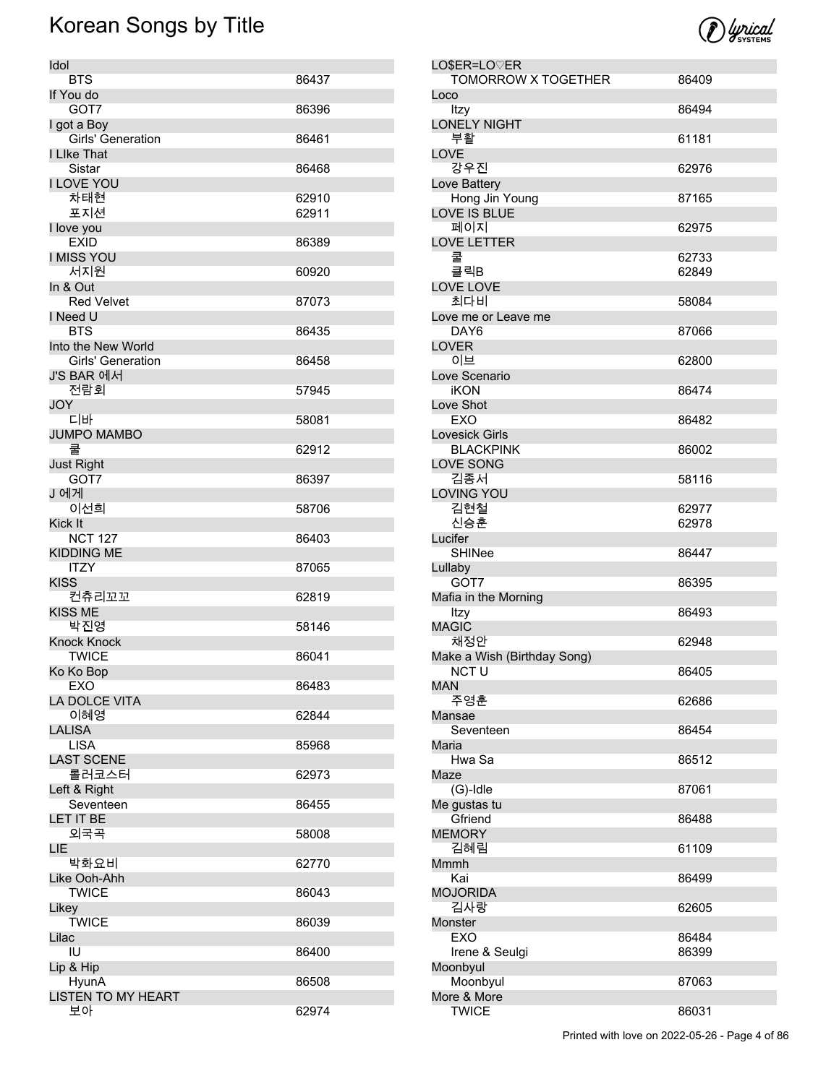| Idol                             |       |
|----------------------------------|-------|
| <b>BTS</b>                       | 86437 |
| If You do                        |       |
| GOT7                             | 86396 |
| I got a Boy<br>Girls' Generation | 86461 |
| I Like That                      |       |
| Sistar                           | 86468 |
| <b>I LOVE YOU</b>                |       |
| 차태현                              | 62910 |
| 포지션                              | 62911 |
| I love you                       |       |
| <b>EXID</b>                      | 86389 |
| <b>I MISS YOU</b>                |       |
| 서지원<br>In & Out                  | 60920 |
| <b>Red Velvet</b>                | 87073 |
| I Need U                         |       |
| <b>BTS</b>                       | 86435 |
| Into the New World               |       |
| Girls' Generation                | 86458 |
| J'S BAR 에서                       |       |
| 전람회                              | 57945 |
| <b>JOY</b>                       |       |
| 디바<br><b>JUMPO MAMBO</b>         | 58081 |
| 쿨                                | 62912 |
| <b>Just Right</b>                |       |
| GOT7                             | 86397 |
| J 에게                             |       |
| 이선희                              | 58706 |
| Kick It                          |       |
| <b>NCT 127</b>                   | 86403 |
| <b>KIDDING ME</b><br>ITZY        | 87065 |
| <b>KISS</b>                      |       |
| 컨츄리꼬꼬                            | 62819 |
| <b>KISS ME</b>                   |       |
| 박진영                              | 58146 |
| <b>Knock Knock</b>               |       |
| <b>TWICE</b>                     | 86041 |
| Ko Ko Bop                        |       |
| EXO<br>LA DOLCE VITA             | 86483 |
| 이혜영                              | 62844 |
| <b>LALISA</b>                    |       |
| <b>LISA</b>                      | 85968 |
| <b>LAST SCENE</b>                |       |
| 롤러코스터                            | 62973 |
| Left & Right                     |       |
| Seventeen                        | 86455 |
| LET IT BE<br>외국곡                 |       |
| LIE                              | 58008 |
| 박화요비                             | 62770 |
| Like Ooh-Ahh                     |       |
| <b>TWICE</b>                     | 86043 |
| Likey                            |       |
| <b>TWICE</b>                     | 86039 |
| Lilac                            |       |
| IU                               | 86400 |
| Lip & Hip<br>HyunA               | 86508 |
| <b>LISTEN TO MY HEART</b>        |       |
| 보아                               | 62974 |

| LO\$ER=LO♡ER                |       |
|-----------------------------|-------|
| <b>TOMORROW X TOGETHER</b>  | 86409 |
| Loco                        |       |
| Itzy                        | 86494 |
| <b>LONELY NIGHT</b>         |       |
| 부활                          | 61181 |
| LOVE                        |       |
| 강우진                         | 62976 |
|                             |       |
| Love Battery                |       |
| Hong Jin Young              | 87165 |
| LOVE IS BLUE                |       |
| 페이지                         | 62975 |
| <b>LOVE LETTER</b>          |       |
| 쿨                           | 62733 |
| 클릭B                         | 62849 |
| <b>LOVE LOVE</b>            |       |
| 최다비                         | 58084 |
| Love me or Leave me         |       |
| DAY6                        |       |
|                             | 87066 |
| <b>LOVER</b>                |       |
| 이브                          | 62800 |
| Love Scenario               |       |
| <b>iKON</b>                 | 86474 |
| Love Shot                   |       |
| EXO                         | 86482 |
| <b>Lovesick Girls</b>       |       |
| <b>BLACKPINK</b>            | 86002 |
| LOVE SONG                   |       |
|                             |       |
| 김종서                         | 58116 |
| <b>LOVING YOU</b>           |       |
| 김현철                         | 62977 |
| 신승훈                         | 62978 |
| Lucifer                     |       |
| SHINee                      | 86447 |
| Lullaby                     |       |
| GOT7                        | 86395 |
| Mafia in the Morning        |       |
| Itzy                        | 86493 |
| <b>MAGIC</b>                |       |
| 채정안                         |       |
|                             | 62948 |
| Make a Wish (Birthday Song) |       |
| NCT U                       | 86405 |
| MAN                         |       |
|                             |       |
| 주영훈                         | 62686 |
| Mansae                      |       |
| Seventeen                   |       |
|                             | 86454 |
| Maria                       |       |
| Hwa Sa                      | 86512 |
| Maze                        |       |
| $(G)$ -Idle                 | 87061 |
| Me gustas tu                |       |
| Gfriend                     | 86488 |
| <b>MEMORY</b>               |       |
| 김혜림                         | 61109 |
| Mmmh                        |       |
| Kai                         |       |
|                             | 86499 |
| <b>MOJORIDA</b>             |       |
| 김사랑                         | 62605 |
| Monster                     |       |
| <b>EXO</b>                  | 86484 |
| Irene & Seulgi              | 86399 |
| Moonbyul                    |       |
| Moonbyul                    | 87063 |
| More & More                 |       |
| <b>TWICE</b>                | 86031 |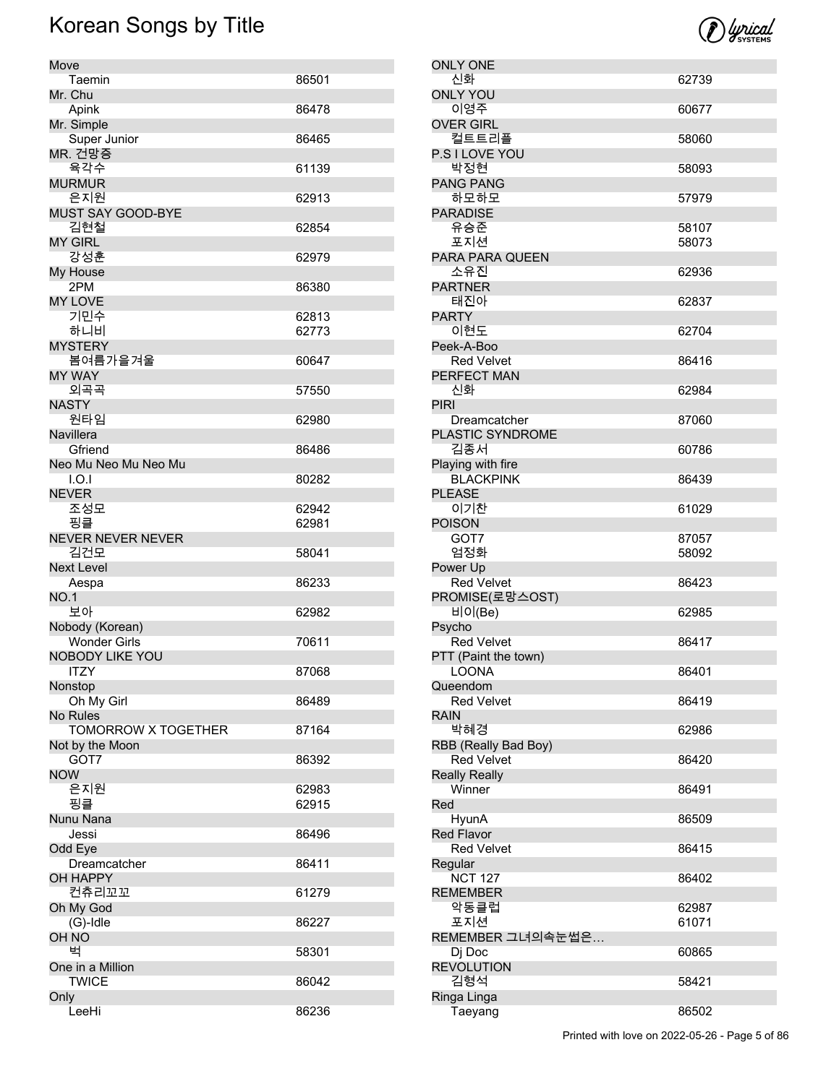

| Move                       |       |
|----------------------------|-------|
| Taemin                     | 86501 |
| Mr. Chu                    |       |
| Apink                      | 86478 |
| Mr. Simple                 |       |
| Super Junior               | 86465 |
| MR. 건망증                    |       |
| 육각수                        | 61139 |
| <b>MURMUR</b>              |       |
| 은지원                        | 62913 |
| <b>MUST SAY GOOD-BYE</b>   |       |
| 김현철                        | 62854 |
| <b>MY GIRL</b>             |       |
| 강성훈                        | 62979 |
| My House                   |       |
| 2PM                        | 86380 |
| <b>MY LOVE</b>             |       |
| 기민수                        | 62813 |
| 하니비                        | 62773 |
| <b>MYSTERY</b>             |       |
| 봄여름가을겨울                    | 60647 |
| <b>MY WAY</b>              |       |
| 외곡곡                        | 57550 |
| <b>NASTY</b>               |       |
| 원타임                        | 62980 |
| <b>Navillera</b>           |       |
| Gfriend                    | 86486 |
| Neo Mu Neo Mu Neo Mu       |       |
| I.O.I                      | 80282 |
| <b>NEVER</b>               |       |
| 조성모                        | 62942 |
| 핑클                         | 62981 |
| <b>NEVER NEVER NEVER</b>   |       |
| 김건모                        | 58041 |
| <b>Next Level</b>          |       |
| Aespa                      | 86233 |
| <b>NO.1</b>                |       |
| 보아                         | 62982 |
| Nobody (Korean)            |       |
| Wonder Girls               | 70611 |
| NOBODY LIKE YOU            |       |
| ITZY                       | 87068 |
| Nonstop                    |       |
| Oh My Girl                 | 86489 |
| <b>No Rules</b>            |       |
| <b>TOMORROW X TOGETHER</b> | 87164 |
| Not by the Moon            |       |
| GOT7                       | 86392 |
| <b>NOW</b>                 |       |
| 은지원                        |       |
| 핑클                         | 62983 |
|                            | 62915 |
| Nunu Nana                  |       |
| Jessi                      | 86496 |
| Odd Eye                    |       |
| Dreamcatcher               | 86411 |
| OH HAPPY                   |       |
| 컨츄리꼬꼬                      | 61279 |
| Oh My God                  |       |
| $(G)$ -Idle                | 86227 |
| OH NO                      |       |
| 벅                          | 58301 |
| One in a Million           |       |
| <b>TWICE</b>               | 86042 |
| Only                       |       |
| LeeHi                      | 86236 |

| <b>ONLY ONE</b>        |       |
|------------------------|-------|
| 신화                     | 62739 |
| <b>ONLY YOU</b>        |       |
| 이영주                    | 60677 |
| <b>OVER GIRL</b>       |       |
| 컬트트리플                  | 58060 |
| P.S I LOVE YOU         |       |
| 박정현                    | 58093 |
| <b>PANG PANG</b>       |       |
| 하모하모                   | 57979 |
| <b>PARADISE</b>        |       |
| 유승준                    | 58107 |
| 포지션                    | 58073 |
| PARA PARA QUEEN        |       |
| 소유진                    | 62936 |
| <b>PARTNER</b>         |       |
| 태진아                    | 62837 |
| <b>PARTY</b>           |       |
| 이현도                    | 62704 |
| Peek-A-Boo             |       |
| <b>Red Velvet</b>      | 86416 |
| PERFECT MAN            |       |
| 신화                     | 62984 |
| <b>PIRI</b>            |       |
| Dreamcatcher           | 87060 |
| PLASTIC SYNDROME       |       |
| 김종서                    | 60786 |
| Playing with fire      |       |
| <b>BLACKPINK</b>       | 86439 |
| <b>PLEASE</b>          |       |
| 이기찬                    | 61029 |
| <b>POISON</b>          |       |
| GOT7                   | 87057 |
| 엄정화                    | 58092 |
| Power Up               |       |
| <b>Red Velvet</b>      | 86423 |
|                        |       |
|                        |       |
| PROMISE(로망스OST)        | 62985 |
| 비이(Be)                 |       |
| Psycho                 | 86417 |
| <b>Red Velvet</b>      |       |
| PTT (Paint the town)   |       |
| LOONA                  | 86401 |
| Queendom               |       |
| <b>Red Velvet</b>      | 86419 |
| <b>RAIN</b>            |       |
| 박혜경                    | 62986 |
| RBB (Really Bad Boy)   |       |
| <b>Red Velvet</b>      | 86420 |
| <b>Really Really</b>   |       |
| Winner                 | 86491 |
| Red                    |       |
| HyunA                  | 86509 |
| <b>Red Flavor</b>      |       |
| <b>Red Velvet</b>      | 86415 |
| Regular                |       |
| <b>NCT 127</b>         | 86402 |
| <b>REMEMBER</b>        |       |
| 악동클럽                   | 62987 |
| 포지션                    | 61071 |
| REMEMBER 그녀의속눈썹은       |       |
| Dj Doc                 | 60865 |
| <b>REVOLUTION</b>      |       |
| 김형석                    | 58421 |
| Ringa Linga<br>Taeyang | 86502 |

Printed with love on 2022-05-26 - Page 5 of 86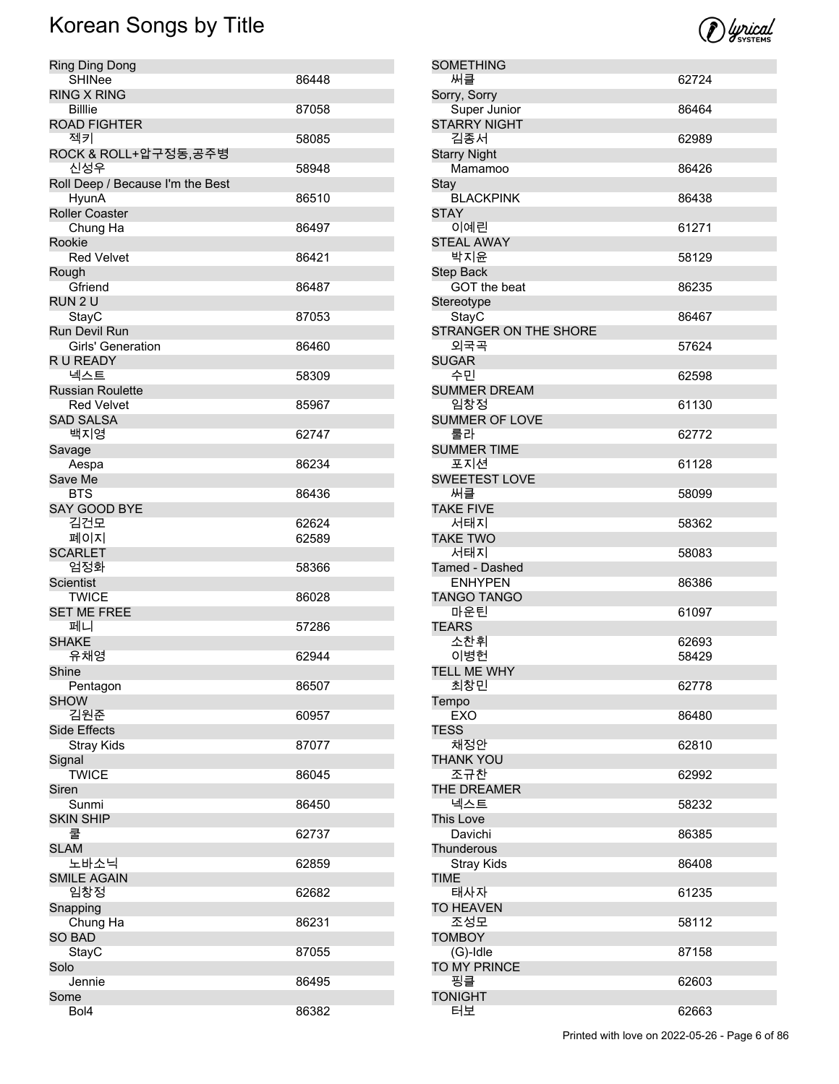| Ring Ding Dong                     |       |
|------------------------------------|-------|
| <b>SHINee</b>                      | 86448 |
| <b>RING X RING</b>                 |       |
| Billie<br><b>ROAD FIGHTER</b>      | 87058 |
| 젝키                                 | 58085 |
| ROCK & ROLL+압구정동,공주병               |       |
| 신성우                                | 58948 |
| Roll Deep / Because I'm the Best   |       |
| <b>HyunA</b>                       | 86510 |
| <b>Roller Coaster</b>              |       |
| Chung Ha                           | 86497 |
| Rookie<br><b>Red Velvet</b>        | 86421 |
| Rough                              |       |
| Gfriend                            | 86487 |
| RUN 2 U                            |       |
| StayC                              | 87053 |
| <b>Run Devil Run</b>               |       |
| <b>Girls' Generation</b>           | 86460 |
| R U READY                          |       |
| 넥스트                                | 58309 |
| <b>Russian Roulette</b>            |       |
| <b>Red Velvet</b>                  | 85967 |
| <b>SAD SALSA</b><br>백지영            | 62747 |
| Savage                             |       |
| Aespa                              | 86234 |
| Save Me                            |       |
| BTS                                | 86436 |
| <b>SAY GOOD BYE</b>                |       |
| 김건모                                | 62624 |
| 폐이지                                | 62589 |
| <b>SCARLET</b>                     |       |
| 엄정화                                | 58366 |
| Scientist                          |       |
| <b>TWICE</b><br><b>SET ME FREE</b> | 86028 |
| 페니                                 | 57286 |
| <b>SHAKE</b>                       |       |
| 유채영                                | 62944 |
| Shine                              |       |
| Pentagon                           | 86507 |
| <b>SHOW</b>                        |       |
| 김원준                                | 60957 |
| <b>Side Effects</b>                |       |
| <b>Stray Kids</b>                  | 87077 |
| Signal<br><b>TWICE</b>             | 86045 |
| Siren                              |       |
| Sunmi                              | 86450 |
| <b>SKIN SHIP</b>                   |       |
| 쿨                                  | 62737 |
| <b>SLAM</b>                        |       |
| 노바소닉                               | 62859 |
| <b>SMILE AGAIN</b>                 |       |
| 임창정                                | 62682 |
| Snapping                           |       |
| Chung Ha                           | 86231 |
| <b>SO BAD</b>                      | 87055 |
| StayC<br>Solo                      |       |
| Jennie                             | 86495 |
| Some                               |       |
| Bol4                               | 86382 |



| SOMETHING                 |       |
|---------------------------|-------|
| 써클                        | 62724 |
| Sorry, Sorry              |       |
| Super Junior              | 86464 |
| <b>STARRY NIGHT</b>       |       |
| 김종서                       | 62989 |
| <b>Starry Night</b>       |       |
| Mamamoo                   | 86426 |
| Stay                      |       |
| <b>BLACKPINK</b>          | 86438 |
| <b>STAY</b>               |       |
| 이예린                       | 61271 |
| <b>STEAL AWAY</b>         |       |
| 박지윤                       | 58129 |
| Step Back<br>GOT the beat |       |
|                           | 86235 |
| Stereotype<br>StayC       | 86467 |
| STRANGER ON THE SHORE     |       |
| 외국곡                       | 57624 |
| <b>SUGAR</b>              |       |
| 수민                        | 62598 |
| <b>SUMMER DREAM</b>       |       |
| 임창정                       | 61130 |
| <b>SUMMER OF LOVE</b>     |       |
| 룰라                        | 62772 |
| <b>SUMMER TIME</b>        |       |
| 포지션                       | 61128 |
| <b>SWEETEST LOVE</b>      |       |
| 써클                        | 58099 |
| <b>TAKE FIVE</b>          |       |
| 서태지                       | 58362 |
| <b>TAKE TWO</b>           |       |
| 서태지                       | 58083 |
| Tamed - Dashed            |       |
| <b>ENHYPEN</b>            | 86386 |
| <b>TANGO TANGO</b>        |       |
| 마운틴                       | 61097 |
| <b>TEARS</b>              |       |
| 소찬휘                       | 62693 |
| 이병헌                       | 58429 |
| tell me why               |       |
| 최창민                       | 62778 |
| Tempo<br><b>EXO</b>       |       |
| <b>TESS</b>               | 86480 |
| 채정안                       | 62810 |
| THANK YOU                 |       |
| 조규찬                       | 62992 |
| THE DREAMER               |       |
| 넥스트                       | 58232 |
| This Love                 |       |
| Davichi                   | 86385 |
| Thunderous                |       |
| <b>Stray Kids</b>         | 86408 |
| <b>TIME</b>               |       |
| 태사자                       | 61235 |
| <b>TO HEAVEN</b>          |       |
| 조성모                       | 58112 |
| <b>TOMBOY</b>             |       |
| $(G)$ -Idle               | 87158 |
| TO MY PRINCE              |       |
| 핑클                        | 62603 |
| <b>TONIGHT</b>            |       |
| 터보                        | 62663 |

Printed with love on 2022-05-26 - Page 6 of 86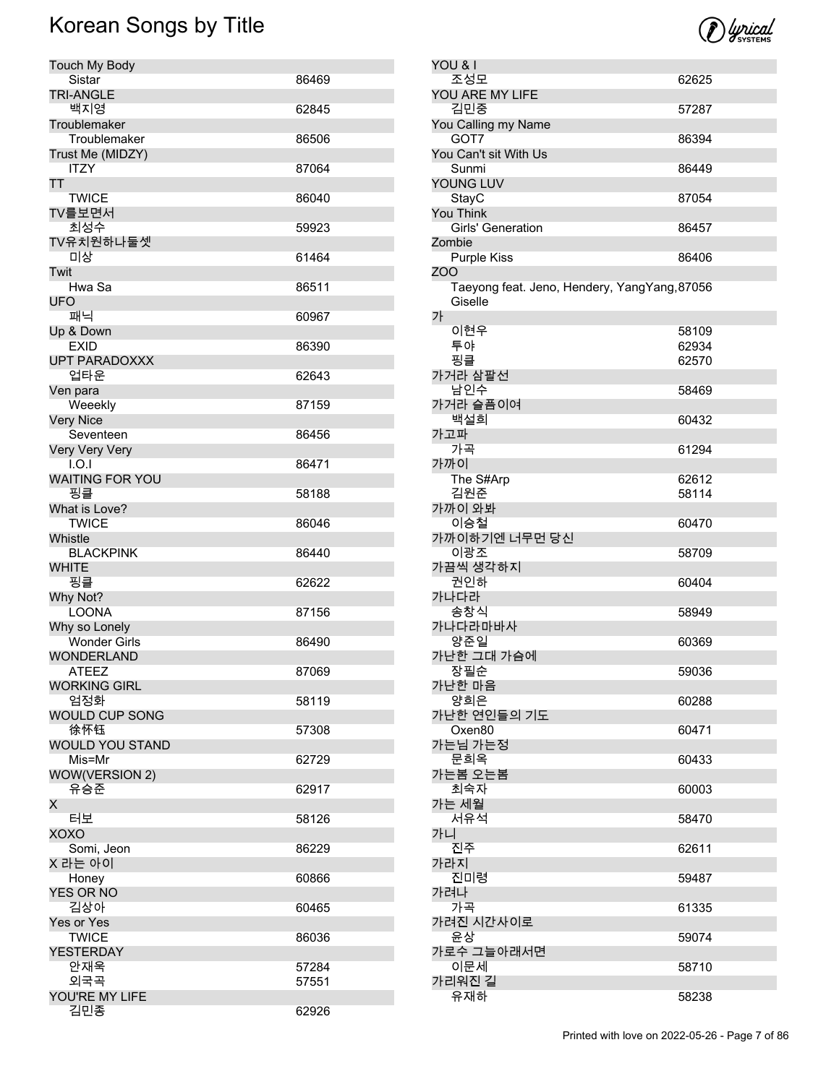

| YOU & I                                      |       |
|----------------------------------------------|-------|
| 조성모                                          | 62625 |
| YOU ARE MY LIFE                              |       |
| 김민중                                          | 57287 |
| You Calling my Name                          |       |
| GOT7                                         | 86394 |
| You Can't sit With Us                        |       |
| Sunmi                                        | 86449 |
| YOUNG LUV                                    |       |
| StayC                                        | 87054 |
| You Think                                    |       |
| Girls' Generation                            | 86457 |
| Zombie                                       |       |
| <b>Purple Kiss</b>                           | 86406 |
| ZOO                                          |       |
| Taeyong feat. Jeno, Hendery, YangYang, 87056 |       |
| Giselle                                      |       |
| 가                                            |       |
| 이현우                                          | 58109 |
| 투야                                           | 62934 |
| 핑클                                           | 62570 |
| 가거라 삼팔선                                      |       |
| 남인수                                          | 58469 |
| 가거라 슬픔이여                                     |       |
| 백설희                                          | 60432 |
| 가고파                                          |       |
| 가곡                                           | 61294 |
| 가까이                                          |       |
| The S#Arp                                    | 62612 |
| 김원준                                          | 58114 |
| 가까이 와봐                                       |       |
| 이승철                                          | 60470 |
| 가까이하기엔 너무먼 당신                                |       |
| 이광조                                          | 58709 |
| 가끔씩 생각하지                                     |       |
| 권인하                                          | 60404 |
| 가나다라                                         |       |
| 송창식                                          | 58949 |
| 가나다라마바사                                      |       |
| 양준일                                          | 60369 |
| 가난한 그대 가슴에                                   |       |
| 장필순                                          | 59036 |
| 가난한 마음                                       |       |
| 양희은                                          | 60288 |
| 가난한 연인들의 기도                                  |       |
| Oxen <sub>80</sub>                           | 60471 |
| 가는님 가는정<br>문희옥                               |       |
|                                              | 60433 |
| 가는봄 오는봄<br>최숙자                               |       |
|                                              | 60003 |
| 가는 세월                                        |       |
| 서유석<br>가니                                    | 58470 |
| 진주                                           |       |
| 가라지                                          | 62611 |
| 진미령                                          |       |
|                                              | 59487 |
| 가려나                                          |       |
| 가곡                                           | 61335 |
| 가려진 시간사이로<br>윤상                              |       |
|                                              | 59074 |
| 가로수 그늘아래서면                                   |       |
| 이문세<br>가리워진 길                                | 58710 |
| 유재하                                          |       |
|                                              | 58238 |

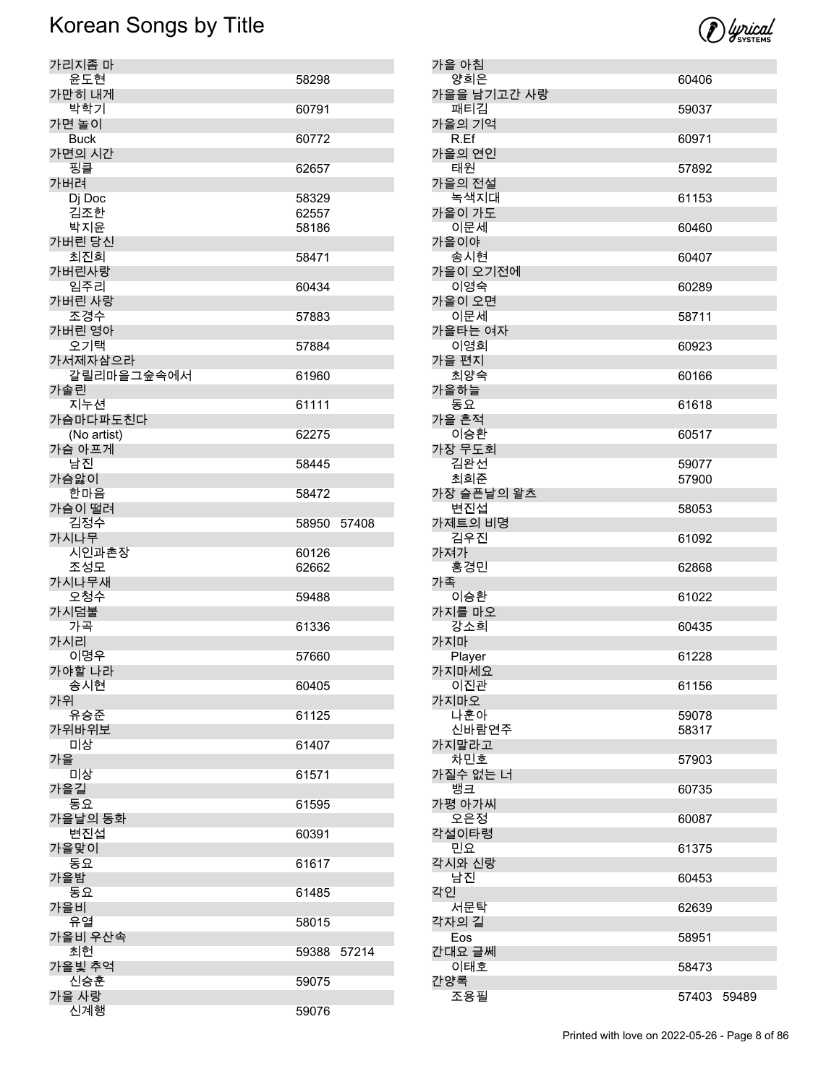

| 가리지좀 마                  |                |       |
|-------------------------|----------------|-------|
| 윤도현<br>가만히 내게           | 58298          |       |
| 박학기                     | 60791          |       |
| 가면 놀이                   |                |       |
| <b>Buck</b><br>가면의 시간   | 60772          |       |
| 핑클                      | 62657          |       |
| 가버려                     |                |       |
| Dj Doc<br>김조한           | 58329<br>62557 |       |
| 박지윤                     | 58186          |       |
| 가버린 당신                  |                |       |
| 최진희<br>가버린사랑            | 58471          |       |
| 임주리                     | 60434          |       |
| 가버린 사랑<br>조경수           | 57883          |       |
| 가버린 영아                  |                |       |
| 오기택                     | 57884          |       |
| 가서제자삼으라<br>갈릴리마을그숲속에서   | 61960          |       |
| 가솔린                     |                |       |
| 지누션                     | 61111          |       |
| 가슴마다파도친다<br>(No artist) | 62275          |       |
| 가슴 아프게                  |                |       |
| 남진<br>가슴앓이              | 58445          |       |
| 한마음                     | 58472          |       |
| 가슴이 떨려                  |                |       |
| 김정수<br>가시나무             | 58950          | 57408 |
|                         |                |       |
| 시인과촌장                   | 60126          |       |
| 조성모                     | 62662          |       |
| 가시나무새                   | 59488          |       |
| 오청수<br>가시덤불             |                |       |
| 가곡                      | 61336          |       |
| 가시리<br>이명우              | 57660          |       |
| 가야할 나라                  |                |       |
| 송시현                     | 60405          |       |
| 가위<br>유승준               | 61125          |       |
| 가위바위보                   |                |       |
| 미상<br>가을                | 61407          |       |
| 미상                      | 61571          |       |
| 가을길                     |                |       |
| 동요<br>가을날의 동화           | 61595          |       |
| 변진섭                     | 60391          |       |
| 가을맞이<br>동요              | 61617          |       |
| 가을밤                     |                |       |
| 동요                      | 61485          |       |
| 가을비<br>유열               | 58015          |       |
| 가을비 우산속                 |                |       |
| 최헌                      | 59388          | 57214 |
| 가을빛 추억<br>신승훈           | 59075          |       |
| 가을 사랑<br>신계행            | 59076          |       |

| 가을 아침              |                |       |
|--------------------|----------------|-------|
| 양희은<br>가을을 남기고간 사랑 | 60406          |       |
| 패티김                | 59037          |       |
| 가을의 기억<br>R.Ef     | 60971          |       |
| 가을의 연인<br>태원       | 57892          |       |
| 가을의 전설             |                |       |
| 녹색지대<br>가을이 가도     | 61153          |       |
| 이문세<br>가을이야        | 60460          |       |
| 송시현<br>가을이 오기전에    | 60407          |       |
| 이영숙                | 60289          |       |
| 가을이 오면<br>이문세      | 58711          |       |
| 가을타는 여자            |                |       |
| 이영희<br>가을 편지       | 60923          |       |
| 최양숙                | 60166          |       |
| 가을하늘<br>동요         | 61618          |       |
| 가을 흔적<br>이승환       | 60517          |       |
| 가장 무도회             |                |       |
| 김완선<br>최희준         | 59077<br>57900 |       |
| 가장 슬픈날의 왈츠         |                |       |
| 변진섭<br>가제트의 비명     | 58053          |       |
| 김우진<br>가져가         | 61092          |       |
| 홍경민                | 62868          |       |
| 가족<br>이승환          | 61022          |       |
| 가지를 마오<br>강소희      | 60435          |       |
| 가지마                |                |       |
| Player             | 61228          |       |
| 가지마세요              |                |       |
| 이진관                | 61156          |       |
| 가지마오<br>나훈아        | 59078          |       |
| 신바람연주              | 58317          |       |
| 가지말라고<br>차민호       | 57903          |       |
| 가질수 없는 너           |                |       |
| 뱅크                 | 60735          |       |
| 가평 아가씨<br>오은정      | 60087          |       |
| 각설이타령<br>민요        | 61375          |       |
| 각시와 신랑             |                |       |
| 남진<br>각인           | 60453          |       |
| 서문탁                | 62639          |       |
| 각자의 길<br>Eos       | 58951          |       |
| 간대요 글쎄             |                |       |
| 이태호                | 58473          |       |
| 간양록<br>조용필         | 57403          | 59489 |
|                    |                |       |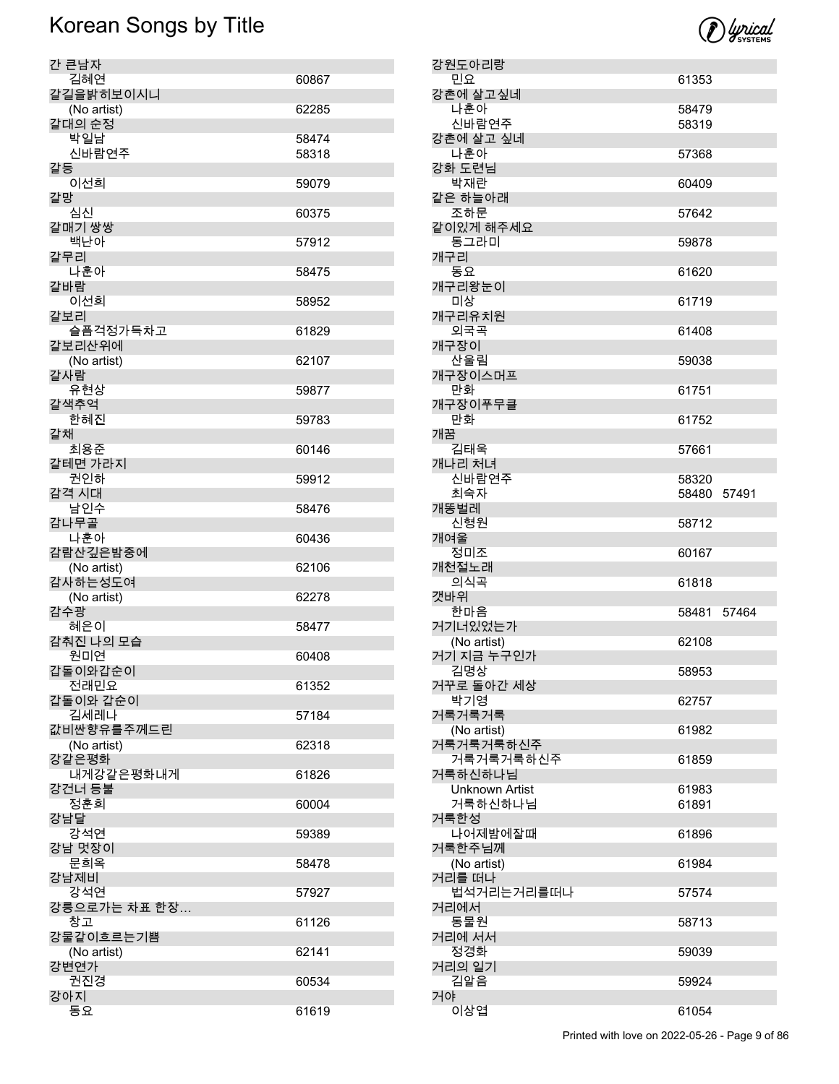

| 간 큰남자                |       |
|----------------------|-------|
| 김혜연                  | 60867 |
| 갈길을밝히보이시니            |       |
| (No artist)          | 62285 |
| 갈대의 순정               |       |
| 박일남                  | 58474 |
| 신바람연주                | 58318 |
| 갈등                   |       |
| 이선희                  | 59079 |
| 갈망                   |       |
| 심신                   | 60375 |
| 갈매기 쌍쌍               |       |
| 백난아<br>갈무리           | 57912 |
| 나훈아                  | 58475 |
| 갈바람                  |       |
| 이선희                  | 58952 |
| 갈보리                  |       |
| 슬픔걱정가득차고             | 61829 |
| 갈보리산위에               |       |
| (No artist)          | 62107 |
| 갈사람                  |       |
| 유현상                  | 59877 |
| 갈색추억                 |       |
| 한혜진<br>갈채            | 59783 |
| 최용준                  | 60146 |
| 갈테면 가라지              |       |
| 권인하                  | 59912 |
| 감격 시대                |       |
| 남인수                  | 58476 |
| 감나무골                 |       |
| 나훈아<br>감람산깊은밤중에      | 60436 |
|                      |       |
|                      |       |
| (No artist)          | 62106 |
| 감사하는성도여              | 62278 |
| (No artist)<br>감수광   |       |
| 혜은이                  | 58477 |
| 감춰진 나의 모습            |       |
| 원미연                  | 60408 |
| 갑돌이와갑순이              |       |
| 전래민요                 | 61352 |
| 갑돌이와 갑순이             |       |
| 김세레나                 | 57184 |
| 값비싼향유를주께드린           | 62318 |
| (No artist)<br>강같은평화 |       |
| 내게강같은평화내게            | 61826 |
| 강건너 등불               |       |
| 정훈희                  | 60004 |
| 강남달                  |       |
| 강석연                  | 59389 |
| 강남 멋장이               |       |
| 문희옥<br>강남제비          | 58478 |
| 강석연                  | 57927 |
| 강릉으로가는 차표 한장…        |       |
| 창고                   | 61126 |
| 강물같이흐르는기쁨            |       |
| (No artist)          | 62141 |
| 강변연가                 |       |
| 권진경<br>강아지           | 60534 |

| 강원도아리랑                 |             |       |
|------------------------|-------------|-------|
| 민요                     | 61353       |       |
| 강촌에 살고싶네<br>나훈아        | 58479       |       |
| 신바람연주                  | 58319       |       |
| 강촌에 살고 싶네              |             |       |
| 나훈아                    | 57368       |       |
| 강화 도련님<br>박재란          | 60409       |       |
| 같은 하늘아래                |             |       |
| 조하문                    | 57642       |       |
| 같이있게 해주세요              |             |       |
| 동그라미<br>개구리            | 59878       |       |
| 동요                     | 61620       |       |
| 개구리왕눈이                 |             |       |
| 미상                     | 61719       |       |
| 개구리유치원<br>외국곡          | 61408       |       |
| 개구장이                   |             |       |
| 산울림                    | 59038       |       |
| 개구장이스머프                |             |       |
| 만화<br>개구장이푸무클          | 61751       |       |
| 만화                     | 61752       |       |
| 개꿈                     |             |       |
| 김태욱                    | 57661       |       |
| 개나리 처녀<br>신바람연주        | 58320       |       |
| 최숙자                    | 58480 57491 |       |
| 개똥벌레                   |             |       |
| 신형원                    | 58712       |       |
| 개여울                    |             |       |
|                        |             |       |
| 정미조<br>개천절노래           | 60167       |       |
| 의식곡                    | 61818       |       |
| 갯바위                    |             |       |
| 한마음                    | 58481       | 57464 |
| 거기너있었는가<br>(No artist) | 62108       |       |
| 거기 지금 누구인가             |             |       |
| 김명상                    | 58953       |       |
| 거꾸로 돌아간 세상             |             |       |
| 박기영<br>거룩거룩거룩          | 62757       |       |
| (No artist)            | 61982       |       |
| 거룩거룩거룩하신주              |             |       |
| 거룩거룩거룩하신주<br>거룩하신하나님   | 61859       |       |
| Unknown Artist         | 61983       |       |
| 거룩하신하나님                | 61891       |       |
| 거룩한성                   |             |       |
| 나어제밤에잘때<br>거룩한주님께      | 61896       |       |
| (No artist)            | 61984       |       |
| 거리를 떠나                 |             |       |
| 법석거리는거리를떠나             | 57574       |       |
| 거리에서<br>동물원            | 58713       |       |
| 거리에 서서                 |             |       |
| 정경화                    | 59039       |       |
| 거리의 일기                 |             |       |
| 김알음<br>거야              | 59924       |       |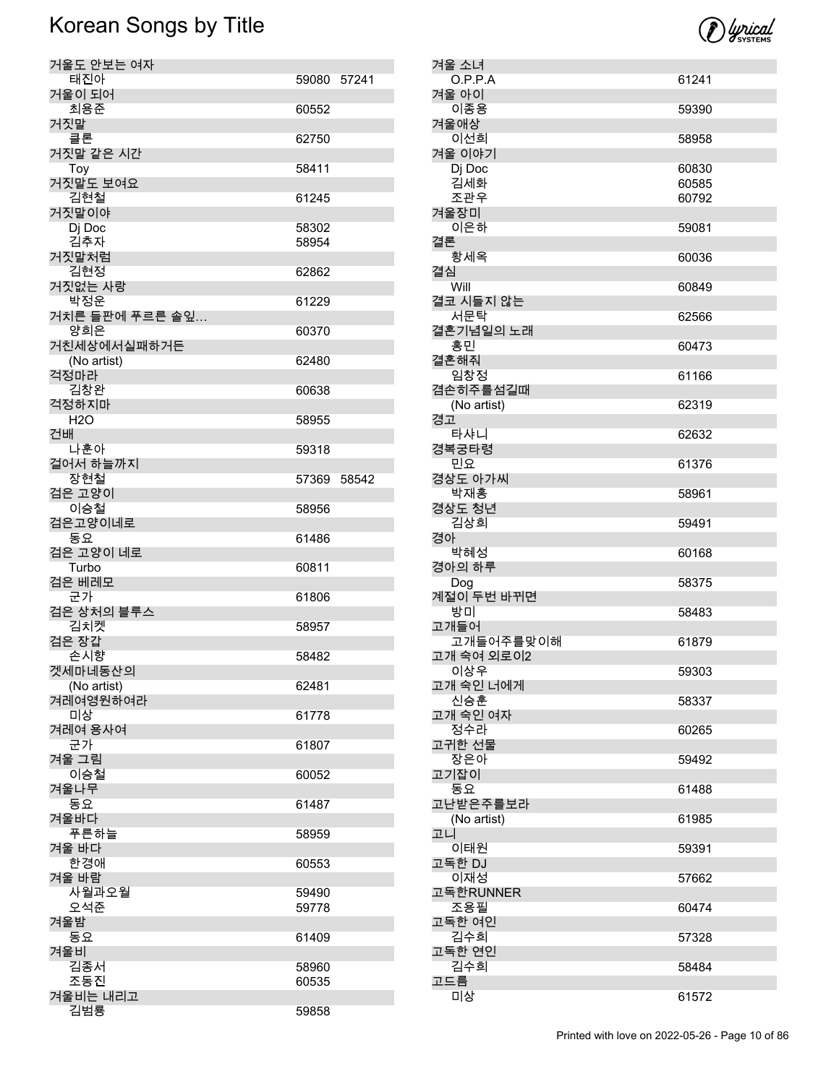| 거울도 안보는 여자      |             |  |
|-----------------|-------------|--|
| 태진아             | 59080 57241 |  |
| 거울이 되어          |             |  |
| 최용준             | 60552       |  |
| 거짓말             |             |  |
| 클론              | 62750       |  |
| 거짓말 같은 시간       |             |  |
|                 | 58411       |  |
| Toy             |             |  |
| 거짓말도 보여요        |             |  |
| 김현철             | 61245       |  |
| 거짓말이야           |             |  |
| Di Doc          | 58302       |  |
| 김추자             | 58954       |  |
| 거짓말처럼           |             |  |
| 김현정             | 62862       |  |
| 거짓없는 사랑         |             |  |
| 박정운             | 61229       |  |
| 거치른 들판에 푸르른 솔잎… |             |  |
| 양희은             |             |  |
|                 | 60370       |  |
| 거친세상에서실패하거든     |             |  |
| (No artist)     | 62480       |  |
| 걱정마라            |             |  |
| 김창완             | 60638       |  |
| 걱정하지마           |             |  |
| H2O             | 58955       |  |
| 건배              |             |  |
| 나훈아             | 59318       |  |
| 걸어서 하늘까지        |             |  |
| 장현철             | 57369 58542 |  |
| 검은 고양이          |             |  |
| 이승철             |             |  |
|                 | 58956       |  |
| 검은고양이네로         |             |  |
|                 |             |  |
| 동요              | 61486       |  |
| 검은 고양이 네로       |             |  |
| Turbo           | 60811       |  |
| 검은 베레모          |             |  |
| 군가              | 61806       |  |
| 검은 상처의 블루스      |             |  |
|                 | 58957       |  |
| 김치켓             |             |  |
| 검은 장갑           |             |  |
| 손시향             | 58482       |  |
| 겟세마네동산의         |             |  |
| (No artist)     | 62481       |  |
| 겨레여영원하여라        |             |  |
| 미상              | 61778       |  |
| 겨레여 용사여         |             |  |
| 군가              | 61807       |  |
| 겨울 그림           |             |  |
| 이승철             | 60052       |  |
| 겨울나무            |             |  |
| 동요              | 61487       |  |
|                 |             |  |
| 겨울바다            |             |  |
| 푸른하늘            | 58959       |  |
| 겨울 바다           |             |  |
| 한경애             | 60553       |  |
| 겨울 바람           |             |  |
| 사월과오월           | 59490       |  |
| 오석준             | 59778       |  |
| 겨울밤             |             |  |
| 동요              | 61409       |  |
| 겨울비             |             |  |
| 김종서             | 58960       |  |
| 조동진             | 60535       |  |
|                 |             |  |
| 겨울비는 내리고<br>김범룡 | 59858       |  |

| 겨울 소녀                   |                |
|-------------------------|----------------|
| O.P.P.A<br>겨울 아이        | 61241          |
| 이종용                     | 59390          |
| 겨울애상                    |                |
| 이선희                     | 58958          |
| 겨울 이야기                  |                |
| Dj Doc                  | 60830          |
| 김세화<br>조관우              | 60585<br>60792 |
| 겨울장미                    |                |
| 이은하                     | 59081          |
| 결론                      |                |
| 황세옥<br>결심               | 60036          |
| Will                    | 60849          |
| 결코 시들지 않는               |                |
| 서문탁                     | 62566          |
| 결혼기념일의 노래               |                |
| 홍민                      | 60473          |
| 결혼해줘<br>임창정             | 61166          |
| 겸손히주를섬길때                |                |
| (No artist)             | 62319          |
| 경고                      |                |
| 타샤니<br>경복궁타령            | 62632          |
| 민요                      | 61376          |
| 경상도 아가씨                 |                |
| 박재홍                     | 58961          |
| 경상도 청년<br>김상희           | 59491          |
| 경아                      |                |
| 박혜성                     | 60168          |
| 경아의 하루<br>Dog           | 58375          |
| 계절이 두번 바뀌면              |                |
| 방미                      | 58483          |
| 고개들어                    |                |
| 고개들어주를맞이해<br>고개 숙여 외로이2 | 61879          |
| 이상우                     | 59303          |
| 고개 숙인 너에게               |                |
| 신승훈                     | 58337          |
| 고개 숙인 여자<br>정수라         | 60265          |
| 고귀한 선물                  |                |
| 장은아                     | 59492          |
| 고기잡이                    |                |
| 동요<br>고난받은주를보라          | 61488          |
|                         |                |
|                         |                |
| (No artist)<br>고니       | 61985          |
| 이태원                     | 59391          |
| 고독한 DJ                  |                |
| 이재성                     | 57662          |
| 고독한RUNNER<br>조용필        | 60474          |
| 고독한 여인                  |                |
| 김수희                     | 57328          |
| 고독한 연인                  |                |
| 김수희<br>고드름              | 58484          |

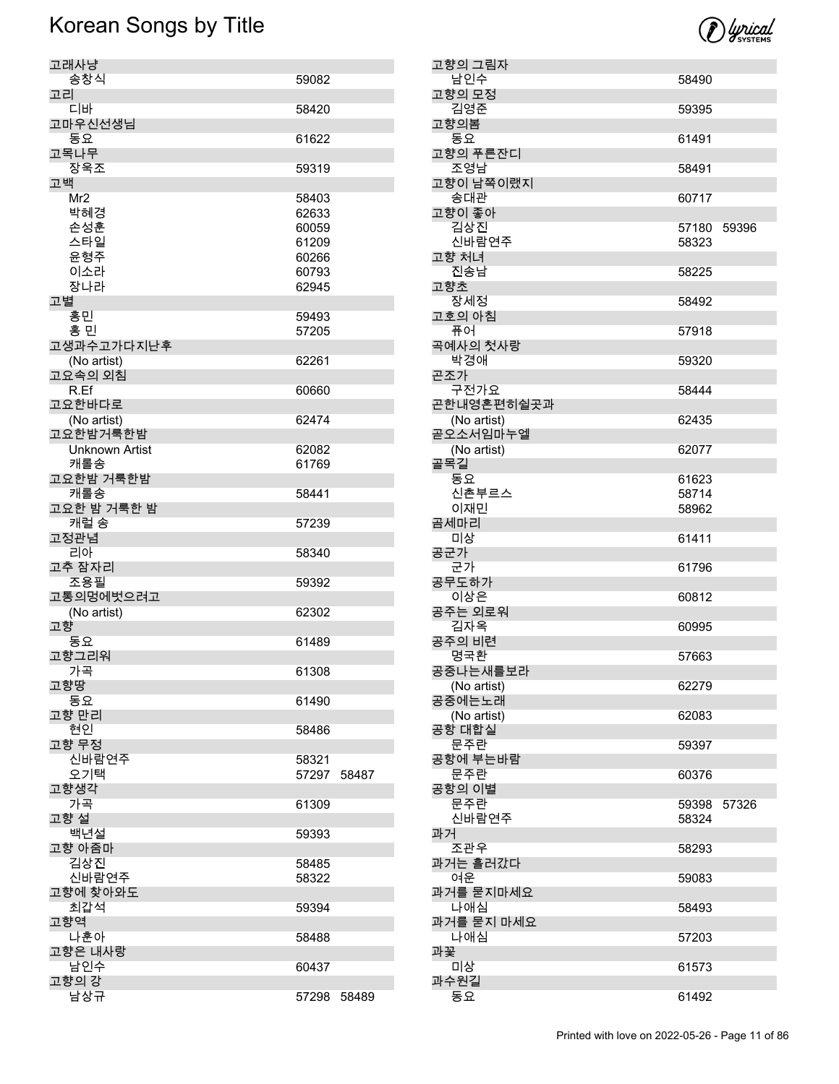

| 고래사냥              |                |       |
|-------------------|----------------|-------|
| 송창식               | 59082          |       |
| 고리<br>디바          | 58420          |       |
| 고마우신선생님           |                |       |
| 동요                | 61622          |       |
| 고목나무              |                |       |
| 장욱조               | 59319          |       |
| 고백<br>Mr2         | 58403          |       |
| 박혜경               | 62633          |       |
| 손성훈               | 60059          |       |
| 스타일               | 61209          |       |
| 윤형주               | 60266          |       |
| 이소라<br>장나라        | 60793<br>62945 |       |
| 고별                |                |       |
| 홍민                | 59493          |       |
| 홍 민               | 57205          |       |
| 고생과수고가다지난후        |                |       |
| (No artist)       | 62261          |       |
| 고요속의 외침<br>R.Ef   | 60660          |       |
| 고요한바다로            |                |       |
| (No artist)       | 62474          |       |
| 고요한밤거룩한밤          |                |       |
| Unknown Artist    | 62082          |       |
| 캐롤송<br>고요한밤 거룩한밤  | 61769          |       |
| 캐롤송               | 58441          |       |
| 고요한 밤 거룩한 밤       |                |       |
| 캐럴 송              | 57239          |       |
| 고정관념<br>리아        | 58340          |       |
| 고추 잠자리            |                |       |
| 조용필               | 59392          |       |
| 고통의멍에벗으려고         |                |       |
| (No artist)<br>고향 | 62302          |       |
| 동요                | 61489          |       |
| 고향그리워             |                |       |
| 가곡                | 61308          |       |
| 고향땅               |                |       |
| 동요<br>고향 만리       | 61490          |       |
| 현신                | 58486          |       |
| 고향 무정             |                |       |
| 신바람연주             | 58321          |       |
| 오기택<br>고향생각       | 57297          | 58487 |
| 가곡                | 61309          |       |
| 고향 설              |                |       |
| 백년설               | 59393          |       |
| 고향 아줌마            |                |       |
| 김상진<br>신바람연주      | 58485<br>58322 |       |
| 고향에 찾아와도          |                |       |
| 최갑석               | 59394          |       |
| 고향역               |                |       |
| 나훈아               | 58488          |       |
| 고향은 내사랑<br>남인수    | 60437          |       |
| 고향의 강             |                |       |
| 남상규               | 57298          | 58489 |

| 고향의 그림자                   |                |       |
|---------------------------|----------------|-------|
| 남인수<br>고향의 모정             | 58490          |       |
| 김영준                       | 59395          |       |
| 고향의봄<br>동요                | 61491          |       |
| 고향의 푸른잔디                  |                |       |
| 조영남<br>고향이 남쪽이랬지          | 58491          |       |
| 송대관<br>고향이 좋아             | 60717          |       |
| 김상진<br>신바람연주              | 57180 59396    |       |
| 고향 처녀                     | 58323          |       |
| 진송남<br>고향초                | 58225          |       |
| 장세정<br>고호의 아침             | 58492          |       |
| 퓨어                        | 57918          |       |
| 곡예사의 첫사랑<br>박경애           | 59320          |       |
| 곤조가<br>구전가요               | 58444          |       |
| 곤한내영혼편히쉴곳과<br>(No artist) | 62435          |       |
| 곧오소서임마누엘                  |                |       |
| (No artist)<br>골목길        | 62077          |       |
| 동요<br>신촌부르스               | 61623<br>58714 |       |
| 이재민                       | 58962          |       |
| 곰세마리<br>미상                | 61411          |       |
| 공군가<br>군가                 | 61796          |       |
| 공무도하가                     |                |       |
| 이상은<br>공주는 외로워            | 60812          |       |
| 김자옥                       | 60995          |       |
| 공주의 비련<br>명국환             | 57663          |       |
| 공중나는새를보라                  |                |       |
| (No artist)<br>공중에는노래     | 62279          |       |
| (No artist)               | 62083          |       |
| 공항 대합실<br>문주란             | 59397          |       |
| 공항에 부는바람                  |                |       |
| 문주란<br>공항의 이별             | 60376          |       |
| 문주란                       | 59398          | 57326 |
| 신바람연주<br>과거               | 58324          |       |
| 조관우<br>과거는 흘러갔다           | 58293          |       |
| 여운                        | 59083          |       |
| 과거를 묻지마세요<br>나애심          | 58493          |       |
| 과거를 묻지 마세요                |                |       |
| 나애심<br>과꽃                 | 57203          |       |
| 미상                        | 61573          |       |
| 과수원길<br>동요                | 61492          |       |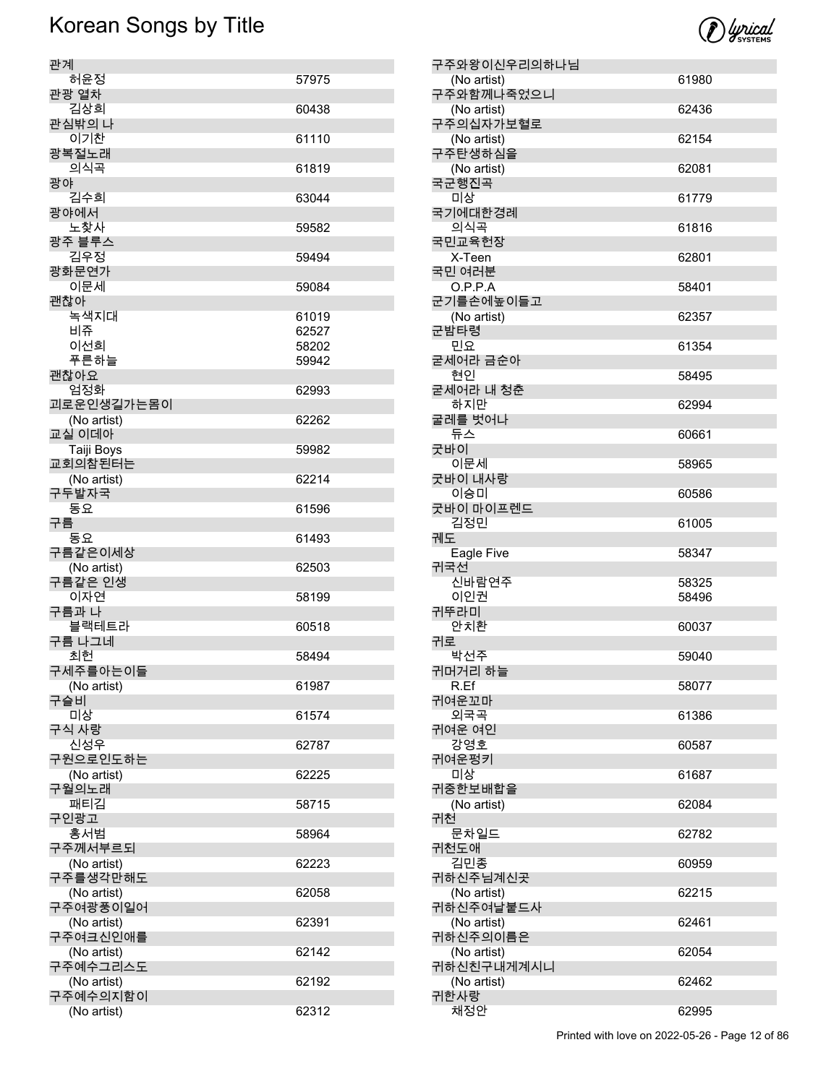

| 관계                      |       |
|-------------------------|-------|
| 허윤정                     | 57975 |
| 관광 열차<br>김상희            | 60438 |
| 관심밖의 나<br>이기차           | 61110 |
| 광복절노래                   |       |
| 의식곡<br>광야               | 61819 |
| 김수희<br>광야에서             | 63044 |
| 노찾사                     | 59582 |
| 광주 블루스<br>김우정           | 59494 |
| 광화문연가<br>이문세            | 59084 |
| 괜찮아                     |       |
| 녹색지대                    | 61019 |
| 비쥬                      | 62527 |
| 이선희                     | 58202 |
| 푸른하늘                    | 59942 |
| 괜찮아요                    |       |
| 엄정화                     | 62993 |
| 괴로운인생길가는몸이              |       |
| (No artist)<br>교실 이데아   | 62262 |
| Taiji Boys              | 59982 |
| 교회의참된터는                 |       |
| (No artist)             | 62214 |
| 구두발자국                   |       |
| 동요<br>구름                | 61596 |
| 동요                      | 61493 |
| 구름같은이세상<br>(No artist)  | 62503 |
| 구름같은 인생                 |       |
| 이자연<br>구름과 나            | 58199 |
| 블랙테트라<br>구름 나그네         | 60518 |
| 최헌                      | 58494 |
| 구세주를아는이들                |       |
| (No artist)             | 61987 |
| 구슬비                     |       |
| 미상<br>구식 사랑             | 61574 |
| 신성우<br>구원으로인도하는         | 62787 |
| (No artist)             | 62225 |
| 구월의노래<br>패티김            | 58715 |
| 구인광고<br>홍서범             | 58964 |
| 구주께서부르되                 |       |
| (No artist)<br>구주를생각만해도 | 62223 |
| (No artist)<br>구주여광풍이일어 | 62058 |
| (No artist)             | 62391 |
| 구주여크신인애를                |       |
| (No artist)<br>구주예수그리스도 | 62142 |
| (No artist)             | 62192 |
| 구주예수의지함이                |       |
| (No artist)             | 62312 |

| 구주와왕이신우리의하나님              |       |
|---------------------------|-------|
| (No artist)<br>구주와함께나죽었으니 | 61980 |
| (No artist)               | 62436 |
| 구주의십자가보혈로                 |       |
| (No artist)<br>구주탄생하심을    | 62154 |
| (No artist)               | 62081 |
| 국군행진곡<br>미상               | 61779 |
| 국기에대한경례                   |       |
| 의식곡<br>국민교육헌장             | 61816 |
| X-Teen                    | 62801 |
| 국민 여러분                    |       |
| O.P.P.A<br>군기를손에높이들고      | 58401 |
| (No artist)               | 62357 |
| 군밤타령<br>민요                | 61354 |
| 굳세어라 금순아                  |       |
| 현이<br>굳세어라 내 청춘           | 58495 |
| 하지만                       | 62994 |
| 굴레를 벗어나                   |       |
| 듀스<br>굿바이                 | 60661 |
| 이문세                       | 58965 |
| 굿바이 내사랑<br>이승미            | 60586 |
| 굿바이 마이프렌드                 |       |
| 김정민<br>궤도                 | 61005 |
|                           |       |
|                           |       |
| Eagle Five<br>귀국선         | 58347 |
| 신바람연주                     | 58325 |
| 이인권<br>귀뚜라미               | 58496 |
| 안치환                       | 60037 |
| 귀로<br>박선주                 | 59040 |
| 귀머거리 하늘                   |       |
| R.Ef                      | 58077 |
| 귀여운꼬마<br>외국곡              | 61386 |
| 귀여운 여인                    |       |
| 강영호<br>귀여운펑키              | 60587 |
| 미상                        | 61687 |
| 귀중한보배합을                   | 62084 |
| (No artist)<br>귀천         |       |
| 문차일드                      | 62782 |
| 귀천도애<br>김민종               | 60959 |
| 귀하신주님계신곳                  |       |
| (No artist)<br>귀하신주여날붙드사  | 62215 |
| (No artist)               | 62461 |
| 귀하신주의이름은                  |       |
| (No artist)<br>귀하신친구내게계시니 | 62054 |
| (No artist)<br>귀한사랑       | 62462 |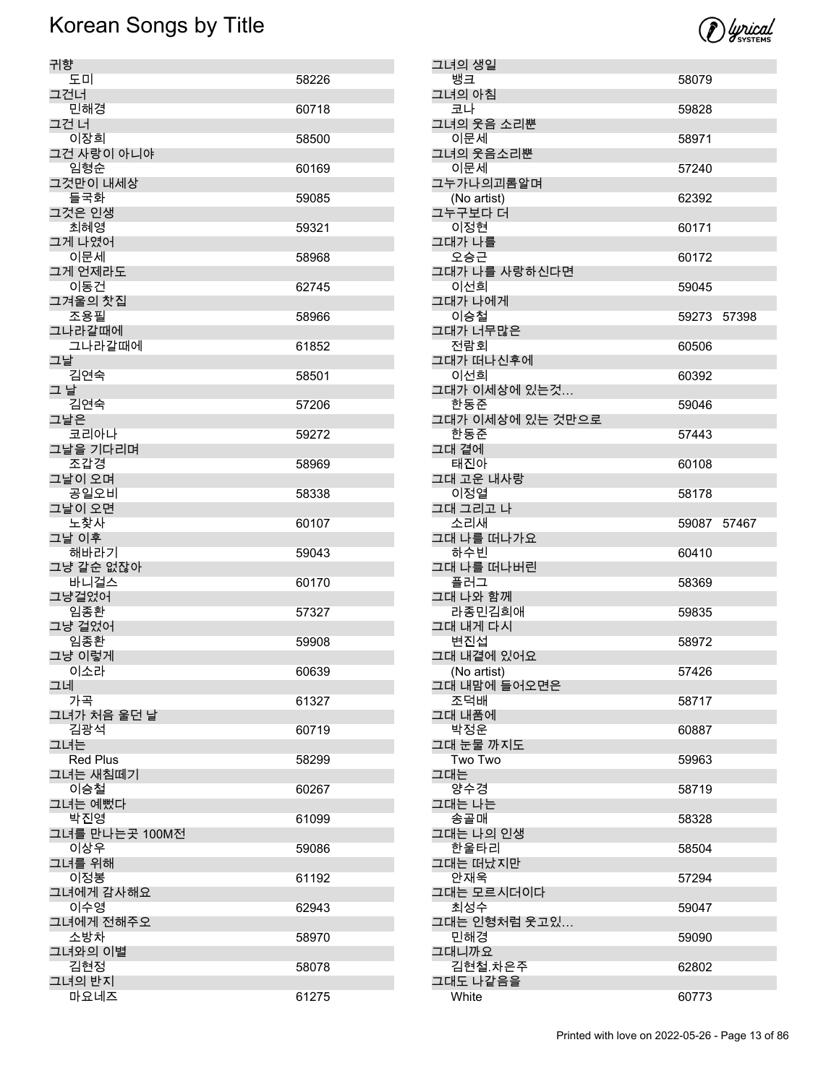

| 귀향                     |       |
|------------------------|-------|
| 도미                     | 58226 |
| 그건너<br>민해경             | 60718 |
| 그건 너<br>이장희            | 58500 |
| 그건 사랑이 아니야<br>임형순      | 60169 |
| 그것만이 내세상               |       |
| 들국화<br>그것은 인생          | 59085 |
| 최혜영<br>그게 나였어          | 59321 |
| 이문세<br>그게 언제라도         | 58968 |
| 이동건                    | 62745 |
| 그겨울의 찻집<br>조용필         | 58966 |
| 그나라갈때에<br>그나라갈때에       | 61852 |
| 그날<br>김연숙              | 58501 |
| 그 날                    |       |
| 김연숙<br>그날은             | 57206 |
| 코리아나<br>그날을 기다리며       | 59272 |
| 조갑경<br>그날이 오며          | 58969 |
| 공일오비                   | 58338 |
| 그날이 오면<br>노찾사          | 60107 |
| 그날 이후<br>해바라기          | 59043 |
| 그냥 갈순 없잖아<br>바니걸스      | 60170 |
| 그냥걸었어<br>임종환           | 57327 |
| 그냥 걸었어                 |       |
| 임종환<br>그냥 이렇게          | 59908 |
| 이소라<br>그네              | 60639 |
| 가곡                     | 61327 |
| 그녀가 처음 울던 날<br>김광석     | 60719 |
| 그녀는<br><b>Red Plus</b> | 58299 |
| 그녀는 새침떼기<br>이승철        | 60267 |
| 그녀는 예뻤다                |       |
| 박진영<br>그녀를 만나는곳 100M전  | 61099 |
| 이상우<br>그녀를 위해          | 59086 |
| 이정봉<br>그녀에게 감사해요       | 61192 |
| 이수영                    | 62943 |
| 그녀에게 전해주오<br>소방차       | 58970 |
| 그녀와의 이별<br>김현정         | 58078 |
| 그녀의 반지                 |       |
| 마요네즈                   | 61275 |

| 그녀의 생일                    |             |  |
|---------------------------|-------------|--|
| 뱅크                        | 58079       |  |
| 그녀의 아침<br>코나              | 59828       |  |
| 그녀의 웃음 소리뿐<br>이문세         | 58971       |  |
| 그녀의 웃음소리뿐                 |             |  |
| 이문세<br>그누가나의괴롬알며          | 57240       |  |
| (No artist)               | 62392       |  |
| 그누구보다 더<br>이정현            | 60171       |  |
| 그대가 나를                    |             |  |
| 오승근<br>그대가 나를 사랑하신다면      | 60172       |  |
| 이선희<br>그대가 나에게            | 59045       |  |
| 이승철                       | 59273 57398 |  |
| 그대가 너무많은                  |             |  |
| 전람회<br>그대가 떠나신후에          | 60506       |  |
| 이선희                       | 60392       |  |
| 그대가 이세상에 있는것…             |             |  |
| 한동준<br>그대가 이세상에 있는 것만으로   | 59046       |  |
| 한동준                       | 57443       |  |
| 그대 곁에<br>태진아              | 60108       |  |
| 그대 고운 내사랑<br>이정열          | 58178       |  |
| 그대 그리고 나                  |             |  |
| 소리새<br>그대 나를 떠나가요         | 59087 57467 |  |
| 하수빈                       | 60410       |  |
| 그대 나를 떠나버린<br>플러그         | 58369       |  |
| 그대 나와 함께<br>라종민김희애        | 59835       |  |
| 그대 내게 다시                  |             |  |
| 변진섭                       | 58972       |  |
| 그대 내곁에 있어요<br>(No artist) | 57426       |  |
| 그대 내맘에 들어오면은<br>조덕배       | 58717       |  |
| 그대 내품에                    |             |  |
| 박정운<br>그대 눈물 까지도          | 60887       |  |
| Two Two                   | 59963       |  |
| 그대는<br>양수경                | 58719       |  |
| 그대는 나는<br>송골매             | 58328       |  |
| 그대는 나의 인생<br>한울타리         | 58504       |  |
| 그대는 떠났지만                  |             |  |
| 안재욱<br>그대는 모르시더이다         | 57294       |  |
| 최성수                       | 59047       |  |
| 그대는 인형처럼 웃고있…<br>민해경      | 59090       |  |
| 그대니까요                     |             |  |
| 김현철.차은주<br>그대도 나같음을       | 62802       |  |
| White                     | 60773       |  |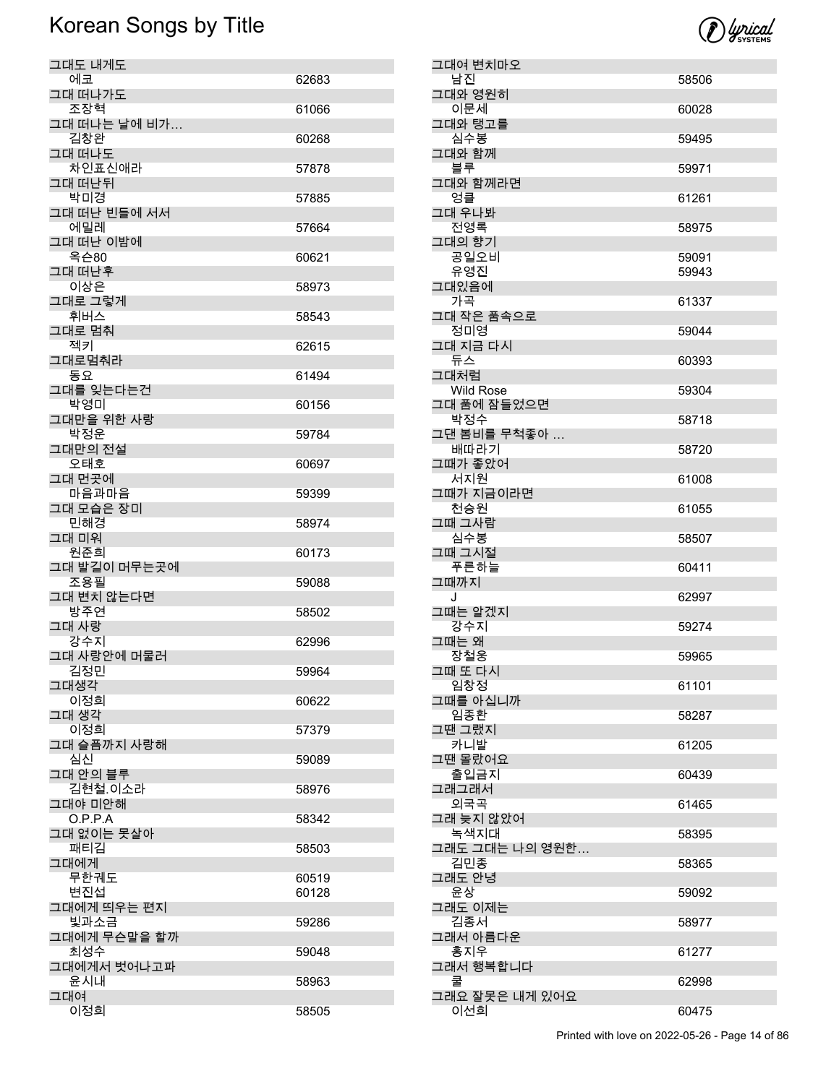

| 그대도 내게도              |       |
|----------------------|-------|
| 에코                   | 62683 |
| 그대 떠나가도              |       |
| 조장혁                  | 61066 |
| 그대 떠나는 날에 비가…<br>김창완 | 60268 |
| 그대 떠나도               |       |
| 차인표신애라               | 57878 |
| 그대 떠난뒤               |       |
| 박미경                  | 57885 |
| 그대 떠난 빈들에 서서<br>에밀레  |       |
| 그대 떠난 이밤에            | 57664 |
| 옥슨80                 | 60621 |
| 그대 떠난후               |       |
| 이상은                  | 58973 |
| 그대로 그렇게              |       |
| 휘버스<br>그대로 멈춰        | 58543 |
| 젝키                   | 62615 |
| 그대로멈춰라               |       |
| 동요                   | 61494 |
| 그대를 잊는다는건            |       |
| 박영미                  | 60156 |
| 그대만을 위한 사랑           |       |
| 박정운<br>그대만의 전설       | 59784 |
| 오태호                  | 60697 |
| 그대 먼곳에               |       |
| 마음과마음                | 59399 |
| 그대 모습은 장미            |       |
| 민해경                  | 58974 |
| 그대 미워                |       |
| 원준희<br>그대 발길이 머무는곳에  | 60173 |
| 조용필                  | 59088 |
| 그대 변치 않는다면           |       |
| 방주연                  | 58502 |
| 그대 사랑                |       |
| 강수지<br>그대 사랑안에 머물러   | 62996 |
| 김정민                  | 59964 |
| 그대생각                 |       |
| 이정희                  | 60622 |
| 그대 생각                |       |
| 이정희                  | 57379 |
| 그대 슬픔까지 사랑해<br>심신    |       |
| 그대 안의 블루             | 59089 |
| 김현철.이소라              | 58976 |
| 그대야 미안해              |       |
| O.P.P.A              | 58342 |
| 그대 없이는 못살아           |       |
| 패티김                  | 58503 |
| 그대에게<br>무한궤도         | 60519 |
| 변진섭                  | 60128 |
| 그대에게 띄우는 편지          |       |
| 빛과소금                 | 59286 |
| 그대에게 무슨말을 할까         |       |
| 최성수                  | 59048 |
| 그대에게서 벗어나고파          |       |
| 윤시내<br>그대여           | 58963 |
|                      |       |
| 이정희                  | 58505 |

| 그대여 변치마오                 |       |
|--------------------------|-------|
| 남진                       | 58506 |
| 그대와 영원히<br>이문세           | 60028 |
| 그대와 탱고를                  |       |
| 심수봉<br>그대와 함께            | 59495 |
| 블루                       | 59971 |
| 그대와 함께라면<br>엉클           | 61261 |
| 그대 우나봐                   |       |
| 전영록<br>그대의 향기            | 58975 |
| 공일오비                     | 59091 |
| 유영진<br>그대있음에             | 59943 |
| 가곡                       | 61337 |
| 그대 작은 품속으로               |       |
| 정미영<br>그대 지금 다시          | 59044 |
| 듀스                       | 60393 |
| 그대처럼<br><b>Wild Rose</b> | 59304 |
| 그대 품에 잠들었으면              |       |
| 박정수<br>그댄 봄비를 무척좋아       | 58718 |
| 배따라기                     | 58720 |
| 그때가 좋았어<br>서지원           | 61008 |
| 그때가 지금이라면                |       |
| 천승원<br>그때 그사람            | 61055 |
| 심수봉                      | 58507 |
|                          |       |
| 그때 그시절                   |       |
| 푸른하늘<br>그때까지             | 60411 |
| J                        | 62997 |
| 그때는 알겠지<br>강수지           | 59274 |
| 그때는 왜                    |       |
| 장철웅<br>그때 또 다시           | 59965 |
| 임창정                      | 61101 |
| 그때를 아십니까<br>임종환          | 58287 |
| 그땐 그랬지                   |       |
| 카니발<br>그땐 몰랐어요           | 61205 |
| 출입금지                     | 60439 |
| 그래그래서<br>외국곡             | 61465 |
| 그래 늦지 않았어                |       |
| 녹색지대<br>그래도 그대는 나의 영원한…  | 58395 |
| 김민종                      | 58365 |
| 그래도 안녕<br>윤상             | 59092 |
| 그래도 이제는                  | 58977 |
| 김종서<br>그래서 아름다운          |       |
| 홍지우                      | 61277 |
| 그래서 행복합니다<br>쿨           | 62998 |
| 그래요 잘못은 내게 있어요<br>이선희    | 60475 |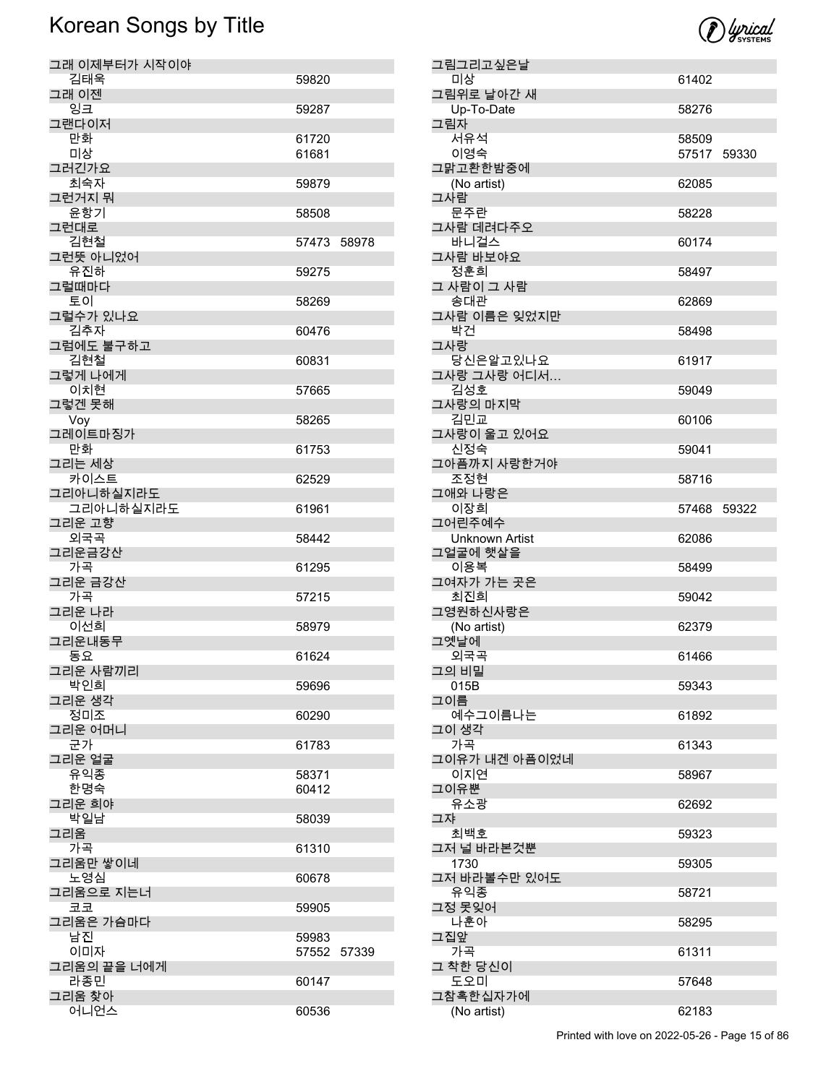

|     | 그림그리고싶은날              |             |  |
|-----|-----------------------|-------------|--|
|     | 미상                    | 61402       |  |
|     | 그림위로 날아간 새            |             |  |
|     | Up-To-Date            | 58276       |  |
| 그림자 |                       |             |  |
|     | 서유석                   | 58509       |  |
|     | 이영숙                   | 57517 59330 |  |
|     | 그맑고환한밤중에              |             |  |
|     | (No artist)           | 62085       |  |
| 그사람 |                       |             |  |
|     | 문주란                   | 58228       |  |
|     | 그사람 데려다주오             |             |  |
|     | 바니걸스                  | 60174       |  |
|     | 그사람 바보야요              |             |  |
|     | 정훈희                   | 58497       |  |
|     | 그 사람이 그 사람            |             |  |
|     | 송대관                   | 62869       |  |
|     | 그사람 이름은 잊었지만          |             |  |
|     | 박건                    | 58498       |  |
| 그사랑 |                       |             |  |
|     | 당신은알고있나요              | 61917       |  |
|     | 그사랑 그사랑 어디서<br>김성호    |             |  |
|     |                       | 59049       |  |
|     | 그사랑의 마지막<br>김민교       |             |  |
|     | 그사랑이 울고 있어요           | 60106       |  |
|     | 신정숙                   | 59041       |  |
|     | 그아픔까지 사랑한거야           |             |  |
|     | 조정현                   | 58716       |  |
|     | 그애와 나랑은               |             |  |
|     | 이장희                   | 57468 59322 |  |
|     | 그어린주예수                |             |  |
|     | <b>Unknown Artist</b> | 62086       |  |
|     | 그얼굴에 햇살을              |             |  |
|     | 이용복                   | 58499       |  |
|     | 그여자가 가는 곳은            |             |  |
|     | 최진희                   | 59042       |  |
|     | 그영원하신사랑은              |             |  |
|     | (No artist)           | 62379       |  |
|     | 그옛날에                  |             |  |
|     | 외국곡                   | 61466       |  |
|     | 그의 비밀                 |             |  |
|     | 015B                  | 59343       |  |
| 그이름 |                       |             |  |
|     | 예수그이름나는               | 61892       |  |
|     | 그이 생각                 |             |  |
|     | 가곡                    | 61343       |  |
|     |                       |             |  |
|     | 그이유가 내겐 아픔이었네         |             |  |
|     | 이지연                   | 58967       |  |
|     | 그이유뿐                  |             |  |
|     | 유소광                   | 62692       |  |
| 그쟈  |                       |             |  |
|     | 최백호                   | 59323       |  |
|     | 그저 널 바라본것뿐            |             |  |
|     | 1730                  | 59305       |  |
|     | 그저 바라볼수만 있어도          |             |  |
|     | 유익종                   | 58721       |  |
|     | 그정 못잊어                |             |  |
|     | 나훈아                   | 58295       |  |
| 그집앞 |                       | 61311       |  |
|     | 가곡                    |             |  |
|     | 그 착한 당신이<br>도오미       | 57648       |  |
|     | 그참혹한십자가에              |             |  |
|     | (No artist)           | 62183       |  |

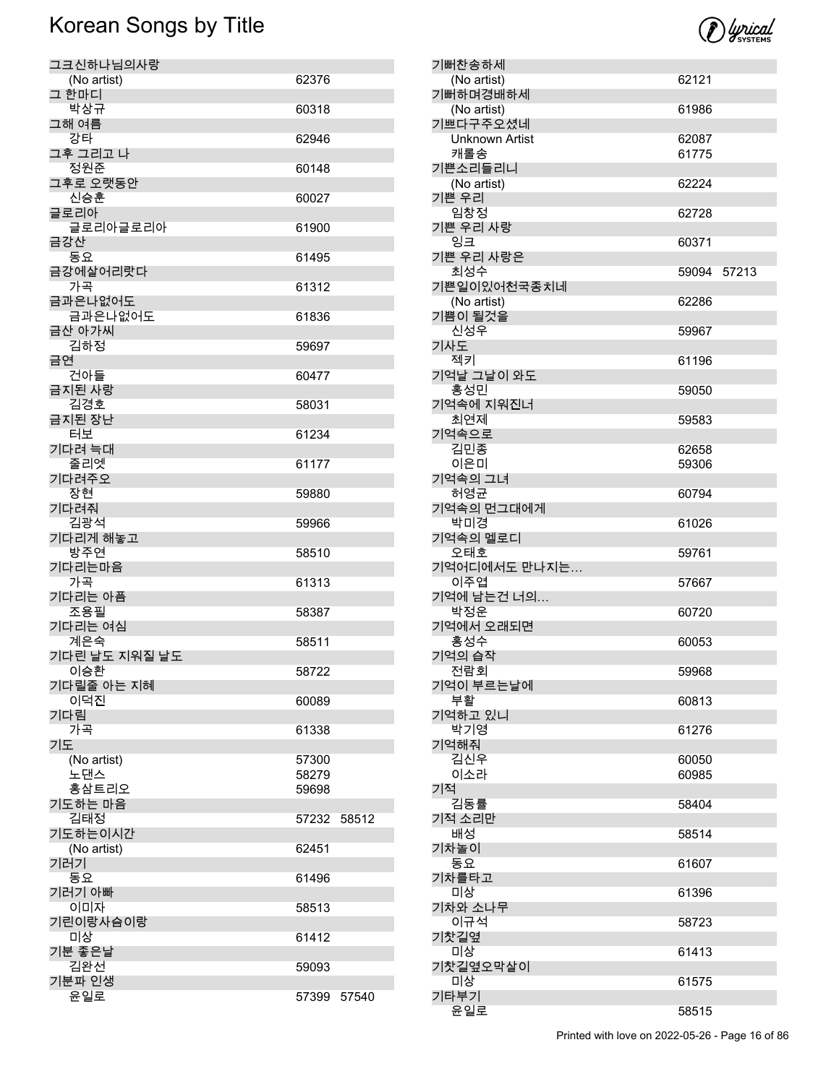

| 기뻐하며경배하세                                        |       |       |
|-------------------------------------------------|-------|-------|
| (No artist)                                     | 61986 |       |
| 기쁘다구주오셨네                                        |       |       |
| <b>Unknown Artist</b>                           | 62087 |       |
| 캐롤송<br>기쁜소리들리니                                  | 61775 |       |
| (No artist)                                     | 62224 |       |
| 기쁜 우리                                           |       |       |
| 임창정                                             | 62728 |       |
| 기쁜 우리 사랑                                        |       |       |
| 잉크                                              | 60371 |       |
| 기쁜 우리 사랑은                                       |       |       |
| 최성수                                             | 59094 | 57213 |
| 기쁜일이있어천국종치네                                     |       |       |
| (No artist)                                     | 62286 |       |
| 기쁨이 될것을                                         |       |       |
| 신성우                                             | 59967 |       |
| 기사도                                             |       |       |
| 젝키                                              | 61196 |       |
| 기억날 그날이 와도                                      |       |       |
| 홍성민                                             | 59050 |       |
| 기억속에 지워진너<br>최연제                                |       |       |
| 기억속으로                                           | 59583 |       |
| 김민종                                             | 62658 |       |
| 이은미                                             | 59306 |       |
| 기억속의 그녀                                         |       |       |
| 허영균                                             | 60794 |       |
| 기억속의 먼그대에게                                      |       |       |
| 박미경                                             | 61026 |       |
| 기억속의 멜로디                                        |       |       |
| 오태호                                             | 59761 |       |
| 기억어디에서도 만나지는                                    |       |       |
| 이주엽                                             | 57667 |       |
| 기억에 남는건 너의                                      |       |       |
| 박정운                                             | 60720 |       |
| 기억에서 오래되면                                       |       |       |
| 홍성수                                             | 60053 |       |
| 기억의 습작                                          |       |       |
| 전람회                                             | 59968 |       |
| 기억이 부르는날에<br>부활                                 | 60813 |       |
| 기억하고 있니                                         |       |       |
| 박기영                                             | 61276 |       |
| 기억해줘                                            |       |       |
| 김신우                                             | 60050 |       |
| 이소라                                             | 60985 |       |
| 기적                                              |       |       |
| 김동률                                             | 58404 |       |
| 기적 소리만                                          |       |       |
| 배성                                              | 58514 |       |
| 기차놀이                                            |       |       |
| 동요                                              | 61607 |       |
| 기차를타고                                           |       |       |
| 미상<br>기차와 소나무                                   | 61396 |       |
| 이규석                                             |       |       |
| 기찻길옆                                            | 58723 |       |
| 미상                                              | 61413 |       |
| 기찻길옆오막살이                                        |       |       |
| 미상                                              | 61575 |       |
| 기타부기                                            |       |       |
| 윤일로                                             | 58515 |       |
| Printed with love on 2022-05-26 - Page 16 of 86 |       |       |
|                                                 |       |       |

기뻐찬송하세

(No artist) 62121

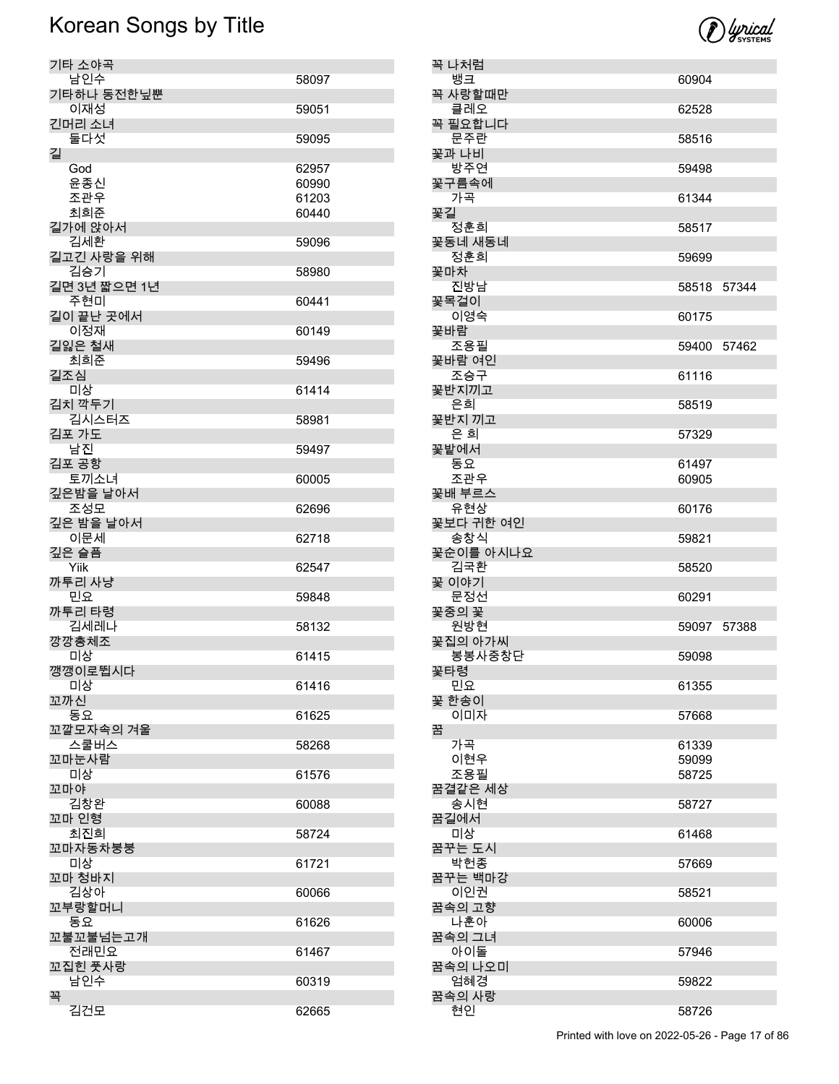

| 기타 소야곡       |       |
|--------------|-------|
| 남인수          | 58097 |
| 기타하나 동전한닢뿐   |       |
| 이재성          | 59051 |
| 긴머리 소녀       |       |
|              |       |
| 둘다섯          | 59095 |
| 길            |       |
| God          | 62957 |
| 윤종신          | 60990 |
| 조관우          | 61203 |
| 최희준          | 60440 |
| 길가에 앉아서      |       |
|              |       |
| 김세환          | 59096 |
| 길고긴 사랑을 위해   |       |
| 김승기          | 58980 |
| 길면 3년 짧으면 1년 |       |
| 주현미          | 60441 |
| 길이 끝난 곳에서    |       |
| 이정재          | 60149 |
| 길잃은 철새       |       |
|              |       |
| 최희준          | 59496 |
| 길조심          |       |
| 미상           | 61414 |
| 김치 깍두기       |       |
| 김시스터즈        | 58981 |
| 김포 가도        |       |
| 남진           |       |
|              | 59497 |
| 김포 공항        |       |
| 토끼소녀         | 60005 |
| 깊은밤을 날아서     |       |
| 조성모          | 62696 |
| 깊은 밤을 날아서    |       |
| 이문세          | 62718 |
|              |       |
| 깊은 슬픔        |       |
| Yiik         | 62547 |
| 까투리 사냥       |       |
| 민요           | 59848 |
| 까투리 타령       |       |
| 김세레나         | 58132 |
| 깡깡총체조        |       |
| 미상           | 61415 |
| 깽깽이로뜁시다      |       |
|              |       |
| 미상           | 61416 |
| 꼬까신          |       |
| 동요           | 61625 |
| 꼬깔모자속의 겨울    |       |
| 스쿨버스         | 58268 |
| 꼬마눈사람        |       |
| 미상           | 61576 |
| 꼬마야          |       |
| 김창완          |       |
|              | 60088 |
| 꼬마 인형        |       |
| 최진희          | 58724 |
| 꼬마자동차붕붕      |       |
| 미상           | 61721 |
| 꼬마 청바지       |       |
| 김상아          | 60066 |
| 꼬부랑할머니       |       |
|              |       |
| 동요           | 61626 |
| 꼬불꼬불넘는고개     |       |
| 전래민요         | 61467 |
| 꼬집힌 풋사랑      |       |
| 남인수          | 60319 |
| 꼭            |       |
| 김건모          | 62665 |
|              |       |

| 꼭 나처럼            |                |  |
|------------------|----------------|--|
| 뱅크<br>꼭 사랑할때만    | 60904          |  |
| 클레오              | 62528          |  |
| 꼭 필요합니다<br>문주란   | 58516          |  |
| 꽃과 나비<br>방주연     | 59498          |  |
| 꽃구름속에            |                |  |
| 가곡<br>꾳길         | 61344          |  |
| 정훈회<br>꽃동네 새동네   | 58517          |  |
| 정훈희              | 59699          |  |
| 꽃마차<br>진방남       | 58518 57344    |  |
| 꽃목걸이<br>이영숙      | 60175          |  |
| 꽃바람              |                |  |
| 조용필<br>꽃바람 여인    | 59400 57462    |  |
| 조승구<br>꽃반지끼고     | 61116          |  |
| 은희               | 58519          |  |
| 꽃반지 끼고<br>은 희    | 57329          |  |
| 꽃밭에서             |                |  |
| 동요<br>조관우        | 61497<br>60905 |  |
| 꽃배 부르스           |                |  |
| 유현상<br>꽃보다 귀한 여인 | 60176          |  |
| 송창식<br>꽃순이를 아시나요 | 59821          |  |
| 김국환              | 58520          |  |
| 꽃 이야기<br>문정선     | 60291          |  |
| 꽃중의 꽃            |                |  |
| 원방현<br>꽃집의 아가씨   | 59097 57388    |  |
| 봉봉사중창단           | 59098          |  |
| 꽃타령<br>민요        | 61355          |  |
| 꽃 한송이<br>이미자     | 57668          |  |
| 꿈                |                |  |
| 가곡<br>이현우        | 61339<br>59099 |  |
| 조용필              | 58725          |  |
| 꿈결같은 세상<br>송시현   | 58727          |  |
| 꿈길에서             |                |  |
| 미상<br>꿈꾸는 도시     | 61468          |  |
| 박헌종<br>꿈꾸는 백마강   | 57669          |  |
| 이인권              | 58521          |  |
| 꿈속의 고향<br>나훈아    | 60006          |  |
| 꿈속의 그녀<br>아이돌    | 57946          |  |
| 꿈속의 나오미          |                |  |
| 엄혜경<br>꿈속의 사랑    | 59822          |  |
| 현인               | 58726          |  |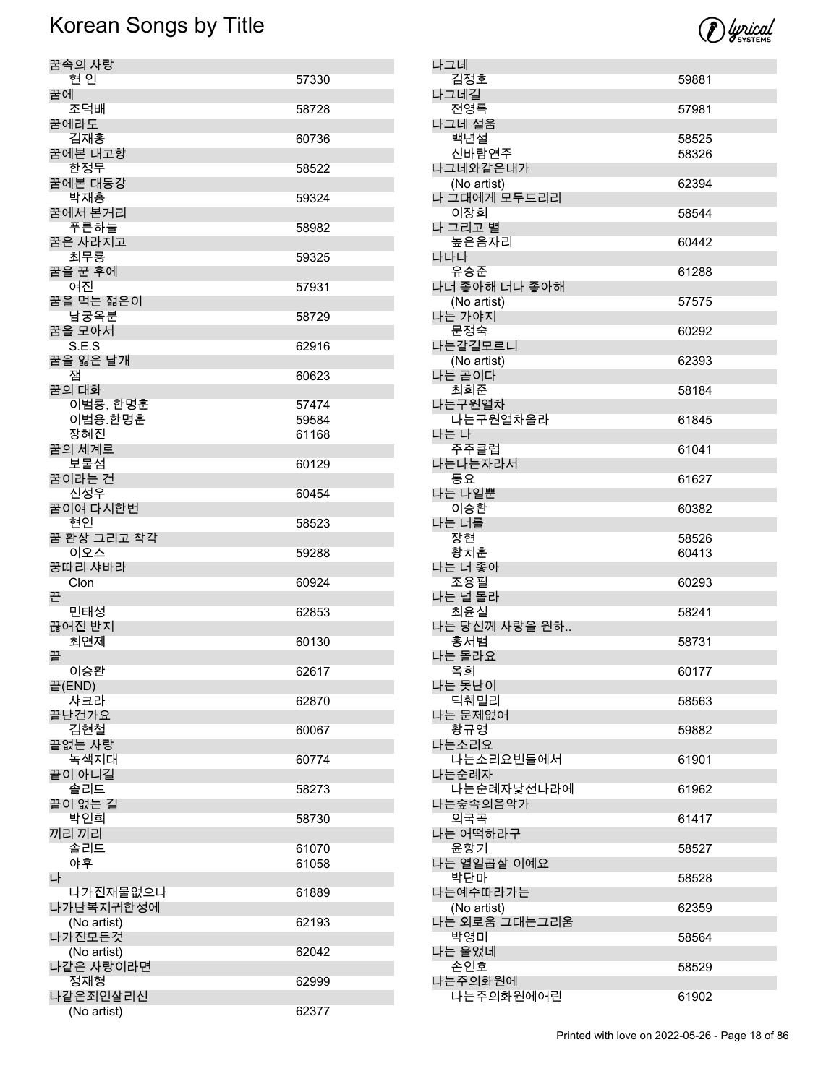

| 꿈속의 사랑                  |                |
|-------------------------|----------------|
| 현인                      | 57330          |
| 꿈에<br>조덕배               |                |
| 꿈에라도                    | 58728          |
| 김재홍                     | 60736          |
| 꿈에본 내고향                 |                |
| 한정무<br>꿈에본 대동강          | 58522          |
| 박재홍                     | 59324          |
| 꿈에서 본거리                 |                |
| 푸른하늘<br>꿈은 사라지고         | 58982          |
| 최무룡                     | 59325          |
| 꿈을 꾼 후에                 |                |
| 여진<br>꿈을 먹는 젊은이         | 57931          |
| 남궁옥분                    | 58729          |
| 꿈을 모아서                  |                |
| S.E.S<br>꿈을 잃은 날개       | 62916          |
| 잼                       | 60623          |
| 꿈의 대화                   |                |
| 이범룡, 한명훈<br>이범용.한명훈     | 57474<br>59584 |
| 장혜진                     | 61168          |
| 꿈의 세계로                  |                |
| 보물섬<br>꿈이라는 건           | 60129          |
| 신성우                     | 60454          |
| 꿈이여 다시한번                |                |
| 현인<br>꿈 환상 그리고 착각       | 58523          |
| 이오스                     | 59288          |
| 꿍따리 샤바라                 |                |
| Clon<br>끈               | 60924          |
| 민태성                     | 62853          |
| 끊어진 반지                  |                |
| 최연제<br>끝                | 60130          |
| 이승환                     | 62617          |
| 끝(END)                  |                |
| 샤크라<br>끝난건가요            | 62870          |
| 김현철                     | 60067          |
| 끝없는 사랑                  |                |
| 녹색지대<br>끝이 아니길          | 60774          |
| 솔리드                     | 58273          |
| 끝이 없는 길                 |                |
| 박인희<br>끼리 끼리            | 58730          |
| 솔리드                     | 61070          |
| 야후                      | 61058          |
| 나<br>나가진재물없으나           | 61889          |
| 나가난복지귀한성에               |                |
| (No artist)             | 62193          |
| 나가진모든것<br>(No artist)   | 62042          |
| 나같은 사랑이라면               |                |
| 정재형                     | 62999          |
| 나같은죄인살리신<br>(No artist) | 62377          |
|                         |                |

| 나그네               |       |
|-------------------|-------|
| 김정호               | 59881 |
| 나그네길              |       |
| 전영록               | 57981 |
| 나그네 설움            |       |
| 백년설               | 58525 |
| 신바람연주<br>나그네와같은내가 | 58326 |
| (No artist)       | 62394 |
| 나 그대에게 모두드리리      |       |
| 이장희               | 58544 |
| 나 그리고 별           |       |
| 높은음자리             | 60442 |
| 나나나               |       |
| 유승준               | 61288 |
| 나너 좋아해 너나 좋아해     |       |
| (No artist)       | 57575 |
| 나는 가야지            |       |
| 문정숙               | 60292 |
| 나는갈길모르니           |       |
| (No artist)       | 62393 |
| 나는 곰이다            |       |
| 최희준               | 58184 |
| 나는구원열차            |       |
| 나는구원열차올라<br>나는 나  | 61845 |
| 주주클럽              | 61041 |
| 나는나는자라서           |       |
| 동요                | 61627 |
| 나는 나일뿐            |       |
| 이승환               | 60382 |
| 나는 너를             |       |
| 장현                | 58526 |
| 황치훈               | 60413 |
| 나는 너 좋아           |       |
| 조용필               | 60293 |
|                   |       |
| 나는 널 몰라           |       |
| 최윤실               | 58241 |
| 나는 당신께 사랑을 원하     | 58731 |
| 홍서범<br>나는 몰라요     |       |
| 옥희                | 60177 |
| 나는 못난이            |       |
| 딕훼밀리              | 58563 |
| 나는 문제없어           |       |
| 황규영               | 59882 |
| 나는소리요             |       |
| 나는소리요빈들에서         | 61901 |
| 나는순례자             |       |
| 나는순례자낯선나라에        | 61962 |
| 나는숲속의음악가          | 61417 |
| 외국곡<br>나는 어떡하라구   |       |
| 윤항기               | 58527 |
| 나는 열일곱살 이예요       |       |
| 박단마               | 58528 |
| 나는예수따라가는          |       |
| (No artist)       | 62359 |
| 나는 외로움 그대는그리움     |       |
| 박영미               | 58564 |
| 나는 울었네            |       |
| 손인호<br>나는주의화원에    | 58529 |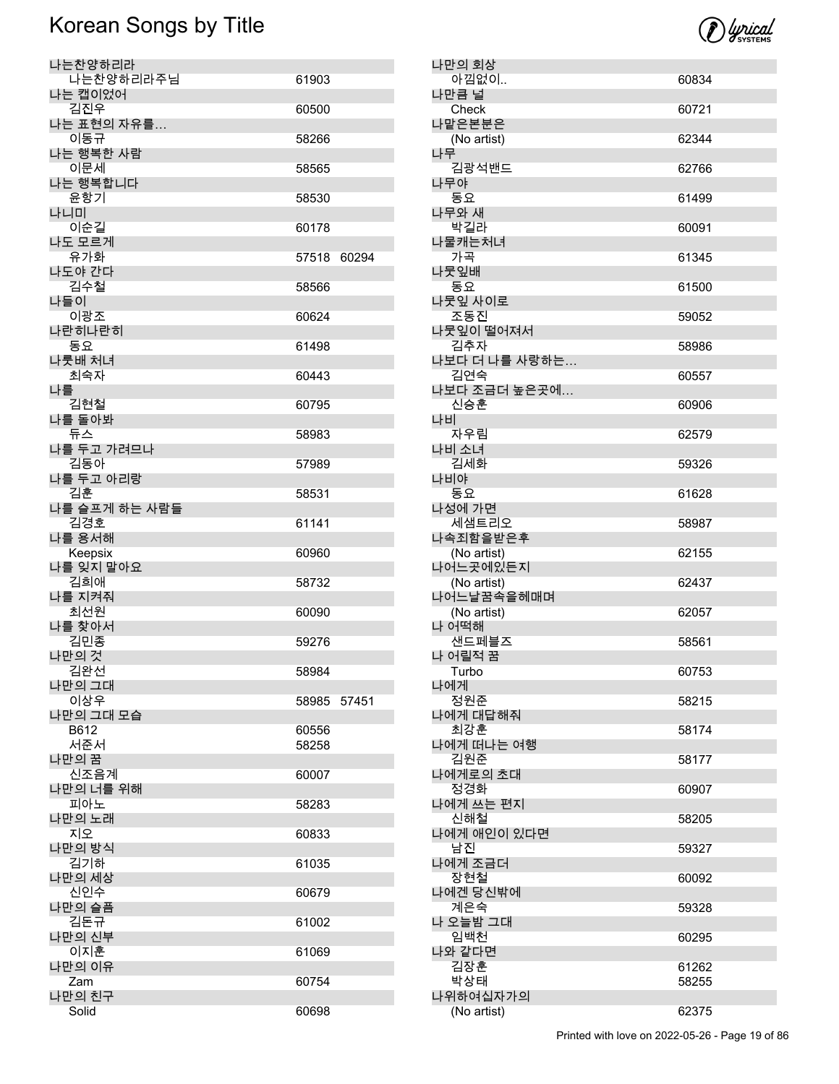

| 나만의 회상                    |       |
|---------------------------|-------|
| 아낌없이                      | 60834 |
| 나만큼 널<br>Check            | 60721 |
| 나맡은본분은                    |       |
| (No artist)               | 62344 |
| 나무                        |       |
| 김광석밴드<br>나무야              | 62766 |
| 동요                        | 61499 |
| 나무와 새                     |       |
| 박길라<br>나물캐는처녀             | 60091 |
| 가곡                        | 61345 |
| 나뭇잎배                      |       |
| 동요                        | 61500 |
| 나뭇잎 사이로<br>조동진            | 59052 |
| 나뭇잎이 떨어져서                 |       |
| 김추자                       | 58986 |
| 나보다 더 나를 사랑하는             |       |
| 김연숙<br>나보다 조금더 높은곳에…      | 60557 |
| 신승훈                       | 60906 |
| 나비                        |       |
| 자우림                       | 62579 |
| 나비 소녀<br>김세화              | 59326 |
| 나비야                       |       |
| 동요                        | 61628 |
| 나성에 가면                    |       |
| 세샘트리오<br>나속죄함을받은후         | 58987 |
| (No artist)               | 62155 |
| 나어느곳에있든지                  |       |
| (No artist)<br>나어느날꿈속을헤매며 | 62437 |
| (No artist)               | 62057 |
| 나 어떡해                     |       |
| 샌드페블즈                     | 58561 |
| 나 어릴적 꿈<br>Turbo          | 60753 |
| 나에게                       |       |
| 정원준                       | 58215 |
| 나에게 대답해줘<br>최강훈           |       |
| 나에게 떠나는 여행                | 58174 |
| 김원준                       | 58177 |
| 나에게로의 초대                  |       |
| 정경화<br>나에게 쓰는 편지          | 60907 |
| 신해철                       | 58205 |
| 나에게 애인이 있다면               |       |
| 남진<br>나에게 조금더             | 59327 |
| 장현철                       | 60092 |
| 나에겐 당신밖에                  |       |
| 계은숙                       | 59328 |
| 나 오늘밤 그대<br>임백천           |       |
| 나와 같다면                    | 60295 |
| 김장훈                       | 61262 |
| 박상태                       | 58255 |
|                           |       |
| 나위하여십자가의<br>(No artist)   | 62375 |

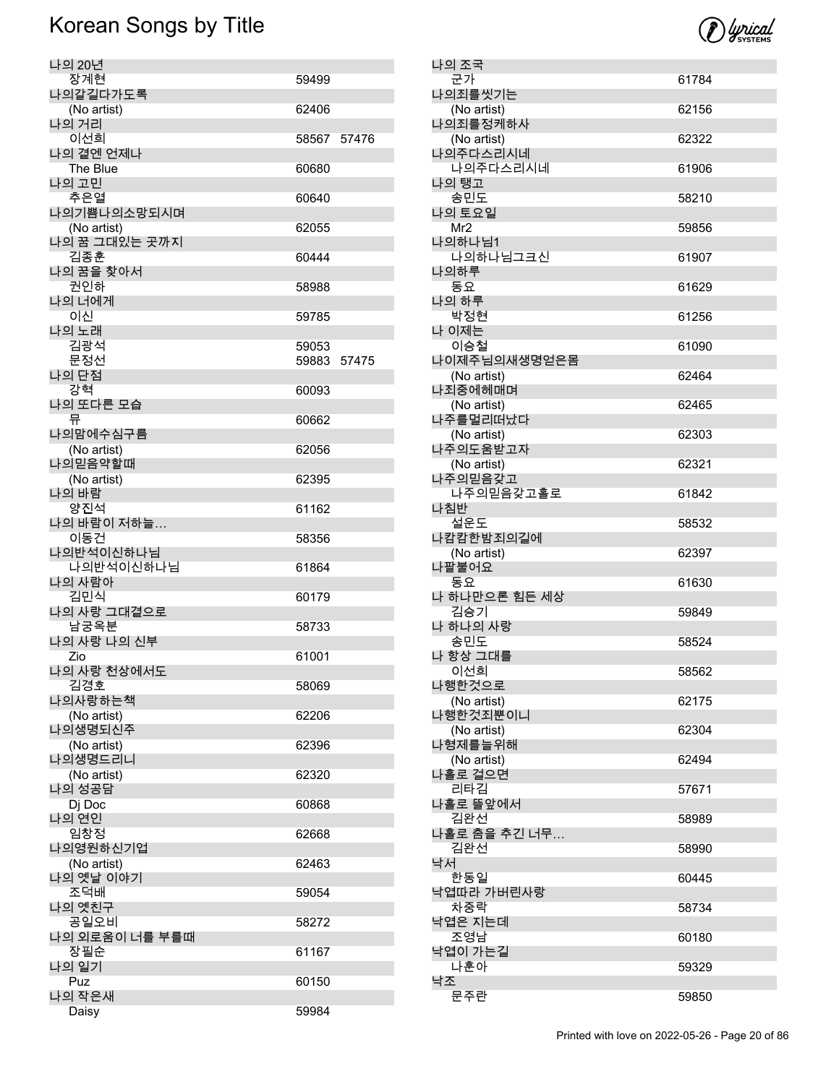| 나의 20년         |             |  |
|----------------|-------------|--|
| 장계현            | 59499       |  |
|                |             |  |
| 나의갈길다가도록       |             |  |
| (No artist)    | 62406       |  |
| 나의 거리          |             |  |
| 이선희            | 58567 57476 |  |
| 나의 곁엔 언제나      |             |  |
| The Blue       | 60680       |  |
| 나의 고민          |             |  |
| 추은열            | 60640       |  |
| 나의기쁨나의소망되시며    |             |  |
|                |             |  |
| (No artist)    | 62055       |  |
| 나의 꿈 그대있는 곳까지  |             |  |
| 김종훈            | 60444       |  |
| 나의 꿈을 찾아서      |             |  |
| 권인하            | 58988       |  |
| 나의 너에게         |             |  |
| 이신             | 59785       |  |
| 나의 노래          |             |  |
| 김광석            | 59053       |  |
| 문정선            | 59883 57475 |  |
| 나의 단점          |             |  |
| 강혁             | 60093       |  |
| 나의 또다른 모습      |             |  |
| 뮤              | 60662       |  |
| 나의맘에수심구름       |             |  |
|                |             |  |
| (No artist)    | 62056       |  |
| 나의믿음약할때        |             |  |
| (No artist)    | 62395       |  |
| 나의 바람          |             |  |
| 양진석            | 61162       |  |
| 나의 바람이 저하늘     |             |  |
| 이동건            | 58356       |  |
| 나의반석이신하나님      |             |  |
| 나의반석이신하나님      | 61864       |  |
| 나의 사람아         |             |  |
| 김민식            | 60179       |  |
| 나의 사랑 그대곁으로    |             |  |
| 남궁옥분           | 58733       |  |
| 나의 사랑 나의 신부    |             |  |
| Zio            | 61001       |  |
| 나의 사랑 천상에서도    |             |  |
| 김경호            | 58069       |  |
| 나의사랑하는책        |             |  |
|                |             |  |
| (No artist)    | 62206       |  |
| 나의생명되신주        |             |  |
| (No artist)    | 62396       |  |
| 나의생명드리니        |             |  |
| (No artist)    | 62320       |  |
| 나의 성공담         |             |  |
| Dj Doc         | 60868       |  |
| 나의 연인          |             |  |
| 임창정            | 62668       |  |
| 나의영원하신기업       |             |  |
| (No artist)    | 62463       |  |
| 나의 옛날 이야기      |             |  |
| 조덕배            | 59054       |  |
| 나의 옛친구         |             |  |
| 공일오비           | 58272       |  |
| 나의 외로움이 너를 부를때 |             |  |
| 장필순            | 61167       |  |
| 나의 일기          |             |  |
| Puz            | 60150       |  |
| 나의 작은새         |             |  |
|                |             |  |
| Daisy          | 59984       |  |



| 나의 조국               |       |
|---------------------|-------|
| 군가                  | 61784 |
| 나의죄를씻기는             |       |
| (No artist)         | 62156 |
| 나의죄를정케하사            |       |
| (No artist)         | 62322 |
| 나의주다스리시네            |       |
| 나의주다스리시네            | 61906 |
| 나의 탱고               |       |
| 송민도                 | 58210 |
| 나의 토요일              |       |
| Mr2                 | 59856 |
| 나의하나님1              |       |
| 나의하나님그크신            | 61907 |
| 나의하루                |       |
| 동요                  | 61629 |
| 나의 하루               |       |
| 박정현                 | 61256 |
| 나 이제는               |       |
| 이승철                 | 61090 |
| 나이제주님의새생명얻은몸        |       |
| (No artist)         | 62464 |
| 나죄중에헤매며             |       |
| (No artist)         | 62465 |
| 나주를멀리떠났다            |       |
| (No artist)         | 62303 |
| 나주의도움받고자            |       |
| (No artist)         | 62321 |
| 나주의믿음갖고             |       |
| 나주의믿음갖고홀로           | 61842 |
| 나침반                 |       |
| 설운도                 | 58532 |
| 나캄캄한밤죄의길에           |       |
| (No artist)         | 62397 |
| 나팔불어요               |       |
| 동요<br>나 하나만으론 힘든 세상 | 61630 |
| 김승기                 | 59849 |
| 나 하나의 사랑            |       |
| 송민도                 | 58524 |
| 나 항상 그대를            |       |
| 이선희                 | 58562 |
| 나행한것으로              |       |
| (No artist)         | 62175 |
| 나행한것죄뿐이니            |       |
| (No artist)         | 62304 |
| 나형제를늘위해             |       |
| (No artist)         | 62494 |
| 나홀로 걸으면             |       |
| 리타김                 | 57671 |
| 나홀로 뜰앞에서            |       |
| 김완선                 | 58989 |
| 나홀로 춤을 추긴 너무…       |       |
| 김완선                 | 58990 |
| 낙서                  |       |
| 한동일                 | 60445 |
| 낙엽따라 가버린사랑          |       |
| 차중락                 | 58734 |
| 낙엽은 지는데             |       |
| 조영남                 | 60180 |
| 낙엽이 가는길             |       |
| 나훈아                 | 59329 |
| 낙조                  |       |
| 문주란                 | 59850 |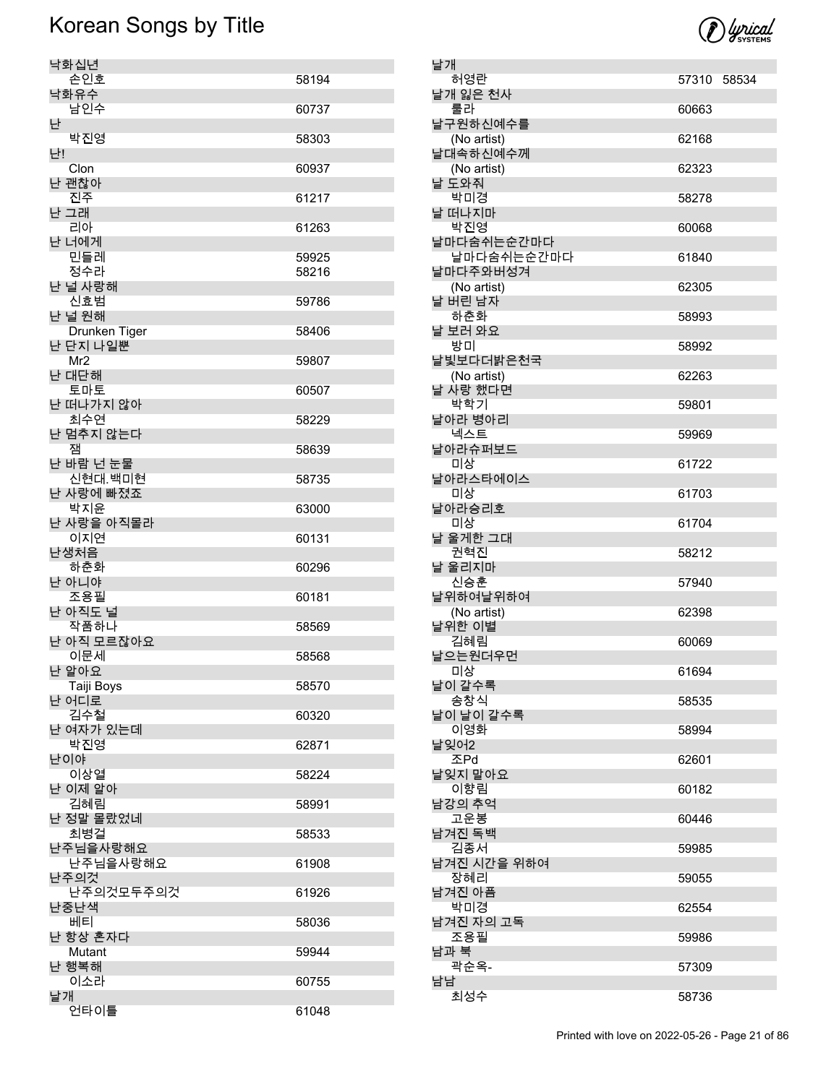

| 낙화십년                    |       |
|-------------------------|-------|
| 손인호                     | 58194 |
| 낙화유수<br>남인수             |       |
| 난                       | 60737 |
| 박진영                     | 58303 |
| 난!                      |       |
| Clon<br>난 괜찮아           | 60937 |
| 진주                      | 61217 |
| 난 그래                    |       |
| 리아                      | 61263 |
| 난 너에게<br>민들레            | 59925 |
| 정수라                     | 58216 |
| 난 널 사랑해                 |       |
| 신효범                     | 59786 |
| 난 널 원해<br>Drunken Tiger | 58406 |
| 난 단지 나일뿐                |       |
| Mr <sub>2</sub>         | 59807 |
| 난 대단해                   |       |
| 토마토<br>난 떠나가지 않아        | 60507 |
| 최수연                     | 58229 |
| 난 멈추지 않는다               |       |
| 잼                       | 58639 |
| 난 바람 넌 눈물<br>신현대.백미현    | 58735 |
| 난 사랑에 빠졌죠               |       |
| 박지윤                     | 63000 |
| 난 사랑을 아직몰라<br>이지연       | 60131 |
| 난생처음                    |       |
| 하춘화                     | 60296 |
| 난 아니야                   |       |
| 조용필<br>난 아직도 널          | 60181 |
| 작품하나                    | 58569 |
| 난 아직 모르잖아요              |       |
| 이문세                     | 58568 |
| 난 알아요<br>Taiji Boys     | 58570 |
| 난 어디로                   |       |
| 김수철                     | 60320 |
| 난 여자가 있는데<br>박진영        | 62871 |
| 난이야                     |       |
| 이상열                     | 58224 |
| 난 이제 알아                 |       |
| 김혜림<br>난 정말 몰랐었네        | 58991 |
| 최병걸                     | 58533 |
| 난주님을사랑해요                |       |
| 난주님을사랑해요                | 61908 |
| 난주의것<br>난주의것모두주의것       | 61926 |
| 난중난색                    |       |
| 베티                      | 58036 |
| 난 항상 혼자다                |       |
| <b>Mutant</b><br>난 행복해  | 59944 |
| 이소라                     | 60755 |
| 날개                      |       |
| 언타이틀                    | 61048 |

| 날개                      |             |  |
|-------------------------|-------------|--|
| 허영란<br>날개 잃은 천사         | 57310 58534 |  |
| 룰라                      | 60663       |  |
| 날구원하신예수를<br>(No artist) | 62168       |  |
| 날대속하신예수께<br>(No artist) | 62323       |  |
| 날 도와줘                   |             |  |
| 박미경<br>날 떠나지마           | 58278       |  |
| 박진영<br>날마다숨쉬는순간마다       | 60068       |  |
| 날마다숨쉬는순간마다<br>날마다주와버성겨  | 61840       |  |
| (No artist)             | 62305       |  |
| 날 버린 남자<br>하춘화          | 58993       |  |
| 날 보러 와요<br>방미           |             |  |
| 날빛보다더밝은천국               | 58992       |  |
| (No artist)<br>날 사랑 했다면 | 62263       |  |
| 박학기<br>날아라 병아리          | 59801       |  |
| 넥스트                     | 59969       |  |
| 날아라슈퍼보드<br>미상           | 61722       |  |
| 날아라스타에이스<br>미상          | 61703       |  |
| 날아라승리호<br>미상            | 61704       |  |
| 날 울게한 그대                |             |  |
| 권혁진<br>날 울리지마           | 58212       |  |
| 신승훈<br>날위하여날위하여         | 57940       |  |
| (No artist)<br>날위한 이별   | 62398       |  |
| 김혜림                     | 60069       |  |
| 날으는원더우먼<br>미상           | 61694       |  |
| 날이 갈수록<br>송창식           | 58535       |  |
| 날이 날이 갈수록               |             |  |
| 이영화<br>날잊어2             | 58994       |  |
| 조Pd<br>날잊지 말아요          | 62601       |  |
| 이향림<br>남강의 추억           | 60182       |  |
| 고운봉                     | 60446       |  |
| 남겨진 독백<br>김종서           | 59985       |  |
| 남겨진 시간을 위하여<br>장혜리      | 59055       |  |
| 남겨진 아픔<br>박미경           | 62554       |  |
| 남겨진 자의 고독               |             |  |
| 조용필<br>남과 북             | 59986       |  |
| 곽순옥-<br>남남              | 57309       |  |
| 최성수                     | 58736       |  |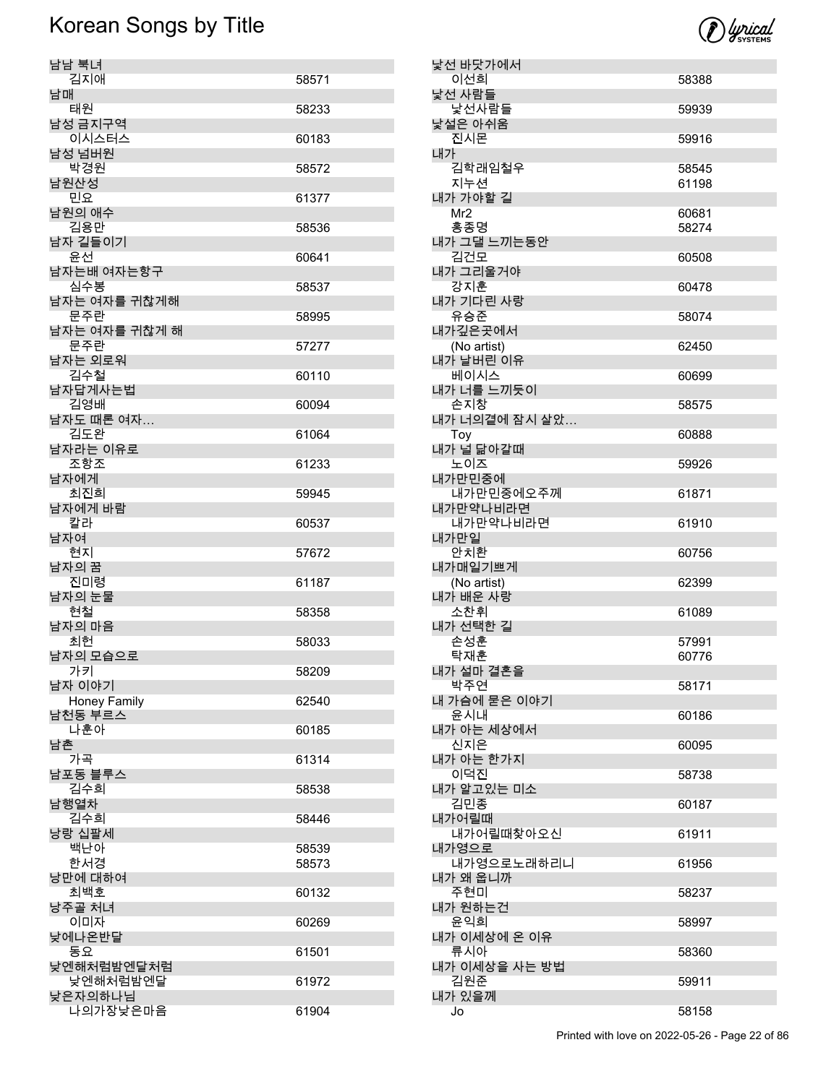

| 남남 북녀<br>김지애                    | 58571 |
|---------------------------------|-------|
| 남매<br>태원                        | 58233 |
| 남성 금지구역                         |       |
| 이시스터스<br>남성 넘버원                 | 60183 |
| 박경원<br>남원산성                     | 58572 |
| 민요                              | 61377 |
| 남원의 애수<br>김용만                   | 58536 |
| 남자 길들이기<br>유서                   | 60641 |
| 남자는배 여자는항구                      |       |
| 심수봉<br>남자는 여자를 귀찮게해             | 58537 |
| 문주란<br>남자는 여자를 귀찮게 해            | 58995 |
| 문주란<br>남자는 외로워                  | 57277 |
| 김수철<br>남자답게사는법                  | 60110 |
| 김영배                             | 60094 |
| 남자도 때론 여자…<br>김도완               | 61064 |
| 남자라는 이유로<br>조항조                 | 61233 |
| 남자에게                            |       |
| 최진희<br>남자에게 바람                  | 59945 |
| 칼라<br>남자여                       | 60537 |
| 현지                              | 57672 |
| 남자의 꿈                           |       |
| 진미령                             | 61187 |
| 남자의 눈물                          |       |
| 현철<br>남자의 마음                    | 58358 |
| 최헌<br>남자의 모습으로                  | 58033 |
| 가키                              | 58209 |
| 남자 이야기<br><b>Honey Family</b>   | 62540 |
| 남천동 부르스<br>나훈아                  | 60185 |
| 남촌                              |       |
| 가곡<br>남포동 블루스                   | 61314 |
| 김수희<br>남행열차                     | 58538 |
| 김수희                             | 58446 |
| 낭랑 십팔세<br>백난아                   | 58539 |
| 한서경<br>낭만에 대하여                  | 58573 |
| 최백호                             | 60132 |
| 낭주골 처녀<br>이미자                   | 60269 |
| 낮에나온반달<br>동요                    | 61501 |
| 낮엔해처럼밤엔달처럼                      | 61972 |
| 낮엔해처럼밤엔달<br>낮은자의하나님<br>나의가장낮은마음 | 61904 |

| 낯선 바닷가에서               |                |
|------------------------|----------------|
| 이선희                    | 58388          |
| 낯선 사람들                 |                |
| 낯선사람들                  | 59939          |
| 낯설은 아쉬움                |                |
| 진시몬                    | 59916          |
| 내가                     |                |
| 김학래임철우<br>지누션          | 58545<br>61198 |
| 내가 가야할 길               |                |
| Mr <sub>2</sub>        | 60681          |
| 홍종명                    | 58274          |
| 내가 그댈 느끼는동안            |                |
| 김건모                    | 60508          |
| 내가 그리울거야               |                |
| 강지훈                    | 60478          |
| 내가 기다린 사랑              |                |
| 유승준                    | 58074          |
| 내가깊은곳에서                |                |
| (No artist)            | 62450          |
| 내가 날버린 이유              |                |
| 베이시스                   | 60699          |
| 내가 너를 느끼듯이             |                |
| 손지창<br>내가 너의곁에 잠시 살았   | 58575          |
|                        | 60888          |
| Toy<br>내가 널 닮아갈때       |                |
| 노이즈                    | 59926          |
| 내가만민중에                 |                |
| 내가만민중에오주께              | 61871          |
| 내가만약나비라면               |                |
| 내가만약나비라면               | 61910          |
| 내가만일                   |                |
|                        |                |
| 안치환                    | 60756          |
|                        |                |
| 내가매일기쁘게<br>(No artist) | 62399          |
| 내가 배운 사랑               |                |
| 소찬휘                    | 61089          |
| 내가 선택한 길               |                |
| 손성훈                    | 57991          |
| 탁재훈                    | 60776          |
| 내가 설마 결혼을              |                |
| 박주연                    | 58171          |
| 내 가슴에 묻은 이야기           | 60186          |
| 윤시내<br>내가 아는 세상에서      |                |
| 신지은                    | 60095          |
| 내가 아는 한가지              |                |
| 이덕진                    | 58738          |
| 내가 알고있는 미소             |                |
| 김민종                    | 60187          |
| 내가어릴때                  |                |
| 내가어릴때찾아오신              | 61911          |
| 내가영으로                  |                |
| 내가영으로노래하리니             | 61956          |
| 내가 왜 웁니까               |                |
| 주현미                    | 58237          |
| 내가 원하는건<br>윤익희         | 58997          |
| 내가 이세상에 온 이유           |                |
| 류시아                    | 58360          |
| 내가 이세상을 사는 방법          |                |
| 김원준                    | 59911          |
| 내가 있을께                 | 58158          |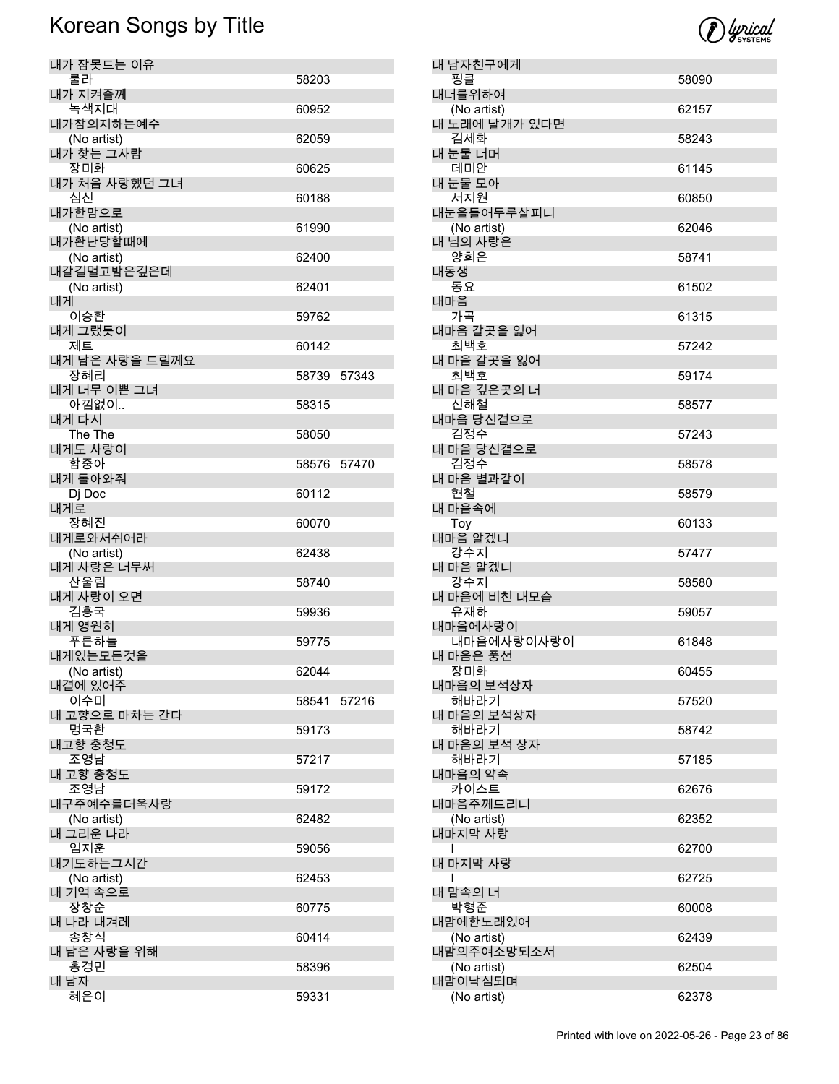| 내가 잠못드는 이유                |             |  |
|---------------------------|-------------|--|
| 룰라                        | 58203       |  |
| 내가 지켜줄께<br>녹색지대           | 60952       |  |
| 내가참의지하는예수                 |             |  |
| (No artist)               | 62059       |  |
| 내가 찾는 그사람<br>장미화          | 60625       |  |
| 내가 처음 사랑했던 그녀             |             |  |
| 심신<br>내가한맘으로              | 60188       |  |
| (No artist)               | 61990       |  |
| 내가환난당할때에                  |             |  |
| (No artist)<br>내갈길멀고밤은깊은데 | 62400       |  |
| (No artist)               | 62401       |  |
| 내게<br>이승환                 | 59762       |  |
| 내게 그랬듯이                   |             |  |
| 제트                        | 60142       |  |
| 내게 남은 사랑을 드릴께요<br>장혜리     | 58739 57343 |  |
| 내게 너무 이쁜 그녀               |             |  |
| 아낌없이                      | 58315       |  |
| 내게 다시<br>The The          | 58050       |  |
| 내게도 사랑이                   |             |  |
| 함중아<br>내게 돌아와줘            | 58576 57470 |  |
| Dj Doc                    | 60112       |  |
| 내게로                       |             |  |
| 장혜진<br>내게로와서쉬어라           | 60070       |  |
| (No artist)               | 62438       |  |
| 내게 사랑은 너무써<br>산울림         | 58740       |  |
| 내게 사랑이 오면                 |             |  |
| 김흥국<br>내게 영원히             | 59936       |  |
| 푸른하늘                      | 59775       |  |
| 내게있는모든것을                  |             |  |
| (No artist)<br>내곁에 있어주    | 62044       |  |
| 이수미                       | 58541 57216 |  |
| 내 고향으로 마차는 간다<br>명국환      | 59173       |  |
| 내고향 충청도                   |             |  |
| 조영남                       | 57217       |  |
| 내 고향 충청도<br>조영남           | 59172       |  |
| 내구주예수를더욱사랑                |             |  |
| (No artist)<br>내 그리운 나라   | 62482       |  |
| 임지훈                       | 59056       |  |
| 내기도하는그시간                  |             |  |
| (No artist)<br>내 기억 속으로   | 62453       |  |
| 장창순                       | 60775       |  |
| 내 나라 내겨레<br>송창식           | 60414       |  |
| 내 남은 사랑을 위해               |             |  |
| 홍경민                       | 58396       |  |
| 내 남자<br>혜은이               | 59331       |  |
|                           |             |  |



| 내 남자친구에게               |       |
|------------------------|-------|
| 핑클                     | 58090 |
| 내너를위하여                 |       |
| (No artist)            | 62157 |
| 내 노래에 날개가 있다면          |       |
| 김세화                    | 58243 |
| 내 눈물 너머                |       |
| 데미안                    | 61145 |
| 내 눈물 모아                |       |
| 서지원                    | 60850 |
| 내눈을들어두루살피니             |       |
| (No artist)            | 62046 |
| 내 님의 사랑은               |       |
| 양희은                    | 58741 |
| 내동생                    |       |
| 동요                     | 61502 |
| 내마음                    |       |
| 가곡                     | 61315 |
| 내마음 갈곳을 잃어             |       |
| 최백호                    | 57242 |
| 내 마음 갈곳을 잃어            |       |
| 최백호                    | 59174 |
| 내 마음 깊은곳의 너            |       |
| 신해철                    | 58577 |
| 내마음 당신곁으로              |       |
| 김정수                    | 57243 |
| 내 마음 당신곁으로             |       |
| 김정수                    | 58578 |
| 내 마음 별과같이              |       |
| 현철                     | 58579 |
| 내 마음속에                 |       |
| Toy                    | 60133 |
| 내마음 알겠니                |       |
| 강수지                    | 57477 |
| 내 마음 알겠니               |       |
| 강수지                    | 58580 |
| 내 마음에 비친 내모습           |       |
| 유재하                    | 59057 |
| 내마음에사랑이                |       |
| 내마음에사랑이사랑이             | 61848 |
| 내 마음은 풍선               |       |
| 장미화                    | 60455 |
| 내마음의 보석상자              |       |
| 해바라기                   | 57520 |
| 내 마음의 보석상자             |       |
|                        |       |
| 해바라기                   | 58742 |
| 내 마음의 보석 상자            |       |
| 해바라기                   | 57185 |
| 내마음의 약속                |       |
| 카이스트                   | 62676 |
| 내마음주께드리니               |       |
| (No artist)            | 62352 |
| 내마지막 사랑                |       |
|                        | 62700 |
| 내 마지막 사랑               |       |
|                        | 62725 |
| 내 맘속의 너                |       |
| 박형준                    | 60008 |
| 내맘에한노래있어               |       |
| (No artist)            | 62439 |
| 내맘의주여소망되소서             |       |
| (No artist)            | 62504 |
| 내맘이낙심되며<br>(No artist) | 62378 |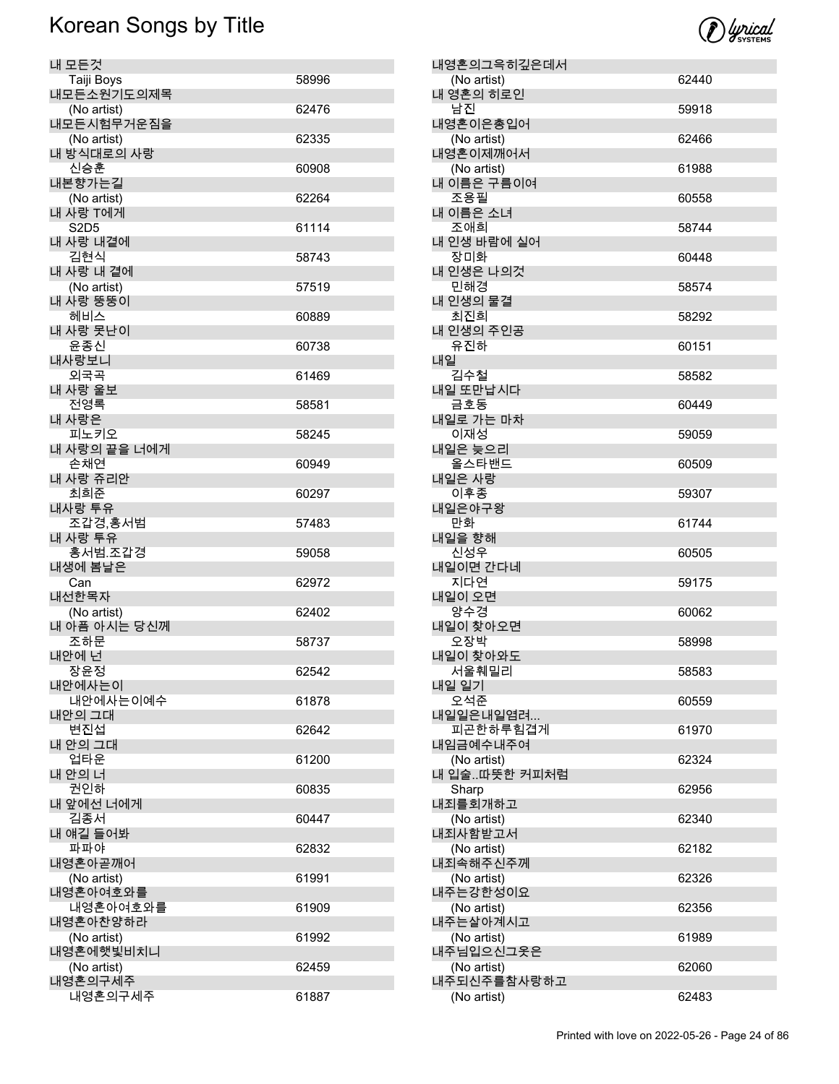

| 내 모든것                     |       |
|---------------------------|-------|
| Taiji Boys                | 58996 |
| 내모든소원기도의제목                |       |
| (No artist)               | 62476 |
| 내모든시험무거운짐을<br>(No artist) | 62335 |
| 내 방식대로의 사랑                |       |
| 신승훈                       | 60908 |
| 내본향가는길                    |       |
| (No artist)<br>내 사랑 T에게   | 62264 |
| <b>S2D5</b>               | 61114 |
| 내 사랑 내곁에                  |       |
| 김현식                       | 58743 |
| 내 사랑 내 곁에                 |       |
| (No artist)<br>내 사랑 뚱뚱이   | 57519 |
| 헤비스                       | 60889 |
| 내 사랑 못난이                  |       |
| 윤종신                       | 60738 |
| 내사랑보니<br>외국곡              | 61469 |
| 내 사랑 울보                   |       |
| 전영록                       | 58581 |
| 내 사랑은                     |       |
| 피노키오                      | 58245 |
| 내 사랑의 끝을 너에게<br>손채연       | 60949 |
| 내 사랑 쥬리안                  |       |
| 최희준                       | 60297 |
| 내사랑 투유                    |       |
| 조갑경,홍서범<br>내 사랑 투유        | 57483 |
| 홍서범.조갑경                   | 59058 |
| 내생에 봄날은                   |       |
| Can                       | 62972 |
| 내선한목자<br>(No artist)      | 62402 |
| 내 아픔 아시는 당신께              |       |
| 조하문                       | 58737 |
| 내안에 넌                     |       |
| 장윤정                       | 62542 |
| 내안에사는이<br>내안에사는이예수        | 61878 |
| 내안의 그대                    |       |
| 변진섭                       | 62642 |
| 내 안의 그대<br>업타운            |       |
| 내 안의 너                    | 61200 |
| 권인하                       | 60835 |
| 내 앞에선 너에게                 |       |
| 김종서                       | 60447 |
| 내 얘길 들어봐<br>파파야           | 62832 |
| 내영혼아곧깨어                   |       |
| (No artist)               | 61991 |
| 내영혼아여호와를                  |       |
| 내영혼아여호와를                  | 61909 |
| 내영혼아찬양하라<br>(No artist)   | 61992 |
| 내영혼에햇빛비치니                 |       |
| (No artist)               | 62459 |
| 내영혼의구세주                   |       |
| 내영혼의구세주                   | 61887 |

| 내영혼의그윽히깊은데서                |       |
|----------------------------|-------|
| (No artist)                | 62440 |
| 내 영혼의 히로인<br>남진            | 59918 |
| 내영혼이은총입어                   |       |
| (No artist)                | 62466 |
| 내영혼이제깨어서                   |       |
| (No artist)<br>내 이름은 구름이여  | 61988 |
| 조용필                        | 60558 |
| 내 이름은 소녀                   |       |
| 조애희                        | 58744 |
| 내 인생 바람에 실어                |       |
| 장미화<br>내 인생은 나의것           | 60448 |
| 민해경                        | 58574 |
| 내 인생의 물결                   |       |
| 최진희                        | 58292 |
| 내 인생의 주인공                  |       |
| 유진하<br>내일                  | 60151 |
| 김수철                        | 58582 |
| 내일 또만납시다                   |       |
| 금호동                        | 60449 |
| 내일로 가는 마차                  |       |
| 이재성<br>내일은 늦으리             | 59059 |
| 올스타밴드                      | 60509 |
| 내일은 사랑                     |       |
| 이후종                        | 59307 |
| 내일은야구왕                     |       |
| 만화<br>내일을 향해               | 61744 |
| 신성우                        | 60505 |
| 내일이면 간다네                   |       |
| 지다연                        | 59175 |
| 내일이 오면                     |       |
| 양수경<br>내일이 찾아오면            | 60062 |
| 오장박                        | 58998 |
| 내일이 찾아와도                   |       |
| 서울훼밀리                      | 58583 |
| 내일 일기                      |       |
| 오석준<br>내일일은내일염려            | 60559 |
| 피곤한하루힘겹게                   | 61970 |
| 내임금예수내주여                   |       |
| (No artist)                | 62324 |
| 내 입술따뜻한 커피처럼               |       |
| Sharp<br>내죄를회개하고           | 62956 |
| (No artist)                | 62340 |
| 내죄사함받고서                    |       |
| (No artist)                | 62182 |
| 내죄속해주신주께                   |       |
| (No artist)<br>내주는강한성이요    | 62326 |
| (No artist)                | 62356 |
| 내주는살아계시고                   |       |
| (No artist)                | 61989 |
| 내주님입으신그옷은                  |       |
| (No artist)<br>내주되신주를참사랑하고 | 62060 |
| (No artist)                | 62483 |
|                            |       |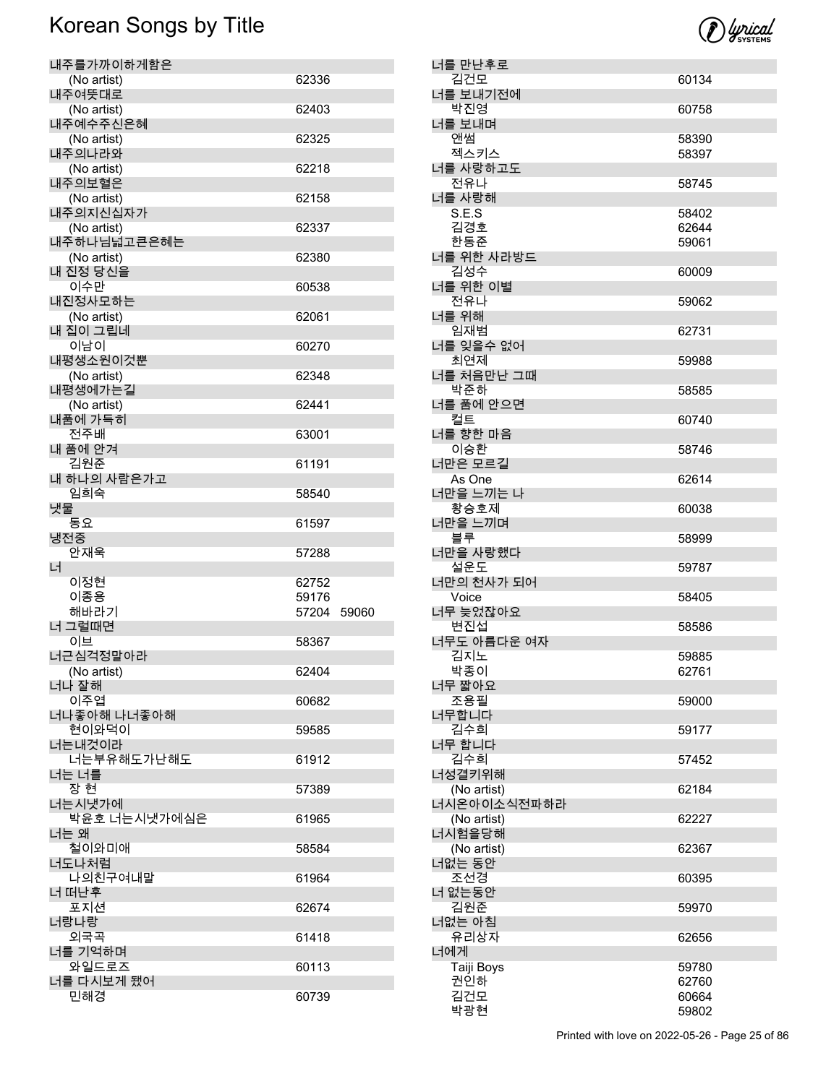

| 내주를가까이하게함은                 |       |       |
|----------------------------|-------|-------|
| (No artist)                | 62336 |       |
| 내주여뜻대로                     |       |       |
| (No artist)<br>내주예수주신은혜    | 62403 |       |
| (No artist)                | 62325 |       |
| 내주의나라와                     |       |       |
| (No artist)                | 62218 |       |
| 내주의보혈은                     |       |       |
| (No artist)                | 62158 |       |
| 내주의지신십자가                   |       |       |
| (No artist)<br>내주하나님넓고큰은혜는 | 62337 |       |
| (No artist)                | 62380 |       |
| 내 진정 당신을                   |       |       |
| 이수만                        | 60538 |       |
| 내진정사모하는                    |       |       |
| (No artist)<br>내 집이 그립네    | 62061 |       |
| 이남이                        | 60270 |       |
| 내평생소원이것뿐                   |       |       |
| (No artist)                | 62348 |       |
| 내평생에가는길                    |       |       |
| (No artist)                | 62441 |       |
| 내품에 가득히<br>전주배             |       |       |
| 내 품에 안겨                    | 63001 |       |
| 김원준                        | 61191 |       |
| 내 하나의 사람은가고                |       |       |
| 임희숙                        | 58540 |       |
| 냇물                         |       |       |
| 동요                         | 61597 |       |
|                            |       |       |
| 냉전중                        |       |       |
| 안재욱                        | 57288 |       |
| 너<br>이정현                   | 62752 |       |
| 이종용                        | 59176 |       |
| 해바라기                       | 57204 | 59060 |
| 너 그럴때면                     |       |       |
| 이브                         | 58367 |       |
| 너근심걱정말아라                   |       |       |
| (No artist)<br>너나 잘해       | 62404 |       |
| 이주엽                        | 60682 |       |
| 너나좋아해 나너좋아해                |       |       |
| 현이와덕이                      | 59585 |       |
| 너는내것이라                     |       |       |
| 너는부유해도가난해도<br>너는 너를        | 61912 |       |
| 장 현                        | 57389 |       |
| 너는시냇가에                     |       |       |
| 박윤호 너는시냇가에심은               | 61965 |       |
| 너는 왜                       |       |       |
| 철이와미애                      | 58584 |       |
| 너도나처럼<br>나의친구여내말           | 61964 |       |
| 너 떠난후                      |       |       |
| 포지션                        | 62674 |       |
| 너랑나랑                       |       |       |
| 외국곡                        | 61418 |       |
| 너를 기억하며                    |       |       |
| 와일드로즈<br>너를 다시보게 됐어        | 60113 |       |

| 너를 만난후로           |       |
|-------------------|-------|
| 김건모               | 60134 |
| 너를 보내기전에          |       |
| 박진영               | 60758 |
| 너를 보내며            |       |
| 앤썸                | 58390 |
| 젝스키스              | 58397 |
| 너를 사랑하고도          |       |
| 전유나               | 58745 |
| 너를 사랑해            |       |
| S.E.S             | 58402 |
| 김경호               | 62644 |
| 한동준               | 59061 |
| 너를 위한 사라방드        |       |
| 김성수               | 60009 |
| 너를 위한 이별          |       |
| 전유나               | 59062 |
| 너를 위해<br>임재범      |       |
| 너를 잊을수 없어         | 62731 |
|                   |       |
| 최연제<br>너를 처음만난 그때 | 59988 |
| 박준하               | 58585 |
| 너를 품에 안으면         |       |
| 컬트                | 60740 |
| 너를 향한 마음          |       |
| 이승환               | 58746 |
| 너만은 모르길           |       |
| As One            | 62614 |
| 너만을 느끼는 나         |       |
| 황승호제              | 60038 |
| 너만을 느끼며           |       |
| 블루                | 58999 |
| 너만을 사랑했다          |       |
| 설운도               | 59787 |
| 너만의 천사가 되어        |       |
| Voice             | 58405 |
| 너무 늦었잖아요          |       |
| 변진섭               | 58586 |
| 너무도 아름다운 여자       |       |
| 김지노               | 59885 |
| 박종이               | 62761 |
| 너무 짧아요            |       |
| 조용필               | 59000 |
| 너무합니다             |       |
| 김수희               | 59177 |
| 너무 합니다            |       |
| 김수희               | 57452 |
| 너성결키위해            |       |
| (No artist)       | 62184 |
| 너시온아이소식전파하라       |       |
| (No artist)       | 62227 |
| 너시험을당해            |       |
| (No artist)       | 62367 |
| 너없는 동안            |       |
| 조선경               | 60395 |
| 너 없는동안            |       |
| 김원준               | 59970 |
| 너없는 아침            |       |
| 유리상자              | 62656 |
| 너에게               |       |
| Taiji Boys        | 59780 |
| 권인하               | 62760 |
| 김건모               | 60664 |
| 박광현               | 59802 |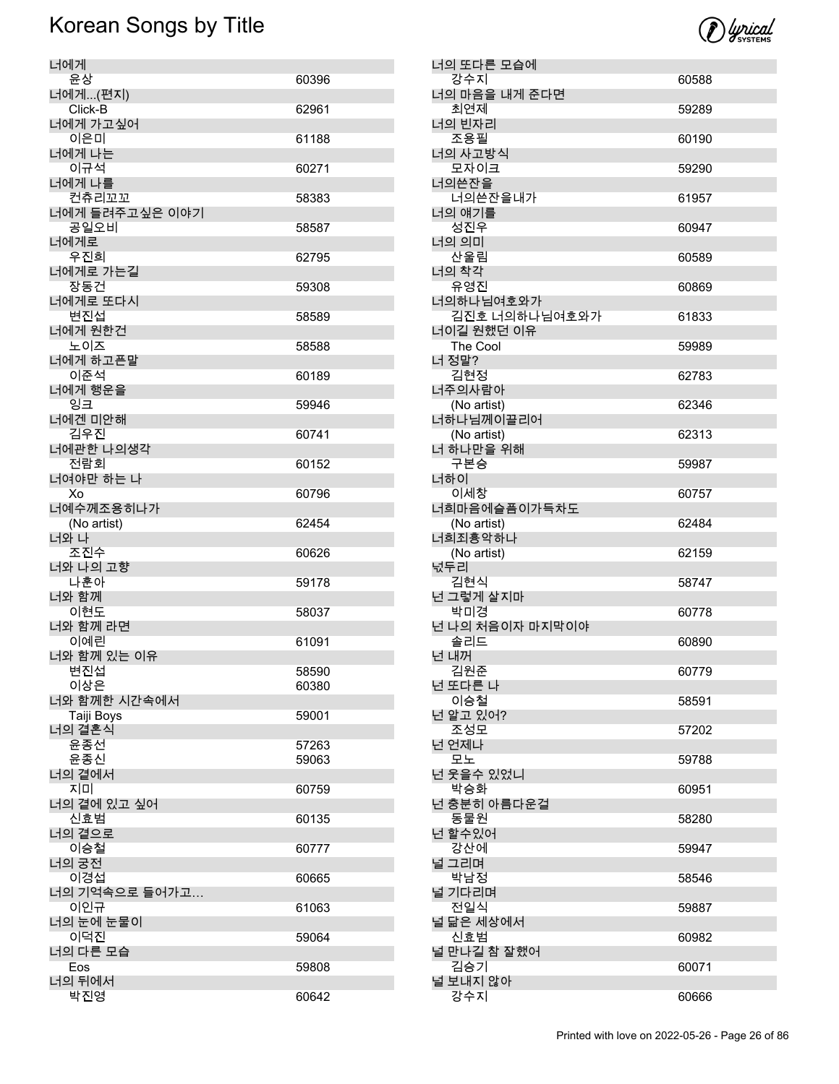

| 너에게                     |                |
|-------------------------|----------------|
| 윤상                      | 60396          |
| 너에게(편지)<br>Click-B      | 62961          |
| 너에게 가고싶어<br>이은미         | 61188          |
| 너에게 나는<br>이규석           |                |
| 너에게 나를                  | 60271          |
| 컨츄리꼬꼬<br>너에게 들려주고싶은 이야기 | 58383          |
| 공일오비                    | 58587          |
| 너에게로<br>우진희             | 62795          |
| 너에게로 가는길<br>장동건         | 59308          |
| 너에게로 또다시<br>변진섭         |                |
| 너에게 원한건                 | 58589          |
| 노이즈                     | 58588          |
| 너에게 하고픈말<br>이준석         | 60189          |
| 너에게 행운을                 |                |
| 잉크<br>너에겐 미안해           | 59946          |
| 김우진                     | 60741          |
| 너에관한 나의생각<br>전람회        | 60152          |
| 너여야만 하는 나<br>Xo         | 60796          |
| 너예수께조용히나가               |                |
| (No artist)<br>너와 나     | 62454          |
| 조진수                     | 60626          |
| 너와 나의 고향                |                |
| 나훈아<br>너와 함께            | 59178          |
| 이현도                     | 58037          |
| 너와 함께 라면<br>이예린         | 61091          |
| 너와 함께 있는 이유             |                |
| 변진섭                     | 58590          |
| 이상은<br>너와 함께한 시간속에서     | 60380          |
| Taiji Boys              | 59001          |
| 너의 결혼식                  |                |
| 윤종선<br>윤종신              | 57263<br>59063 |
| 너의 곁에서                  |                |
| 지미<br>너의 곁에 있고 싶어       | 60759          |
| 신효범                     | 60135          |
| 너의 곁으로<br>이승철           | 60777          |
| 너의 궁전                   |                |
| 이경섭<br>너의 기억속으로 들어가고    | 60665          |
| 이인규                     | 61063          |
| 너의 눈에 눈물이<br>이덕진        | 59064          |
| 너의 다른 모습                |                |
| Eos                     | 59808          |
| 너의 뒤에서<br>박진영           | 60642          |

| 너의 또다른 모습에                  |                |
|-----------------------------|----------------|
| 강수지                         | 60588          |
| 너의 마음을 내게 준다면<br>최연제        | 59289          |
| 너의 빈자리<br>조용필               | 60190          |
| 너의 사고방식<br>모자이크             | 59290          |
| 너의쓴잔을<br>너의쓴잔을내가            | 61957          |
| 너의 얘기를<br>성진우               | 60947          |
| 너의 의미<br>산울림                | 60589          |
| 너의 착각                       |                |
| 유영진<br>너의하나님여호와가            | 60869          |
| 김진호 너의하나님여호와가<br>너이길 원했던 이유 | 61833          |
| The Cool                    | 59989          |
| 너 정말?<br>김현정                | 62783          |
| 너주의사람아                      |                |
| (No artist)<br>너하나님께이끌리어    | 62346          |
| (No artist)                 | 62313          |
| 너 하나만을 위해<br>구본승            | 59987          |
| 너하이<br>이세창                  | 60757          |
| 너희마음에슬픔이가득차도                |                |
| (No artist)<br>너희죄흉악하나      | 62484          |
| (No artist)                 | 62159          |
| 넋두리<br>김현식                  | 58747          |
| 넌 그렇게 살지마                   |                |
| 박미경<br>넌 나의 처음이자 마지막이야      | 60778          |
| 솔리드                         | 60890          |
| 넌 내꺼<br>김원준                 | 60779          |
| 넌 또다른 나                     |                |
| 이승철<br>넌 알고 있어?             | 58591          |
| 조성모<br>넌 언제나                | 57202          |
|                             |                |
| 모노                          | 59788          |
| 넌 웃을수 있었니                   |                |
| 박승화<br>넌 충분히 아름다운걸          | 60951          |
| 동물원<br>넌 할수있어               | 58280          |
| 강산에<br>널 그리며                | 59947          |
| 박남정                         | 58546          |
| 널 기다리며<br>전일식               | 59887          |
| 널 닮은 세상에서<br>신효범            | 60982          |
| 널 만나길 참 잘했어                 |                |
| 김승기<br>널 보내지 않아<br>강수지      | 60071<br>60666 |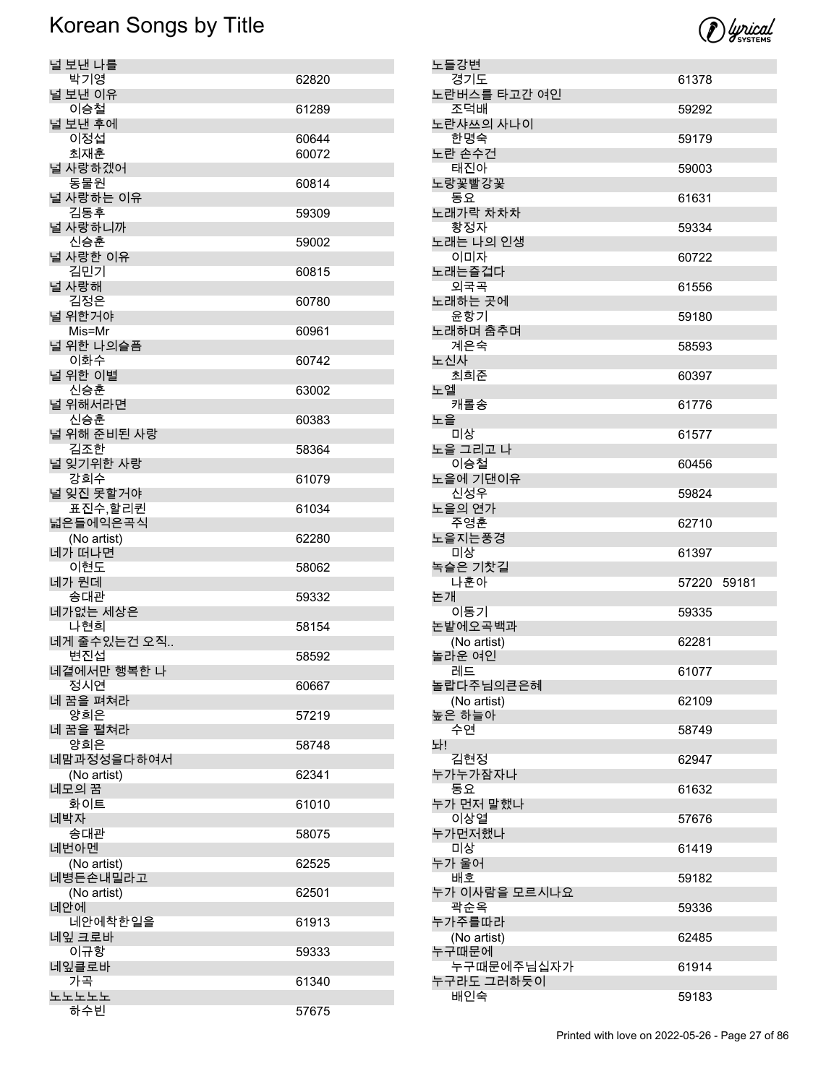

| 널 보낸 나를               |                |
|-----------------------|----------------|
| 박기영                   | 62820          |
| 널 보낸 이유               |                |
| 이승철                   | 61289          |
| 널 보낸 후에               |                |
| 이정섭                   | 60644<br>60072 |
| 최재훈<br>널 사랑하겠어        |                |
| 동물원                   | 60814          |
| 널 사랑하는 이유             |                |
| 김동후                   | 59309          |
| 널 사랑하니까               |                |
| 신승훈                   | 59002          |
| 널 사랑한 이유              |                |
| 김민기                   | 60815          |
| 널 사랑해                 |                |
| 김정은                   | 60780          |
| 널 위한거야                |                |
| Mis=Mr                | 60961          |
| 널 위한 나의슬픔             |                |
| 이화수<br>널 위한 이별        | 60742          |
| 신승훈                   | 63002          |
| 널 위해서라면               |                |
| 신승훈                   | 60383          |
| 널 위해 준비된 사랑           |                |
| 김조한                   | 58364          |
| 널 잊기위한 사랑             |                |
| 강희수                   | 61079          |
| 널 잊진 못할거야             |                |
| 표진수,할리퀸               | 61034          |
| 넓은들에익은곡식              |                |
| (No artist)<br>네가 떠나면 | 62280          |
| 이현도                   | 58062          |
| 네가 뭔데                 |                |
| 송대관                   | 59332          |
| 네가없는 세상은              |                |
| 나현희                   | 58154          |
| 네게 줄수있는건 오직           |                |
| 변진섭                   | 58592          |
| 네곁에서만 행복한 나           |                |
| 정시연                   | 60667          |
| 네 꿈을 펴쳐라<br>양희은       |                |
| 네 꿈을 펼쳐라              | 57219          |
| 양희은                   | 58748          |
| 네맘과정성을다하여서            |                |
| (No artist)           | 62341          |
| 네모의 꿈                 |                |
| 화이트                   | 61010          |
| 네박자                   |                |
| 송대관                   | 58075          |
| 네번아멘<br>(No artist)   | 62525          |
| 네병든손내밀라고              |                |
|                       |                |
|                       |                |
| (No artist)<br>네안에    | 62501          |
| 네안에착한일을               | 61913          |
| 네잎 크로바                |                |
| 이규항                   | 59333          |
| 네잎클로바                 |                |
| 가곡                    | 61340          |
| 노노노노노<br>하수빈          | 57675          |

| 노들강변                 |             |  |
|----------------------|-------------|--|
| 경기도                  | 61378       |  |
| 노란버스를 타고간 여인<br>조덕배  | 59292       |  |
| 노란샤쓰의 사나이<br>한명숙     | 59179       |  |
| 노란 손수건<br>태진아        | 59003       |  |
| 노랑꽃빨강꽃               |             |  |
| 동요<br>노래가락 차차차       | 61631       |  |
| 황정자<br>노래는 나의 인생     | 59334       |  |
| 이미자<br>노래는즐겁다        | 60722       |  |
| 외국곡                  | 61556       |  |
| 노래하는 곳에              |             |  |
| 윤항기<br>노래하며 춤추며      | 59180       |  |
| 계은숙                  | 58593       |  |
| 노신사<br>최희준           | 60397       |  |
| 노엘                   |             |  |
| 캐롤송                  | 61776       |  |
| 노을<br>미상             | 61577       |  |
| 노을 그리고 나             |             |  |
| 이승철<br>노을에 기댄이유      | 60456       |  |
| 신성우                  | 59824       |  |
| 노을의 연가<br>주영훈        | 62710       |  |
|                      |             |  |
| 노을지는풍경               |             |  |
| 미상                   | 61397       |  |
| 녹슬은 기찻길<br>나훈아       | 57220 59181 |  |
| 논개<br>이동기            | 59335       |  |
| 논밭에오곡백과              |             |  |
| (No artist)          | 62281       |  |
| 놀라운 여인<br>레드         | 61077       |  |
| 놀랍다주님의큰은혜            |             |  |
| (No artist)          | 62109       |  |
| 높은 하늘아<br>수연         | 58749       |  |
| 놔!                   |             |  |
| 김현정<br>누가누가잠자나       | 62947       |  |
| 동요                   | 61632       |  |
| 누가 먼저 말했나<br>이상열     | 57676       |  |
| 누가먼저했나<br>미상         | 61419       |  |
| 누가 울어                |             |  |
| 배호<br>누가 이사람을 모르시나요  | 59182       |  |
| 곽순옥                  | 59336       |  |
| 누가주를따라               |             |  |
| (No artist)<br>누구때문에 | 62485       |  |
| 누구때문에주님십자가           | 61914       |  |
| 누구라도 그러하듯이<br>배인숙    | 59183       |  |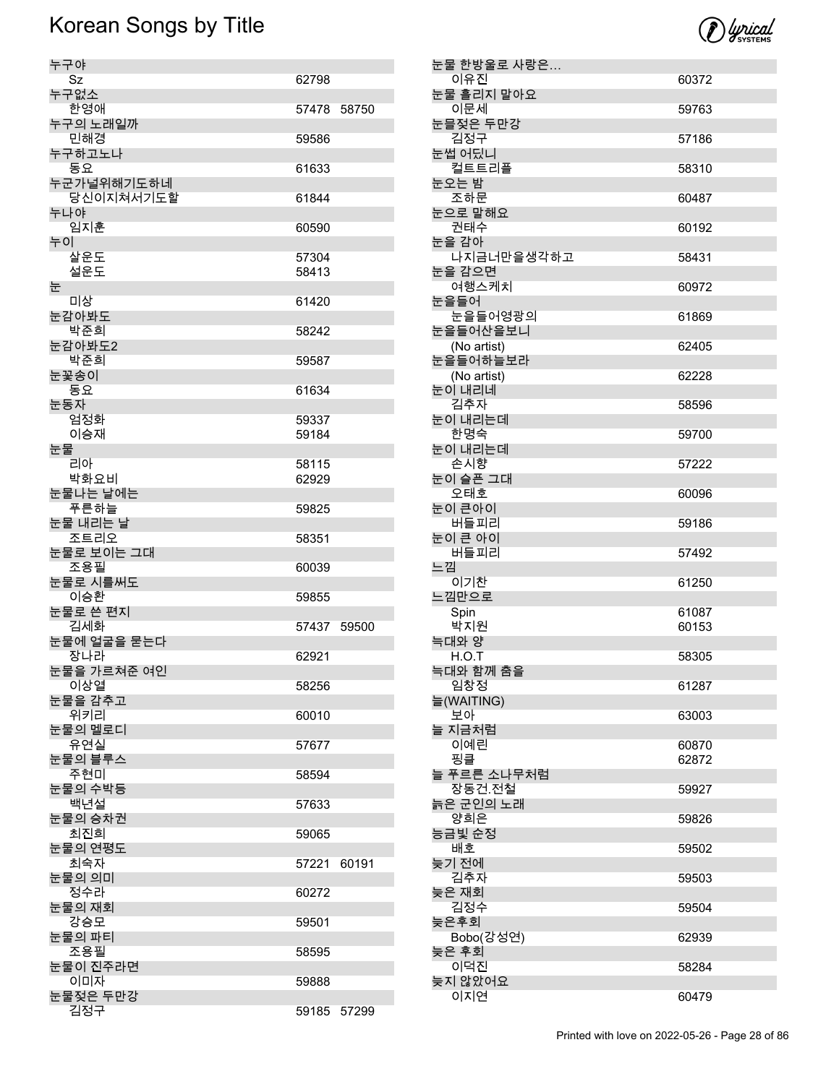

| 누구야                |             |       |
|--------------------|-------------|-------|
| Sz                 | 62798       |       |
| 누구없소               |             |       |
| 한영애                | 57478       | 58750 |
| 누구의 노래일까           |             |       |
| 민해경                | 59586       |       |
| 누구하고노나<br>동요       | 61633       |       |
| 누군가널위해기도하네         |             |       |
| 당신이지쳐서기도할          | 61844       |       |
| 누나야                |             |       |
| 임지훈                | 60590       |       |
| 누이                 |             |       |
| 살운도                | 57304       |       |
| 설운도                | 58413       |       |
| 눈                  |             |       |
| 미상                 | 61420       |       |
| 눈감아봐도              |             |       |
| 박준희                | 58242       |       |
| 눈감아봐도2<br>박준희      |             |       |
| 눈꽃송이               | 59587       |       |
| 동요                 | 61634       |       |
| 눈동자                |             |       |
| 엄정화                | 59337       |       |
| 이승재                | 59184       |       |
| 눈물                 |             |       |
| 리아                 | 58115       |       |
| 박화요비               | 62929       |       |
| 눈물나는 날에는           |             |       |
| 푸른하늘               | 59825       |       |
| 눈물 내리는 날           |             |       |
| 조트리오<br>눈물로 보이는 그대 | 58351       |       |
| 조용필                | 60039       |       |
| 눈물로 시를써도           |             |       |
| 이승환                | 59855       |       |
| 눈물로 쓴 편지           |             |       |
| 김세화                | 57437 59500 |       |
| 눈물에 얼굴을 묻는다        |             |       |
| 장나라                | 62921       |       |
| 눈물을 가르쳐준 여인        |             |       |
| 이상열                | 58256       |       |
| 눈물을 감추고<br>위키리     |             |       |
| 눈물의 멜로디            | 60010       |       |
| 유연실                | 57677       |       |
| 눈물의 블루스            |             |       |
| 주현미                | 58594       |       |
| 눈물의 수박등            |             |       |
| 백년설                | 57633       |       |
| 눈물의 승차권            |             |       |
| 최진희                | 59065       |       |
| 눈물의 연평도<br>최숙자     |             |       |
| 눈물의 의미             | 57221       | 60191 |
| 정수라                | 60272       |       |
| 눈물의 재회             |             |       |
| 강승모                | 59501       |       |
| 눈물의 파티             |             |       |
| 조용필                | 58595       |       |
| 눈물이 진주라면           |             |       |
| 이미자                | 59888       |       |
| 눈물젖은 두만강           |             |       |
| 김정구                | 59185 57299 |       |

| 눈물 한방울로 사랑은           |       |
|-----------------------|-------|
| 이유진                   | 60372 |
| 눈물 흘리지 말아요<br>이문세     | 59763 |
| 눈믈젖은 두만강              |       |
| 김정구                   | 57186 |
| 눈썹 어딨니<br>컬트트리플       | 58310 |
| 눈오는 밤                 |       |
| 조하문<br>눈으로 말해요        | 60487 |
| 권태수                   | 60192 |
| 눈을 감아<br>나지금너만을생각하고   | 58431 |
| 눈을 감으면                |       |
| 여행스케치<br>눈을들어         | 60972 |
| 눈을들어영광의               | 61869 |
| 눈을들어산을보니              |       |
| (No artist)           | 62405 |
| 눈을들어하늘보라              |       |
| (No artist)<br>눈이 내리네 | 62228 |
| 김추자                   | 58596 |
| 눈이 내리는데<br>한명숙        | 59700 |
| 눈이 내리는데               |       |
| 손시향                   | 57222 |
| 눈이 슬픈 그대<br>오태호       | 60096 |
| 눈이 큰아이                |       |
| 버들피리<br>눈이 큰 아이       | 59186 |
| 버들피리                  | 57492 |
| 느낌                    |       |
| 이기찬<br>느낌만으로          | 61250 |
| Spin                  | 61087 |
| 박지원                   | 60153 |
| 늑대와 양                 |       |
| H.O.T<br>늑대와 함께 춤을    | 58305 |
| 임창정                   | 61287 |
| 늘(WAITING)            |       |
| 보아<br>늘 지금처럼          | 63003 |
| 이예린                   | 60870 |
| 핑클                    | 62872 |
| 늘 푸르른 소나무처럼           |       |
| 장동건.전철<br>늙은 군인의 노래   | 59927 |
| 양희은                   | 59826 |
| 능금빛 순정<br>배호          | 59502 |
| 늦기 전에                 |       |
| 김추자<br>늦은 재회          | 59503 |
| 김정수                   | 59504 |
| 늦은후회                  |       |
| Bobo(강성연)<br>늦은 후회    | 62939 |
| 이덕진                   | 58284 |
| 늦지 않았어요               |       |
| 이지연                   | 60479 |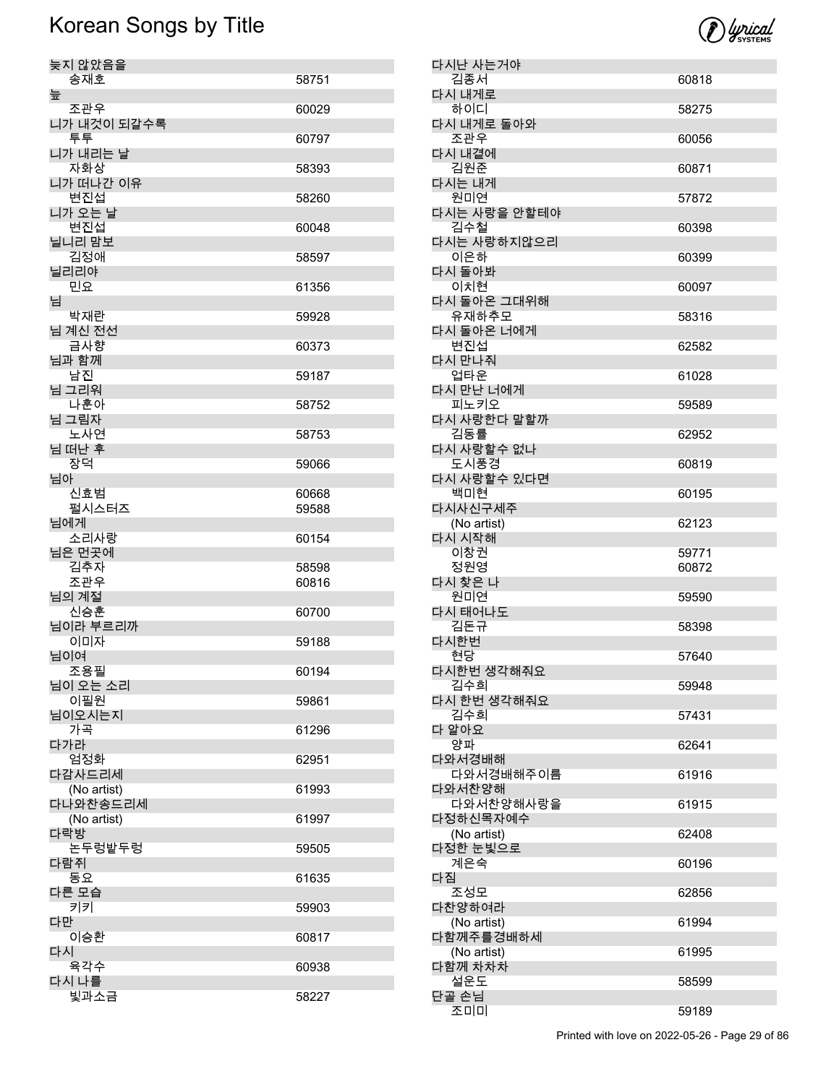

| 늦지 않았음을                 |       |
|-------------------------|-------|
| 송재호                     | 58751 |
| 늪<br>조관우                | 60029 |
| 니가 내것이 되갈수록<br>투투       | 60797 |
| 니가 내리는 날                |       |
| 자화상<br>니가 떠나간 이유        | 58393 |
| 변진섭<br>니가 오는 날          | 58260 |
| 변진섭<br>닐니리 맘보           | 60048 |
| 김정애                     | 58597 |
| 닐리리야<br>민요              | 61356 |
| 님<br>박재란                | 59928 |
| 님 계신 전선                 |       |
| 금사향<br>님과 함께            | 60373 |
| 남진<br>님 그리워             | 59187 |
| 나훈아<br>님 그림자            | 58752 |
| 노사연                     | 58753 |
| 님 떠난 후<br>장덕            | 59066 |
| 님아<br>신효범               | 60668 |
| 펄시스터즈                   | 59588 |
| 님에게<br>소리사랑             | 60154 |
| 님은 먼곳에<br>김추자           | 58598 |
| 조관우<br>님의 계절            | 60816 |
| 신승훈                     | 60700 |
| 님이라 부르리까<br>이미자         | 59188 |
| 님이여<br>조용필              | 60194 |
| 님이 오는 소리<br>이필원         | 59861 |
| 님이오시는지                  |       |
| 가곡<br>다가라               | 61296 |
| 엄정화<br>다감사드리세           | 62951 |
| (No artist)<br>다나와찬송드리세 | 61993 |
| (No artist)             | 61997 |
| 다락방<br>논두렁밭두렁           | 59505 |
| 다람쥐<br>동요               | 61635 |
| 다른 모습                   |       |
| 키키<br>다만                | 59903 |
| 이승환<br>다시               | 60817 |
| 육각수                     | 60938 |
| 다시 나를<br>빛과소금           | 58227 |

| 다시난 사는거야             |       |
|----------------------|-------|
| 김종서                  | 60818 |
| 다시 내게로               |       |
| 하이디<br>다시 내게로 돌아와    | 58275 |
| 조관우                  | 60056 |
| 다시 내곁에               |       |
| 김원준                  | 60871 |
| 다시는 내게               |       |
| 원미연<br>다시는 사랑을 안할테야  | 57872 |
| 김수철                  | 60398 |
| 다시는 사랑하지않으리          |       |
| 이은하                  | 60399 |
| 다시 돌아봐               |       |
| 이치현                  | 60097 |
| 다시 돌아온 그대위해<br>유재하추모 | 58316 |
| 다시 돌아온 너에게           |       |
| 변진섭                  | 62582 |
| 다시 만나줘               |       |
| 언타운                  | 61028 |
| 다시 만난 너에게            |       |
| 피노키오<br>다시 사랑한다 말할까  | 59589 |
| 김동률                  | 62952 |
| 다시 사랑할수 없나           |       |
| 도시풍경                 | 60819 |
| 다시 사랑할수 있다면          |       |
| 백미현<br>다시사신구세주       | 60195 |
| (No artist)          | 62123 |
| 다시 시작해               |       |
| 이창권                  | 59771 |
| 정원영                  | 60872 |
| 다시 찾은 나<br>원미연       |       |
| 다시 태어나도              | 59590 |
| 김돈규                  | 58398 |
| 다시한번                 |       |
| 현당                   | 57640 |
| 다시한번 생각해줘요           |       |
| 김수희<br>다시 한번 생각해줘요   | 59948 |
| 김수희                  | 57431 |
| 다 알아요                |       |
| 양파                   | 62641 |
| 다와서경배해               |       |
| 다와서경배해주이름<br>다와서찬양해  | 61916 |
| 다와서찬양해사랑을            | 61915 |
| 다정하신목자예수             |       |
| (No artist)          | 62408 |
| 다정한 눈빛으로             |       |
| 계은숙<br>다짐            | 60196 |
| 조성모                  | 62856 |
| 다찬양하여라               |       |
| (No artist)          | 61994 |
| 다함께주를경배하세            |       |
| (No artist)          | 61995 |
| 다함께 차차차<br>설운도       | 58599 |
| 단골 손님                |       |
| 조미미                  | 59189 |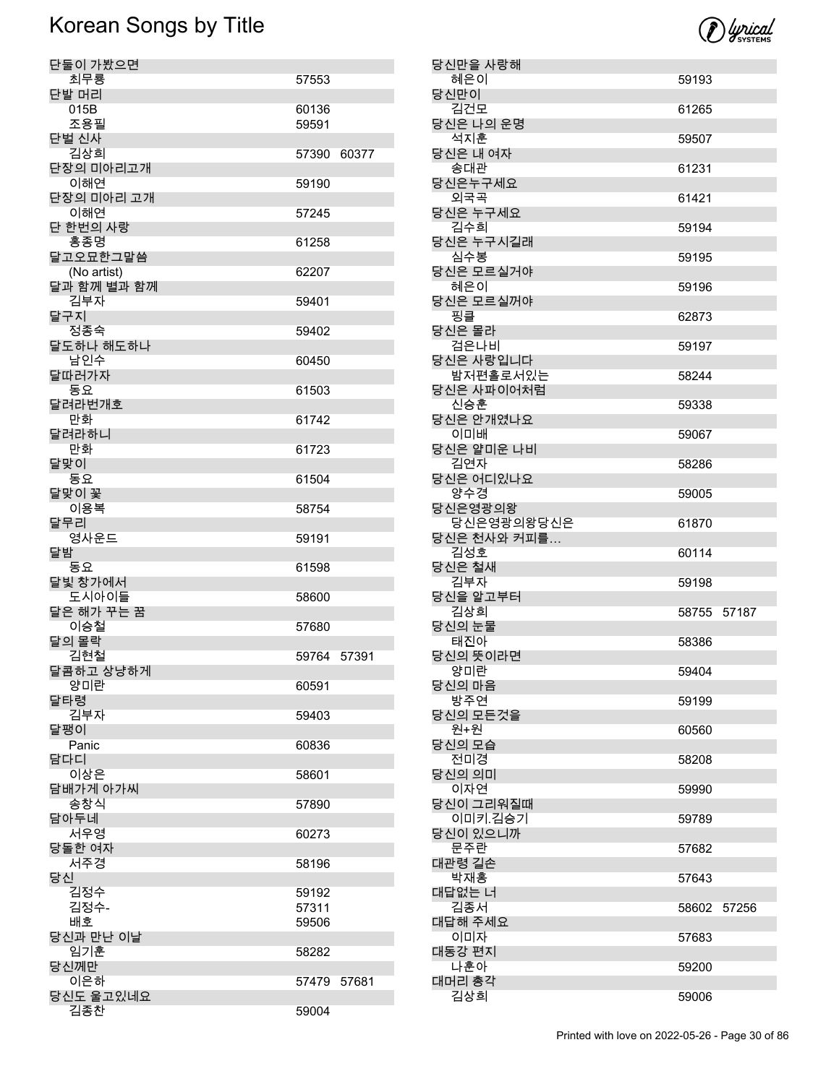

| 단둘이 가봤으면           |             |       |
|--------------------|-------------|-------|
| 최무룡<br>단발 머리       | 57553       |       |
| 015B               | 60136       |       |
| 조용필                | 59591       |       |
| 단벌 신사<br>김상희       | 57390       | 60377 |
| 단장의 미아리고개          |             |       |
| 이해연                | 59190       |       |
| 단장의 미아리 고개<br>이해연  | 57245       |       |
| 단 한번의 사랑           |             |       |
| 홍종명<br>달고오묘한그말씀    | 61258       |       |
| (No artist)        | 62207       |       |
| 달과 함께 별과 함께<br>김부자 | 59401       |       |
| 달구지                |             |       |
| 정종숙                | 59402       |       |
| 달도하나 해도하나<br>남인수   | 60450       |       |
| 달따러가자              |             |       |
| 동요<br>달려라번개호       | 61503       |       |
| 만화                 | 61742       |       |
| 달려라하니              |             |       |
| 만화<br>달맞이          | 61723       |       |
| 동요                 | 61504       |       |
| 달맞이 꽃<br>이용복       | 58754       |       |
| 달무리                |             |       |
| 영사운드<br>달밤         | 59191       |       |
| 동요                 | 61598       |       |
| 달빛 창가에서<br>도시아이들   | 58600       |       |
| 달은 해가 꾸는 꿈         |             |       |
| 이승철                | 57680       |       |
| 달의 몰락<br>김현철       | 59764 57391 |       |
| 달콤하고 상냥하게          |             |       |
| 양미란<br>달타령         | 60591       |       |
| 김부자                | 59403       |       |
| 달팽이<br>Panic       | 60836       |       |
| 담다디                |             |       |
| 이상은                | 58601       |       |
| 담배가게 아가씨<br>송창식    | 57890       |       |
| 담아두네               |             |       |
| 서우영<br>당돌한 여자      | 60273       |       |
| 서주경                | 58196       |       |
| 당신<br>김정수          | 59192       |       |
| 김정수-               | 57311       |       |
| 배호                 | 59506       |       |
| 당신과 만난 이날<br>임기훈   | 58282       |       |
| 당신께만               |             |       |
| 이은하<br>당신도 울고있네요   | 57479       | 57681 |
| 김종찬                | 59004       |       |

| 당신만을 사랑해                  |                |
|---------------------------|----------------|
| 혜은이<br>당신만이               | 59193          |
| 김건모                       | 61265          |
| 당신은 나의 운명<br>석지훈          | 59507          |
| 당신은 내 여자<br>송대관           | 61231          |
| 당신은누구세요                   |                |
| 외국곡<br>당신은 누구세요           | 61421          |
| 김수희<br>당신은 누구시길래          | 59194          |
| 심수봉<br>당신은 모르실거야          | 59195          |
| 혜은이<br>당신은 모르실꺼야          | 59196          |
| 핑클<br>당신은 몰라              | 62873          |
| 검은나비                      | 59197          |
| 당신은 사랑입니다<br>밤저편홀로서있는     | 58244          |
| 당신은 사파이어처럼<br>신승훈         | 59338          |
| 당신은 안개였나요<br>이미배          | 59067          |
| 당신은 얄미운 나비<br>김연자         | 58286          |
| 당신은 어디있나요<br>양수경          | 59005          |
| 당신은영광의왕                   |                |
| 당신은영광의왕당신은<br>당신은 천사와 커피를 | 61870          |
| 김성호<br>당신은 철새             | 60114          |
| 김부자<br>당신을 알고부터           | 59198          |
| 김상희<br>당신의 눈물             | 58755 57187    |
| 태진아<br>당신의 뜻이라면           | 58386          |
| 양미란<br>당신의 마음             | 59404          |
| 방주연                       | 59199          |
| 당신의 모든것을<br>원+원           | 60560          |
| 당신의 모습<br>전미경             | 58208          |
| 당신의 의미<br>이자연             | 59990          |
| 당신이 그리워질때<br>이미키.김승기      | 59789          |
| 당신이 있으니까<br>문주란           | 57682          |
| 대관령 길손                    |                |
| 박재홍<br>대답없는 너             | 57643          |
| 김종서<br>대답해 주세요            | 57256<br>58602 |
| 이미자<br>대동강 편지             | 57683          |
| 나훈아                       | 59200          |
| 대머리 총각<br>김상희             | 59006          |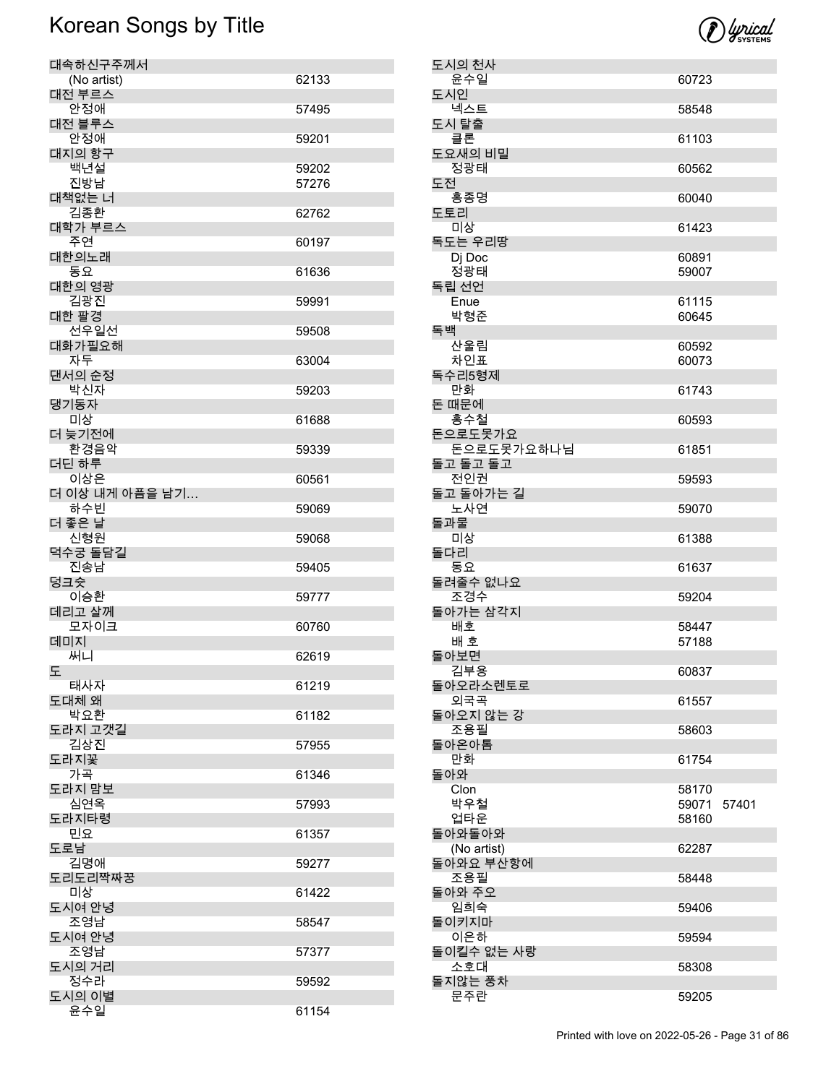

| 대속하신구주께서              |       |
|-----------------------|-------|
| (No artist)<br>대전 부르스 | 62133 |
| 안정애                   | 57495 |
| 대전 블루스                |       |
| 안정애<br>대지의 항구         | 59201 |
| 백년설                   | 59202 |
| 진방남                   | 57276 |
| 대책없는 너<br>김종환         | 62762 |
| 대학가 부르스               |       |
| 주연<br>대한의노래           | 60197 |
| 동요                    | 61636 |
| 대한의 영광<br>김광진         | 59991 |
| 대한 팔경                 |       |
| 선우일선<br>대화가필요해        | 59508 |
| 자두                    | 63004 |
| 댄서의 순정<br>박신자         | 59203 |
| 댕기동자                  |       |
| 미상<br>더 늦기전에          | 61688 |
| 환경음악                  | 59339 |
| 더딘 하루<br>이상은          | 60561 |
| 더 이상 내게 아픔을 남기        |       |
| 하수빈<br>더 좋은 날         | 59069 |
| 신형원                   | 59068 |
| 덕수궁 돌담길<br>진송남        | 59405 |
| 덩크슛<br>이승환            | 59777 |
| 데리고 살께                |       |
| 모자이크<br>데미지           | 60760 |
| 써니                    | 62619 |
| 노<br>태사자              | 61219 |
| 도대체 왜                 |       |
| 박요환<br>도라지 고갯길        | 61182 |
| 김상진                   | 57955 |
| 도라지꽃<br>가곡            | 61346 |
| 도라지 맘보                |       |
| 심연옥<br>도라지타령          | 57993 |
| 민요                    | 61357 |
| 도로남<br>김명애            | 59277 |
| 도리도리짝짜꿍<br>미상         |       |
| 도시여 안녕                | 61422 |
| 조영남<br>도시여 안녕         | 58547 |
| 조영남                   | 57377 |
| 도시의 거리                |       |
| 정수라<br>도시의 이별         | 59592 |
| 윤수일                   | 61154 |

| 도시의 천사                        |                         |       |
|-------------------------------|-------------------------|-------|
| 윤수일<br>도시인                    | 60723                   |       |
| 넥스트                           | 58548                   |       |
| 도시 탈출<br>클론                   | 61103                   |       |
| 도요새의 비밀<br>정광태                | 60562                   |       |
| 도전<br>홍종명                     | 60040                   |       |
| 도토리<br>미상                     | 61423                   |       |
| 독도는 우리땅<br>Dj Doc             | 60891                   |       |
| 정광태<br>독립 선언                  | 59007                   |       |
| Enue<br>박형준                   | 61115<br>60645          |       |
| 독백<br>산울림<br>차인표              | 60592<br>60073          |       |
| 독수리5형제<br>만화                  | 61743                   |       |
| 돈 때문에<br>홍수철                  | 60593                   |       |
| 돈으로도못가요<br>돈으로도못가요하나님         | 61851                   |       |
| 돌고 돌고 돌고<br>전인권               | 59593                   |       |
| 돌고 돌아가는 길<br>노사연              | 59070                   |       |
| 돌과물<br>미상                     | 61388                   |       |
| 돌다리<br>동요                     | 61637                   |       |
| 돌려줄수 없나요<br>조경수               | 59204                   |       |
| 돌아가는 삼각지<br>배호<br>배 호<br>돌아보면 | 58447<br>57188          |       |
| 김부용<br>돌아오라소렌토로               | 60837                   |       |
| 외국곡<br>돌아오지 않는 강              | 61557                   |       |
| 조용필<br>돌아온아톰                  | 58603                   |       |
| 만화<br>돌아와                     | 61754                   |       |
| Clon<br>박우철<br>업타운            | 58170<br>59071<br>58160 | 57401 |
| 돌아와돌아와<br>(No artist)         | 62287                   |       |
| 돌아와요 부산항에<br>조용필              | 58448                   |       |
| 돌아와 주오<br>임희숙                 | 59406                   |       |
| 돌이키지마<br>이은하                  | 59594                   |       |
| 돌이킬수 없는 사랑<br>소호대             | 58308                   |       |
| 돌지않는 풍차<br>문주란                | 59205                   |       |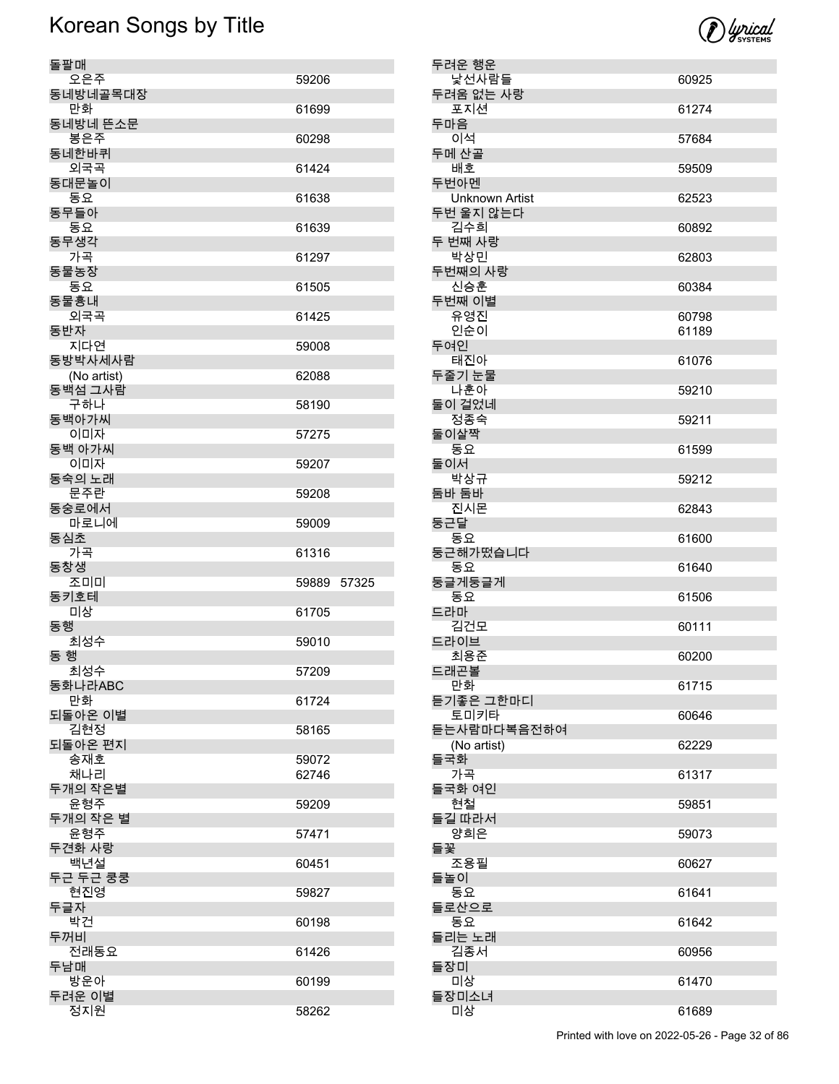

| 돌팔매                    |       |       |
|------------------------|-------|-------|
| 오은주                    | 59206 |       |
| 동네방네골목대장<br>만화         | 61699 |       |
| 동네방네 뜬소문<br>봉은주        | 60298 |       |
| 동네한바퀴<br>외국곡           | 61424 |       |
| 동대문놀이                  |       |       |
| 동요<br>동무들아             | 61638 |       |
| 동요<br>동무생각             | 61639 |       |
| 가곡                     | 61297 |       |
| 동물농장<br>동요             | 61505 |       |
| 동물흉내<br>외국곡            | 61425 |       |
| 동반자                    |       |       |
| 지다연<br>동방박사세사람         | 59008 |       |
| (No artist)<br>동백섬 그사람 | 62088 |       |
| 구하나                    | 58190 |       |
| 동백아가씨<br>이미자           | 57275 |       |
| 동백 아가씨<br>이미자          | 59207 |       |
| 동숙의 노래<br>문주란          | 59208 |       |
| 동숭로에서<br>마로니에          | 59009 |       |
|                        |       |       |
| 동심초                    |       |       |
| 가곡<br>동창생              | 61316 |       |
| 조미미                    | 59889 | 57325 |
| 동키호테<br>미상             | 61705 |       |
| 동행                     |       |       |
| 최성수<br>동 행             | 59010 |       |
| 최성수                    | 57209 |       |
| 동화나라ABC<br>만화          | 61724 |       |
| 되돌아온 이별<br>김현정         | 58165 |       |
| 되돌아온 편지                |       |       |
| 송재호                    | 59072 |       |
| 채나리                    | 62746 |       |
| 두개의 작은별<br>윤형주         | 59209 |       |
| 두개의 작은 별<br>윤형주        | 57471 |       |
| 두견화 사랑<br>백년설          | 60451 |       |
| 두근 두근 쿵쿵               |       |       |
| 현진영<br>두글자             | 59827 |       |
| 박건                     | 60198 |       |
| 두꺼비<br>전래동요            | 61426 |       |
| 두남매                    |       |       |
| 방운아<br>두려운 이별<br>정지원   | 60199 |       |

| 두려운 행운                             |                |
|------------------------------------|----------------|
| 낯선사람들                              | 60925          |
| 두려움 없는 사랑<br>포지션                   | 61274          |
| 두마음<br>이석                          | 57684          |
| 두메 산골                              |                |
| 배호<br>두번아멘                         | 59509          |
| <b>Unknown Artist</b><br>두번 울지 않는다 | 62523          |
| 김수희<br>두 번째 사랑                     | 60892          |
| 박상민                                | 62803          |
| 두번째의 사랑<br>신승훈                     | 60384          |
| 두번째 이별                             |                |
| 유영진<br>인순이                         | 60798<br>61189 |
| 두여인<br>태진아                         | 61076          |
| 두줄기 눈물                             |                |
| 나훈아<br>둘이 걸었네                      | 59210          |
| 정종숙<br>둘이살짝                        | 59211          |
| 동요<br>둘이서                          | 61599          |
| 박상규                                | 59212          |
| 둠바 둠바<br>진시몬                       | 62843          |
| 둥근달<br>동요                          | 61600          |
| 둥근해가떴습니다<br>동요                     | 61640          |
| 둥글게둥글게<br>동요                       | 61506          |
| 드라마<br>김건모                         | 60111          |
| 드라이브                               |                |
| 최용준<br>드래곤볼                        | 60200          |
| 만화                                 | 61715          |
| 듣기좋은 그한마디<br>토미키타                  | 60646          |
| 듣는사람마다복음전하여<br>(No artist)         | 62229          |
| 들국화<br>가곡                          | 61317          |
| 들국화 여인                             |                |
| 현철<br>들길 따라서                       | 59851          |
| 양희은<br>들꽃                          | 59073          |
| 조용필<br>들놀이                         | 60627          |
| 동요<br>들로산으로                        | 61641          |
| 동요                                 | 61642          |
| 들리는 노래<br>김종서                      | 60956          |
| 들장미<br>미상                          | 61470          |
| 들장미소녀                              |                |
| 미상                                 | 61689          |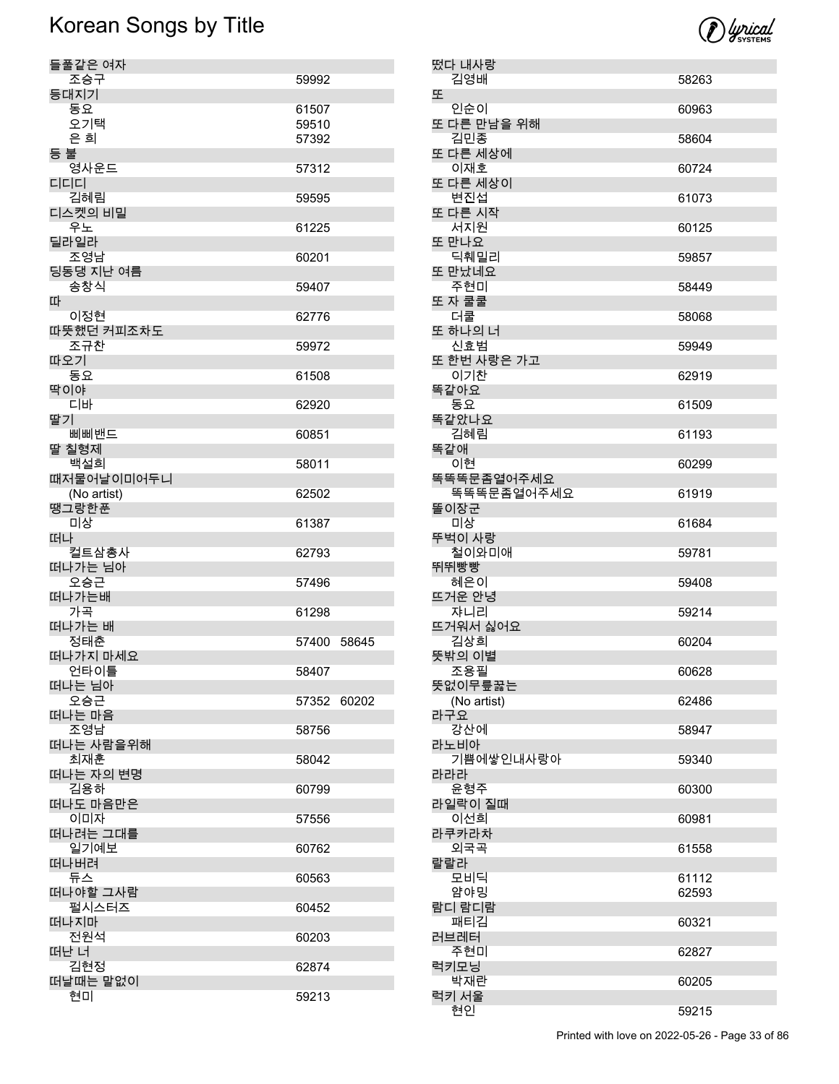

| 떴다 내사랑<br>김영배      | 58263 |
|--------------------|-------|
| 또                  |       |
| 인순이<br>또 다른 만남을 위해 | 60963 |
| 김민종                | 58604 |
| 또 다른 세상에<br>이재호    | 60724 |
| 또 다른 세상이<br>변진섭    | 61073 |
| 또 다른 시작            |       |
| 서지원<br>또 만나요       | 60125 |
| 딕훼밀리               | 59857 |
| 또 만났네요<br>주현미      | 58449 |
| 또 자 쿨쿨<br>더쿨       | 58068 |
| 또 하나의 너            |       |
| 신효범<br>또 한번 사랑은 가고 | 59949 |
| 이기찬                | 62919 |
| 똑같아요<br>동요         | 61509 |
| 똑같았나요              |       |
| 김혜림<br>똑같애         | 61193 |
| 이현<br>똑똑똑문좀열어주세요   | 60299 |
| 똑똑똑문좀열어주세요         | 61919 |
| 똘이장군<br>미상         | 61684 |
| 뚜벅이 사랑             |       |
| 철이와미애<br>뛰뛰빵빵      | 59781 |
| 혜은이<br>뜨거운 안녕      | 59408 |
| 쟈니리                | 59214 |
| 뜨거워서 싫어요<br>김상희    | 60204 |
| 뜻밖의 이별             |       |
| 조용필<br>뜻없이무릎꿇는     | 60628 |
| (No artist)<br>라구요 | 62486 |
| 강산에                | 58947 |
| 라노비아<br>기쁨에쌓인내사랑아  | 59340 |
| 라라라                |       |
| 운형주<br>라일락이 질때     | 60300 |
| 이선희<br>라쿠카라차       | 60981 |
| 외국곡                | 61558 |
| 랄랄라<br>모비딕         | 61112 |
| 얌야밍                | 62593 |
| 람디 람디람<br>패티김      | 60321 |
| 러브레터<br>주현미        | 62827 |
| 럭키모닝               |       |
|                    |       |
| 박재란<br>럭키 서울       | 60205 |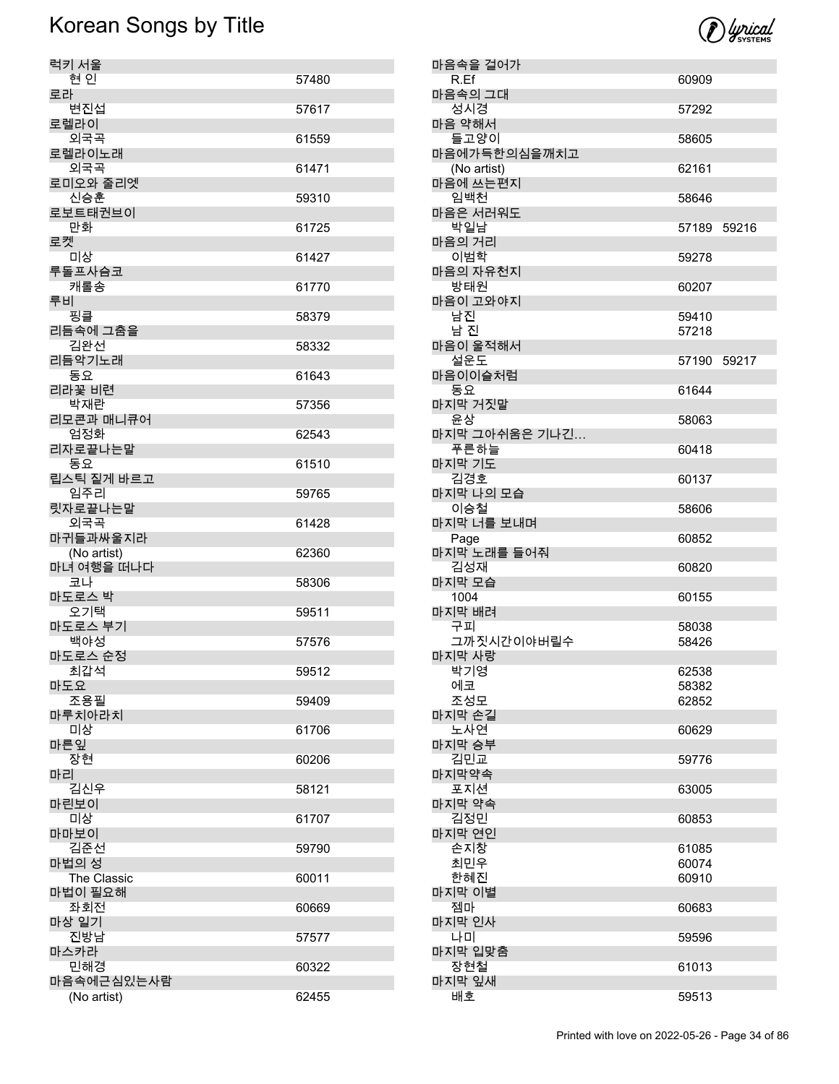

| 럭키 서울                |       |
|----------------------|-------|
| 현인                   | 57480 |
| 로라<br>변진섭            | 57617 |
| 로렐라이                 |       |
| 외국곡                  | 61559 |
| 로렐라이노래<br>외국곡        | 61471 |
| 로미오와 줄리엣             |       |
| 신승훈                  | 59310 |
| 로보트태권브이<br>만화        | 61725 |
| 로켓                   |       |
| 미상<br>루돌프사슴코         | 61427 |
| 캐롤송                  | 61770 |
| 루비                   |       |
| 핑클<br>리듬속에 그춤을       | 58379 |
| 김완선                  | 58332 |
| 리듬악기노래<br>동요         |       |
| 리라꽃 비련               | 61643 |
| 박재란                  | 57356 |
| 리모콘과 매니큐어<br>엄정화     | 62543 |
| 리자로끝나는말              |       |
| 동요<br>립스틱 짙게 바르고     | 61510 |
| 임주리                  | 59765 |
| 릿자로끝나는말<br>외국곡       |       |
| 마귀들과싸울지라             | 61428 |
| (No artist)          | 62360 |
| 마녀 여행을 떠나다<br>코나     | 58306 |
| 마도로스 박               |       |
| 오기택<br>마도로스 부기       | 59511 |
| 백야성                  | 57576 |
| 마도로스 순정              |       |
| 최갑석<br>마도요           | 59512 |
| 조용필                  | 59409 |
| 마루치아라치<br>미상         | 61706 |
| 마른잎                  |       |
| 장현<br>마리             | 60206 |
| 김신우                  | 58121 |
| 마린보이                 |       |
| 미상<br>마마보이           | 61707 |
| 김준선                  | 59790 |
| 마법의 성<br>The Classic | 60011 |
| 마법이 필요해              |       |
| 좌회전                  | 60669 |
| 마상 일기<br>진방남         | 57577 |
| 마스카라                 |       |
| 민해경<br>마음속에근심있는사람    | 60322 |
| (No artist)          | 62455 |

| 마음속을 걸어가                    |                |  |
|-----------------------------|----------------|--|
| R.Ef                        | 60909          |  |
| 마음속의 그대<br>성시경              | 57292          |  |
| 마음 약해서<br>들고양이              | 58605          |  |
| 마음에가득한의심을깨치고<br>(No artist) | 62161          |  |
| 마음에 쓰는편지<br>임백처             | 58646          |  |
| 마음은 서러워도<br>박일남             | 57189 59216    |  |
| 마음의 거리<br>이범학               | 59278          |  |
| 마음의 자유천지<br>방태원             | 60207          |  |
| 마음이 고와야지                    |                |  |
| 남진<br>남 진                   | 59410<br>57218 |  |
| 마음이 울적해서<br>설운도             | 57190 59217    |  |
| 마음이이슬처럼<br>동요               | 61644          |  |
| 마지막 거짓말                     |                |  |
| 윤상<br>마지막 그아쉬움은 기나긴         | 58063          |  |
| 푸른하늘<br>마지막 기도              | 60418          |  |
| 김경호<br>마지막 나의 모습            | 60137          |  |
| 이승철<br>마지막 너를 보내며           | 58606          |  |
| Page<br>마지막 노래를 들어줘         | 60852          |  |
| 김성재                         | 60820          |  |
| 마지막 모습<br>1004              | 60155          |  |
| 마지막 배려<br>구피                | 58038          |  |
| 그까짓시간이야버릴수<br>마지막 사랑        | 58426          |  |
| 박기영                         | 62538          |  |
| 에코<br>조성모                   | 58382<br>62852 |  |
| 마지막 손길<br>노사연               | 60629          |  |
| 마지막 승부<br>김민교               | 59776          |  |
| 마지막약속<br>포지션                | 63005          |  |
| 마지막 약속                      |                |  |
| 김정민<br>마지막 연인               | 60853          |  |
| 손지창<br>최민우                  | 61085<br>60074 |  |
| 한혜진<br>마지막 이별               | 60910          |  |
| 젬마<br>마지막 인사                | 60683          |  |
| 나미                          | 59596          |  |
| 마지막 입맞춤<br>장현철              | 61013          |  |
| 마지막 잎새<br>배호                | 59513          |  |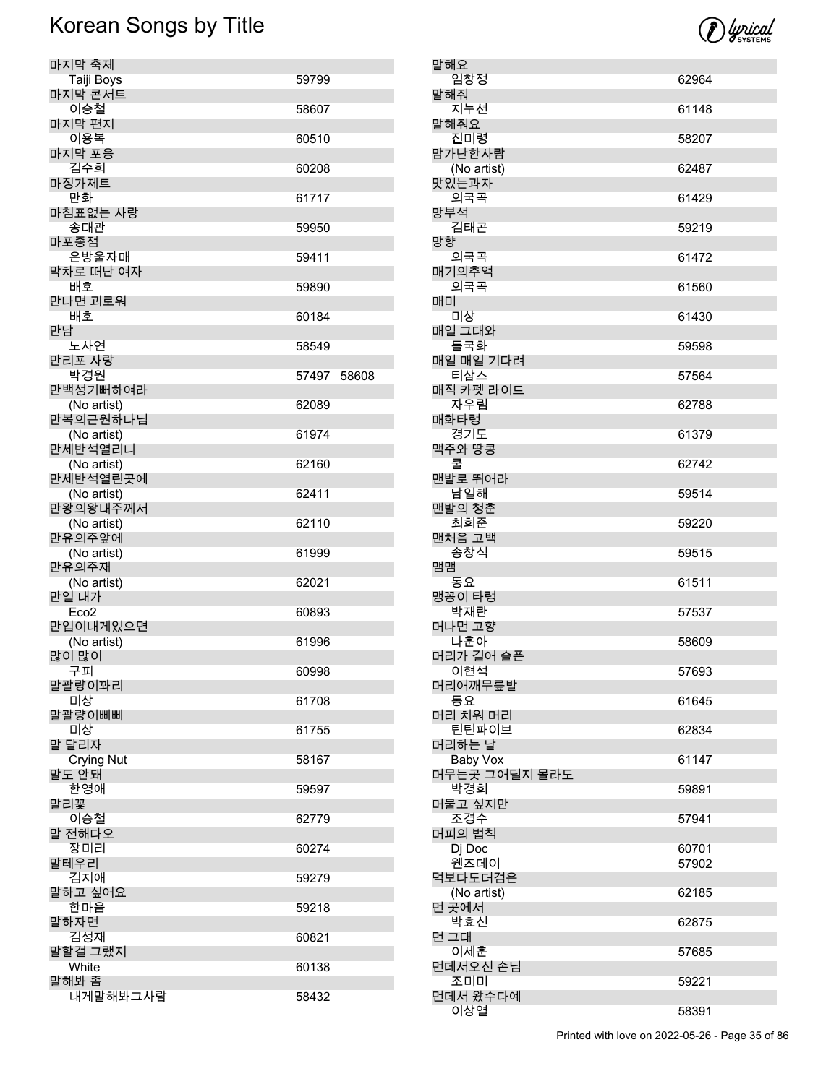

| 마지막 축제                       |             |  |
|------------------------------|-------------|--|
| Taiji Boys<br>마지막 콘서트        | 59799       |  |
| 이승철                          | 58607       |  |
| 마지막 편지<br>이용복                | 60510       |  |
| 마지막 포옹<br>김수희                | 60208       |  |
| 마징가제트                        |             |  |
| 만화<br>마침표없는 사랑               | 61717       |  |
| 송대관<br>마포종점                  | 59950       |  |
| 은방울자매                        | 59411       |  |
| 막차로 떠난 여자<br>배호              | 59890       |  |
| 만나면 괴로워<br>배호                | 60184       |  |
| 만남<br>노사연                    | 58549       |  |
| 만리포 사랑                       |             |  |
| 박경원<br>만백성기뻐하여라              | 57497 58608 |  |
| (No artist)<br>만복의근원하나님      | 62089       |  |
| (No artist)                  | 61974       |  |
| 만세반석열리니<br>(No artist)       | 62160       |  |
| 만세반석열린곳에<br>(No artist)      | 62411       |  |
| 만왕의왕내주께서<br>(No artist)      | 62110       |  |
| 만유의주앞에                       |             |  |
| (No artist)<br>만유의주재         | 61999       |  |
| (No artist)<br>만일 내가         | 62021       |  |
| Eco <sub>2</sub><br>만입이내게있으면 | 60893       |  |
| (No artist)                  | 61996       |  |
| 많이 많이<br>구피                  | 60998       |  |
| 말괄량이꽈리<br>미상                 | 61708       |  |
| 말괄량이삐삐                       |             |  |
| 미상<br>말 달리자                  | 61755       |  |
| <b>Crying Nut</b><br>말도 안돼   | 58167       |  |
| 한영애                          | 59597       |  |
| 말리꽃<br>이승철                   | 62779       |  |
| 말 전해다오<br>장미리                | 60274       |  |
| 말테우리<br>김지애                  | 59279       |  |
| 말하고 싶어요                      |             |  |
| 한마음<br>말하자면                  | 59218       |  |
| 김성재<br>말할걸 그랬지               | 60821       |  |
| White                        | 60138       |  |
| 말해봐 좀<br>내게말해봐그사람            | 58432       |  |

| 말해요                  |                |
|----------------------|----------------|
| 임창정                  | 62964          |
| 말해쥐<br>지누션           | 61148          |
| 말해줘요                 |                |
| 진미령<br>맘가난한사람        | 58207          |
| (No artist)          | 62487          |
| 맛있는과자                |                |
| 외국곡<br>망부석           | 61429          |
| 김태곤                  | 59219          |
| 망향<br>외국곡            | 61472          |
| 매기의추억<br>외국곡         | 61560          |
| 매미                   |                |
| 미상<br>매일 그대와         | 61430          |
| 들국화                  | 59598          |
| 매일 매일 기다려<br>티삼스     | 57564          |
| 매직 카펫 라이드            |                |
| 자우림                  | 62788          |
| 매화타령<br>경기도          | 61379          |
| 맥주와 땅콩<br>쿨          | 62742          |
| 맨발로 뛰어라              |                |
| 남일해<br>맨발의 청춘        | 59514          |
| 최희준                  | 59220          |
| 맨처음 고백<br>송창식        | 59515          |
| 맴맴<br>동요             | 61511          |
| 맹꽁이 타령<br>박재란        |                |
| 머나먼 고향               | 57537          |
| 나훈아<br>머리가 길어 슬픈     | 58609          |
| 이현석                  | 57693          |
| 머리어깨무릎발<br>동요        | 61645          |
| 머리 치워 머리             |                |
| 틴틴파이브<br>머리하는 날      | 62834          |
| <b>Baby Vox</b>      | 61147          |
| 머무는곳 그어딜지 몰라도<br>박경희 | 59891          |
| 머물고 싶지만              |                |
| 조경수<br>머피의 법칙        | 57941          |
| Dj Doc<br>웬즈데이       | 60701<br>57902 |
| 먹보다도더검은              |                |
| (No artist)<br>먼 곳에서 | 62185          |
| 박효신                  | 62875          |
| 먼 그대<br>이세훈          | 57685          |
| 먼데서오신 손님             |                |
| 조미미                  | 59221          |
| 먼데서 왔수다예<br>이상열      | 58391          |
|                      |                |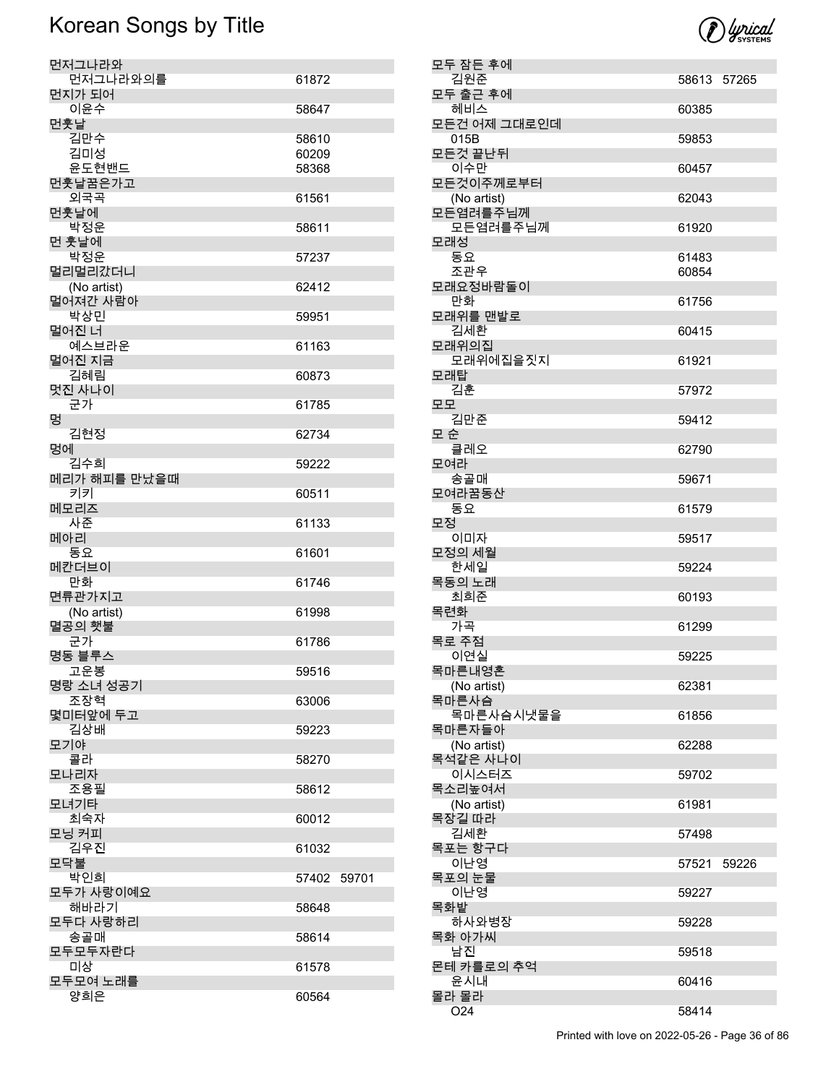

| 모두 잠든 후에                 |             |       |
|--------------------------|-------------|-------|
| 김원준                      | 58613 57265 |       |
| 모두 출근 후에<br>헤비스          | 60385       |       |
| 모든건 어제 그대로인데             |             |       |
| 015B                     | 59853       |       |
| 모든것 끝난뒤<br>이수만           |             |       |
| 모든것이주께로부터                | 60457       |       |
| (No artist)              | 62043       |       |
| 모든염려를주님께                 |             |       |
| 모든염려를주님께<br>모래성          | 61920       |       |
| 동요                       | 61483       |       |
| 조관우                      | 60854       |       |
| 모래요정바람돌이                 |             |       |
| 만화<br>모래위를 맨발로           | 61756       |       |
| 김세환                      | 60415       |       |
| 모래위의집                    |             |       |
| 모래위에집을짓지                 | 61921       |       |
| 모래탑<br>김훈                | 57972       |       |
| 모모                       |             |       |
| 김만준                      | 59412       |       |
| 모 순<br>클레오               | 62790       |       |
| 모여라                      |             |       |
| 송골매                      | 59671       |       |
| 모여라꿈동산<br>동요             | 61579       |       |
| 모정                       |             |       |
| 이미자                      | 59517       |       |
| 모정의 세월<br>한세일            | 59224       |       |
| 목동의 노래                   |             |       |
| 최희준                      | 60193       |       |
| 목련화<br>가곡                | 61299       |       |
| 목로 주점                    |             |       |
| 이연실                      | 59225       |       |
| 목마른내영혼                   |             |       |
| (No artist)<br>목마른사슴     | 62381       |       |
| 목마른사슴시냇물을                | 61856       |       |
| 목마른자들아                   |             |       |
| (No artist)<br>목석같은 사나이  | 62288       |       |
| 이시스터즈                    | 59702       |       |
| 목소리높여서                   |             |       |
| (No artist)<br>목장길 따라    | 61981       |       |
| 김세환                      | 57498       |       |
| 목포는 항구다                  |             |       |
| 이난영<br>목포의 눈물            | 57521       | 59226 |
| 이난영                      | 59227       |       |
| 목화밭                      |             |       |
| 하사와병장                    | 59228       |       |
| 목화 아가씨<br>남진             | 59518       |       |
| 몬테 카를로의 추억               |             |       |
| 윤시내                      | 60416       |       |
| 몰라 몰라<br>O <sub>24</sub> | 58414       |       |
|                          |             |       |

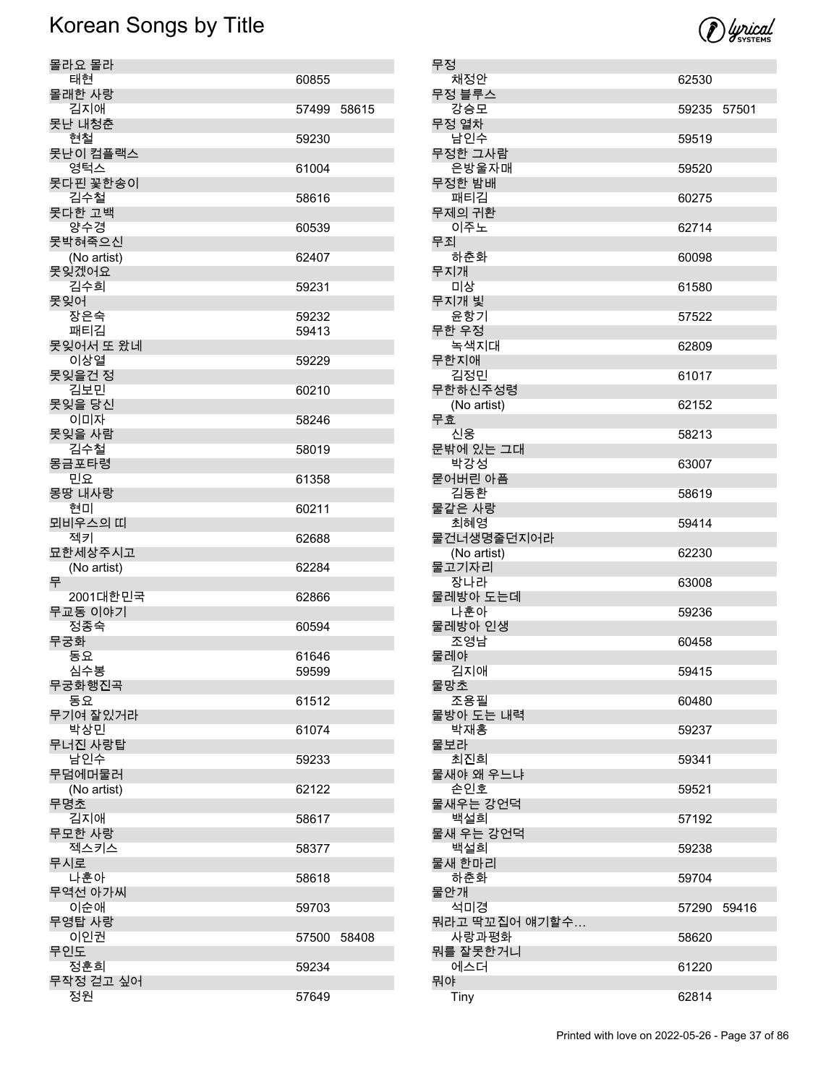

| 무정             |                           |             |  |
|----------------|---------------------------|-------------|--|
| 채정안            |                           | 62530       |  |
| 무정 블루스         |                           |             |  |
| 강승모<br>무정 열차   |                           | 59235 57501 |  |
| 남인수            |                           | 59519       |  |
| 무정한 그사람        |                           |             |  |
|                | 은방울자매                     | 59520       |  |
| 무정한 밤배         |                           |             |  |
| 패티김<br>무제의 귀환  |                           | 60275       |  |
| 이주노            |                           | 62714       |  |
| 무죄             |                           |             |  |
| 하춘화            |                           | 60098       |  |
| 무지개<br>미상      |                           | 61580       |  |
| 무지개 빛          |                           |             |  |
| 윤항기            |                           | 57522       |  |
| 무한 우정          |                           |             |  |
|                | 녹색지대                      | 62809       |  |
| 무한지애<br>김정민    |                           |             |  |
|                | 무한하신주성령                   | 61017       |  |
|                | (No artist)               | 62152       |  |
| 무효             |                           |             |  |
| 신웅             |                           | 58213       |  |
| 박강성            | 문밖에 있는 그대                 | 63007       |  |
| 묻어버린 아픔        |                           |             |  |
| 김동환            |                           | 58619       |  |
| 물같은 사랑         |                           |             |  |
| 최혜영            |                           | 59414       |  |
|                | 물건너생명줄던지어라<br>(No artist) | 62230       |  |
| 물고기자리          |                           |             |  |
| 장나라            |                           | 63008       |  |
|                | 물레방아 도는데                  |             |  |
| 나훈아<br>물레방아 인생 |                           | 59236       |  |
| 조영남            |                           | 60458       |  |
| 물레야            |                           |             |  |
| 김지애            |                           | 59415       |  |
| 물망초<br>조용필     |                           |             |  |
|                | 물방아 도는 내력                 | 60480       |  |
| 박재홍            |                           | 59237       |  |
| 물보라            |                           |             |  |
| 최진희            |                           | 59341       |  |
| 손인호            | 물새야 왜 우느냐                 | 59521       |  |
|                | 물새우는 강언덕                  |             |  |
| 백설희            |                           | 57192       |  |
|                | 물새 우는 강언덕                 |             |  |
| 백설희            |                           | 59238       |  |
| 물새 한마리<br>하춘화  |                           | 59704       |  |
| 물안개            |                           |             |  |
| 석미경            |                           | 57290 59416 |  |
|                | 뭐라고 딱꼬집어 얘기할수             |             |  |
|                | 사랑과평화                     | 58620       |  |
| 에스더            | 뭐를 잘못한거니                  | 61220       |  |
| 뭐야             |                           |             |  |
| Tiny           |                           | 62814       |  |
|                |                           |             |  |

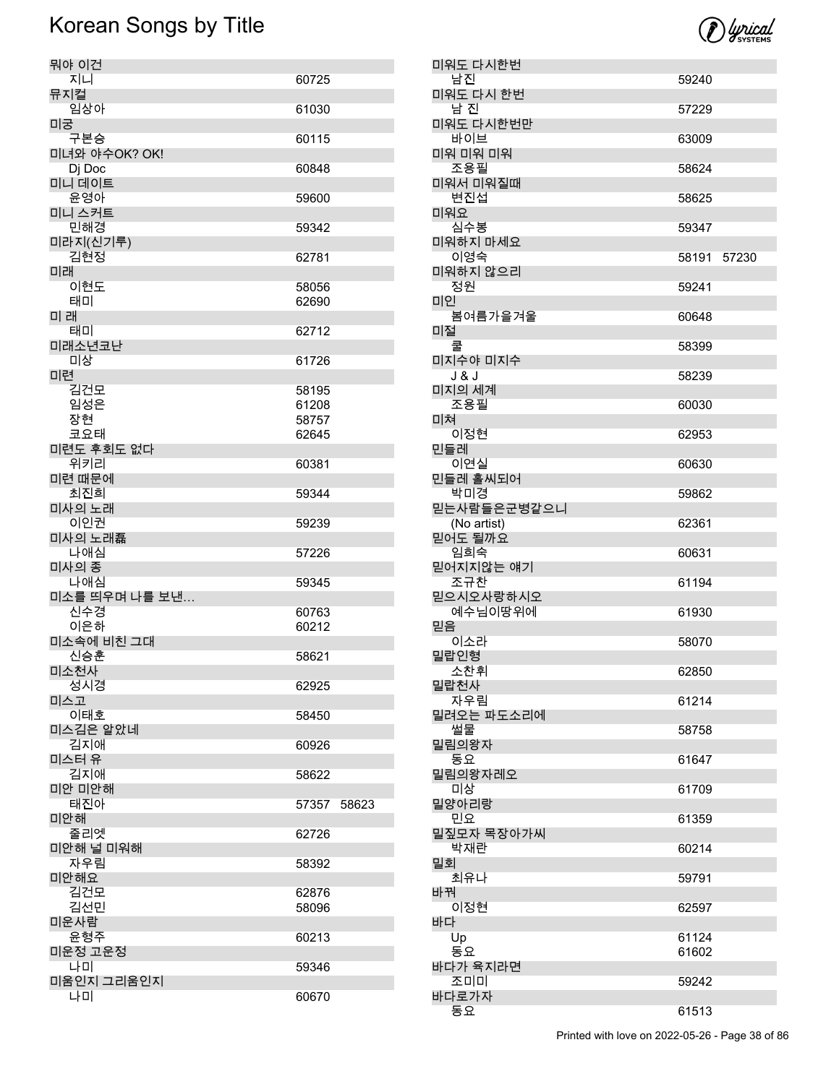

| 뭐야 이건                |                |       |
|----------------------|----------------|-------|
| 지니<br>뮤지컬            | 60725          |       |
| 임상아                  | 61030          |       |
| 미궁<br>구본승            | 60115          |       |
| 미녀와 야수OK? OK!        |                |       |
| Dj Doc<br>미니 데이트     | 60848          |       |
| 윤영아<br>미니 스커트        | 59600          |       |
| 민해경                  | 59342          |       |
| 미라지(신기루)<br>김현정      | 62781          |       |
| 미래                   |                |       |
| 이현도<br>태미            | 58056<br>62690 |       |
| 미래                   |                |       |
| 태미<br>미래소년코난         | 62712          |       |
| 미상                   | 61726          |       |
| 미련<br>김건모            | 58195          |       |
| 임성은                  | 61208          |       |
| 장현<br>코요태            | 58757<br>62645 |       |
| 미련도 후회도 없다           |                |       |
| 위키리<br>미련 때문에        | 60381          |       |
| 최진희                  | 59344          |       |
| 미사의 노래<br>이인권        | 59239          |       |
| 미사의 노래磊              |                |       |
| 나애심<br>미사의 종         | 57226          |       |
| 나애심                  | 59345          |       |
| 미소를 띄우며 나를 보낸<br>신수경 | 60763          |       |
| 이은하                  | 60212          |       |
| 미소속에 비친 그대           |                |       |
| 신승훈<br>미소천사          | 58621          |       |
| 성시경                  | 62925          |       |
| 미스고<br>이태호           | 58450          |       |
| 미스김은 알았네             |                |       |
| 김지애<br>미스터 유         | 60926          |       |
| 김지애<br>미안 미안해        | 58622          |       |
| 태진아                  | 57357          | 58623 |
| 미안해<br>줄리엣           | 62726          |       |
| 미안해 널 미워해            |                |       |
| 자우림<br>미안해요          | 58392          |       |
| 김건모                  | 62876          |       |
| 김선민<br>미운사람          | 58096          |       |
| 운형주                  | 60213          |       |
| 미운정 고운정              |                |       |
| 나미<br>미움인지 그리움인지     | 59346          |       |
| 나미                   | 60670          |       |

| 미워도 다시한번                   |                |       |
|----------------------------|----------------|-------|
| 남진<br>미워도 다시 한번            | 59240          |       |
| 남 진<br>미워도 다시한번만           | 57229          |       |
| 바이브<br>미워 미워 미워            | 63009          |       |
| 조용필                        | 58624          |       |
| 미워서 미워질때<br>변진섭            | 58625          |       |
| 미워요<br>심수봉                 | 59347          |       |
| 미워하지 마세요<br>이영숙            | 58191          | 57230 |
| 미워하지 않으리<br>정원             | 59241          |       |
| 미인<br>봄여름가을겨울              | 60648          |       |
| 미절                         |                |       |
| 미지수야 미지수                   | 58399          |       |
| J & J<br>미지의 세계            | 58239          |       |
| 조용필<br>미쳐                  | 60030          |       |
| 이정현<br>민들레                 | 62953          |       |
| 이연실                        | 60630          |       |
| 민들레 홀씨되어<br>박미경            | 59862          |       |
| 믿는사람들은군병같으니<br>(No artist) | 62361          |       |
| 믿어도 될까요<br>임희숙             | 60631          |       |
| 믿어지지않는 얘기<br>조규찬           | 61194          |       |
| 믿으시오사랑하시오<br>예수님이땅위에       | 61930          |       |
| 믿음                         |                |       |
| 이소라<br>밀랍인형                | 58070          |       |
| 소찬휘<br>밀랍천사                | 62850          |       |
| 자우림<br>밀려오는 파도소리에          | 61214          |       |
| 썰물<br>밀림의왕자                | 58758          |       |
| 동요                         | 61647          |       |
| 밀림의왕자레오<br>미상              | 61709          |       |
| 밀양아리랑<br>민요                | 61359          |       |
| 밀짚모자 목장아가씨<br>박재란          | 60214          |       |
| 밀회<br>최유나                  | 59791          |       |
| 바꿔<br>이정현                  |                |       |
| 바다                         | 62597          |       |
| Up<br>동요                   | 61124<br>61602 |       |
| 바다가 육지라면<br>조미미            | 59242          |       |
| 바다로가자<br>동요                | 61513          |       |
|                            |                |       |

Printed with love on 2022-05-26 - Page 38 of 86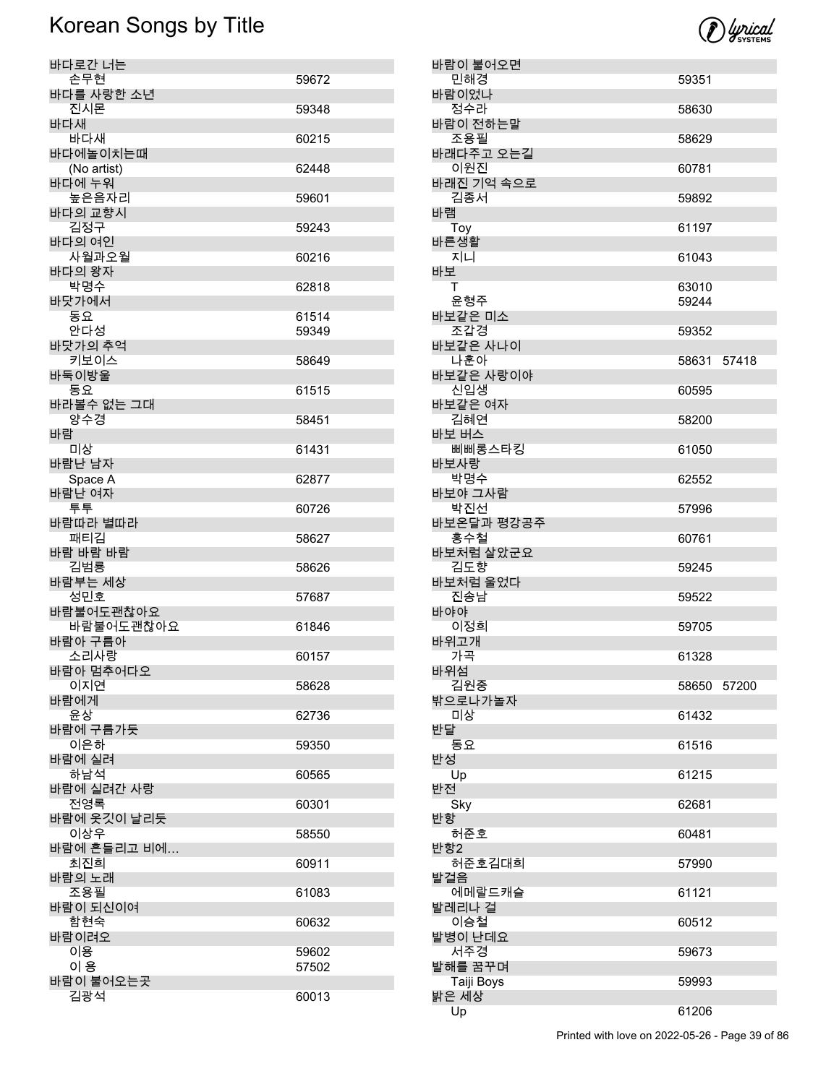

| 바다로간 너는                |       |
|------------------------|-------|
| 손무현                    | 59672 |
| 바다를 사랑한 소년<br>진시몬      |       |
| 바다새                    | 59348 |
| 바다새                    | 60215 |
| 바다에놀이치는때               |       |
| (No artist)<br>바다에 누워  | 62448 |
| 높은음자리                  | 59601 |
| 바다의 교향시                |       |
| 김정구<br>바다의 여인          | 59243 |
| 사월과오월                  | 60216 |
| 바다의 왕자                 |       |
| 박명수                    | 62818 |
| 바닷가에서<br>동요            | 61514 |
| 안다성                    | 59349 |
| 바닷가의 추억                |       |
| 키보이스<br>바둑이방울          | 58649 |
| 동요                     | 61515 |
| 바라볼수 없는 그대             |       |
| 양수경                    | 58451 |
| 바람<br>미상               | 61431 |
| 바람난 남자                 |       |
| Space A                | 62877 |
| 바람난 여자<br>투투           | 60726 |
| 바람따라 별따라               |       |
| 패티김                    | 58627 |
| 바람 바람 바람<br>김범룡        | 58626 |
| 바람부는 세상                |       |
| 성민호                    | 57687 |
| 바람불어도괜찮아요<br>바람불어도괜찮아요 | 61846 |
| 바람아 구름아                |       |
| 소리사랑                   | 60157 |
| 바람아 멈추어다오<br>이지연       | 58628 |
| 바람에게                   |       |
| 윤상                     | 62736 |
| 바람에 구름가듯<br>이은하        |       |
| 바람에 실려                 | 59350 |
| 하남석                    | 60565 |
| 바람에 실려간 사랑             |       |
| 전영록<br>바람에 옷깃이 날리듯     | 60301 |
| 이상우                    | 58550 |
| 바람에 흔들리고 비에            |       |
| 최진희<br>바람의 노래          | 60911 |
| 조용필                    | 61083 |
| 바람이 되신이여               |       |
| 함현숙<br>바람이려오           | 60632 |
| 이용                     | 59602 |
| 이 용                    | 57502 |
| 바람이 불어오는곳              |       |
| 김광석                    | 60013 |

| 바람이 불어오면          |             |  |
|-------------------|-------------|--|
| 민해경<br>바람이었나      | 59351       |  |
| 정수라               | 58630       |  |
| 바람이 전하는말<br>조용필   | 58629       |  |
| 바래다주고 오는길         |             |  |
| 이원진<br>바래진 기억 속으로 | 60781       |  |
| 김종서<br>바램         | 59892       |  |
| Toy               | 61197       |  |
| 바른생활<br>지니        | 61043       |  |
| 바보<br>т           | 63010       |  |
| 윤형주               | 59244       |  |
| 바보같은 미소<br>조갑경    | 59352       |  |
| 바보같은 사나이          |             |  |
| 나훈아<br>바보같은 사랑이야  | 58631 57418 |  |
| 신입생<br>바보같은 여자    | 60595       |  |
| 김혜연               | 58200       |  |
| 바보 버스<br>삐삐롱스타킹   | 61050       |  |
| 바보사랑<br>박명수       | 62552       |  |
| 바보야 그사람           |             |  |
| 박진선<br>바보온달과 평강공주 | 57996       |  |
| 홍수철<br>바보처럼 살았군요  | 60761       |  |
| 김도향               | 59245       |  |
| 바보처럼 울었다<br>진송남   | 59522       |  |
| 바야야<br>이정희        | 59705       |  |
| 바위고개              |             |  |
| 가곡<br>바위섬         | 61328       |  |
| 김원중<br>밖으로나가놀자    | 58650 57200 |  |
| 미상                | 61432       |  |
| 반달<br>동요          | 61516       |  |
| 반성<br>Up          | 61215       |  |
| 반전                |             |  |
| Sky<br>반항         | 62681       |  |
| 허준호<br>반항2        | 60481       |  |
| 허준호김대희            | 57990       |  |
| 발걸음<br>에메랄드캐슬     | 61121       |  |
| 발레리나 걸<br>이승철     | 60512       |  |
| 발병이 난데요           |             |  |
| 서주경<br>발해를 꿈꾸며    | 59673       |  |
| Taiji Boys        | 59993       |  |
| 밝은 세상<br>Up       | 61206       |  |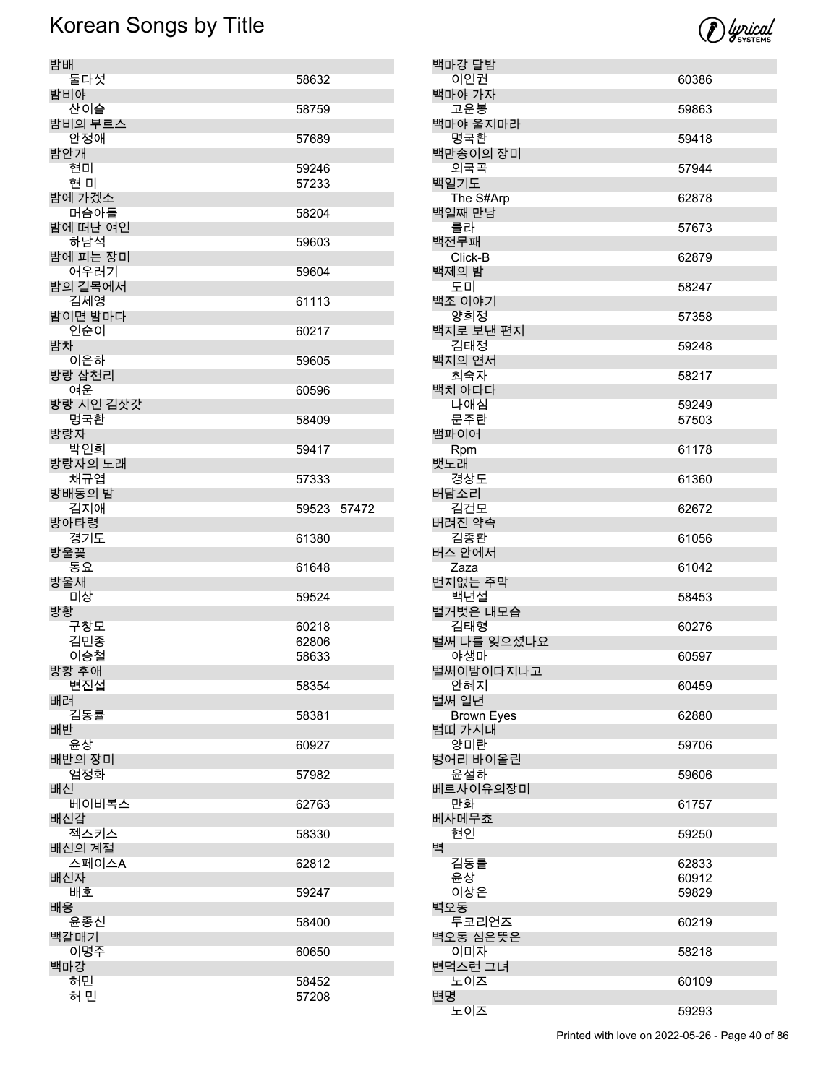

| 밤배               |                |
|------------------|----------------|
| 둘다섯<br>밤비야       | 58632          |
| 산이슬<br>밤비의 부르스   | 58759          |
| 안정애              | 57689          |
| 밤안개<br>현미        | 59246          |
| 현 미              | 57233          |
| 밤에 가겠소<br>머슴아들   | 58204          |
| 밤에 떠난 여인         |                |
| 하남석<br>밤에 피는 장미  | 59603          |
| 어우러기<br>밤의 길목에서  | 59604          |
| 김세영              | 61113          |
| 밤이면 밤마다<br>인순이   | 60217          |
| 밤차<br>이은하        |                |
| 방랑 삼천리           | 59605          |
| 여운<br>방랑 시인 김삿갓  | 60596          |
| 명국환<br>방랑자       | 58409          |
| 박인희              | 59417          |
| 방랑자의 노래<br>채규엽   | 57333          |
| 방배동의 밤           |                |
| 김지애<br>방아타령      | 59523<br>57472 |
|                  |                |
| 경기도              | 61380          |
| 방울꽃<br>동요        | 61648          |
| 방울새<br>미상        | 59524          |
| 방황               |                |
| 구창모<br>김민종       | 60218<br>62806 |
| 이승철              | 58633          |
| 방황 후애<br>변진섭     | 58354          |
| 배려<br>김동률        | 58381          |
| 배반               |                |
| 윤상<br>배반의 장미     | 60927          |
| 엄정화<br>배신        | 57982          |
| 베이비복스            | 62763          |
| 배신감<br>젝스키스      | 58330          |
| 배신의 계절<br>스페이스A  | 62812          |
| 배신자              |                |
| 배호<br>배웅         | 59247          |
| 윤종신              | 58400          |
| 백갈매기<br>이명주      | 60650          |
| 백마강<br>허민<br>허 민 | 58452          |

| 백마강 달밤              |                |
|---------------------|----------------|
| 이인권                 | 60386          |
| 백마야 가자<br>고운봉       | 59863          |
| 백마야 울지마라            |                |
| 명국환<br>백만송이의 장미     | 59418          |
| 외국곡                 | 57944          |
| 백일기도                |                |
| The S#Arp<br>백일째 만남 | 62878          |
| 룰라                  | 57673          |
| 백전무패<br>Click-B     | 62879          |
| 백제의 밤               |                |
| 도미<br>백조 이야기        | 58247          |
| 양희정                 | 57358          |
| 백지로 보낸 편지<br>김태정    | 59248          |
| 백지의 연서              |                |
| 최숙자                 | 58217          |
| 백치 아다다              |                |
| 나애심                 | 59249<br>57503 |
| 문주란<br>뱀파이어         |                |
| Rpm                 | 61178          |
| 뱃노래<br>경상도          | 61360          |
| 버담소리                |                |
| 김건모<br>버려진 약속       | 62672          |
| 김종환                 | 61056          |
| 버스 안에서<br>Zaza      | 61042          |
| 번지없는 주막             |                |
| 백년설<br>벌거벗은 내모습     | 58453          |
| 김태형                 | 60276          |
| 벌써 나를 잊으셨나요<br>야생마  | 60597          |
| 벌써이밤이다지나고           |                |
| 안혜지<br>벌써 일년        | 60459          |
| <b>Brown Eyes</b>   | 62880          |
| 범띠 가시내              |                |
| 양미란<br>벙어리 바이올린     | 59706          |
| 윤설하                 | 59606          |
| 베르사이유의장미<br>만화      | 61757          |
| 베사메무쵸               |                |
| 현인                  | 59250          |
| 벽<br>김동률            | 62833          |
| 윤상                  | 60912          |
| 이상은                 | 59829          |
| 벽오동                 |                |
| 투코리언즈<br>벽오동 심은뜻은   | 60219          |
| 이미자                 | 58218          |
| 변덕스런 그녀             |                |
| 노이즈<br>변명           | 60109          |
| 노이즈                 | 59293          |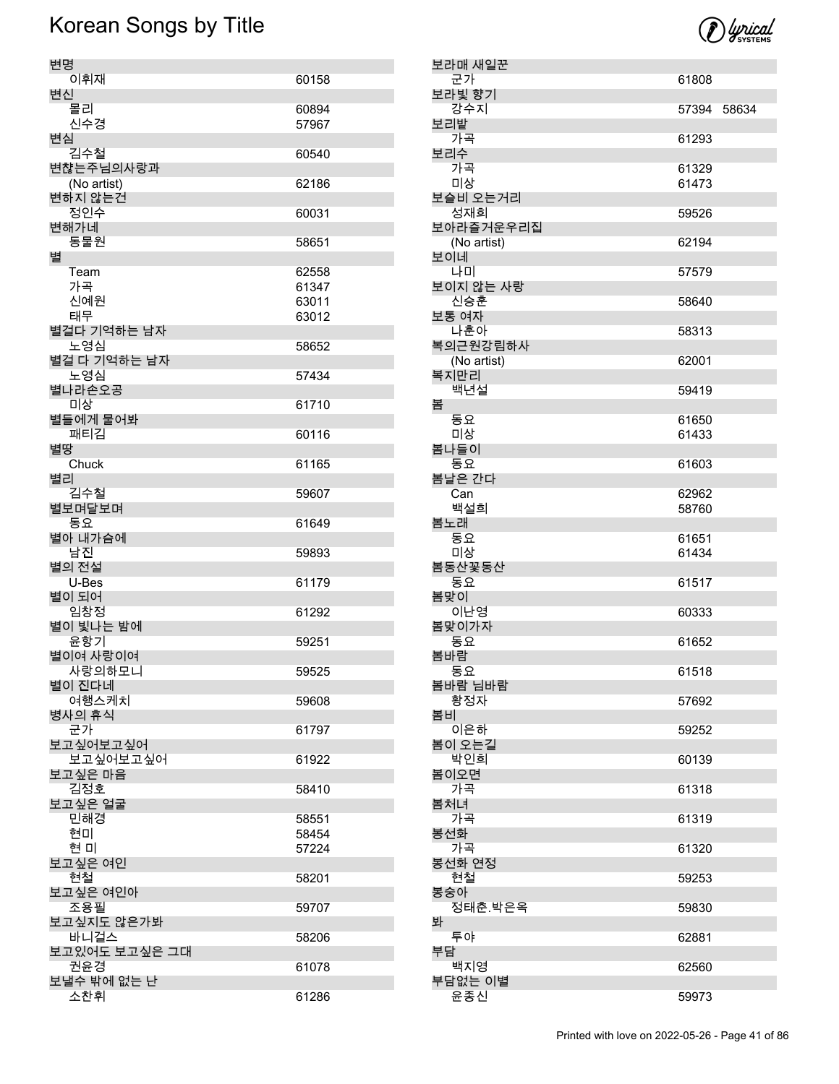

| 보라매 새일꾼       |                |  |
|---------------|----------------|--|
| 군가            | 61808          |  |
| 보라빛 향기<br>강수지 | 57394 58634    |  |
| 보리밭           |                |  |
| 가곡            | 61293          |  |
| 보리수           |                |  |
| 가곡<br>미상      | 61329<br>61473 |  |
| 보슬비 오는거리      |                |  |
| 성재희           | 59526          |  |
| 보아라즐거운우리집     |                |  |
| (No artist)   | 62194          |  |
| 보이네<br>나미     | 57579          |  |
| 보이지 않는 사랑     |                |  |
| 신승훈           | 58640          |  |
| 보통 여자<br>나훈아  |                |  |
| 복의근원강림하사      | 58313          |  |
| (No artist)   | 62001          |  |
| 복지만리          |                |  |
| 백년설           | 59419          |  |
| 봄<br>동요       | 61650          |  |
| 미상            | 61433          |  |
| 봄나들이          |                |  |
| 동요            | 61603          |  |
| 봄날은 간다<br>Can | 62962          |  |
| 백설희           | 58760          |  |
| 봄노래           |                |  |
| 동요            | 61651          |  |
| 미상<br>봄동산꽃동산  | 61434          |  |
| 동요            | 61517          |  |
| 봄맞이           |                |  |
| 이난영           | 60333          |  |
| 봄맞이가자<br>동요   | 61652          |  |
| 봄바람           |                |  |
| 동요            | 61518          |  |
| 봄바람 님바람       |                |  |
| 황정자<br>봄비     | 57692          |  |
| 이은하           | 59252          |  |
| 봄이 오는길        |                |  |
| 박인희<br>봄이오면   | 60139          |  |
| 가곡            | 61318          |  |
| 봄처녀           |                |  |
| 가곡            | 61319          |  |
| 봉선화<br>가곡     | 61320          |  |
| 봉선화 연정        |                |  |
| 현철            | 59253          |  |
| 봉숭아           |                |  |
| 정태춘.박은옥<br>봐  | 59830          |  |
| 투야            | 62881          |  |
| 부담            |                |  |
| 백지영           | 62560          |  |
| 부담없는 이별       |                |  |
| 윤종신           | 59973          |  |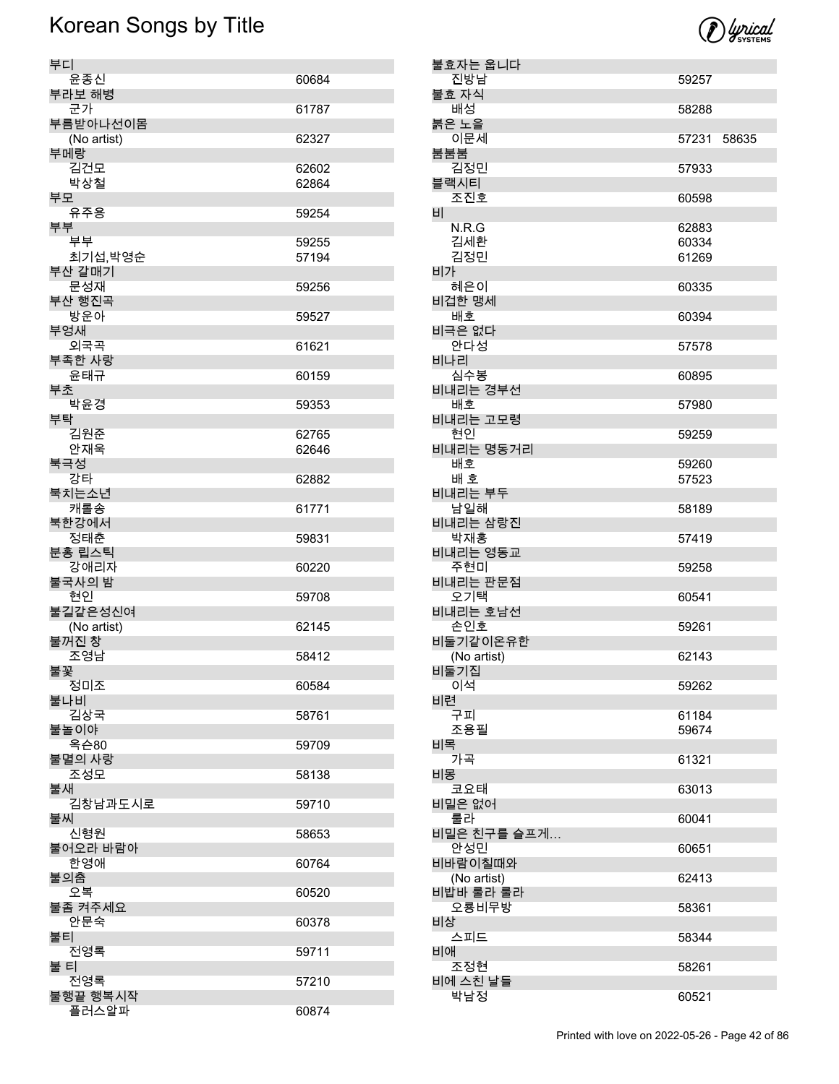

|    | 불효자는 웁니다           |                |       |
|----|--------------------|----------------|-------|
|    | 진방남<br>불효 자식       | 59257          |       |
|    | 배성                 | 58288          |       |
|    | 붉은 노을              |                |       |
|    | 이문세                | 57231          | 58635 |
|    | 붐붐붐<br>김정민         | 57933          |       |
|    | 블랙시티               |                |       |
|    | 조진호                | 60598          |       |
| 비  |                    |                |       |
|    | N.R.G<br>김세환       | 62883<br>60334 |       |
|    | 김정민                | 61269          |       |
| 비가 |                    |                |       |
|    | 혜은이                | 60335          |       |
|    | 비겁한 맹세<br>배호       | 60394          |       |
|    | 비극은 없다             |                |       |
|    | 안다성                | 57578          |       |
|    | 비나리                |                |       |
|    | 심수봉<br>비내리는 경부선    | 60895          |       |
|    | 배호                 | 57980          |       |
|    | 비내리는 고모령           |                |       |
|    | 현인<br>비내리는 명동거리    | 59259          |       |
|    | 배호                 | 59260          |       |
|    | 배 호                | 57523          |       |
|    | 비내리는 부두            |                |       |
|    | 남일해<br>비내리는 삼랑진    | 58189          |       |
|    | 박재홍                | 57419          |       |
|    | 비내리는 영동교           |                |       |
|    | 주현미<br>비내리는 판문점    | 59258          |       |
|    | 오기택                | 60541          |       |
|    | 비내리는 호남선           |                |       |
|    | 손인호<br>비둘기같이온유한    | 59261          |       |
|    | (No artist)        | 62143          |       |
|    | 비둘기집               |                |       |
| 비련 | 이석                 | 59262          |       |
|    | 구피                 | 61184          |       |
|    | 조용필                | 59674          |       |
| 비목 |                    |                |       |
| 비몽 | 가곡                 | 61321          |       |
|    | 코요태                | 63013          |       |
|    | 비밀은 없어             |                |       |
|    | 룰라<br>비밀은 친구를 슬프게… | 60041          |       |
|    | 안성민                | 60651          |       |
|    | 비바람이칠때와            |                |       |
|    | (No artist)        | 62413          |       |
|    | 비밥바 룰라 룰라<br>오룡비무방 | 58361          |       |
| 비상 |                    |                |       |
|    | 스피드                | 58344          |       |
| 비애 | 조정현                | 58261          |       |
|    | 비에 스친 날들           |                |       |
|    | 박남정                | 60521          |       |

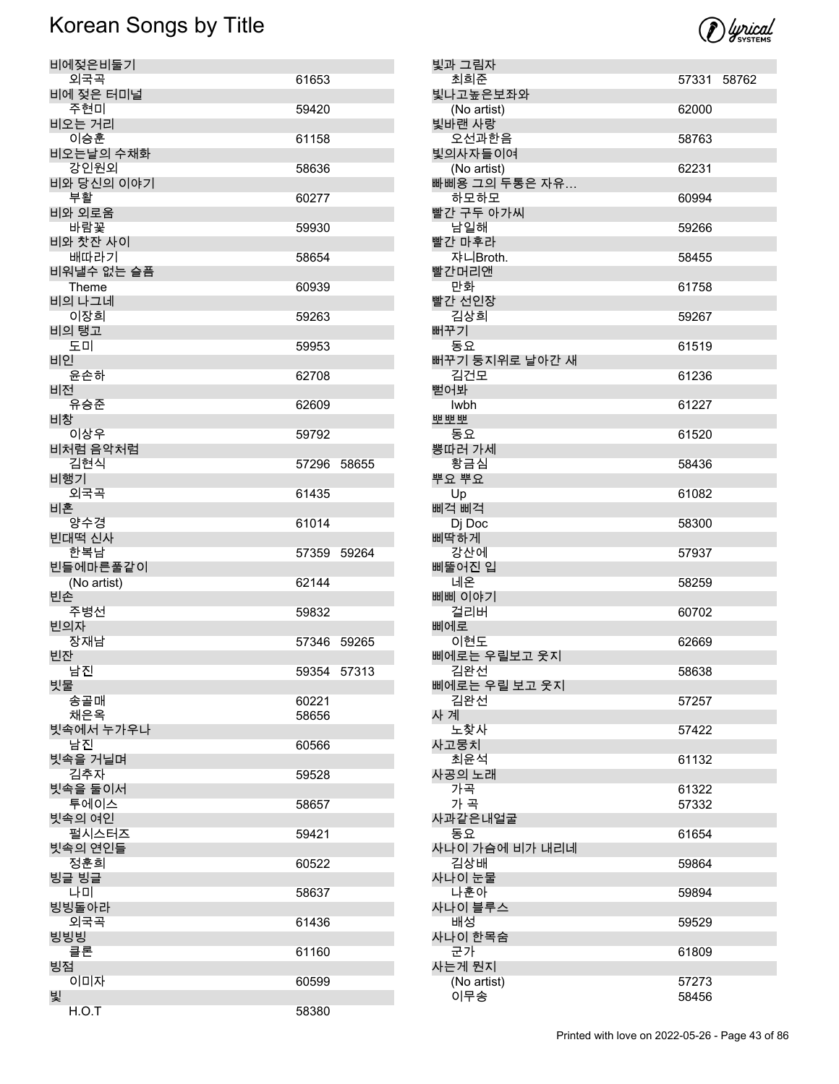

| 비에젖은비둘기             |       |             |
|---------------------|-------|-------------|
| 외국곡                 | 61653 |             |
| 비에 젖은 터미널<br>주현미    | 59420 |             |
| 비오는 거리              |       |             |
| 이승훈<br>비오는날의 수채화    | 61158 |             |
| 강인원외                | 58636 |             |
| 비와 당신의 이야기<br>부활    | 60277 |             |
| 비와 외로움              |       |             |
| 바람꽃<br>비와 찻잔 사이     | 59930 |             |
| 배따라기                | 58654 |             |
| 비워낼수 없는 슬픔<br>Theme | 60939 |             |
| 비의 나그네              |       |             |
| 이장희<br>비의 탱고        | 59263 |             |
| 도미                  | 59953 |             |
| 비인<br>윤손하           | 62708 |             |
| 비전                  |       |             |
| 유승준<br>비창           | 62609 |             |
| 이상우                 | 59792 |             |
| 비처럼 음악처럼<br>김현식     |       | 57296 58655 |
| 비행기                 |       |             |
| 외국곡<br>비혼           | 61435 |             |
| 양수경                 | 61014 |             |
|                     |       |             |
| 빈대떡 신사              |       |             |
| 한복남<br>빈들에마른풀같이     |       | 57359 59264 |
| (No artist)         | 62144 |             |
| 빈손<br>주병선           | 59832 |             |
| 빈의자                 |       |             |
| 장재남<br>빈잔           |       | 57346 59265 |
| 남진                  |       | 59354 57313 |
| 빗물<br>송골매           | 60221 |             |
| 채은옥                 | 58656 |             |
| 빗속에서 누가우나<br>남진     | 60566 |             |
| 빗속을 거닐며             |       |             |
| 김추자                 | 59528 |             |
| 빗속을 둘이서<br>투에이스     | 58657 |             |
| 빗속의 여인<br>펄시스터즈     | 59421 |             |
| 빗속의 연인들             |       |             |
| 정훈희<br>빙글 빙글        | 60522 |             |
| 나미                  | 58637 |             |
| 빙빙돌아라<br>외국곡        | 61436 |             |
| 빙빙빙                 |       |             |
| 클론                  | 61160 |             |
| 빙점<br>이미자<br>빛      | 60599 |             |

| 빛과 그림자                |             |  |
|-----------------------|-------------|--|
| 최희준                   | 57331 58762 |  |
| 빛나고높은보좌와              |             |  |
| (No artist)<br>빛바랜 사랑 | 62000       |  |
| 오선과한음                 | 58763       |  |
| 빛의사자들이여               |             |  |
| (No artist)           | 62231       |  |
| 빠삐용 그의 두통은 자유         |             |  |
| 하모하모                  | 60994       |  |
| 빨간 구두 아가씨<br>남일해      |             |  |
| 빨간 마후라                | 59266       |  |
| 쟈니Broth.              | 58455       |  |
| 빨간머리앤                 |             |  |
| 만화                    | 61758       |  |
| 빨간 선인장                |             |  |
| 김상희                   | 59267       |  |
| 뻐꾸기<br>동요             | 61519       |  |
| 뻐꾸기 둥지위로 날아간 새        |             |  |
| 김건모                   | 61236       |  |
| 뻗어봐                   |             |  |
| <b>Iwbh</b>           | 61227       |  |
| <b>AR AR AR</b>       |             |  |
| 동요<br>뽕따러 가세          | 61520       |  |
| 황금심                   | 58436       |  |
| 뿌요 뿌요                 |             |  |
| Up                    | 61082       |  |
| 삐걱 삐걱                 |             |  |
| Di Doc                | 58300       |  |
| 삐딱하게<br>강산에           | 57937       |  |
| 삐뚤어진 입                |             |  |
| 네온                    | 58259       |  |
| 삐삐 이야기                |             |  |
| 걸리버                   | 60702       |  |
| 삐에로                   |             |  |
| 이현도<br>삐에로는 우릴보고 웃지   | 62669       |  |
| 김완선                   | 58638       |  |
| 삐에로는 우릴 보고 웃지         |             |  |
| 김완선                   | 57257       |  |
| 사 계                   |             |  |
| 노찾사                   | 57422       |  |
| 사고뭉치<br>최윤석           | 61132       |  |
| 사공의 노래                |             |  |
| 가곡                    | 61322       |  |
| 가 곡                   | 57332       |  |
| 사과같은내얼굴               |             |  |
| 동요                    | 61654       |  |
| 사나이 가슴에 비가 내리네<br>김상배 | 59864       |  |
| 사나이 눈물                |             |  |
| 나훈아                   | 59894       |  |
| 사나이 블루스               |             |  |
| 배성                    | 59529       |  |
| 사나이 한목숨               |             |  |
| 군가<br>사는게 뭔지          | 61809       |  |
| (No artist)           | 57273       |  |
| 이무송                   | 58456       |  |
|                       |             |  |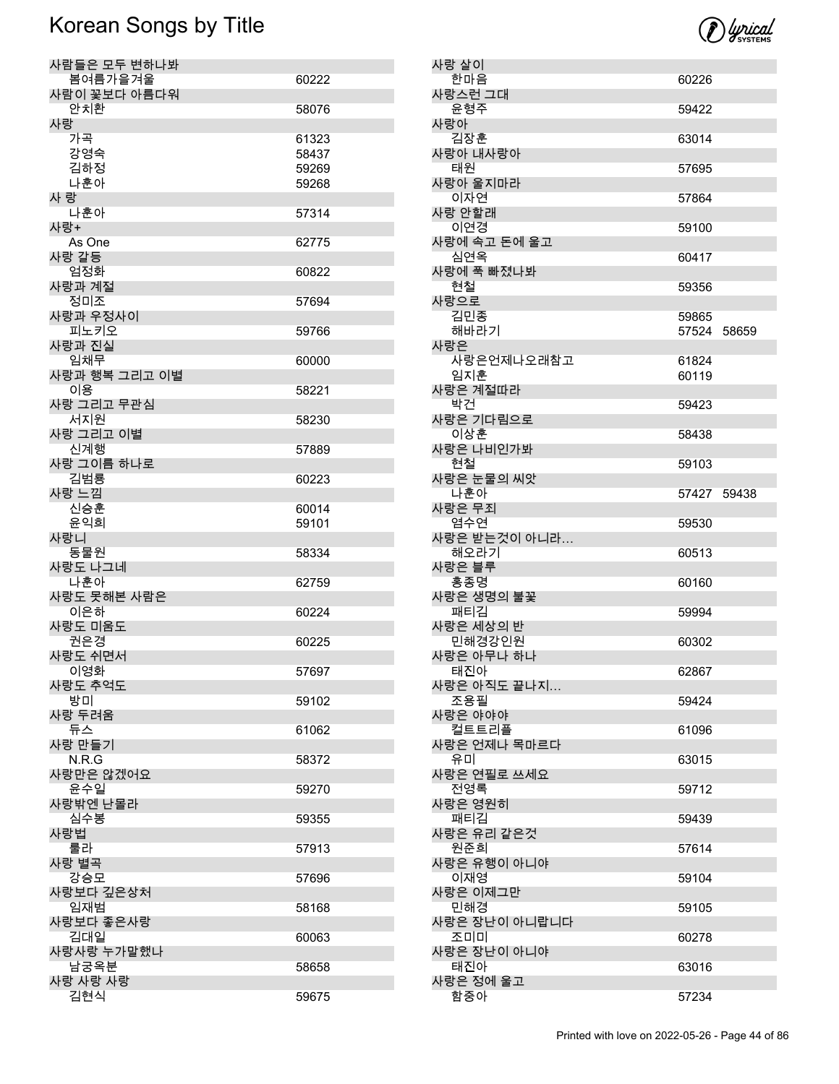

| 사람들은 모두 변하나봐     |                |
|------------------|----------------|
| 봄여름가을겨울          | 60222          |
| 사람이 꽃보다 아름다워     |                |
| 안치환              | 58076          |
| 사랑<br>가곡         | 61323          |
| 강영숙              | 58437          |
| 김하정              | 59269          |
| 나훈아              | 59268          |
| 사 랑              |                |
| 나훈아              | 57314          |
| 사랑+              |                |
| As One           | 62775          |
| 사랑 갈등            |                |
| 엄정화              | 60822          |
| 사랑과 계절           |                |
| 정미조              | 57694          |
| 사랑과 우정사이<br>피노키오 |                |
| 사랑과 진실           | 59766          |
| 임채무              | 60000          |
| 사랑과 행복 그리고 이별    |                |
| 이용               | 58221          |
| 사랑 그리고 무관심       |                |
| 서지원              | 58230          |
| 사랑 그리고 이별        |                |
| 신계행              | 57889          |
| 사랑 그이름 하나로       |                |
| 김범룡              | 60223          |
| 사랑 느낌            |                |
| 신승훈<br>윤익희       | 60014<br>59101 |
| 사랑니              |                |
| 동물원              | 58334          |
| 사랑도 나그네          |                |
| 나훈아              | 62759          |
| 사랑도 못해본 사람은      |                |
| 이은하              | 60224          |
| 사랑도 미움도          |                |
| 권은경              | 60225          |
| 사랑도 쉬면서          |                |
| 이영화<br>사랑도 추억도   | 57697          |
| 방미               | 59102          |
| 사랑 두려움           |                |
| 듀스               | 61062          |
| 사랑 만들기           |                |
| N.R.G            | 58372          |
| 사랑만은 않겠어요        |                |
| 윤수일              | 59270          |
| 사랑밖엔 난몰라         |                |
| 심수봉<br>사랑법       | 59355          |
| 룰라               | 57913          |
| 사랑 별곡            |                |
| 강승모              | 57696          |
| 사랑보다 깊은상처        |                |
| 임재범              | 58168          |
| 사랑보다 좋은사랑        |                |
| 김대일              | 60063          |
| 사랑사랑 누가말했나       |                |
| 남궁옥분             | 58658          |
| 사랑 사랑 사랑         |                |
| 김현식              | 59675          |

| 사랑 살이                 |             |  |
|-----------------------|-------------|--|
| 한마음<br>사랑스런 그대        | 60226       |  |
| 윤형주                   | 59422       |  |
| 사랑아<br>김장훈            | 63014       |  |
| 사랑아 내사랑아<br>태원        | 57695       |  |
| 사랑아 울지마라<br>이자연       |             |  |
| 사랑 안할래                | 57864       |  |
| 이연경<br>사랑에 속고 돈에 울고   | 59100       |  |
| 심연옥<br>사랑에 푹 빠졌나봐     | 60417       |  |
| 현철                    | 59356       |  |
| 사랑으로<br>김민종           | 59865       |  |
| 해바라기<br>사랑은           | 57524 58659 |  |
| 사랑은언제나오래참고            | 61824       |  |
| 임지훈<br>사랑은 계절따라       | 60119       |  |
| 박건<br>사랑은 기다림으로       | 59423       |  |
| 이상훈                   | 58438       |  |
| 사랑은 나비인가봐<br>현철       | 59103       |  |
| 사랑은 눈물의 씨앗<br>나훈아     | 57427 59438 |  |
| 사랑은 무죄                |             |  |
| 염수연<br>사랑은 받는것이 아니라   | 59530       |  |
| 해오라기<br>사랑은 블루        | 60513       |  |
| 홍종명                   | 60160       |  |
| 사랑은 생명의 불꽃<br>패티김     | 59994       |  |
| 사랑은 세상의 반<br>민해경강인원   | 60302       |  |
| 사랑은 아무나 하나            |             |  |
| 태진아<br>사랑은 아직도 끝나지…   | 62867       |  |
| 조용필<br>사랑은 야야야        | 59424       |  |
| 컬트트리플<br>사랑은 언제나 목마르다 | 61096       |  |
| 유미                    | 63015       |  |
| 사랑은 연필로 쓰세요<br>전영록    | 59712       |  |
| 사랑은 영원히<br>패티김        |             |  |
| 사랑은 유리 같은것            | 59439       |  |
| 원준희<br>사랑은 유행이 아니야    | 57614       |  |
| 이재영<br>사랑은 이제그만       | 59104       |  |
| 민해경                   | 59105       |  |
| 사랑은 장난이 아니랍니다<br>조미미  | 60278       |  |
| 사랑은 장난이 아니야<br>태진아    | 63016       |  |
| 사랑은 정에 울고             |             |  |
| 함중아                   | 57234       |  |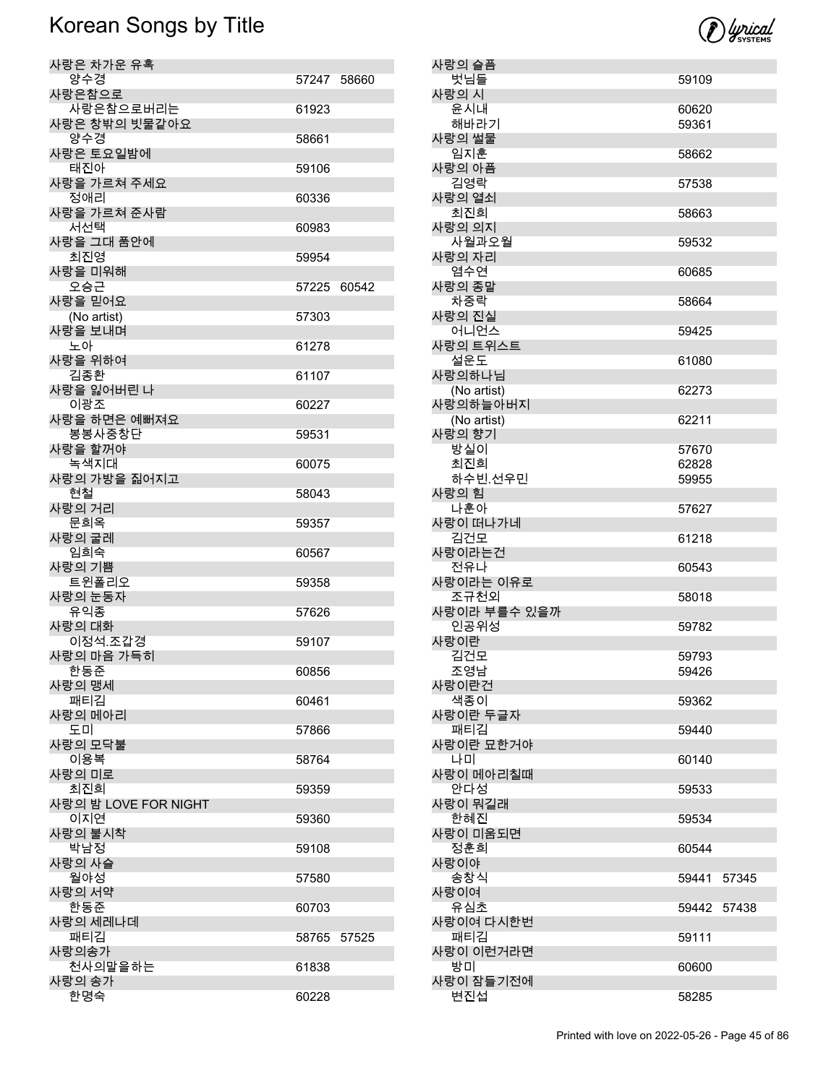

| 사랑은 차가운 유혹            |             |       |
|-----------------------|-------------|-------|
| 양수경                   | 57247 58660 |       |
| 사랑은참으로<br>사랑은참으로버리는   | 61923       |       |
| 사랑은 창밖의 빗물같아요         |             |       |
| 양수경                   | 58661       |       |
| 사랑은 토요일밤에<br>태진아      | 59106       |       |
| 사랑을 가르쳐 주세요           |             |       |
| 정애리                   | 60336       |       |
| 사랑을 가르쳐 준사람<br>서선택    | 60983       |       |
| 사랑을 그대 품안에            |             |       |
| 최진영                   | 59954       |       |
| 사랑을 미워해<br>오승근        | 57225 60542 |       |
| 사랑을 믿어요               |             |       |
| (No artist)           | 57303       |       |
| 사랑을 보내며<br>노아         | 61278       |       |
| 사랑을 위하여               |             |       |
| 김종환                   | 61107       |       |
| 사랑을 잃어버린 나<br>이광조     |             |       |
| 사랑을 하면은 예뻐져요          | 60227       |       |
| 봉봉사중창단                | 59531       |       |
| 사랑을 할꺼야               |             |       |
| 녹색지대<br>사랑의 가방을 짊어지고  | 60075       |       |
| 현철                    | 58043       |       |
| 사랑의 거리                |             |       |
| 문희옥<br>사랑의 굴레         | 59357       |       |
| 임희숙                   | 60567       |       |
| 사랑의 기쁨                |             |       |
| 트윈폴리오<br>사랑의 눈동자      | 59358       |       |
| 유익종                   | 57626       |       |
| 사랑의 대화                |             |       |
| 이정석.조갑경<br>사랑의 마음 가득히 | 59107       |       |
| 한동준                   | 60856       |       |
| 사랑의 맹세                |             |       |
| 패티김<br>사랑의 메아리        | 60461       |       |
| 도미                    | 57866       |       |
| 사랑의 모닥불<br>이용복        |             |       |
| 사랑의 미로                | 58764       |       |
| 최진희                   | 59359       |       |
| 사랑의 밤 LOVE FOR NIGHT  |             |       |
| 이지연<br>사랑의 불시착        | 59360       |       |
| 박남정                   | 59108       |       |
| 사랑의 사슬                |             |       |
| 월야성<br>사랑의 서약         | 57580       |       |
| 한동준                   | 60703       |       |
| 사랑의 세레나데<br>패티김       |             |       |
| 사랑의송가                 | 58765       | 57525 |
| 천사의말을하는               | 61838       |       |
| 사랑의 송가<br>한명숙         | 60228       |       |
|                       |             |       |

| 사랑의 슬픔                |                |       |
|-----------------------|----------------|-------|
| 벗님들                   | 59109          |       |
| 사랑의 시<br>윤시내          | 60620          |       |
| 해바라기                  | 59361          |       |
| 사랑의 썰물                |                |       |
| 임지훈                   | 58662          |       |
| 사랑의 아픔                |                |       |
| 김영락                   | 57538          |       |
| 사랑의 열쇠<br>최진희         | 58663          |       |
| 사랑의 의지                |                |       |
| 사월과오월                 | 59532          |       |
| 사랑의 자리                |                |       |
| 염수연                   | 60685          |       |
| 사랑의 종말<br>차중락         | 58664          |       |
| 사랑의 진실                |                |       |
| 어니언스                  | 59425          |       |
| 사랑의 트위스트              |                |       |
| 설운도                   | 61080          |       |
| 사랑의하나님<br>(No artist) | 62273          |       |
| 사랑의하늘아버지              |                |       |
| (No artist)           | 62211          |       |
| 사랑의 향기                |                |       |
| 방실이<br>최진희            | 57670          |       |
| 하수빈.선우민               | 62828<br>59955 |       |
| 사랑의 힘                 |                |       |
| 나훈아                   | 57627          |       |
| 사랑이 떠나가네              |                |       |
| 김건모<br>사랑이라는건         | 61218          |       |
| 전유나                   | 60543          |       |
| 사랑이라는 이유로             |                |       |
| 조규천외                  | 58018          |       |
| 사랑이라 부를수 있을까<br>인공위성  |                |       |
| 사랑이란                  | 59782          |       |
| 김건모                   | 59793          |       |
| 조영남                   | 59426          |       |
| 사랑이란건                 |                |       |
| 색종이<br>사랑이란 두글자       | 59362          |       |
| 패티김                   | 59440          |       |
| 사랑이란 묘한거야             |                |       |
| 나미                    | 60140          |       |
| 사랑이 메아리칠때<br>안다성      |                |       |
| 사랑이 뭐길래               | 59533          |       |
| 한혜진                   | 59534          |       |
| 사랑이 미움되면              |                |       |
| 정훈희                   | 60544          |       |
| 사랑이야<br>송창식           | 59441          | 57345 |
| 사랑이여                  |                |       |
| 유심초                   | 59442          | 57438 |
| 사랑이여 다시한번             |                |       |
| 패티김                   | 59111          |       |
| 사랑이 이런거라면<br>방미       | 60600          |       |
| 사랑이 잠들기전에             |                |       |
| 변진섭                   | 58285          |       |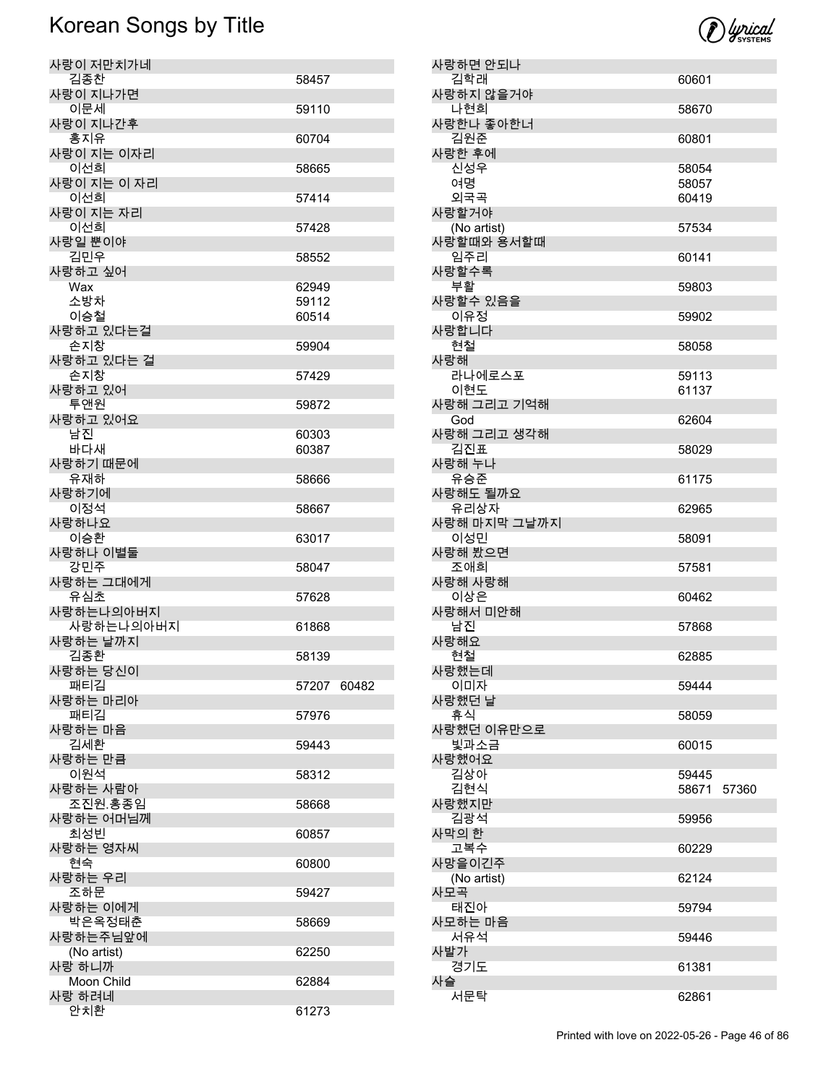| 사랑이 저만치가네     |       |       |
|---------------|-------|-------|
| 김종찬           | 58457 |       |
| 사랑이 지나가면      |       |       |
| 이문세           | 59110 |       |
|               |       |       |
| 사랑이 지나간후      |       |       |
| 홍지유           | 60704 |       |
| 사랑이 지는 이자리    |       |       |
| 이선희           | 58665 |       |
|               |       |       |
| 사랑이 지는 이 자리   |       |       |
| 이선희           | 57414 |       |
| 사랑이 지는 자리     |       |       |
| 이선희           | 57428 |       |
|               |       |       |
| 사랑일 뿐이야       |       |       |
| 김민우           | 58552 |       |
| 사랑하고 싶어       |       |       |
| Wax           | 62949 |       |
|               |       |       |
| 소방차           | 59112 |       |
| 이승철           | 60514 |       |
| 사랑하고 있다는걸     |       |       |
| 손지창           | 59904 |       |
| 사랑하고 있다는 걸    |       |       |
|               |       |       |
| 손지창           | 57429 |       |
| 사랑하고 있어       |       |       |
| 투앤원           | 59872 |       |
| 사랑하고 있어요      |       |       |
|               |       |       |
| 남진            | 60303 |       |
| 바다새           | 60387 |       |
| 사랑하기 때문에      |       |       |
| 유재하           | 58666 |       |
|               |       |       |
| 사랑하기에         |       |       |
| 이정석           | 58667 |       |
| 사랑하나요         |       |       |
| 이승환           | 63017 |       |
| 사랑하나 이별둘      |       |       |
|               |       |       |
| 강민주           | 58047 |       |
| 사랑하는 그대에게     |       |       |
| 유심초           | 57628 |       |
| 사랑하는나의아버지     |       |       |
| 사랑하는나의아버지     |       |       |
|               | 61868 |       |
| 사랑하는 날까지      |       |       |
| 김종환           | 58139 |       |
| 사랑하는 당신이      |       |       |
| 패티김           |       |       |
|               |       |       |
|               | 57207 | 60482 |
| 사랑하는 마리아      |       |       |
| 패티김           | 57976 |       |
|               |       |       |
| 사랑하는 마음       |       |       |
| 김세환           | 59443 |       |
| 사랑하는 만큼       |       |       |
| 이원석           | 58312 |       |
|               |       |       |
| 사랑하는 사람아      |       |       |
| 조진원.홍종임       | 58668 |       |
| 사랑하는 어머님께     |       |       |
| 최성빈           | 60857 |       |
| 사랑하는 영자씨      |       |       |
|               |       |       |
| 현숙            | 60800 |       |
| 사랑하는 우리       |       |       |
| 조하문           | 59427 |       |
| 사랑하는 이에게      |       |       |
|               | 58669 |       |
| 박은옥정태춘        |       |       |
| 사랑하는주님앞에      |       |       |
| (No artist)   | 62250 |       |
| 사랑 하니까        |       |       |
| Moon Child    | 62884 |       |
|               |       |       |
| 사랑 하려네<br>안치환 | 61273 |       |

| 사랑하면 안되나                    |       |       |
|-----------------------------|-------|-------|
| 김학래                         | 60601 |       |
| 사랑하지 않을거야                   |       |       |
| 나현희                         | 58670 |       |
| 사랑한나 좋아한너                   |       |       |
| 김원준                         | 60801 |       |
| 사랑한 후에                      |       |       |
| 신성우                         | 58054 |       |
|                             |       |       |
| 여명                          | 58057 |       |
| 외국곡                         | 60419 |       |
| 사랑할거야                       |       |       |
| (No artist)                 | 57534 |       |
| 사랑할때와 용서할때                  |       |       |
| 임주리                         | 60141 |       |
| 사랑할수록                       |       |       |
| 부활                          | 59803 |       |
| 사랑할수 있음을                    |       |       |
|                             |       |       |
| 이유정                         | 59902 |       |
| 사랑합니다                       |       |       |
| 현철                          | 58058 |       |
| 사랑해                         |       |       |
| 라나에로스포                      | 59113 |       |
| 이현도                         | 61137 |       |
| 사랑해 그리고 기억해                 |       |       |
|                             |       |       |
| God                         | 62604 |       |
| 사랑해 그리고 생각해                 |       |       |
| 김진표                         | 58029 |       |
| 사랑해 누나                      |       |       |
| 유승준                         | 61175 |       |
| 사랑해도 될까요                    |       |       |
| 유리상자                        | 62965 |       |
| 사랑해 마지막 그날까지                |       |       |
| 이성민                         | 58091 |       |
|                             |       |       |
| 사랑해 봤으면                     |       |       |
| 조애희                         | 57581 |       |
| 사랑해 사랑해                     |       |       |
| 이상은                         | 60462 |       |
| 사랑해서 미안해                    |       |       |
| 남진                          | 57868 |       |
| 사랑해요                        |       |       |
| 현철                          | 62885 |       |
| 사랑했는데                       |       |       |
|                             |       |       |
| 이미자                         | 59444 |       |
| 사랑했던 날                      |       |       |
| 휴식                          | 58059 |       |
| 사랑했던 이유만으로                  |       |       |
| 빛과소금                        | 60015 |       |
| 사랑했어요                       |       |       |
| 김상아                         | 59445 |       |
| 김현식                         | 58671 | 57360 |
| 사랑했지만                       |       |       |
|                             |       |       |
| 김광석                         | 59956 |       |
| 사막의 한                       |       |       |
| 고복수                         | 60229 |       |
| 사망을이긴주                      |       |       |
| (No artist)                 | 62124 |       |
| 사모곡                         |       |       |
| 태진아                         |       |       |
|                             |       |       |
|                             | 59794 |       |
|                             |       |       |
| 서유석                         | 59446 |       |
|                             |       |       |
| 경기도                         | 61381 |       |
|                             |       |       |
| 사모하는 마음<br>사발가<br>사슬<br>서문탁 | 62861 |       |

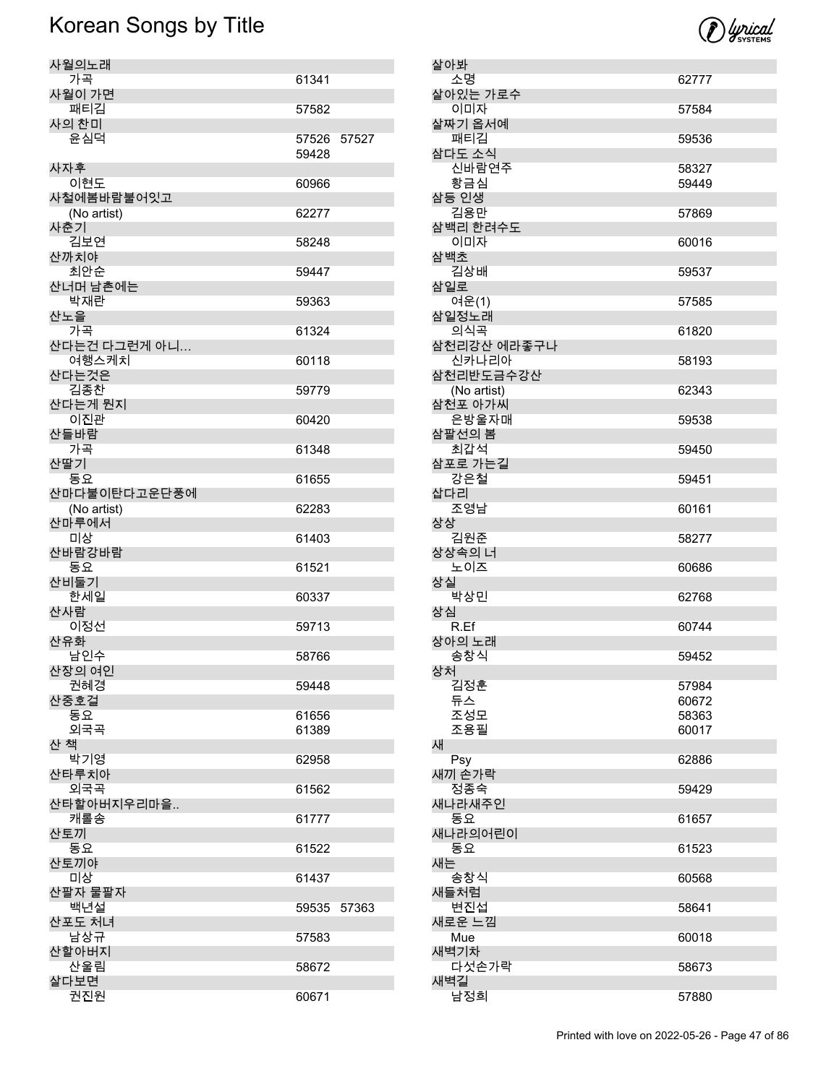

| 사월의노래                |             |       |
|----------------------|-------------|-------|
| 가곡                   | 61341       |       |
| 사월이 가면               |             |       |
| 패티김                  | 57582       |       |
| 사의 찬미                |             |       |
| 윤심덕                  | 57526 57527 |       |
| 사자후                  | 59428       |       |
| 이현도                  | 60966       |       |
| 사철에봄바람불어잇고           |             |       |
| (No artist)          | 62277       |       |
| 사춘기                  |             |       |
| 김보연                  | 58248       |       |
| 산까치야<br>최안순          | 59447       |       |
| 산너머 남촌에는             |             |       |
| 박재란                  | 59363       |       |
| 산노을                  |             |       |
| 가곡                   | 61324       |       |
| 산다는건 다그런게 아니         |             |       |
| 여행스케치                | 60118       |       |
| 산다는것은<br>김종찬         |             |       |
| 산다는게 뭔지              | 59779       |       |
| 이진관                  | 60420       |       |
| 산들바람                 |             |       |
| 가곡                   | 61348       |       |
| 산딸기                  |             |       |
| 동요                   | 61655       |       |
| 산마다불이탄다고운단풍에         | 62283       |       |
| (No artist)<br>산마루에서 |             |       |
| 미상                   | 61403       |       |
| 산바람강바람               |             |       |
| 동요                   | 61521       |       |
| 산비둘기                 |             |       |
| 한세일<br>산사람           | 60337       |       |
| 이정선                  | 59713       |       |
| 산유화                  |             |       |
| 남인수                  | 58766       |       |
| 산장의 여인               |             |       |
| 권혜경                  | 59448       |       |
| 산중호걸<br>동요           | 61656       |       |
| 외국곡                  | 61389       |       |
| 산 책                  |             |       |
| 박기영                  | 62958       |       |
| 산타루치아                |             |       |
| 외국곡                  | 61562       |       |
| 산타할아버지우리마을           |             |       |
| 캐롤송<br>산토끼           | 61777       |       |
| 동요                   | 61522       |       |
| 산토끼야                 |             |       |
| 미상                   | 61437       |       |
| 산팔자 물팔자              |             |       |
| 백년설                  | 59535       | 57363 |
| 산포도 처녀<br>남상규        | 57583       |       |
| 산할아버지                |             |       |
| 산울림                  | 58672       |       |
| 살다보면                 |             |       |
| 권진원                  | 60671       |       |

| 살아봐                      |                |
|--------------------------|----------------|
| 소명                       | 62777          |
| 살아있는 가로수<br>이미자          | 57584          |
| 살짜기 옵서예<br>패티김           | 59536          |
| 삼다도 소식                   |                |
| 신바람연주<br>황금심             | 58327<br>59449 |
| 삼등 인생<br>김용만             | 57869          |
| 삼백리 한려수도                 |                |
| 이미자<br>삼백초               | 60016          |
| 김상배<br>삼일로               | 59537          |
| 여운(1)<br>삼일정노래           | 57585          |
| 의식곡                      | 61820          |
| 삼천리강산 에라좋구나<br>신카나리아     | 58193          |
| 삼천리반도금수강산<br>(No artist) | 62343          |
| 삼천포 아가씨<br>은방울자매         | 59538          |
| 삼팔선의 봄<br>최갑석            | 59450          |
| 삼포로 가는길<br>강은철           | 59451          |
| 삽다리<br>조영남               |                |
| 상상                       | 60161          |
| 김원준<br>상상속의 너            | 58277          |
| 노이즈<br>상실                | 60686          |
| 박상민<br>상심                | 62768          |
| R.Ef                     | 60744          |
| 상아의 노래                   |                |
| 송창식<br>상처                | 59452          |
| 김정훈                      | 57984          |
| 듀스                       | 60672          |
| 조성모                      | 58363          |
| 조용필                      | 60017          |
| 새<br>Psy                 | 62886          |
| 새끼 손가락                   |                |
| 정종숙<br>새나라새주인            | 59429          |
| 동요<br>새나라의어린이            | 61657          |
| 동요                       | 61523          |
| 새는<br>송창식                | 60568          |
| 새들처럼<br>변진섭              | 58641          |
| 새로운 느낌                   |                |
| Mue<br>새벽기차              | 60018          |
| 다섯손가락                    | 58673          |
| 새벽길<br>남정희               | 57880          |
|                          |                |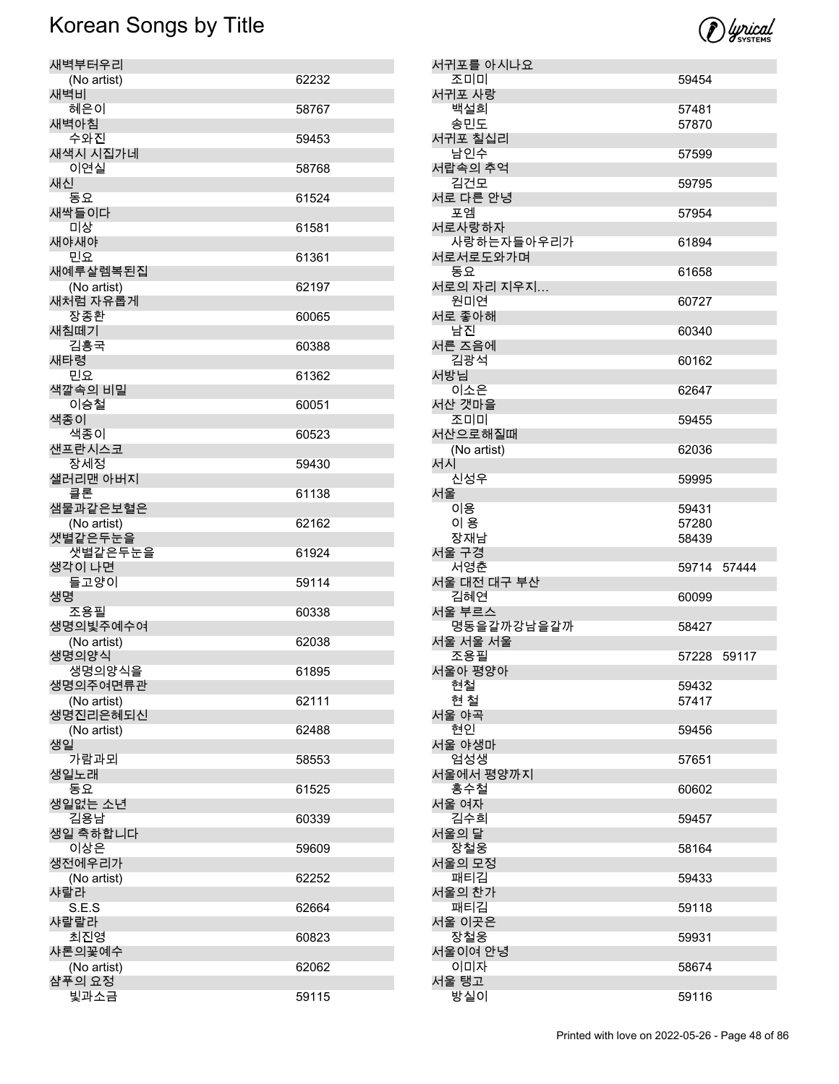

| 새벽부터우리                 |       |
|------------------------|-------|
| (No artist)            | 62232 |
| 새벽비                    |       |
| 혜은이                    | 58767 |
| 새벽아침<br>수와진            | 59453 |
| 새색시 시집가네               |       |
| 이연실                    | 58768 |
| 새신                     |       |
| 동요                     | 61524 |
| 새싹들이다                  |       |
| 미상                     | 61581 |
| 새야새야<br>민요             | 61361 |
| 새예루살렘복된집               |       |
| (No artist)            | 62197 |
| 새처럼 자유롭게               |       |
| 장종환                    | 60065 |
| 새침떼기                   |       |
| 김흥국                    | 60388 |
| 새타령<br>민요              | 61362 |
| 색깔속의 비밀                |       |
| 이승철                    | 60051 |
| 색종이                    |       |
| 색종이                    | 60523 |
| 샌프란시스코                 |       |
| 장세정                    | 59430 |
| 샐러리맨 아버지<br>클론         | 61138 |
| 샘물과같은보혈은               |       |
|                        |       |
|                        | 62162 |
| (No artist)<br>샛별같은두눈을 |       |
| 샛별같은두눈을                | 61924 |
| 생각이 나면                 |       |
| 들고양이                   | 59114 |
| 생명                     |       |
| 조용필                    | 60338 |
| 생명의빛주예수여               | 62038 |
| (No artist)<br>생명의양식   |       |
| 생명의양식을                 | 61895 |
| 생명의주여면류관               |       |
| (No artist)            | 62111 |
| 생명진리은혜되신               |       |
| (No artist)            | 62488 |
| 생일<br>가람과뫼             | 58553 |
| 생일노래                   |       |
| 동요                     | 61525 |
| 생일없는 소년                |       |
| 김용남                    | 60339 |
| 생일 축하합니다               |       |
| 이상은                    | 59609 |
| 생전에우리가                 | 62252 |
| (No artist)<br>샤랄라     |       |
| S.E.S                  | 62664 |
| 샤랄랄라                   |       |
| 최진영                    | 60823 |
| 샤론의꽃예수                 |       |
| (No artist)<br>샴푸의 요정  | 62062 |

| 서귀포를 아시나요              |             |  |
|------------------------|-------------|--|
| 조미미<br>서귀포 사랑          | 59454       |  |
| 백설희                    | 57481       |  |
| 송민도                    | 57870       |  |
| 서귀포 칠십리                |             |  |
| 남인수                    | 57599       |  |
| 서랍속의 추억<br>김건모         | 59795       |  |
| 서로 다른 안녕               |             |  |
| 포엠                     | 57954       |  |
| 서로사랑하자<br>사랑하는자들아우리가   | 61894       |  |
| 서로서로도와가며               |             |  |
| 동요                     | 61658       |  |
| 서로의 자리 지우지<br>원미연      | 60727       |  |
| 서로 좋아해                 |             |  |
| 남진                     | 60340       |  |
| 서른 즈음에                 |             |  |
| 김광석<br>서방님             | 60162       |  |
| 이소은                    | 62647       |  |
| 서산 갯마을                 |             |  |
| 조미미                    | 59455       |  |
| 서산으로해질때                |             |  |
| (No artist)<br>서시      | 62036       |  |
| 신성우                    | 59995       |  |
| 서울                     |             |  |
| 이용<br>이 용              | 59431       |  |
|                        | 57280       |  |
|                        |             |  |
| 장재남<br>서울 구경           | 58439       |  |
| 서영춘                    | 59714 57444 |  |
| 서울 대전 대구 부산            |             |  |
| 김혜연                    | 60099       |  |
| 서울 부르스                 | 58427       |  |
| 명동을갈까강남을갈까<br>서울 서울 서울 |             |  |
| 조용필                    | 57228 59117 |  |
| 서울아 평양아                |             |  |
| 현철                     | 59432       |  |
| 현 철<br>서울 야곡           | 57417       |  |
| 현인                     | 59456       |  |
| 서울 야생마                 |             |  |
| 엄성생<br>서울에서 평양까지       | 57651       |  |
| 홍수철                    | 60602       |  |
| 서울 여자                  |             |  |
| 김수희<br>서울의 달           | 59457       |  |
| 장철웅                    | 58164       |  |
| 서울의 모정<br>패티김          | 59433       |  |
| 서울의 찬가                 |             |  |
| 패티김<br>서울 이곳은          | 59118       |  |
| 장철웅                    | 59931       |  |
| 서울이여 안녕                |             |  |
| 이미자<br>서울 탱고           | 58674       |  |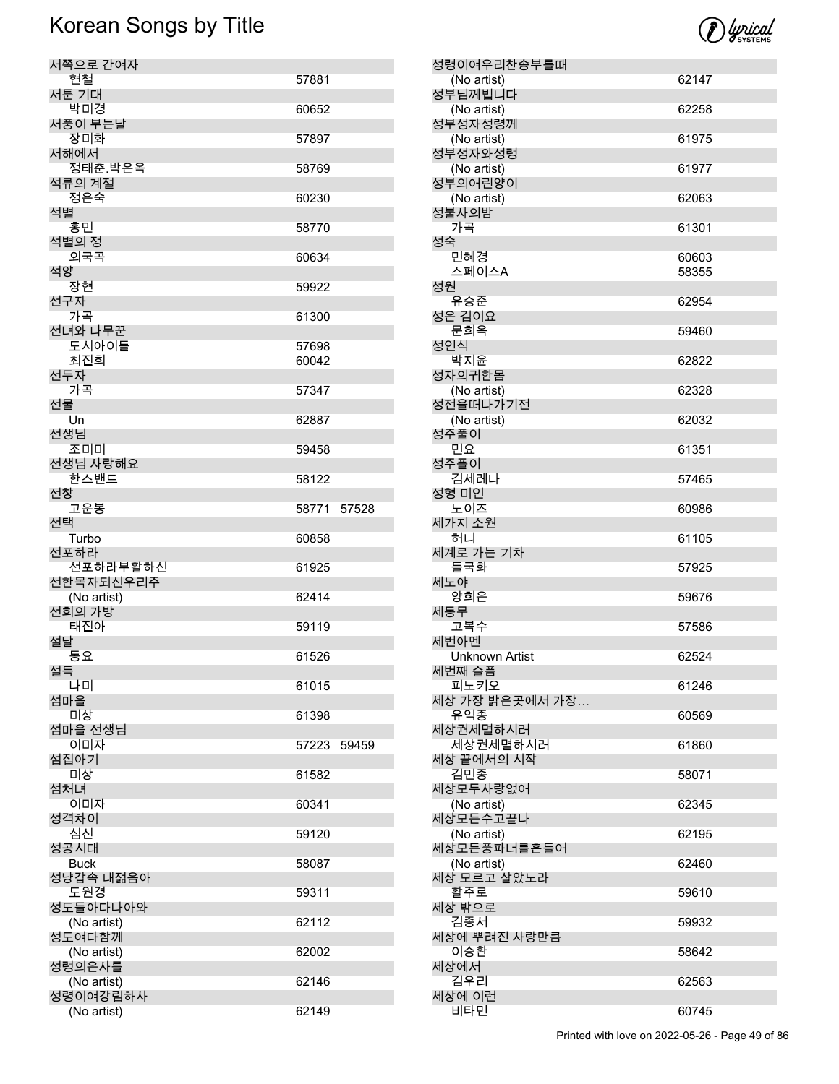

| 서쪽으로 간여자                          |                |       |
|-----------------------------------|----------------|-------|
| 현철                                | 57881          |       |
| 서툰 기대<br>박미경                      | 60652          |       |
| 서풍이 부는날<br>장미화                    |                |       |
| 서해에서                              | 57897          |       |
| 정태춘.박은옥<br>석류의 계절                 | 58769          |       |
| 정은숙                               | 60230          |       |
| 석별<br>홍민                          | 58770          |       |
| 석별의 정<br>외국곡                      | 60634          |       |
| 석양<br>장현                          | 59922          |       |
| 선구자                               |                |       |
| 가곡<br>선녀와 나무꾼                     | 61300          |       |
| 도시아이들<br>최진희                      | 57698<br>60042 |       |
| 선두자                               |                |       |
| 가곡<br>선물                          | 57347          |       |
| Un<br>선생님                         | 62887          |       |
| 조미미<br>선생님 사랑해요                   | 59458          |       |
| 한스밴드                              | 58122          |       |
| 선창<br>고운봉                         | 58771          | 57528 |
| 서택<br>Turbo                       | 60858          |       |
|                                   |                |       |
| 선포하라                              |                |       |
| 선포하라부활하신<br>선한목자되신우리주             | 61925          |       |
| (No artist)                       | 62414          |       |
| 선희의 가방<br>태진아                     | 59119          |       |
| 설날<br>동요                          | 61526          |       |
| 설득                                | 61015          |       |
| 나미<br>섬마을                         |                |       |
| 미상<br>섬마을 선생님                     | 61398          |       |
| 이미자<br>섬집아기                       | 57223          | 59459 |
| 미상                                | 61582          |       |
| 섬처녀<br>이미자                        | 60341          |       |
| 성격차이<br>심신                        | 59120          |       |
| 성공시대                              |                |       |
| <b>Buck</b><br>성냥갑속 내젊음아          | 58087          |       |
| 도원경<br>성도들아다나아와                   | 59311          |       |
| (No artist)<br>성도여다함께             | 62112          |       |
| (No artist)                       | 62002          |       |
| 성령의은사를<br>(No artist)<br>성령이여강림하사 | 62146          |       |

| 성령이여우리찬송부를때                     |       |
|---------------------------------|-------|
| (No artist)<br>성부님께빕니다          | 62147 |
| (No artist)                     | 62258 |
| 성부성자성령께<br>(No artist)          | 61975 |
| 성부성자와성령                         |       |
| (No artist)<br>성부의어린양이          | 61977 |
| (No artist)<br>성불사의밤            | 62063 |
| 가곡                              | 61301 |
| 성숙<br>민혜경                       | 60603 |
| 스페이스A                           | 58355 |
| 성원<br>유승준                       | 62954 |
| 성은 김이요                          |       |
| 문희옥<br>성인식                      | 59460 |
| 박지윤                             | 62822 |
| 성자의귀한몸<br>(No artist)           | 62328 |
| 성전을떠나가기전                        |       |
| (No artist)<br>성주풀이             | 62032 |
| 민요<br>성주플이                      | 61351 |
| 김세레나<br>성형 미인                   | 57465 |
| 노이즈                             | 60986 |
| 세가지 소원<br>허니                    | 61105 |
| 세계로 가는 기차<br>들국화                | 57925 |
| 세노야<br>양희은                      | 59676 |
| 세동무                             |       |
| 고복수<br>세번아멘                     | 57586 |
| <b>Unknown Artist</b><br>세번째 슬픔 | 62524 |
| 피노키오                            | 61246 |
| 세상 가장 밝은곳에서 가장<br>유익종           | 60569 |
| 세상권세멸하시러                        |       |
| 세상권세멸하시러<br>세상 끝에서의 시작          | 61860 |
| 김민종<br>세상모두사랑없어                 | 58071 |
| (No artist)                     | 62345 |
| 세상모든수고끝나<br>(No artist)         | 62195 |
| 세상모든풍파너를흔들어                     |       |
| (No artist)<br>세상 모르고 살았노라      | 62460 |
| 활주로<br>세상 밖으로                   | 59610 |
| 김종서                             | 59932 |
| 세상에 뿌려진 사랑만큼<br>이승환             | 58642 |
| 세상에서<br>김우리                     | 62563 |
| 세상에 이런                          |       |
| 비타민                             | 60745 |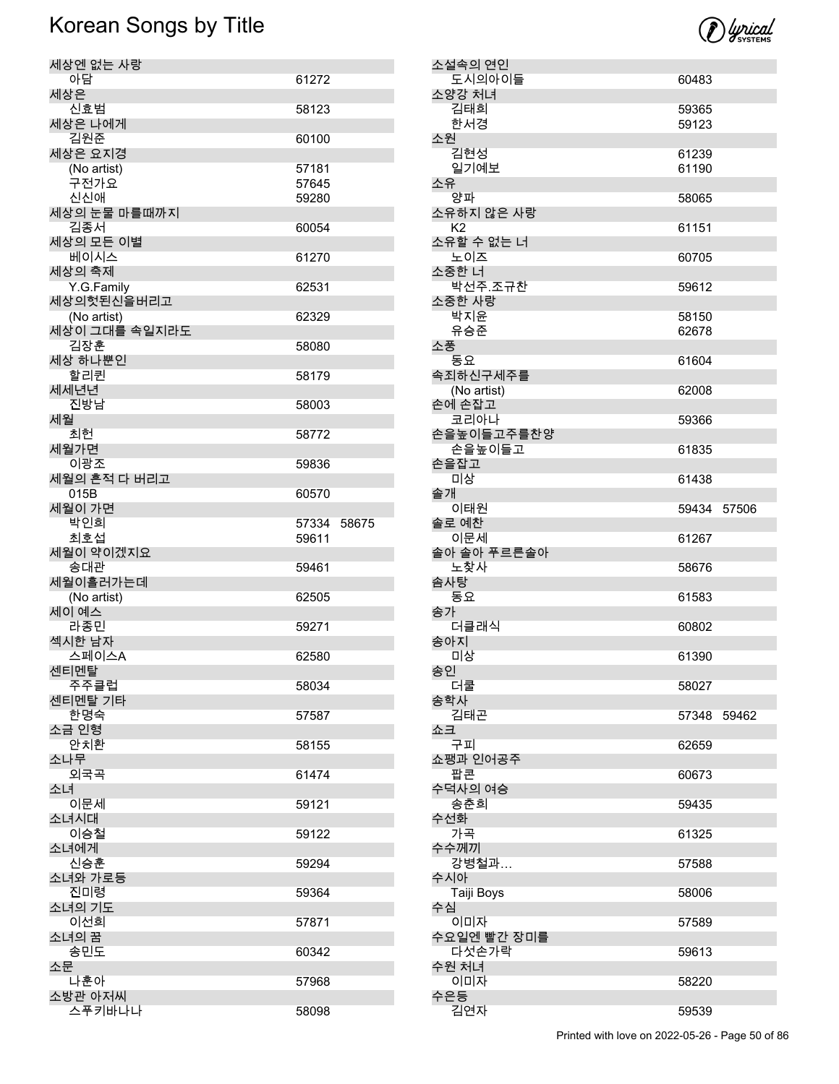| 세상엔 없는 사랑                 |       |       |
|---------------------------|-------|-------|
| 아담                        | 61272 |       |
| 세상은                       |       |       |
| 신효범<br>세상은 나에게            | 58123 |       |
| 김원준                       | 60100 |       |
| 세상은 요지경                   |       |       |
| (No artist)               | 57181 |       |
| 구전가요                      | 57645 |       |
| 신신애<br>세상의 눈물 마를때까지       | 59280 |       |
| 김종서                       | 60054 |       |
| 세상의 모든 이별                 |       |       |
| 베이시스                      | 61270 |       |
| 세상의 축제                    |       |       |
| Y.G.Family                | 62531 |       |
| 세상의헛된신을버리고<br>(No artist) | 62329 |       |
| 세상이 그대를 속일지라도             |       |       |
| 김장훈                       | 58080 |       |
| 세상 하나뿐인                   |       |       |
| 할리퀸                       | 58179 |       |
| 세세년년                      |       |       |
| 진방남<br>세월                 | 58003 |       |
| 최헌                        | 58772 |       |
| 세월가면                      |       |       |
| 이광조                       | 59836 |       |
| 세월의 흔적 다 버리고              |       |       |
| 015B                      | 60570 |       |
| 세월이 가면<br>박인희             | 57334 | 58675 |
| 최호섭                       | 59611 |       |
| 세월이 약이겠지요                 |       |       |
| 송대관                       | 59461 |       |
| 세월이흘러가는데                  |       |       |
| (No artist)<br>세이 예스      | 62505 |       |
| 라종민                       | 59271 |       |
| 섹시한 남자                    |       |       |
| 스페이스A                     | 62580 |       |
| 센티멘탈                      |       |       |
| 주주클럽<br>센티멘탈 기타           | 58034 |       |
| 한명숙                       | 57587 |       |
| 소금 인형                     |       |       |
| 안치환                       | 58155 |       |
| 소나무                       |       |       |
| 외국곡<br>소녀                 | 61474 |       |
| 이문세                       | 59121 |       |
| 소녀시대                      |       |       |
| 이승철                       | 59122 |       |
| 소녀에게                      |       |       |
| 신승훈                       | 59294 |       |
| 소녀와 가로등<br>진미령            | 59364 |       |
| 소녀의 기도                    |       |       |
| 이선희                       | 57871 |       |
| 소녀의 꿈                     |       |       |
| 송민도                       | 60342 |       |
| 소문<br>나훈아                 |       |       |
| 소방관 아저씨                   | 57968 |       |
| 스푸키바나나                    | 58098 |       |



소설속의 연인

소양강 처녀

소원

소유

소풍<br>동요

손을잡고

솔개

솜사탕

송아지

송인<br>더쿨

송학사

쇼크<br>구피

수선화<br>- 가곡

수수께끼

수시아

수은등

송가

도시의아이들 60483

김태희 59365

Printed with love on 2022-05-26 - Page 50 of 86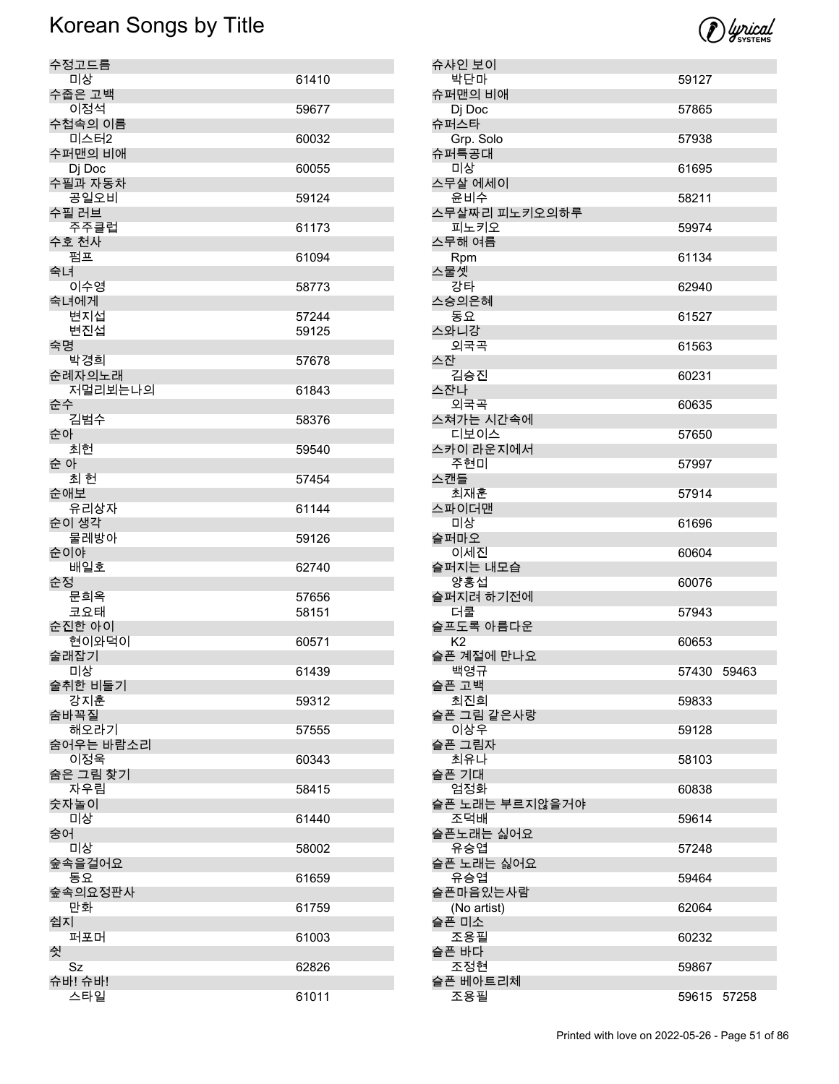

| 수정고드름<br>미상     |       |
|-----------------|-------|
| 수줍은 고백          | 61410 |
| 이정석             | 59677 |
| 수첩속의 이름         |       |
| 미스터2<br>수퍼맨의 비애 | 60032 |
| Dj Doc          | 60055 |
| 수필과 자동차         |       |
| 공일오비<br>수필 러브   | 59124 |
| 주주클럽            | 61173 |
| 수호 천사           |       |
| 펌프              | 61094 |
| 숙녀<br>이수영       | 58773 |
| 숙녀에게            |       |
| 변지섭             | 57244 |
| 변진섭<br>숙명       | 59125 |
| 박경희             | 57678 |
| 순례자의노래          |       |
| 저멀리뵈는나의<br>순수   | 61843 |
| 김범수             | 58376 |
| 순아              |       |
| 최헌<br>순 아       | 59540 |
| 최 헌             | 57454 |
| 순애보             |       |
| 유리상자            | 61144 |
| 순이 생각<br>물레방아   | 59126 |
| 순이야             |       |
| 배일호             | 62740 |
| 순정<br>문희옥       | 57656 |
| 코요태             | 58151 |
| 순진한 아이          |       |
| 현이와덕이<br>술래잡기   | 60571 |
| 미상              | 61439 |
| 술취한 비둘기         |       |
| 강지훈<br>숨바꼭질     | 59312 |
| 해오라기            | 57555 |
| 숨어우는 바람소리       |       |
| 이정욱<br>숨은 그림 찾기 | 60343 |
| 자우림             | 58415 |
| 숫자놀이            |       |
| 미상              | 61440 |
| 숭어<br>미상        | 58002 |
| 숲속을걸어요          |       |
| 동요              | 61659 |
| 숲속의요정판사<br>만화   | 61759 |
| 쉽지              |       |
| 퍼포머             | 61003 |
| 쉿<br>Sz         | 62826 |
| 슈바! 슈바!         |       |
| 스타일             | 61011 |

|    | 슈샤인 보이                      |             |  |
|----|-----------------------------|-------------|--|
|    | 박단마<br>슈퍼맨의 비애              | 59127       |  |
|    | Dj Doc<br>슈퍼스타              | 57865       |  |
|    | Grp. Solo<br>슈퍼특공대          | 57938       |  |
|    | 미상                          | 61695       |  |
|    | 스무살 에세이<br>윤비수              | 58211       |  |
|    | 스무살짜리 피노키오의하루<br>피노키오       | 59974       |  |
|    | 스무해 여름<br>Rpm               | 61134       |  |
|    | 스물셋<br>강타                   | 62940       |  |
|    | 스승의은혜<br>동요                 | 61527       |  |
|    | 스와니강                        |             |  |
| 스잔 | 외국곡                         | 61563       |  |
|    | 김승진<br>스잔나                  | 60231       |  |
|    | 외국곡<br>스쳐가는 시간속에            | 60635       |  |
|    | 디보이스<br>스카이 라운지에서           | 57650       |  |
|    | 주현미<br>스캔들                  | 57997       |  |
|    | 최재훈                         | 57914       |  |
|    | 스파이더맨<br>미상                 | 61696       |  |
|    | 슬퍼마오<br>이세진                 | 60604       |  |
|    | 슬퍼지는 내모습<br>양홍섭             | 60076       |  |
|    | 슬퍼지려 하기전에<br>더쿨             | 57943       |  |
|    | 슬프도록 아름다운<br>K <sub>2</sub> | 60653       |  |
|    | 슬픈 계절에 만나요<br>백영규           | 57430 59463 |  |
|    | 슬픈 고백                       |             |  |
|    | 최진희<br>슬픈 그림 같은사랑           | 59833       |  |
|    | 이상우<br>슬픈 그림자               | 59128       |  |
|    | 최유나<br>슬픈 기대                | 58103       |  |
|    | 엄정화<br>슬픈 노래는 부르지않을거야       | 60838       |  |
|    | 조덕배<br>슬픈노래는 싫어요            | 59614       |  |
|    | 유승엽<br>슬픈 노래는 싫어요           | 57248       |  |
|    | 유승엽                         | 59464       |  |
|    | 슬픈마음있는사람<br>(No artist)     | 62064       |  |
|    | 슬픈 미소<br>조용필                | 60232       |  |
|    | 슬픈 바다<br>조정현                | 59867       |  |
|    | 슬픈 베아트리체<br>조용필             | 59615 57258 |  |
|    |                             |             |  |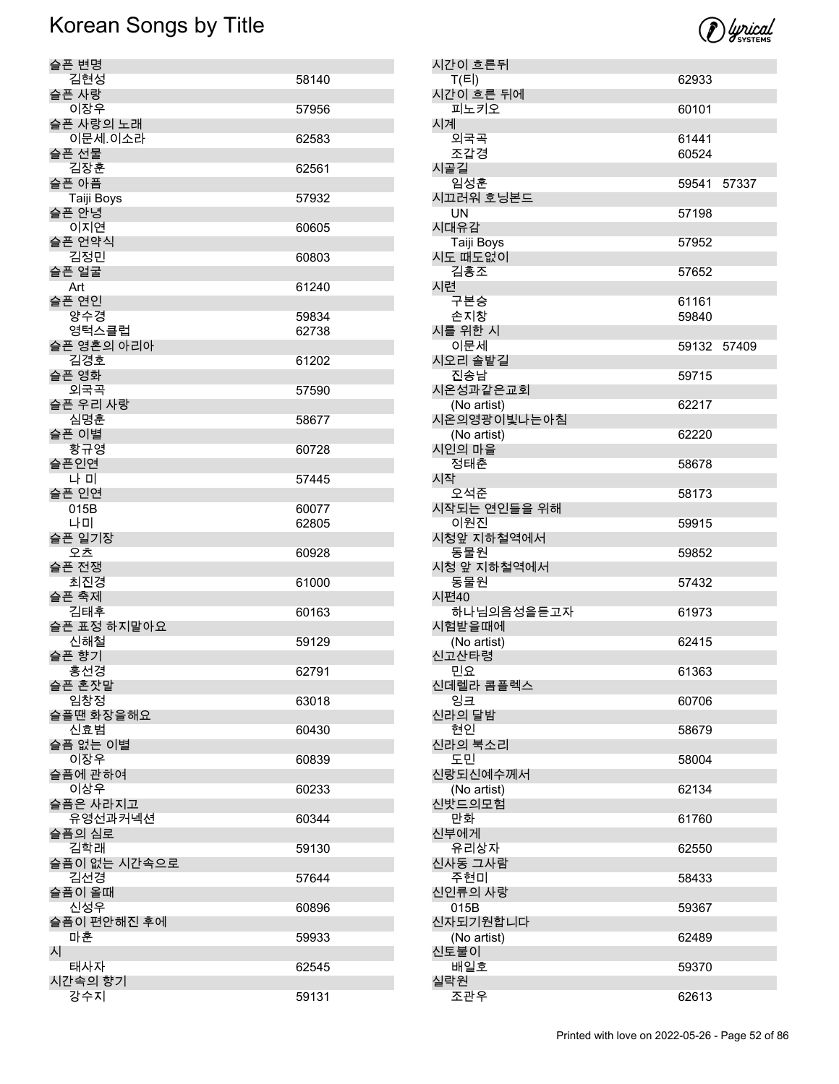

| 슬픈 변명          |       |
|----------------|-------|
| 김현성            | 58140 |
| 슬픈 사랑          |       |
| 이장우            | 57956 |
| 슬픈 사랑의 노래      |       |
| 이문세.이소라        | 62583 |
| 슬픈 선물          |       |
|                |       |
| 김장훈            | 62561 |
| 슬픈 아픔          |       |
| Taiji Boys     | 57932 |
| 슬픈 안녕          |       |
| 이지연            | 60605 |
| 슬픈 언약식         |       |
| 김정민            | 60803 |
| 슬픈 얼굴          |       |
|                |       |
| Art            | 61240 |
| 슬픈 연인          |       |
| 양수경            | 59834 |
| 영턱스클럽          | 62738 |
| 슬픈 영혼의 아리아     |       |
| 김경호            | 61202 |
| 슬픈 영화          |       |
| 외국곡            | 57590 |
| 슬픈 우리 사랑       |       |
| 심명훈            | 58677 |
| 슬픈 이별          |       |
|                |       |
| 황규영            | 60728 |
| 슬픈인연           |       |
| 나 미            | 57445 |
| 슬픈 인연          |       |
| 015B           | 60077 |
|                | 62805 |
| 나미             |       |
|                |       |
| 슬픈 일기장<br>오츠   |       |
|                | 60928 |
| 슬픈 전쟁          |       |
| 최진경            | 61000 |
| 슬픈 축제          |       |
| 김태후            | 60163 |
| 슬픈 표정 하지말아요    |       |
| 신해철            | 59129 |
| 슬픈 향기          |       |
| 홍선경            | 62791 |
| 슬픈 혼잣말         |       |
| 임창정            | 63018 |
| 슬플땐 화장을해요      |       |
| 신효범            | 60430 |
| 슬픔 없는 이별       |       |
| 이장우            | 60839 |
|                |       |
| 슬픔에 관하여        |       |
| 이상우            | 60233 |
| 슬픔은 사라지고       |       |
| 유영선과커넥션        | 60344 |
| 슬픔의 심로         |       |
| 김학래            | 59130 |
| 슬픔이 없는 시간속으로   |       |
| 김선경            | 57644 |
| 슬픔이 올때         |       |
| 신성우            | 60896 |
| 슬픔이 편안해진 후에    |       |
| 마훈             | 59933 |
|                |       |
| 시              |       |
| 태사자            | 62545 |
| 시간속의 향기<br>강수지 | 59131 |

| 시간이 흐른뒤                |             |       |
|------------------------|-------------|-------|
| T(E)                   | 62933       |       |
| 시간이 흐른 뒤에<br>피노키오      | 60101       |       |
| 시계<br>외국곡              | 61441       |       |
| 조갑경                    | 60524       |       |
| 시골길                    |             |       |
| 임성훈                    | 59541       | 57337 |
| 시끄러워 호닝본드<br><b>UN</b> | 57198       |       |
| 시대유감                   |             |       |
| Taiji Boys             | 57952       |       |
| 시도 때도없이                |             |       |
| 김홍조<br>시련              | 57652       |       |
| 구본승                    | 61161       |       |
| 손지창                    | 59840       |       |
| 시를 위한 시                |             |       |
| 이문세                    | 59132 57409 |       |
| 시오리 솔밭길<br>진송남         | 59715       |       |
| 시온성과같은교회               |             |       |
| (No artist)            | 62217       |       |
| 시온의영광이빛나는아침            |             |       |
| (No artist)<br>시인의 마을  | 62220       |       |
| 정태춘                    | 58678       |       |
| 시작                     |             |       |
| 오석준                    | 58173       |       |
| 시작되는 연인들을 위해           |             |       |
| 이원진<br>시청앞 지하철역에서      | 59915       |       |
| 동물원                    | 59852       |       |
| 시청 앞 지하철역에서            |             |       |
| 동물원                    | 57432       |       |
| 시편40<br>하나님의음성을듣고자     | 61973       |       |
| 시험받을때에                 |             |       |
| (No artist)            | 62415       |       |
| 신고산타령                  |             |       |
| 민요<br>신데렐라 콤플렉스        | 61363       |       |
| 잉크                     | 60706       |       |
| 신라의 달밤                 |             |       |
| 현인                     | 58679       |       |
| 신라의 북소리<br>도민          | 58004       |       |
| 신랑되신예수께서               |             |       |
| (No artist)            | 62134       |       |
| 신밧드의모험                 |             |       |
| 만화<br>신부에게             | 61760       |       |
| 유리상자                   | 62550       |       |
| 신사동 그사람                |             |       |
| 주현미                    | 58433       |       |
| 신인류의 사랑<br>015B        | 59367       |       |
| 신자되기원합니다               |             |       |
| (No artist)            | 62489       |       |
| 신토불이                   |             |       |
| 배일호<br>실락원             | 59370       |       |
| 조관우                    | 62613       |       |
|                        |             |       |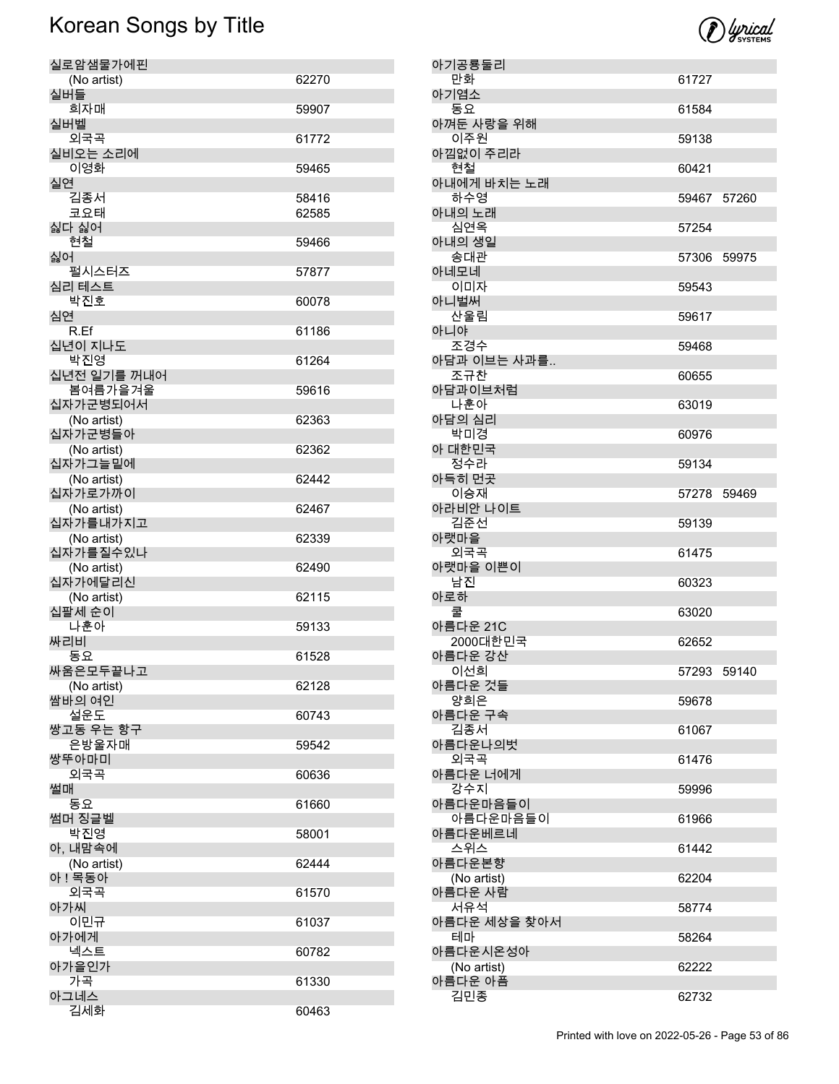

| 실로암샘물가에핀               |       |
|------------------------|-------|
| (No artist)            | 62270 |
| 실버들                    |       |
| 희자매<br>실버벨             | 59907 |
| 외국곡                    | 61772 |
| 실비오는 소리에               |       |
| 이영화                    | 59465 |
| 실연                     |       |
| 김종서<br>코요태             | 58416 |
| 싫다 싫어                  | 62585 |
| 현철                     | 59466 |
| 싫어                     |       |
| 펄시스터즈                  | 57877 |
| 심리 테스트                 |       |
| 박진호<br>심연              | 60078 |
| R.Ef                   | 61186 |
| 십년이 지나도                |       |
| 박진영                    | 61264 |
| 십년전 일기를 꺼내어            |       |
| 봄여름가을겨울<br>십자가군병되어서    | 59616 |
| (No artist)            | 62363 |
| 십자가군병들아                |       |
| (No artist)            | 62362 |
| 십자가그늘밑에                |       |
| (No artist)<br>십자가로가까이 | 62442 |
| (No artist)            | 62467 |
| 십자가를내가지고               |       |
| (No artist)            | 62339 |
| 십자가를질수있나               |       |
| (No artist)<br>십자가에달리신 | 62490 |
| (No artist)            | 62115 |
| 십팔세 순이                 |       |
| 나훈아                    | 59133 |
| 싸리비                    |       |
| 동요<br>싸움은모두끝나고         | 61528 |
| (No artist)            | 62128 |
| 쌈바의 여인                 |       |
| 설운도                    | 60743 |
| 쌍고동 우는 항구              |       |
| 은방울자매<br>쌍뚜아마미         | 59542 |
| 외국곡                    | 60636 |
| 썰매                     |       |
| 동요                     | 61660 |
| 썸머 징글벨                 |       |
| 박진영<br>아, 내맘속에         | 58001 |
| (No artist)            | 62444 |
| 아 ! 목동아                |       |
| 외국곡                    | 61570 |
| 아가씨                    |       |
| 이민규<br>아가에게            | 61037 |
| 넥스트                    | 60782 |
| 아가을인가                  |       |
| 가곡                     | 61330 |
| 아그네스                   |       |
| 김세화                    | 60463 |

| 아기공룡둘리                 |       |             |
|------------------------|-------|-------------|
| 만화<br>아기염소             | 61727 |             |
| 동요                     | 61584 |             |
| 아껴둔 사랑을 위해<br>이주원      | 59138 |             |
| 아낌없이 주리라               |       |             |
| 현철<br>아내에게 바치는 노래      | 60421 |             |
| 하수영                    |       | 59467 57260 |
| 아내의 노래<br>심연옥          | 57254 |             |
| 아내의 생일                 |       |             |
| 송대관<br>아네모네            |       | 57306 59975 |
| 이미자<br>아니벌써            | 59543 |             |
| 산울림                    | 59617 |             |
| 아니야                    |       |             |
| 조경수<br>아담과 이브는 사과를     | 59468 |             |
| 조규찬                    | 60655 |             |
| 아담과이브처럼<br>나훈아         | 63019 |             |
| 아담의 심리                 |       |             |
| 박미경<br>아 대한민국          | 60976 |             |
| 정수라<br>아득히 먼곳          | 59134 |             |
| 이승재                    |       | 57278 59469 |
| 아라비안 나이트<br>김준선        | 59139 |             |
| 아랫마을                   |       |             |
| 외국곡<br>아랫마을 이쁜이        | 61475 |             |
| 남진                     | 60323 |             |
| 아로하<br>쿨               | 63020 |             |
| 아름다운 21C<br>2000대한민국   | 62652 |             |
| 아름다운 강산                |       |             |
| 이선희<br>아름다운 것들         |       | 57293 59140 |
| 양희은                    | 59678 |             |
| 아름다운 구속<br>김종서         | 61067 |             |
| 아름다운나의벗                |       |             |
| 외국곡<br>아름다운 너에게        | 61476 |             |
| 강수지<br>아름다운마음들이        | 59996 |             |
| 아름다운마음들이               | 61966 |             |
| 아름다운베르네<br>스위스         | 61442 |             |
| 아름다운본향                 |       |             |
| (No artist)<br>아름다운 사람 | 62204 |             |
| 서유석                    | 58774 |             |
| 아름다운 세상을 찾아서<br>테마     | 58264 |             |
| 아름다운시온성아               |       |             |
| (No artist)<br>아름다운 아픔 | 62222 |             |
| 김민종                    | 62732 |             |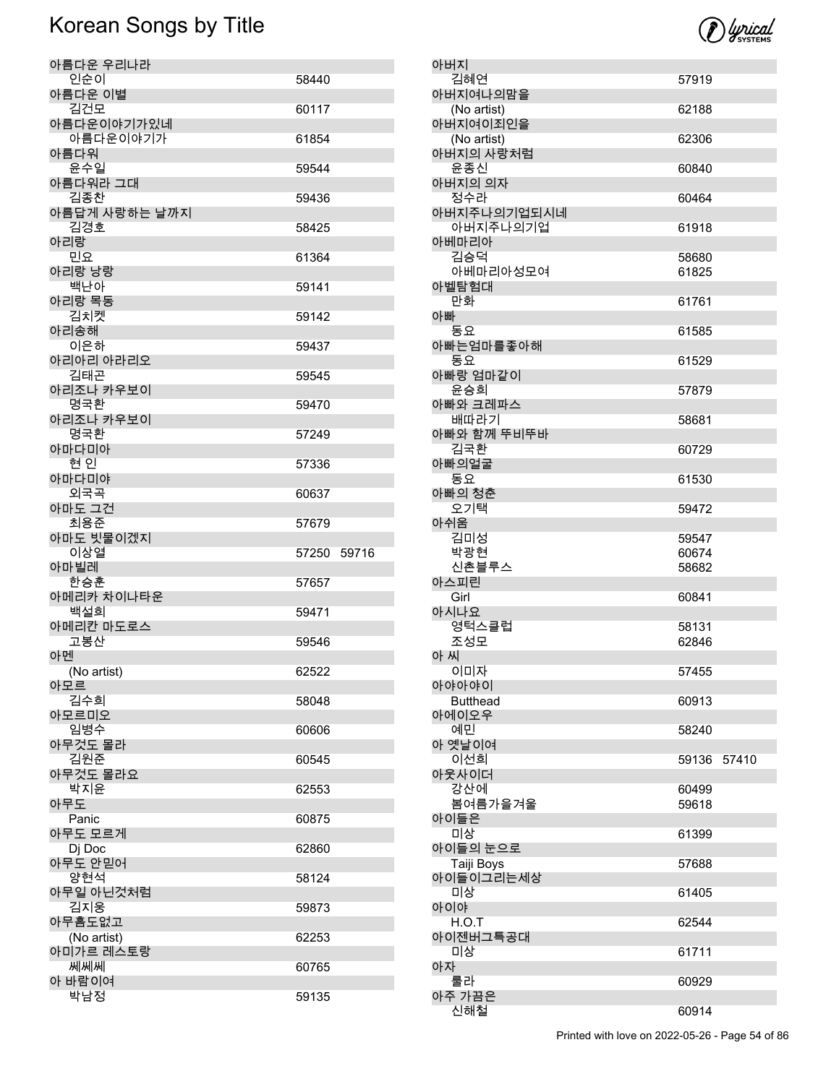

| 아버지                      |                |       |
|--------------------------|----------------|-------|
| 김혜연<br>아버지여나의맘을          | 57919          |       |
| (No artist)              | 62188          |       |
| 아버지여이죄인을                 |                |       |
| (No artist)<br>아버지의 사랑처럼 | 62306          |       |
| 윤종신                      | 60840          |       |
| 아버지의 의자                  |                |       |
| 정수라<br>아버지주나의기업되시네       | 60464          |       |
| 아버지주나의기업                 | 61918          |       |
| 아베마리아                    |                |       |
| 김승덕<br>아베마리아성모여          | 58680<br>61825 |       |
| 아벨탐험대                    |                |       |
| 만화<br>아빠                 | 61761          |       |
| 동요                       | 61585          |       |
| 아빠는엄마를좋아해                |                |       |
| 동요<br>아빠랑 엄마같이           | 61529          |       |
| 윤승희                      | 57879          |       |
| 아빠와 크레파스                 |                |       |
| 배따라기<br>아빠와 함께 뚜비뚜바      | 58681          |       |
| 김국환                      | 60729          |       |
| 아빠의얼굴                    |                |       |
| 동요<br>아빠의 청춘             | 61530          |       |
| 오기택                      | 59472          |       |
| 아쉬움                      |                |       |
| 김미성<br>박광현               | 59547<br>60674 |       |
| 신촌블루스                    | 58682          |       |
| 아스피린                     |                |       |
| Girl<br>아시나요             | 60841          |       |
| 영턱스클럽                    | 58131          |       |
| 조성모                      | 62846          |       |
| 아 씨<br>이미자               | 57455          |       |
| 아야아야이                    |                |       |
| <b>Butthead</b><br>아에이오우 | 60913          |       |
| 예민                       | 58240          |       |
| 아 옛날이여                   |                |       |
| 이선희<br>아웃사이더             | 59136          | 57410 |
| 강산에                      | 60499          |       |
| 봄여름가을겨울                  | 59618          |       |
| 아이들은<br>미상               | 61399          |       |
| 아이들의 눈으로                 |                |       |
| Taiji Boys               | 57688          |       |
| 아이들이그리는세상<br>미상          | 61405          |       |
| 아이야                      |                |       |
| H.O.T                    | 62544          |       |
| 아이젠버그특공대<br>미상           | 61711          |       |
| 아자                       |                |       |
| 룰라                       | 60929          |       |
| 아주 가끔은<br>신해철            | 60914          |       |
|                          |                |       |

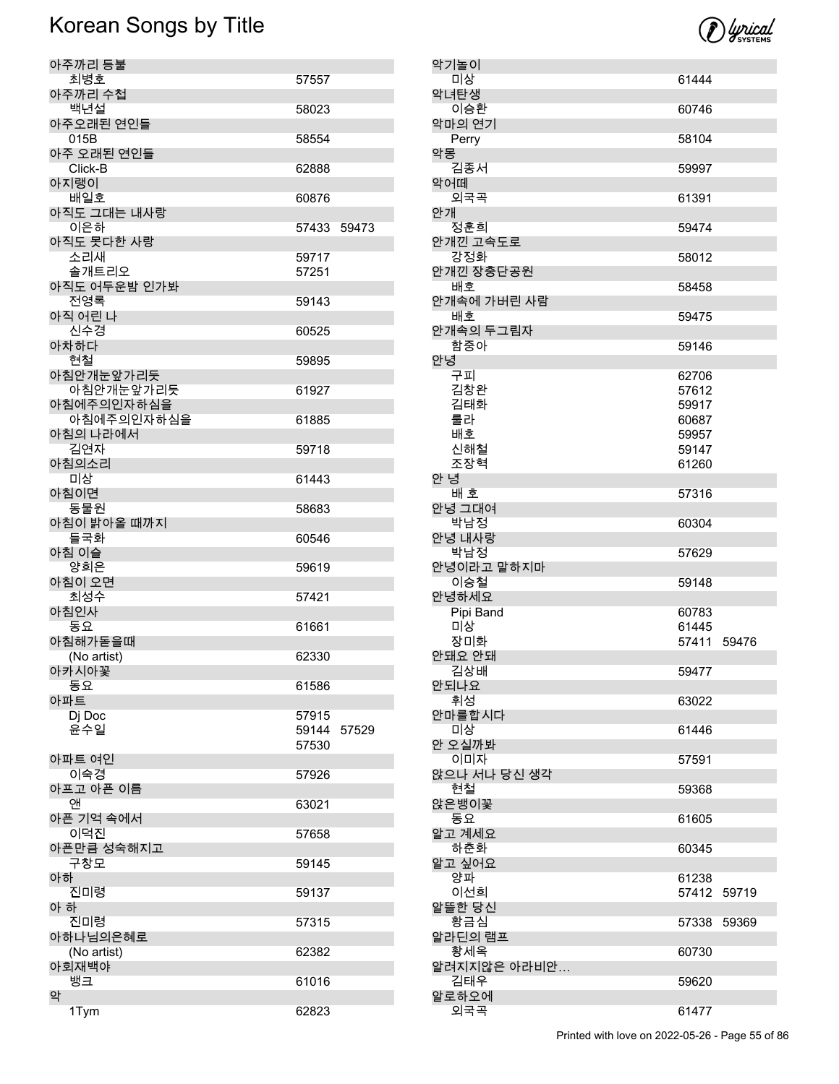

| 악기놀이            |             |       |
|-----------------|-------------|-------|
| 미상              | 61444       |       |
| 악녀탄생<br>이승환     | 60746       |       |
| 악마의 연기<br>Perry | 58104       |       |
| 악몽              |             |       |
| 김종서             | 59997       |       |
| 악어떼             |             |       |
| 외국곡<br>안개       | 61391       |       |
| 정훈희             | 59474       |       |
| 안개낀 고속도로        |             |       |
| 강정화             | 58012       |       |
| 안개낀 장충단공원       |             |       |
| 배호              | 58458       |       |
| 안개속에 가버린 사람     |             |       |
| 배호              | 59475       |       |
| 안개속의 두그림자       |             |       |
| 함중아             | 59146       |       |
| 안녕              |             |       |
| 구피              | 62706       |       |
| 김창완             | 57612       |       |
| 김태화             | 59917       |       |
| 룰라              | 60687       |       |
| 배호              | 59957       |       |
| 신해철             | 59147       |       |
| 조장혁             | 61260       |       |
| 안 녕             |             |       |
| 배 호             | 57316       |       |
| 안녕 그대여          |             |       |
| 박남정             | 60304       |       |
| 안녕 내사랑          |             |       |
| 박남정             | 57629       |       |
| 안녕이라고 말하지마      |             |       |
| 이승철             | 59148       |       |
| 안녕하세요           |             |       |
| Pipi Band       | 60783       |       |
| 미상              | 61445       |       |
| 장미화             | 57411 59476 |       |
| 안돼요 안돼          |             |       |
| 김상배             | 59477       |       |
| 안되나요            |             |       |
| 휘성              | 63022       |       |
| 안마를합시다          |             |       |
| 미상              | 61446       |       |
| 안 오실까봐          |             |       |
| 이미자             | 57591       |       |
| 앉으나 서나 당신 생각    |             |       |
| 현철              | 59368       |       |
| 앉은뱅이꽃           |             |       |
| 동요              | 61605       |       |
| 알고 계세요          |             |       |
| 하춘화             | 60345       |       |
| 알고 싶어요          |             |       |
| 양파              | 61238       |       |
| 이선희             | 57412       | 59719 |
| 알뜰한 당신          |             |       |
| 황금심             | 57338       | 59369 |
| 알라딘의 램프         |             |       |
| 황세옥             | 60730       |       |
| 알려지지않은 아라비안     |             |       |
| 김태우             | 59620       |       |
| 알로하오에           |             |       |
| 외국곡             | 61477       |       |

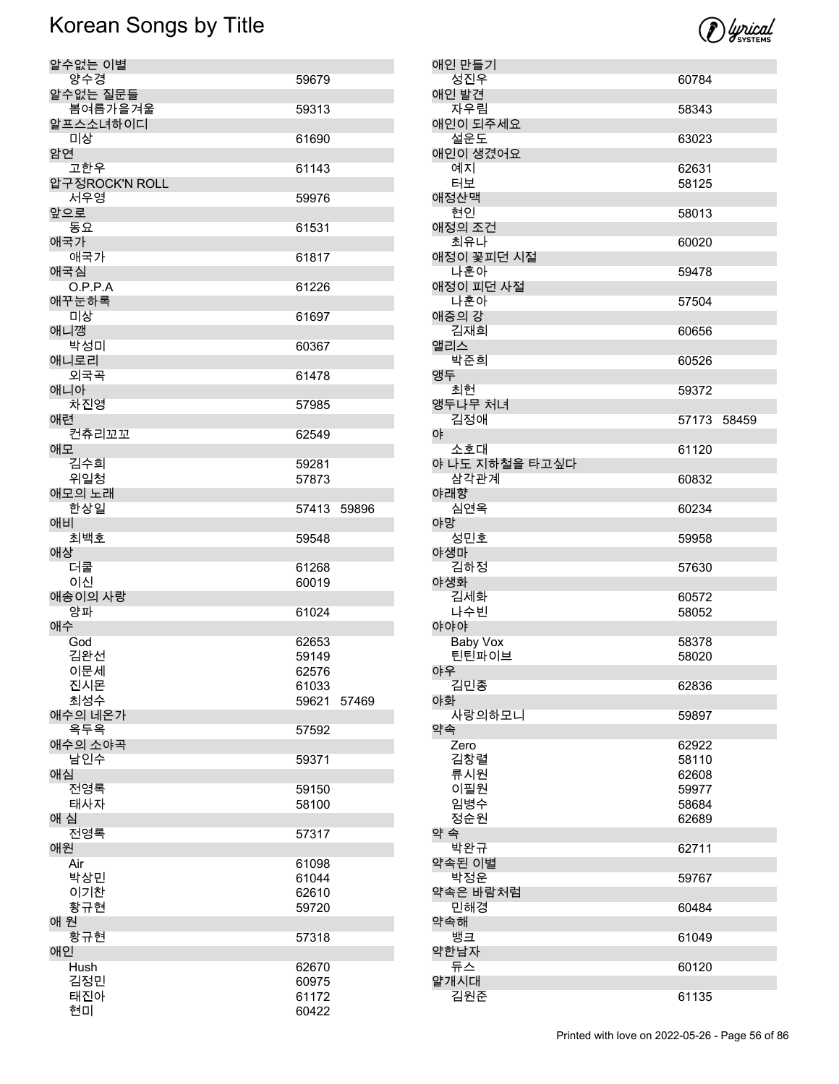

| 알수없는 이별               |                |       |
|-----------------------|----------------|-------|
| 양수경                   | 59679          |       |
| 알수없는 질문들<br>봄여름가을겨울   | 59313          |       |
| 알프스소녀하이디<br>미상        | 61690          |       |
| 암연                    |                |       |
| 고한우<br>압구정ROCK'N ROLL | 61143          |       |
| 서우영                   | 59976          |       |
| 앞으로<br>동요             | 61531          |       |
| 애국가<br>애국가            | 61817          |       |
| 애국심<br>O.P.P.A        | 61226          |       |
| 애꾸눈하록                 |                |       |
| 미상<br>애니깽             | 61697          |       |
| 박성미<br>애니로리           | 60367          |       |
| 외국곡<br>애니아            | 61478          |       |
| 차진영                   | 57985          |       |
| 애련<br>컨츄리꼬꼬           | 62549          |       |
| 애모                    |                |       |
| 김수희<br>위일청            | 59281<br>57873 |       |
| 애모의 노래                |                |       |
| 한상일<br>애비             | 57413          | 59896 |
| 최백호                   | 59548          |       |
| 애상<br>더쿨              | 61268          |       |
| 이신                    | 60019          |       |
| 애송이의 사랑<br>양파         | 61024          |       |
| 애수                    |                |       |
| God                   | 62653          |       |
| 김완선                   | 59149          |       |
| 이문세                   | 62576          |       |
| 진시몬<br>최성수            | 61033<br>59621 | 57469 |
| 애수의 네온가               |                |       |
| 옥두옥<br>애수의 소야곡        | 57592          |       |
| 남인수<br>애심             | 59371          |       |
| 전영록                   | 59150          |       |
| 태사자<br>애 심            | 58100          |       |
| 전영록                   | 57317          |       |
| 애원                    |                |       |
| Air<br>박상민            | 61098<br>61044 |       |
| 이기찬                   | 62610          |       |
| 황규현                   | 59720          |       |
| 애 원<br>황규현            | 57318          |       |
|                       |                |       |
| 애인                    |                |       |
| Hush                  | 62670          |       |
| 김정민<br>태진아            | 60975<br>61172 |       |

| 애인 만들기                 |                |       |
|------------------------|----------------|-------|
| 성진우                    | 60784          |       |
| 애인 발견                  |                |       |
| 자우림<br>애인이 되주세요        | 58343          |       |
| 설운도                    | 63023          |       |
| 애인이 생겼어요               |                |       |
| 예지                     | 62631          |       |
| 터보                     | 58125          |       |
| 애정산맥                   |                |       |
| 현인                     | 58013          |       |
| 애정의 조건                 |                |       |
| 최유나<br>애정이 꽃피던 시절      | 60020          |       |
| 나훈아                    | 59478          |       |
| 애정이 피던 사절              |                |       |
| 나훈아                    | 57504          |       |
| 애증의 강                  |                |       |
| 김재희                    | 60656          |       |
| 앨리스<br>박준희             |                |       |
| 앵두                     | 60526          |       |
| 최헌                     | 59372          |       |
| 앵두나무 처녀                |                |       |
| 김정애                    | 57173          | 58459 |
| 야                      |                |       |
| 소호대                    | 61120          |       |
| 야 나도 지하철을 타고싶다<br>삼각관계 | 60832          |       |
| 야래향                    |                |       |
| 심연옥                    | 60234          |       |
| 야망                     |                |       |
| 성민호                    | 59958          |       |
| 야생마<br>김하정             |                |       |
| 야생화                    | 57630          |       |
| 김세화                    | 60572          |       |
| 나수빈                    | 58052          |       |
| 야야야                    |                |       |
| Baby Vox               | 58378          |       |
| 틴틴파이브<br>야우            | 58020          |       |
| 김민종                    | 62836          |       |
| 야화                     |                |       |
| 사랑의하모니                 | 59897          |       |
| 약속                     |                |       |
| Zero                   | 62922          |       |
| 김창렬                    | 58110          |       |
| 류시원<br>이필원             | 62608<br>59977 |       |
| 임병수                    | 58684          |       |
| 정순원                    | 62689          |       |
| 약 속                    |                |       |
| 박완규                    | 62711          |       |
| 약속된 이별                 |                |       |
| 박정운<br>약속은 바람처럼        | 59767          |       |
| 민해경                    | 60484          |       |
| 약속해                    |                |       |
| 뱅크                     | 61049          |       |
| 약한남자                   |                |       |
| 듀스<br>얄개시대             | 60120          |       |
| 김원준                    | 61135          |       |
|                        |                |       |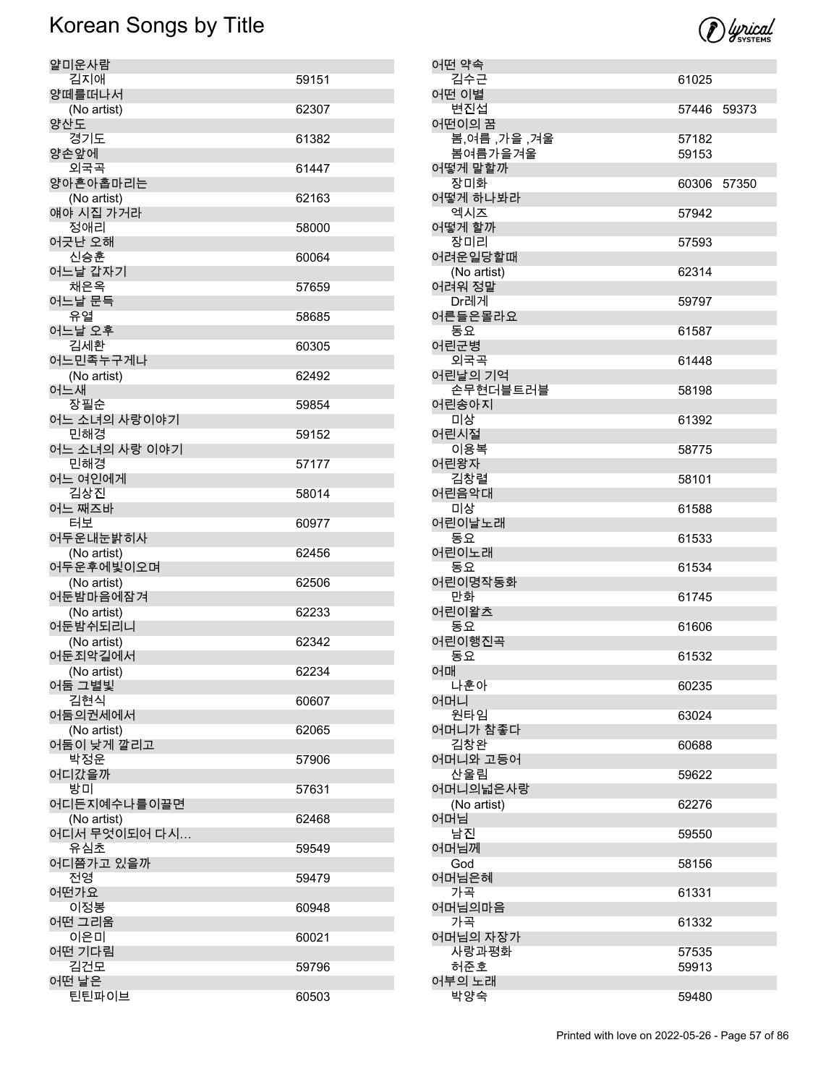

| 얄미운사람          |       |
|----------------|-------|
| 김지애            | 59151 |
| 양떼를떠나서         |       |
| (No artist)    | 62307 |
| 양산도            |       |
| 경기도            | 61382 |
| 양손앞에           |       |
| 외국곡            | 61447 |
| 양아흔아홉마리는       |       |
| (No artist)    | 62163 |
| 얘야 시집 가거라      |       |
| 정애리            | 58000 |
| 어긋난 오해         |       |
| 신승훈            | 60064 |
| 어느날 갑자기        |       |
| 채은옥            | 57659 |
| 어느날 문득         |       |
| 유열             | 58685 |
| 어느날 오후         |       |
| 김세환            | 60305 |
| 어느민족누구게나       |       |
| (No artist)    | 62492 |
| 어느새            |       |
| 장필순            | 59854 |
| 어느 소녀의 사랑이야기   |       |
| 민해경            | 59152 |
| 어느 소녀의 사랑 이야기  |       |
| 민해경            | 57177 |
| 어느 여인에게        |       |
| 김상진            | 58014 |
| 어느 째즈바         |       |
| 터보             | 60977 |
| 어두운내눈밝히사       |       |
| (No artist)    | 62456 |
| 어두운후에빛이오며      |       |
| (No artist)    | 62506 |
| 어둔밤마음에잠겨       |       |
| (No artist)    | 62233 |
| 어둔밤쉬되리니        |       |
| (No artist)    | 62342 |
| 어둔죄악길에서        |       |
| (No artist)    | 62234 |
| 어둠 그별빛         |       |
| 김현식            | 60607 |
| 어둠의권세에서        |       |
| (No artist)    | 62065 |
| 어둠이 낮게 깔리고     |       |
| 박정운            | 57906 |
| 어디갔을까          |       |
| 방미             | 57631 |
| 어디든지예수나를이끌면    |       |
| (No artist)    | 62468 |
| 어디서 무엇이되어 다시   |       |
| 유심초            | 59549 |
| 어디쯤가고 있을까      |       |
| 전영             | 59479 |
| 어떤가요           |       |
| 이정봉            | 60948 |
| 어떤 그리움         |       |
| 이은미            | 60021 |
| 어떤 기다림         |       |
| 김건모            |       |
|                | 59796 |
| 어떤 날은<br>틴틴파이브 |       |

| 어떤 약속                  |             |  |
|------------------------|-------------|--|
| 김수근                    | 61025       |  |
| 어떤 이별<br>변진섭           | 57446 59373 |  |
| 어떤이의 꿈<br>봄,여름 ,가을 ,겨울 | 57182       |  |
| 봄여름가을겨울                | 59153       |  |
| 어떻게 말할까                |             |  |
| 장미화                    | 60306 57350 |  |
| 어떻게 하나봐라<br>엑시즈        | 57942       |  |
| 어떻게 할까                 |             |  |
| 장미리                    | 57593       |  |
| 어려운일당할때                |             |  |
| (No artist)<br>어려워 정말  | 62314       |  |
| Dr레게                   | 59797       |  |
| 어른들은몰라요                |             |  |
| 동요<br>어린군병             | 61587       |  |
| 외국곡                    | 61448       |  |
| 어린날의 기억                |             |  |
| 손무현더블트러블<br>어린송아지      | 58198       |  |
| 미상                     | 61392       |  |
| 어린시절                   |             |  |
| 이용복<br>어린왕자            | 58775       |  |
| 김창렬                    | 58101       |  |
| 어린음악대                  |             |  |
| 미상<br>어린이날노래           | 61588       |  |
| 동요                     | 61533       |  |
| 어린이노래                  |             |  |
| 동요                     | 61534       |  |
| 어린이명작동화<br>만화          | 61745       |  |
| 어린이왈츠                  |             |  |
| 동요                     | 61606       |  |
| 어린이행진곡<br>동요           | 61532       |  |
| 어매                     |             |  |
| 나훈아                    | 60235       |  |
| 어머니<br>원타임             | 63024       |  |
| 어머니가 참좋다               |             |  |
| 김창완<br>어머니와 고등어        | 60688       |  |
| 산울림                    | 59622       |  |
| 어머니의넓은사랑               |             |  |
| (No artist)<br>어머님     | 62276       |  |
| 남진                     | 59550       |  |
| 어머님께                   |             |  |
| God<br>어머님은혜           | 58156       |  |
| 가곡                     | 61331       |  |
| 어머님의마음                 |             |  |
| 가곡<br>어머님의 자장가         | 61332       |  |
| 사랑과평화                  | 57535       |  |
| 허준호                    | 59913       |  |
| 어부의 노래<br>박양숙          |             |  |
|                        | 59480       |  |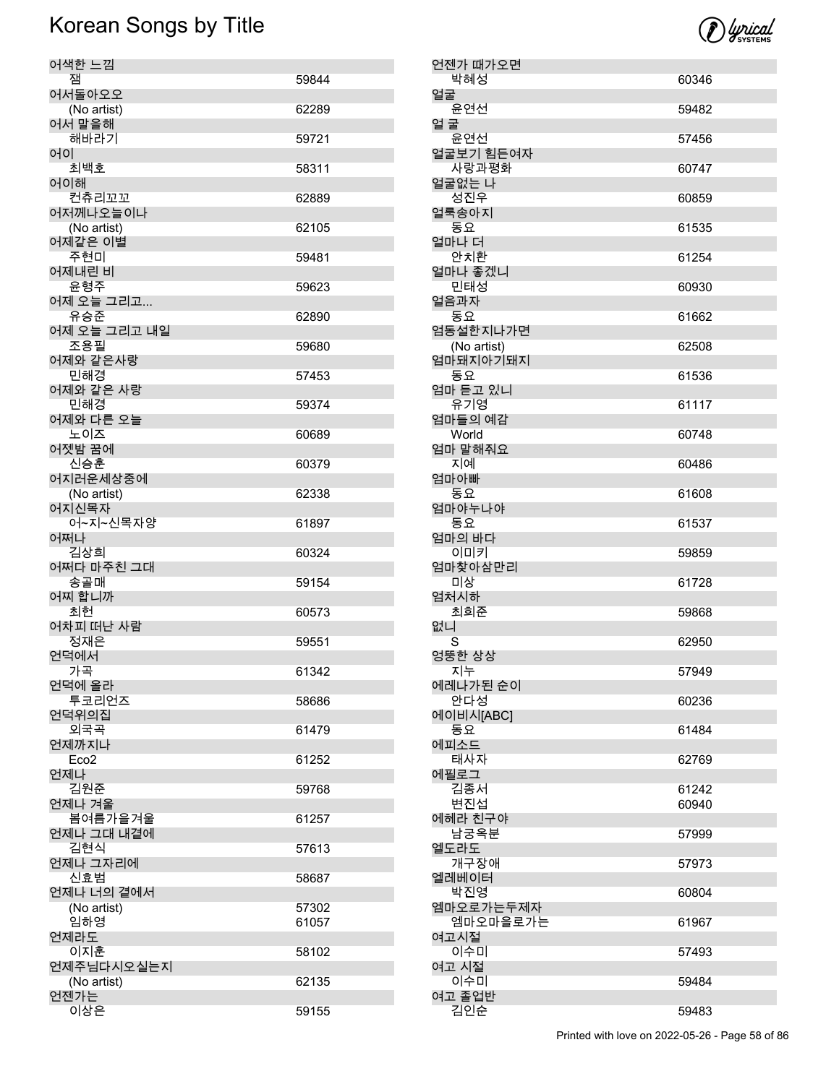

| 언젠가 때가오면              |       |
|-----------------------|-------|
| 박혜성<br>얼굴             | 60346 |
| 윤연선                   | 59482 |
| 얼 굴                   |       |
| 윤연선                   | 57456 |
| 얼굴보기 힘든여자<br>사랑과평화    | 60747 |
| 얼굴없는 나                |       |
| 성진우                   | 60859 |
| 얼룩송아지                 |       |
| 동요<br>얼마나 더           | 61535 |
| 안치환                   | 61254 |
| 얼마나 좋겠니               |       |
| 민태성<br>얼음과자           | 60930 |
| 동요                    | 61662 |
| 엄동설한지나가면              |       |
| (No artist)           | 62508 |
| 엄마돼지아기돼지<br>동요        | 61536 |
| 엄마 듣고 있니              |       |
| 유기영                   | 61117 |
| 엄마들의 예감<br>World      | 60748 |
| 엄마 말해줘요               |       |
| 지예                    | 60486 |
| 엄마아빠                  |       |
| 동요<br>엄마야누나야          | 61608 |
| 동요                    | 61537 |
| 엄마의 바다                |       |
| 이미키<br>엄마찾아삼만리        | 59859 |
| 미상                    | 61728 |
|                       |       |
|                       |       |
| 엄처시하<br>최희준           | 59868 |
|                       |       |
| S                     | 62950 |
| 없니<br>엉뚱한 상상<br>지누    | 57949 |
| 에레나가된 순이              |       |
| 안다성<br>에이비시[ABC]      | 60236 |
| 동요                    | 61484 |
|                       |       |
| 태사자                   | 62769 |
| 에피소드<br>에필로그<br>김종서   | 61242 |
| 변진섭                   | 60940 |
|                       |       |
| 남궁옥분<br>엘도라도          | 57999 |
| 에헤라 친구야<br>개구장애       | 57973 |
| 엘레베이터                 |       |
| 박진영                   | 60804 |
| 엠마오로가는두제자<br>엠마오마을로가는 | 61967 |
| 여고시절                  |       |
| 이수미                   | 57493 |
| 여고 시절<br>이수미          | 59484 |
| 여고 졸업반<br>김인순         | 59483 |

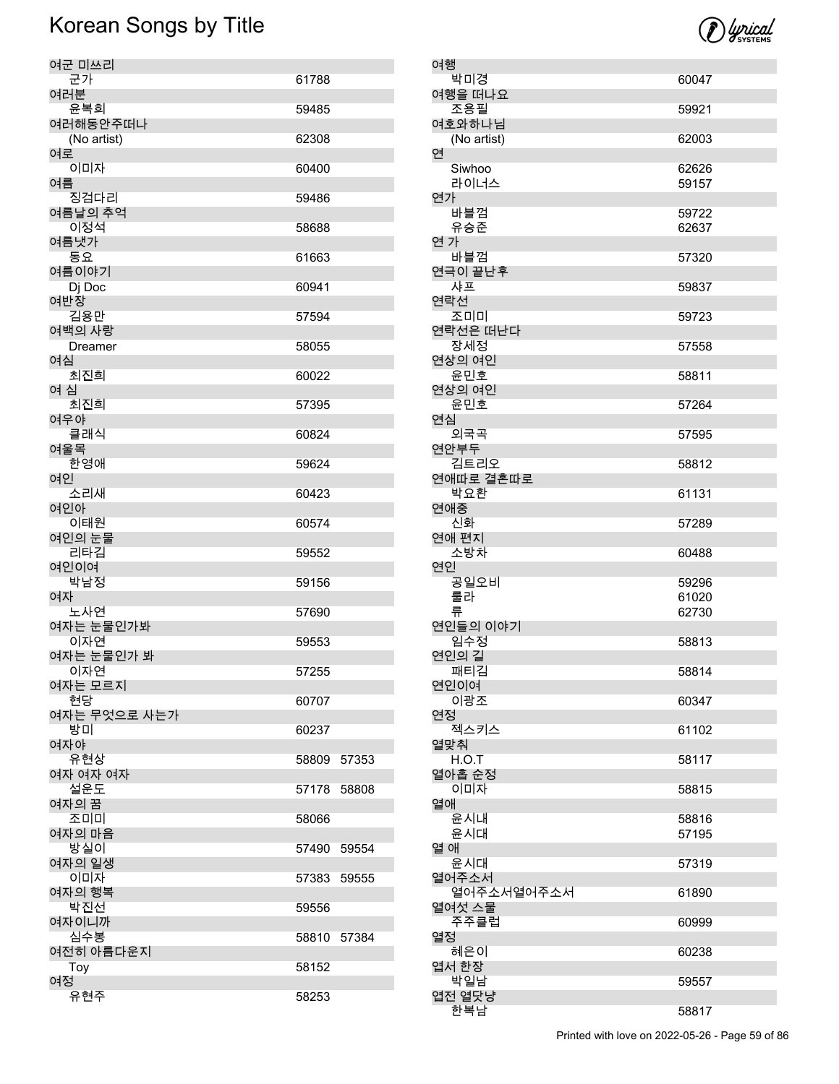

| 여군 미쓰리                  |       |       |
|-------------------------|-------|-------|
| 군가<br>여러분               | 61788 |       |
| 윤복희                     | 59485 |       |
| 여러해동안주떠나<br>(No artist) | 62308 |       |
| 여로<br>이미자               | 60400 |       |
| 여름                      |       |       |
| 징검다리<br>여름날의 추억         | 59486 |       |
| 이정석<br>여름냇가             | 58688 |       |
| 동요                      | 61663 |       |
| 여름이야기<br>Dj Doc         | 60941 |       |
| 여반장<br>김용만              | 57594 |       |
| 여백의 사랑<br>Dreamer       | 58055 |       |
| 여심                      |       |       |
| 최진희<br>여 심              | 60022 |       |
| 최진희<br>여우야              | 57395 |       |
| 클래식                     | 60824 |       |
| 여울목<br>한영애              | 59624 |       |
| 여인<br>소리새               | 60423 |       |
| 여인아<br>이태원              | 60574 |       |
| 여인의 눈물<br>리타김           | 59552 |       |
| 여인이여<br>박남정             | 59156 |       |
| 여자                      |       |       |
| 노사연<br>여자는 눈물인가봐        | 57690 |       |
| 이자연<br>여자는 눈물인가 봐       | 59553 |       |
| 이자연<br>여자는 모르지          | 57255 |       |
| 현당                      | 60707 |       |
| 여자는 무엇으로 사는가<br>방미      | 60237 |       |
| 여자야<br>유현상              | 58809 | 57353 |
| 여자 여자 여자<br>설운도         | 57178 |       |
| 여자의 꿈                   |       | 58808 |
| 조미미<br>여자의 마음           | 58066 |       |
| 방실이<br>여자의 일생           | 57490 | 59554 |
| 이미자<br>여자의 행복           | 57383 | 59555 |
| 박진선                     | 59556 |       |
| 여자이니까<br>심수봉            | 58810 | 57384 |
| 여전히 아름다운지<br>Toy        | 58152 |       |
| 여정                      |       |       |
| 유현주                     | 58253 |       |

| 여행                   |                |
|----------------------|----------------|
| 박미경                  | 60047          |
| 여행을 떠나요              |                |
| 조용필                  | 59921          |
| 여호와하나님               |                |
| (No artist)          | 62003          |
| 연                    |                |
| Siwhoo               | 62626<br>59157 |
| 라이너스<br>연가           |                |
| 바블껌                  | 59722          |
| 유승준                  | 62637          |
| 연 가                  |                |
| 바블껌                  | 57320          |
| 연극이 끝난후              |                |
| 샤프                   | 59837          |
| 연락선                  |                |
| 조미미                  | 59723          |
| 연락선은 떠난다             |                |
| 장세정                  | 57558          |
| 연상의 여인               |                |
| 윤민호                  | 58811          |
| 연상의 여인               |                |
| 윤민호                  | 57264          |
| 연심                   |                |
| 외국곡                  | 57595          |
| 연안부두                 |                |
| 김트리오                 | 58812          |
| 연애따로 결혼따로            |                |
| 박요환                  | 61131          |
| 연애중                  |                |
| 신화                   | 57289          |
|                      |                |
| 연애 편지                |                |
| 소방차                  | 60488          |
| 연인                   |                |
| 공일오비                 | 59296          |
| 룰라                   | 61020<br>62730 |
| 류<br>연인들의 이야기        |                |
| 임수정                  | 58813          |
| 연인의 길                |                |
| 패티김                  | 58814          |
| 연인이여                 |                |
| 이광조                  | 60347          |
| 연정                   |                |
| 젝스키스                 | 61102          |
| 열맞춰                  |                |
| H.O.T                | 58117          |
| 열아홉 순정               |                |
| 이미자                  | 58815          |
| 열애                   |                |
| 윤시내                  | 58816          |
| 윤시대                  | 57195          |
| 열 애                  |                |
| 윤시대                  | 57319          |
| 열어주소서                |                |
| 열어주소서열어주소서<br>열여섯 스물 | 61890          |
| 주주클럽                 | 60999          |
| 열정                   |                |
| 혜은이                  | 60238          |
| 엽서 한장                |                |
| 박일남                  | 59557          |
| 엽전 열닷냥<br>한복남        | 58817          |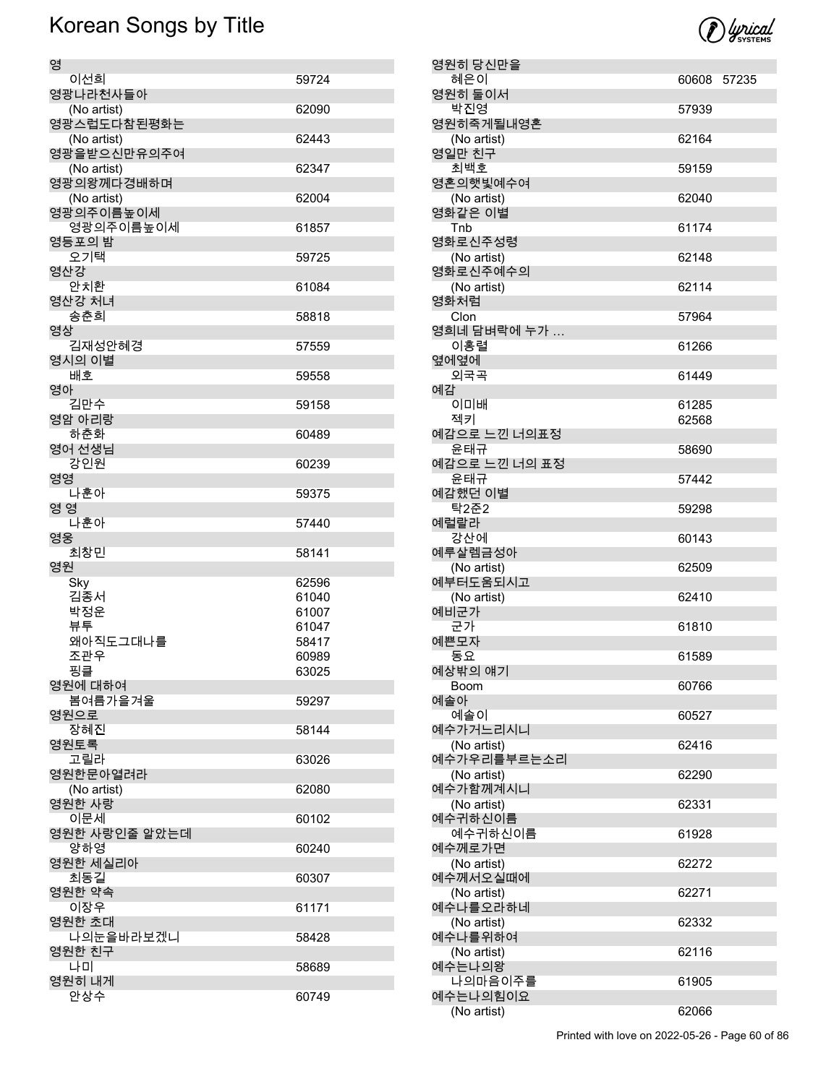| 영                  |                |
|--------------------|----------------|
| 이선희                | 59724          |
| 영광나라천사들아           |                |
| (No artist)        | 62090          |
| 영광스럽도다참된평화는        |                |
| (No artist)        | 62443          |
| 영광을받으신만유의주여        |                |
| (No artist)        | 62347          |
| 영광의왕께다경배하며         |                |
| (No artist)        | 62004          |
| 영광의주이름높이세          |                |
| 영광의주이름높이세          | 61857          |
| 영등포의 밤             |                |
| 오기택                | 59725          |
| 영산강                |                |
| 안치환                | 61084          |
| 영산강 처녀             |                |
| 송춘희                | 58818          |
| 영상                 |                |
| 김재성안혜경             | 57559          |
| 영시의 이별             |                |
| 배호                 | 59558          |
| 영아                 |                |
| 김만수                | 59158          |
| 영암 아리랑             |                |
| 하춘화                | 60489          |
| 영어 선생님             |                |
| 강인원                | 60239          |
| 영영                 |                |
| 나훈아                | 59375          |
| 영 영                |                |
| 나훈아                | 57440          |
|                    |                |
|                    |                |
| 영웅                 | 58141          |
| 최창민                |                |
| 영원                 |                |
| Sky                | 62596<br>61040 |
| 김종서                | 61007          |
| 박정운                | 61047          |
| 뷰투                 | 58417          |
| 왜아직도그대나를           | 60989          |
| 조관우                |                |
| 핑클                 | 63025          |
| 영원에 대하여<br>봄여름가을겨울 | 59297          |
| 영원으로               |                |
| 장혜진                | 58144          |
| 영원토록               |                |
| 고릴라                | 63026          |
| 영원한문아열려라           |                |
| (No artist)        | 62080          |
| 영원한 사랑             |                |
| 이문세                | 60102          |
| 영원한 사랑인줄 알았는데      |                |
| 양하영                | 60240          |
| 영원한 세실리아           |                |
| 최동길                | 60307          |
| 영원한 약속             |                |
| 이장우                | 61171          |
| 영원한 초대             |                |
| 나의눈을바라보겠니          | 58428          |
| 영원한 친구             |                |
| 나미                 | 58689          |
| 영원히 내게<br>안상수      |                |

| 영원히 당신만을               |             |  |
|------------------------|-------------|--|
| 혜은이                    | 60608 57235 |  |
| 영원히 둘이서                |             |  |
| 박진영                    | 57939       |  |
| 영원히죽게될내영혼              |             |  |
| (No artist)            | 62164       |  |
| 영일만 친구                 |             |  |
| 최백호                    | 59159       |  |
| 영혼의햇빛예수여               |             |  |
| (No artist)<br>영화같은 이별 | 62040       |  |
| Tnb                    | 61174       |  |
| 영화로신주성령                |             |  |
| (No artist)            | 62148       |  |
| 영화로신주예수의               |             |  |
| (No artist)            | 62114       |  |
| 영화처럼                   |             |  |
| Clon                   | 57964       |  |
| 영희네 담벼락에 누가 …          |             |  |
| 이홍렬                    | 61266       |  |
| 옆에옆에                   |             |  |
| 외국곡                    | 61449       |  |
| 예감                     |             |  |
| 이미배                    | 61285       |  |
| 젝키                     | 62568       |  |
| 예감으로 느낀 너의표정           |             |  |
| 윤태규                    | 58690       |  |
| 예감으로 느낀 너의 표정          |             |  |
| 윤태규<br>예감했던 이별         | 57442       |  |
| 탁2준2                   | 59298       |  |
| 예럴랄라                   |             |  |
| 강산에                    | 60143       |  |
| 예루살렘금성아                |             |  |
| (No artist)            | 62509       |  |
| 예부터도움되시고               |             |  |
| (No artist)            | 62410       |  |
| 예비군가                   |             |  |
| 군가                     | 61810       |  |
| 예쁜모자                   |             |  |
| 동요                     | 61589       |  |
| 예상밖의 얘기                |             |  |
| Boom                   | 60766       |  |
| 예솔아                    |             |  |
| 예솔이<br>예수가거느리시니        | 60527       |  |
| (No artist)            | 62416       |  |
| 예수가우리를부르는소리            |             |  |
| (No artist)            | 62290       |  |
| 예수가함께계시니               |             |  |
| (No artist)            | 62331       |  |
| 예수귀하신이름                |             |  |
| 예수귀하신이름                | 61928       |  |
| 예수께로가면                 |             |  |
| (No artist)            | 62272       |  |
| 예수께서오실때에               |             |  |
| (No artist)            | 62271       |  |
| 예수나를오라하네               |             |  |
| (No artist)            | 62332       |  |
| 예수나를위하여                |             |  |
| (No artist)            | 62116       |  |
| 예수는나의왕                 |             |  |
| 나의마음이주를                | 61905       |  |
| 예수는나의힘이요               |             |  |
| (No artist)            | 62066       |  |

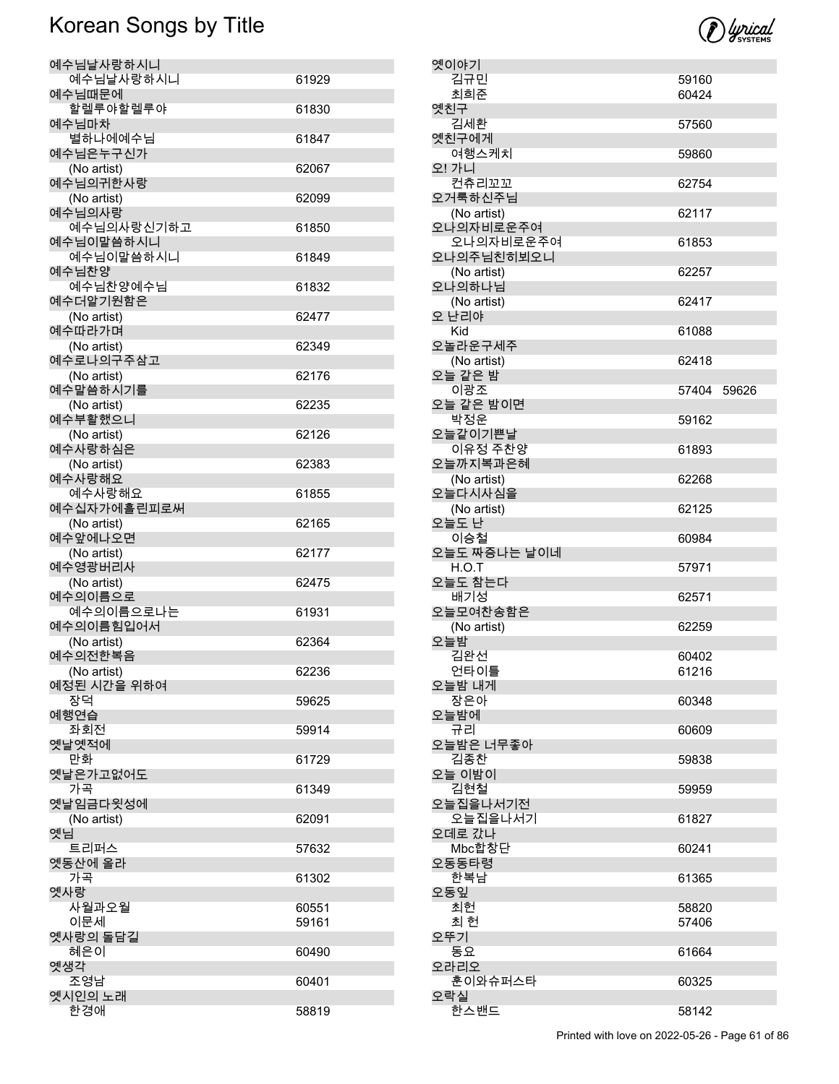| 예수님날사랑하시니              |       |
|------------------------|-------|
| 예수님날사랑하시니              | 61929 |
| 예수님때문에                 |       |
| 할렐루야할렐루야               | 61830 |
| 예수님마차                  |       |
| 별하나에예수님<br>예수님은누구신가    | 61847 |
| (No artist)            | 62067 |
| 예수님의귀한사랑               |       |
| (No artist)            | 62099 |
| 예수님의사랑                 |       |
| 예수님의사랑신기하고             | 61850 |
| 예수님이말씀하시니              |       |
| 예수님이말씀하시니              | 61849 |
| 예수님찬양                  |       |
| 예수님찬양예수님               | 61832 |
| 예수더알기원함은               |       |
| (No artist)            | 62477 |
| 예수따라가며                 |       |
| (No artist)            | 62349 |
| 예수로나의구주삼고              |       |
| (No artist)            | 62176 |
| 예수말씀하시기를               |       |
| (No artist)            | 62235 |
| 예수부활했으니                |       |
| (No artist)            | 62126 |
| 예수사랑하심은<br>(No artist) | 62383 |
| 예수사랑해요                 |       |
| 예수사랑해요                 | 61855 |
| 예수십자가에흘린피로써            |       |
| (No artist)            | 62165 |
| 예수앞에나오면                |       |
| (No artist)            | 62177 |
| 예수영광버리사                |       |
| (No artist)            | 62475 |
| 예수의이름으로                |       |
| 예수의이름으로나는              | 61931 |
| 예수의이름힘입어서              |       |
| (No artist)            | 62364 |
| 예수의전한복음                |       |
| (No artist)            | 62236 |
| 예정된 시간을 위하여            |       |
| 장덕                     | 59625 |
| 예행연습                   |       |
| 좌회전<br>옛날옛적에           | 59914 |
| 만화                     | 61729 |
| 옛날은가고없어도               |       |
| 가곡                     | 61349 |
| 옛날임금다윗성에               |       |
| (No artist)            | 62091 |
| 옛님                     |       |
| 트리퍼스                   | 57632 |
| 옛동산에 올라                |       |
| 가곡                     | 61302 |
| 옛사랑                    |       |
| 사월과오월                  | 60551 |
| 이문세                    | 59161 |
| 옛사랑의 돌담길               |       |
| 혜은이                    | 60490 |
| 옛생각                    |       |
| 조영남                    | 60401 |
| 옛시인의 노래                |       |
| 한경애                    | 58819 |



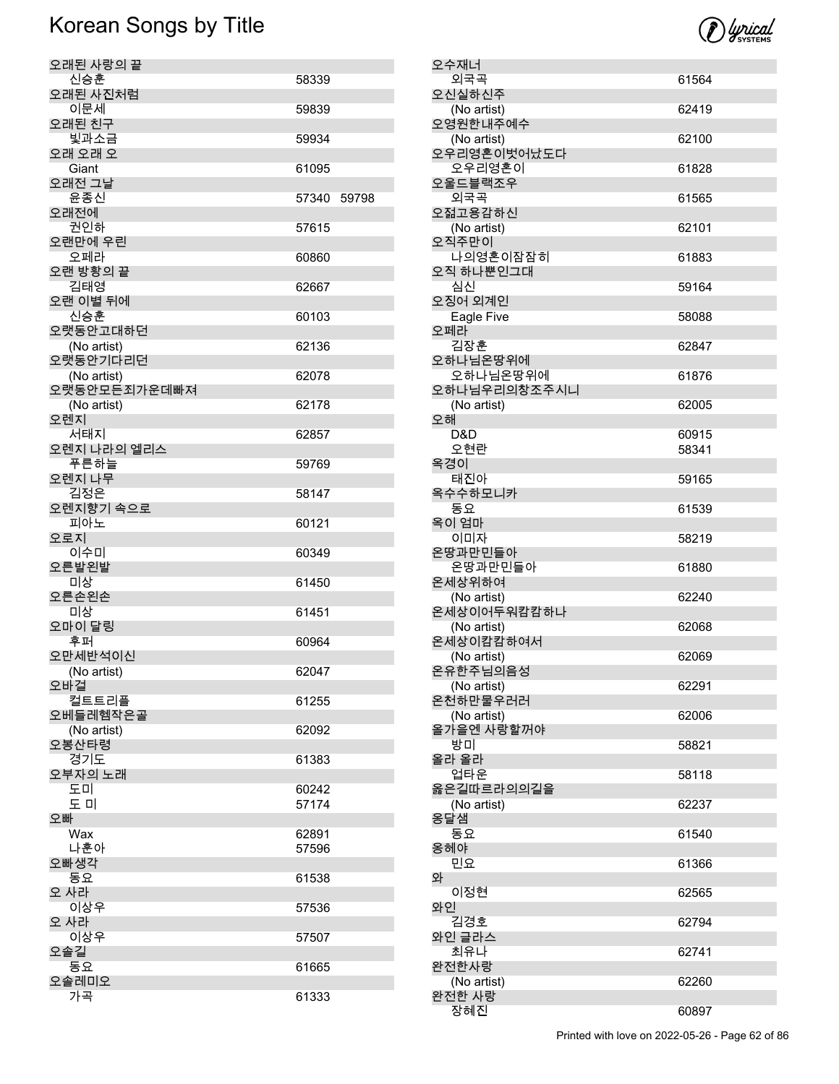

| 오수재너                      |       |
|---------------------------|-------|
| 외국곡                       | 61564 |
| 오신실하신주                    |       |
| (No artist)               | 62419 |
| 오영원한내주예수                  |       |
| (No artist)               | 62100 |
| 오우리영혼이벗어났도다               |       |
| 오우리영혼이                    | 61828 |
| 오울드블랙조우                   |       |
| 외국곡                       | 61565 |
| 오젊고용감하신                   |       |
| (No artist)               | 62101 |
| 오직주만이                     |       |
| 나의영혼이잠잠히                  | 61883 |
| 오직 하나뿐인그대                 |       |
| 심신                        | 59164 |
| 오징어 외계인                   |       |
| Eagle Five<br>오페라         | 58088 |
| 김장훈                       |       |
| 오하나님온땅위에                  | 62847 |
| 오하나님온땅위에                  | 61876 |
| 오하나님우리의창조주시니              |       |
| (No artist)               | 62005 |
| 오해                        |       |
| D&D                       | 60915 |
| 오현란                       | 58341 |
| 옥경이                       |       |
| 태진아                       | 59165 |
| 옥수수하모니카                   |       |
| 동요                        | 61539 |
| 옥이 엄마                     |       |
| 이미자                       | 58219 |
| 온땅과만민들아                   |       |
| 온땅과만민들아                   | 61880 |
| 온세상위하여                    |       |
| (No artist)               | 62240 |
| 온세상이어두워캄캄하나               |       |
| (No artist)               | 62068 |
| 온세상이캄캄하여서                 |       |
| (No artist)               | 62069 |
| 온유한주님의음성                  |       |
| (No artist)               | 62291 |
| 온천하만물우러러                  |       |
| (No artist)<br>올가을엔 사랑할꺼야 | 62006 |
| 방미                        |       |
| 올라 올라                     | 58821 |
| 업타운                       | 58118 |
| 옳은길따르라의의길을                |       |
| (No artist)               | 62237 |
| 옹달샘                       |       |
| 동요                        | 61540 |
| 옹헤야                       |       |
| 민요                        | 61366 |
| 와                         |       |
| 이정현                       | 62565 |
| 와인                        |       |
| 김경호                       | 62794 |
| 와인 글라스                    |       |
| 최유나                       | 62741 |
| 완전한사랑                     |       |
|                           |       |
| (No artist)               | 62260 |
| 완전한 사랑<br>장혜진             | 60897 |

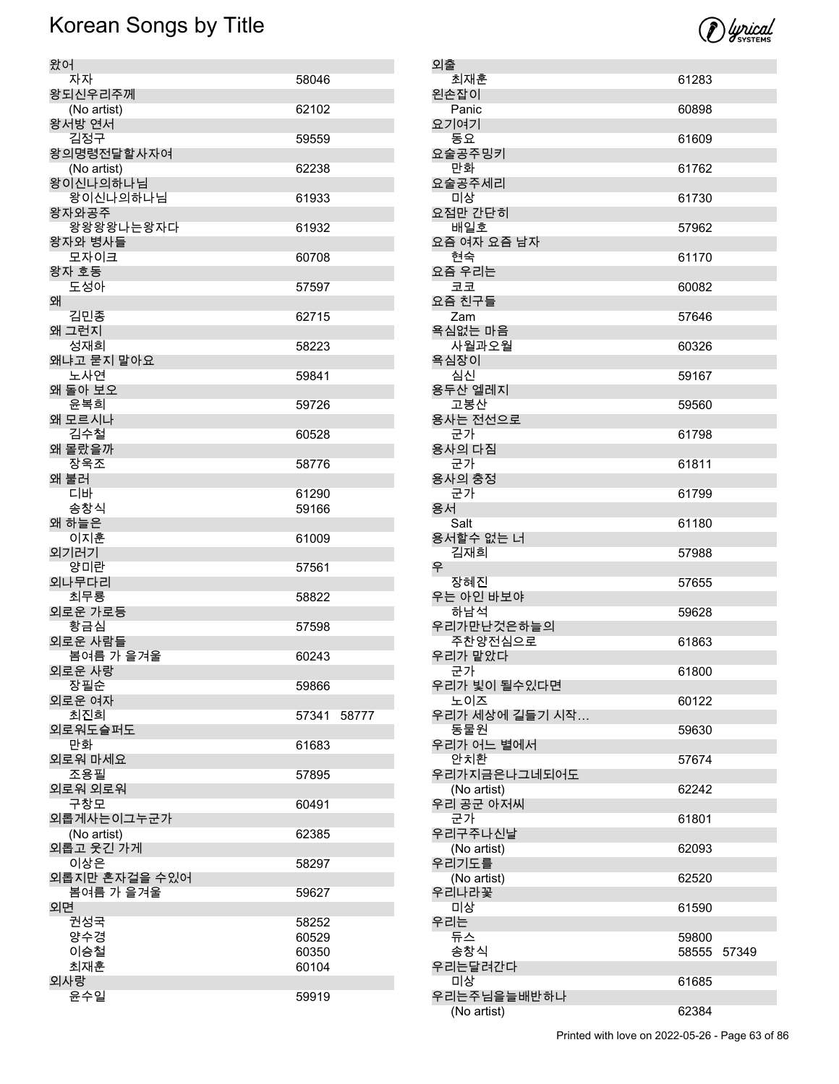

| 왔어                        |                |  |
|---------------------------|----------------|--|
| 자자                        | 58046          |  |
| 왕되신우리주께<br>(No artist)    | 62102          |  |
| 왕서방 연서                    |                |  |
| 김정구                       | 59559          |  |
| 왕의명령전달할사자여<br>(No artist) | 62238          |  |
| 왕이신나의하나님                  |                |  |
| 왕이신나의하나님                  | 61933          |  |
| 왕자와공주                     |                |  |
| 왕왕왕왕나는왕자다<br>왕자와 병사들      | 61932          |  |
| 모자이크                      | 60708          |  |
| 왕자 호동                     |                |  |
| 도성아<br>왜                  | 57597          |  |
| 김민종                       | 62715          |  |
| 왜 그런지                     |                |  |
| 성재희                       | 58223          |  |
| 왜냐고 묻지 말아요<br>노사연         | 59841          |  |
| 왜 돌아 보오                   |                |  |
| 윤복희                       | 59726          |  |
| 왜 모르시나<br>김수철             |                |  |
| 왜 몰랐을까                    | 60528          |  |
| 장욱조                       | 58776          |  |
| 왜 불러                      |                |  |
| 디바<br>송창식                 | 61290<br>59166 |  |
| 왜 하늘은                     |                |  |
| 이지훈                       | 61009          |  |
| 외기러기<br>양미란               |                |  |
| 외나무다리                     | 57561          |  |
| 최무룡                       | 58822          |  |
| 외로운 가로등                   |                |  |
| 황금심<br>외로운 사람들            | 57598          |  |
| 봄여름 가 을겨울                 | 60243          |  |
| 외로운 사랑                    |                |  |
| 장필순<br>외로운 여자             | 59866          |  |
| 최진희                       | 57341 58777    |  |
| 외로워도슬퍼도                   |                |  |
| 만화<br>외로워 마세요             | 61683          |  |
| 조용필                       | 57895          |  |
| 외로워 외로워                   |                |  |
| 구창모                       | 60491          |  |
| 외롭게사는이그누군가<br>(No artist) | 62385          |  |
| 외롭고 웃긴 가게                 |                |  |
| 이상은                       | 58297          |  |
| 외롭지만 혼자걸을 수있어             |                |  |
| 봄여름 가 을겨울<br>외면           | 59627          |  |
| 권성국                       | 58252          |  |
| 양수경                       | 60529          |  |
| 이승철<br>최재훈                | 60350<br>60104 |  |
| 외사랑                       |                |  |
| 윤수일                       | 59919          |  |
|                           |                |  |

| 외출 |                      |       |       |
|----|----------------------|-------|-------|
|    | 최재훈                  | 61283 |       |
|    | 왼손잡이                 |       |       |
|    | Panic                | 60898 |       |
|    | 요기여기                 |       |       |
|    | 동요<br>요술공주밍키         | 61609 |       |
|    | 만화                   | 61762 |       |
|    | 요술공주세리               |       |       |
|    | 미상                   | 61730 |       |
|    | 요점만 간단히              |       |       |
|    | 배일호                  | 57962 |       |
|    | 요즘 여자 요즘 남자          |       |       |
|    | 현숙<br>요즘 우리는         | 61170 |       |
|    | 코코                   | 60082 |       |
|    | 요즘 친구들               |       |       |
|    | Zam                  | 57646 |       |
|    | 욕심없는 마음              |       |       |
|    | 사월과오월                | 60326 |       |
|    | 욕심장이<br>심신           | 59167 |       |
|    | 용두산 엘레지              |       |       |
|    | 고봉산                  | 59560 |       |
|    | 용사는 전선으로             |       |       |
|    | 군가                   | 61798 |       |
|    | 용사의 다짐               |       |       |
|    | 군가<br>용사의 충정         | 61811 |       |
|    | 군가                   | 61799 |       |
|    | 용서                   |       |       |
|    | Salt                 | 61180 |       |
|    | 용서할수 없는 너            |       |       |
|    | 김재희                  | 57988 |       |
| 우  | 장혜진                  | 57655 |       |
|    | 우는 아인 바보야            |       |       |
|    | 하남석                  | 59628 |       |
|    | 우리가만난것은하늘의           |       |       |
|    | 주찬양전심으로              | 61863 |       |
|    | 우리가 맡았다              |       |       |
|    | 군가<br>우리가 빛이 될수있다면   | 61800 |       |
|    | 노이즈                  | 60122 |       |
|    | 우리가 세상에 길들기 시작…      |       |       |
|    | 동물원                  | 59630 |       |
|    | 우리가 어느 별에서           |       |       |
|    | 안치환<br>우리가지금은나그네되어도  | 57674 |       |
|    | (No artist)          | 62242 |       |
|    | 우리 공군 아저씨            |       |       |
|    | 군가                   | 61801 |       |
|    | 우리구주나신날              |       |       |
|    | (No artist)          | 62093 |       |
|    | 우리기도를<br>(No artist) | 62520 |       |
|    | 우리나라꽃                |       |       |
|    | 미상                   | 61590 |       |
|    | 우리는                  |       |       |
|    | 듀스                   | 59800 |       |
|    | 송창식                  | 58555 | 57349 |
|    | 우리는달려간다<br>미상        | 61685 |       |
|    | 우리는주님을늘배반하나          |       |       |
|    | (No artist)          | 62384 |       |
|    |                      |       |       |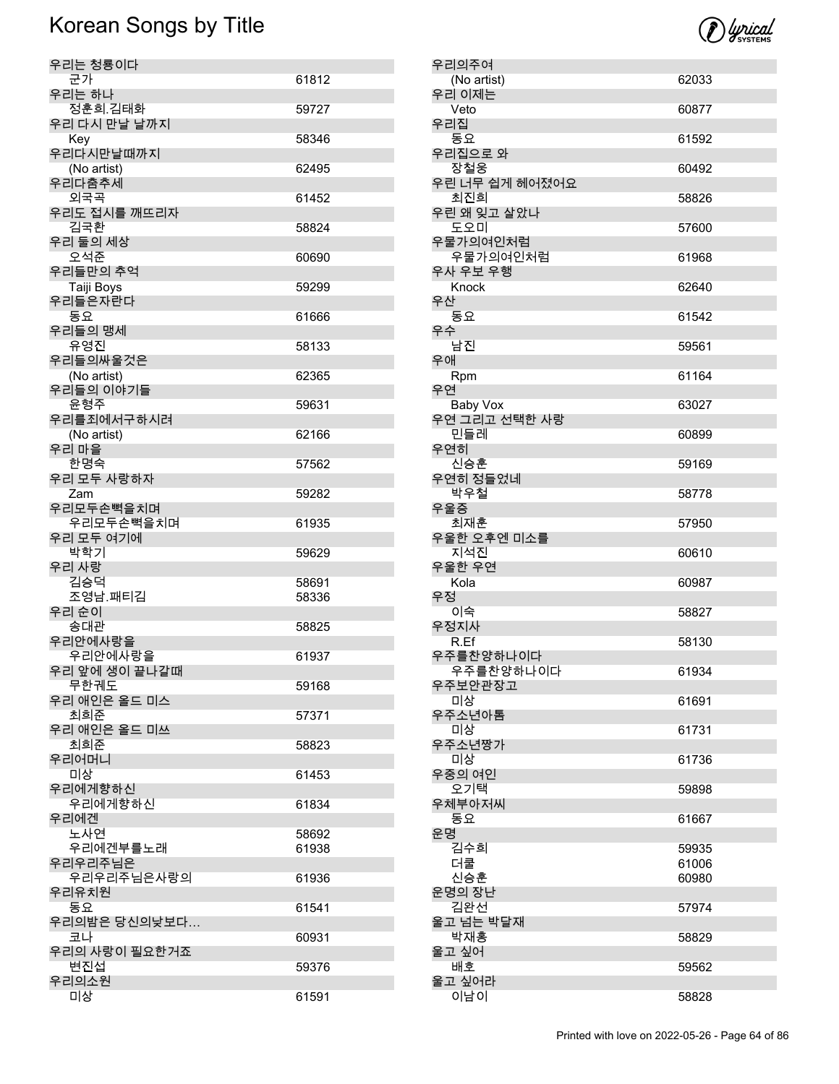| 우리는 청룡이다                  |                |
|---------------------------|----------------|
| 군가<br>우리는 하나              | 61812          |
| 정훈희 김태화                   | 59727          |
| 우리 다시 만날 날까지              |                |
| Key                       | 58346          |
| 우리다시만날때까지                 |                |
| (No artist)<br>우리다춤추세     | 62495          |
| 외국곡                       | 61452          |
| 우리도 접시를 깨뜨리자              |                |
| 김국환                       | 58824          |
| 우리 둘의 세상<br>오석준           | 60690          |
| 우리들만의 추억                  |                |
| Taiji Boys                | 59299          |
| 우리들은자란다                   |                |
| 동요                        | 61666          |
| 우리들의 맹세<br>유영진            | 58133          |
| 우리들의싸울것은                  |                |
| (No artist)               | 62365          |
| 우리들의 이야기들                 |                |
| 윤형주                       | 59631          |
| 우리를죄에서구하시려<br>(No artist) | 62166          |
| 우리 마을                     |                |
| 한명숙                       | 57562          |
| 우리 모두 사랑하자                |                |
| Zam<br>우리모두손뼉을치며          | 59282          |
| 우리모두손뼉을치며                 | 61935          |
| 우리 모두 여기에                 |                |
| 박학기                       | 59629          |
| 우리 사랑                     |                |
| 김승덕<br>조영남.패티김            | 58691<br>58336 |
| 우리 순이                     |                |
| 송대관                       | 58825          |
| 우리안에사랑을                   |                |
| 우리안에사랑을<br>우리 앞에 생이 끝나갈때  | 61937          |
| 무한궤도                      | 59168          |
| 우리 애인은 올드 미스              |                |
| 최희준                       | 57371          |
| 우리 애인은 올드 미쓰<br>최희준       | 58823          |
| 우리어머니                     |                |
| 미상                        | 61453          |
| 우리에게향하신                   |                |
| 우리에게향하신                   | 61834          |
| 우리에겐<br>노사연               | 58692          |
| 우리에겐부를노래                  | 61938          |
| 우리우리주님은                   |                |
| 우리우리주님은사랑의                | 61936          |
| 우리유치원<br>동요               | 61541          |
| 우리의밤은 당신의낮보다              |                |
| 코나                        | 60931          |
| 우리의 사랑이 필요한거죠             |                |
| 변진섭                       | 59376          |
| 우리의소원<br>미상               | 61591          |
|                           |                |

| 우리의주여           |       |
|-----------------|-------|
| (No artist)     | 62033 |
|                 |       |
| 우리 이제는          |       |
| Veto            |       |
|                 | 60877 |
| 우리집             |       |
|                 |       |
| 동요              | 61592 |
| 우리집으로 와         |       |
|                 |       |
| 장철웅             | 60492 |
|                 |       |
| 우린 너무 쉽게 헤어졌어요  |       |
| 최진희             | 58826 |
|                 |       |
| 우린 왜 잊고 살았나     |       |
| 도오미             | 57600 |
|                 |       |
| 우물가의여인처럼        |       |
| 우물가의여인처럼        |       |
|                 | 61968 |
| 우사 우보 우행        |       |
|                 |       |
| Knock           | 62640 |
| 우산              |       |
|                 |       |
| 동요              | 61542 |
|                 |       |
| 우수              |       |
| 남진              | 59561 |
|                 |       |
| 우애              |       |
|                 | 61164 |
| Rpm             |       |
| 우연              |       |
|                 |       |
| <b>Baby Vox</b> | 63027 |
| 우연 그리고 선택한 사랑   |       |
|                 |       |
| 민들레             | 60899 |
| 우연히             |       |
|                 |       |
| 신승훈             | 59169 |
|                 |       |
| 우연히 정들었네        |       |
| 박우철             | 58778 |
|                 |       |
| 우울증             |       |
| 최재훈             | 57950 |
|                 |       |
| 우울한 오후엔 미소를     |       |
| 지석진             | 60610 |
|                 |       |
|                 |       |
| 우울한 우연          |       |
|                 |       |
| Kola            | 60987 |
| 우정              |       |
|                 |       |
| 이숙              | 58827 |
|                 |       |
| 우정지사            |       |
| R.Ff            | 58130 |
|                 |       |
| 우주를찬양하나이다       |       |
| 우주를찬양하나이다       | 61934 |
|                 |       |
| 우주보안관장고         |       |
| 미상              | 61691 |
|                 |       |
| 우주소년아톰          |       |
| 미상              | 61731 |
|                 |       |
| 우주소년짱가          |       |
| 미상              | 61736 |
|                 |       |
| 우중의 여인          |       |
|                 |       |
| 오기택             | 59898 |
| 우체부아저씨          |       |
|                 |       |
| 동요              | 61667 |
| 운명              |       |
|                 |       |
| 김수희             | 59935 |
| 더쿨              | 61006 |
|                 |       |
| 신승훈             | 60980 |
|                 |       |
| 운명의 장난          |       |
| 김완선             | 57974 |
|                 |       |
| 울고 넘는 박달재       |       |
| 박재홍             | 58829 |
|                 |       |
| 울고 싶어           |       |
| 배호              | 59562 |
|                 |       |
| 울고 싶어라          |       |
| 이남이             | 58828 |

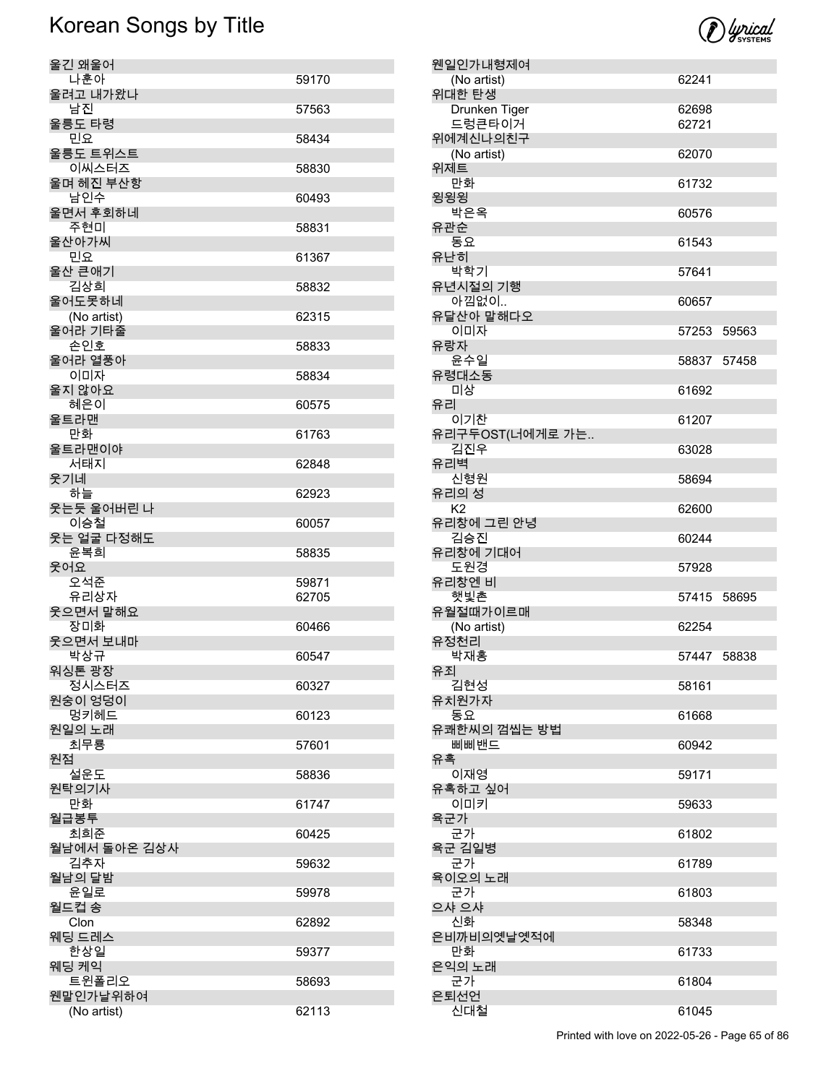| 울긴 왜울어       |       |
|--------------|-------|
| 나훈아          | 59170 |
| 울려고 내가왔나     |       |
| 남진           | 57563 |
| 울릉도 타령       |       |
| 민요           | 58434 |
| 울릉도 트위스트     |       |
|              |       |
| 이씨스터즈        | 58830 |
| 울며 헤진 부산항    |       |
| 남인수          | 60493 |
| 울면서 후회하네     |       |
| 주현미          | 58831 |
| 울산아가씨        |       |
| 민요           | 61367 |
| 울산 큰애기       |       |
|              |       |
| 김상희          | 58832 |
| 울어도못하네       |       |
| (No artist)  | 62315 |
| 울어라 기타줄      |       |
| 손인호          | 58833 |
| 울어라 열풍아      |       |
| 이미자          | 58834 |
| 울지 않아요       |       |
|              |       |
| 혜은이          | 60575 |
| 울트라맨         |       |
| 만화           | 61763 |
| 울트라맨이야       |       |
| 서태지          | 62848 |
| 웃기네          |       |
| 하늘           | 62923 |
|              |       |
| 웃는듯 울어버린 나   |       |
| 이승철          | 60057 |
| 웃는 얼굴 다정해도   |       |
| 윤복희          | 58835 |
| 웃어요          |       |
| 오석준          | 59871 |
| 유리상자         | 62705 |
| 웃으면서 말해요     |       |
| 장미화          | 60466 |
| 웃으면서 보내마     |       |
|              |       |
| 박상규          | 60547 |
| 워싱톤 광장       |       |
| 정시스터즈        | 60327 |
| 원숭이 엉덩이      |       |
| 멍키헤드         | 60123 |
| 원일의 노래       |       |
| 최무룡          | 57601 |
| 원점           |       |
| 설운도          |       |
|              | 58836 |
| 원탁의기사        |       |
| 만화           | 61747 |
| 월급봉투         |       |
| 최희준          | 60425 |
| 월남에서 돌아온 김상사 |       |
| 김추자          | 59632 |
| 월남의 달밤       |       |
| 윤일로          | 59978 |
|              |       |
| 월드컵 송        |       |
| Clon         | 62892 |
| 웨딩 드레스       |       |
| 한상일          | 59377 |
| 웨딩 케익        |       |
| 트윈폴리오        | 58693 |
| 웬말인가날위하여     |       |
|              |       |
| (No artist)  | 62113 |



웬일인가내형제여

위대한 탄생

위제트

윙윙윙

유난히

유리

유리벽

유죄

육군가

(No artist) 62241

Printed with love on 2022-05-26 - Page 65 of 86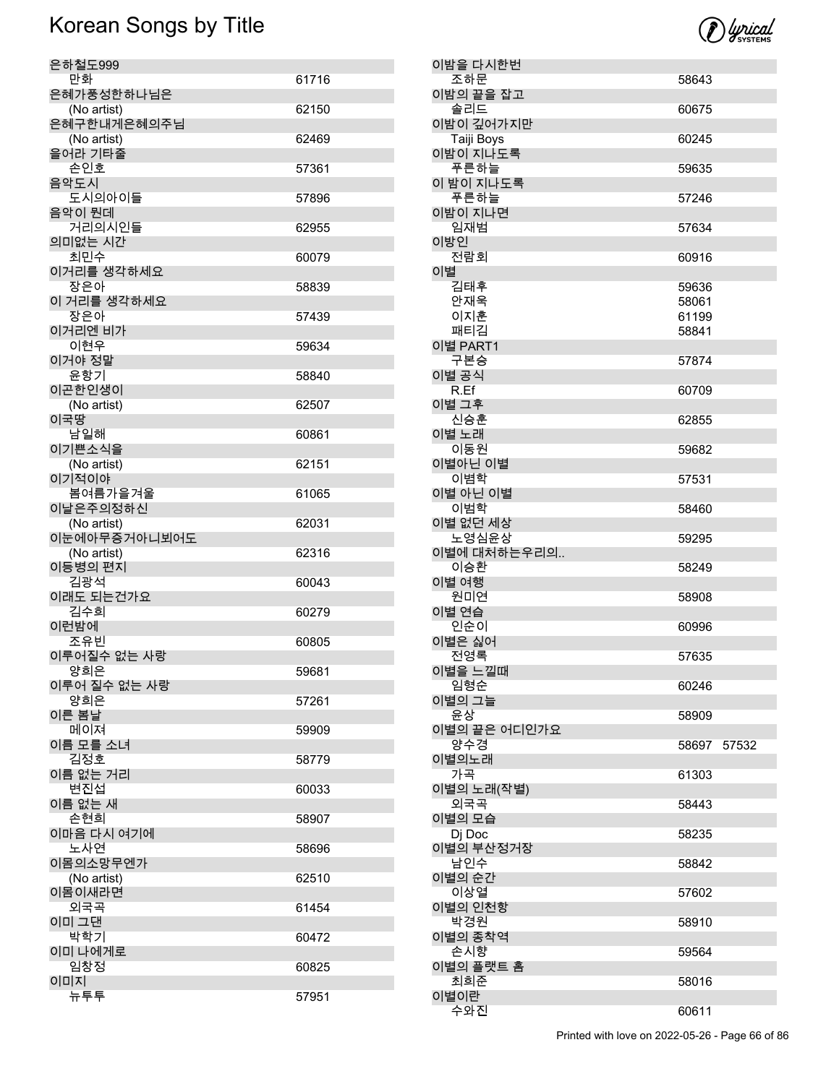| 은하철도999                    |       |
|----------------------------|-------|
| 만화                         | 61716 |
| 은혜가풍성한하나님은                 |       |
| (No artist)<br>은혜구한내게은혜의주님 | 62150 |
| (No artist)                | 62469 |
| 을어라 기타줄                    |       |
| 손인호                        | 57361 |
| 음악도시                       |       |
| 도시의아이들                     | 57896 |
| 음악이 뭔데<br>거리의시인들           | 62955 |
| 의미없는 시간                    |       |
| 최민수                        | 60079 |
| 이거리를 생각하세요                 |       |
| 장은아                        | 58839 |
| 이 거리를 생각하세요<br>장은아         | 57439 |
| 이거리엔 비가                    |       |
| 이현우                        | 59634 |
| 이거야 정말                     |       |
| 윤항기                        | 58840 |
| 이곤한인생이<br>(No artist)      | 62507 |
| 이국땅                        |       |
| 남일해                        | 60861 |
| 이기쁜소식을                     |       |
| (No artist)                | 62151 |
| 이기적이야<br>봄여름가을겨울           | 61065 |
| 이날은주의정하신                   |       |
| (No artist)                | 62031 |
| 이눈에아무증거아니뵈어도               |       |
| (No artist)<br>이등병의 편지     | 62316 |
| 김광석                        | 60043 |
| 이래도 되는건가요                  |       |
| 김수희                        | 60279 |
| 이런밤에                       |       |
| 조유빈<br>이루어질수 없는 사랑         | 60805 |
| 양희은                        | 59681 |
| 이루어 질수 없는 사랑               |       |
| 양희은                        | 57261 |
| 이른 봄날<br>메이져               | 59909 |
| 이름 모를 소녀                   |       |
| 김정호                        | 58779 |
| 이름 없는 거리                   |       |
| 변진섭<br>이름 없는 새             | 60033 |
| 손현희                        | 58907 |
| 이마음 다시 여기에                 |       |
| 노사연                        | 58696 |
| 이몸의소망무엔가<br>(No artist)    | 62510 |
| 이몸이새라면                     |       |
| 외국곡                        | 61454 |
| 이미 그댄                      |       |
| 박학기<br>이미 나에게로             | 60472 |
| 임창정                        | 60825 |
| 이미지                        |       |
|                            |       |

|    | 이밤을 다시한번     |             |  |
|----|--------------|-------------|--|
|    | 조하문          | 58643       |  |
|    | 이밤의 끝을 잡고    |             |  |
|    | 솔리드          | 60675       |  |
|    | 이밤이 깊어가지만    |             |  |
|    |              |             |  |
|    | Taiji Boys   | 60245       |  |
|    | 이밤이 지나도록     |             |  |
|    | 푸른하늘         | 59635       |  |
|    | 이 밤이 지나도록    |             |  |
|    | 푸른하늘         | 57246       |  |
|    |              |             |  |
|    | 이밤이 지나면      |             |  |
|    | 임재범          | 57634       |  |
|    | 이방인          |             |  |
|    | 전람회          | 60916       |  |
| 이별 |              |             |  |
|    | 김태후          | 59636       |  |
|    | 안재욱          | 58061       |  |
|    |              |             |  |
|    | 이지훈          | 61199       |  |
|    | 패티김          | 58841       |  |
|    | 이별 PART1     |             |  |
|    | 구본승          | 57874       |  |
|    | 이별 공식        |             |  |
|    | R.Ef         | 60709       |  |
|    | 이별 그후        |             |  |
|    |              |             |  |
|    | 신승훈          | 62855       |  |
|    | 이별 노래        |             |  |
|    | 이동원          | 59682       |  |
|    | 이별아닌 이별      |             |  |
|    | 이볌학          | 57531       |  |
|    | 이별 아닌 이별     |             |  |
|    |              |             |  |
|    | 이범학          | 58460       |  |
|    | 이별 없던 세상     |             |  |
|    |              |             |  |
|    | 노영심윤상        | 59295       |  |
|    |              |             |  |
|    | 이별에 대처하는우리의  |             |  |
|    | 이승환          | 58249       |  |
|    | 이별 여행        |             |  |
|    | 원미연          | 58908       |  |
|    | 이별 연습        |             |  |
|    | 인순이          | 60996       |  |
|    | 이별은 싫어       |             |  |
|    |              |             |  |
|    | 전영록          | 57635       |  |
|    | 이별을 느낄때      |             |  |
|    | 임형순          | 60246       |  |
|    | 이별의 그늘       |             |  |
|    | 윤상           | 58909       |  |
|    | 이별의 끝은 어디인가요 |             |  |
|    | 양수경          | 58697 57532 |  |
|    |              |             |  |
|    | 이별의노래        |             |  |
|    | 가곡           | 61303       |  |
|    | 이별의 노래(작별)   |             |  |
|    | 외국곡          | 58443       |  |
|    | 이별의 모습       |             |  |
|    | Dj Doc       | 58235       |  |
|    |              |             |  |
|    | 이별의 부산정거장    |             |  |
|    | 남인수          | 58842       |  |
|    | 이별의 순간       |             |  |
|    | 이상열          | 57602       |  |
|    | 이별의 인천항      |             |  |
|    | 박경원          | 58910       |  |
|    | 이별의 종착역      |             |  |
|    |              |             |  |
|    | 손시향          | 59564       |  |
|    | 이별의 플랫트 홈    |             |  |
|    | 최희준          | 58016       |  |
|    | 이별이란<br>수와진  | 60611       |  |



Printed with love on 2022-05-26 - Page 66 of 86

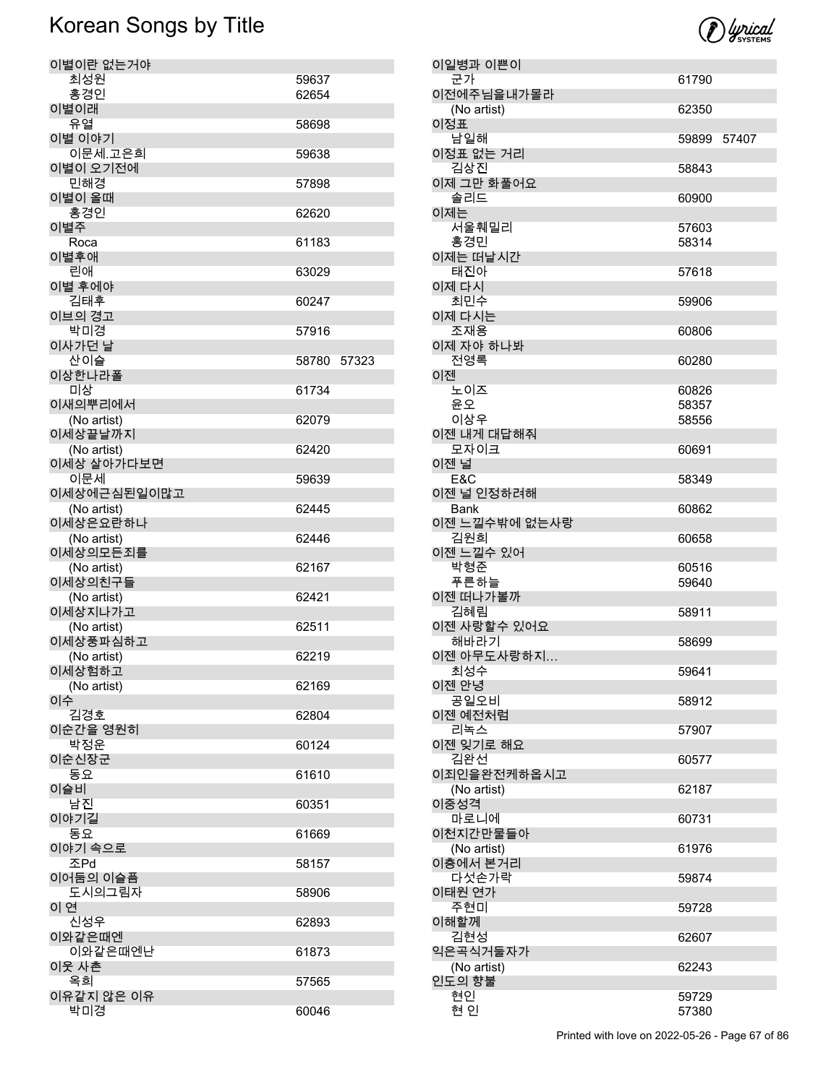

| 이별이란 없는거야               |       |       |
|-------------------------|-------|-------|
| 최성원                     | 59637 |       |
| 홍경인                     | 62654 |       |
| 이별이래<br>유열              | 58698 |       |
| 이별 이야기                  |       |       |
| 이문세.고은희                 | 59638 |       |
| 이별이 오기전에                |       |       |
| 민해경                     | 57898 |       |
| 이별이 올때                  |       |       |
| 홍경인                     | 62620 |       |
| 이별주<br>Roca             | 61183 |       |
| 이별후애                    |       |       |
| 린애                      | 63029 |       |
| 이별 후에야                  |       |       |
| 김태후                     | 60247 |       |
| 이브의 경고<br>박미경           |       |       |
| 이사가던 날                  | 57916 |       |
| 산이슬                     | 58780 | 57323 |
| 이상한나라폴                  |       |       |
| 미상                      | 61734 |       |
| 이새의뿌리에서                 |       |       |
| (No artist)             | 62079 |       |
| 이세상끝날까지<br>(No artist)  | 62420 |       |
| 이세상 살아가다보면              |       |       |
| 이문세                     | 59639 |       |
| 이세상에근심된일이많고             |       |       |
| (No artist)             | 62445 |       |
| 이세상은요란하나                |       |       |
| (No artist)<br>이세상의모든죄를 | 62446 |       |
| (No artist)             | 62167 |       |
| 이세상의친구들                 |       |       |
| (No artist)             | 62421 |       |
| 이세상지나가고                 |       |       |
| (No artist)<br>이세상풍파심하고 | 62511 |       |
| (No artist)             | 62219 |       |
| 이세상험하고                  |       |       |
| (No artist)             | 62169 |       |
| 이수                      |       |       |
| 김경호                     | 62804 |       |
| 이순간을 영원히<br>박정운         | 60124 |       |
| 이순신장군                   |       |       |
| 동요                      | 61610 |       |
| 이슬비                     |       |       |
| 남진                      | 60351 |       |
| 이야기길<br>동요              |       |       |
| 이야기 속으로                 | 61669 |       |
| 조Pd                     | 58157 |       |
| 이어둠의 이슬픔                |       |       |
| 도시의그림자                  | 58906 |       |
| 이 연                     |       |       |
| 신성우                     | 62893 |       |
| 이와같은때엔<br>이와같은때엔난       | 61873 |       |
| 이웃 사촌                   |       |       |
| 옥희                      | 57565 |       |
| 이유같지 않은 이유              |       |       |
| 박미경                     | 60046 |       |

| 이일병과 이쁜이              |             |  |
|-----------------------|-------------|--|
| 군가                    | 61790       |  |
| 이전에주님을내가몰라            |             |  |
| (No artist)<br>이정표    | 62350       |  |
| 남일해                   | 59899 57407 |  |
| 이정표 없는 거리             |             |  |
| 김상진                   | 58843       |  |
| 이제 그만 화풀어요            |             |  |
| 솔리드                   | 60900       |  |
| 이제는                   |             |  |
| 서울훼밀리                 | 57603       |  |
| 홍경민                   | 58314       |  |
| 이제는 떠날시간              |             |  |
| 태진아                   | 57618       |  |
| 이제 다시                 |             |  |
| 최민수                   | 59906       |  |
| 이제 다시는<br>조재용         |             |  |
| 이제 자야 하나봐             | 60806       |  |
| 전영록                   | 60280       |  |
| 이젠                    |             |  |
| 노이즈                   | 60826       |  |
| 윤오                    | 58357       |  |
| 이상우                   | 58556       |  |
| 이젠 내게 대답해줘            |             |  |
| 모자이크                  | 60691       |  |
| 이젠 널                  |             |  |
| E&C                   | 58349       |  |
| 이젠 널 인정하려해            |             |  |
| Bank<br>이젠 느낄수밖에 없는사랑 | 60862       |  |
| 김원희                   | 60658       |  |
| 이젠 느낄수 있어             |             |  |
| 박형준                   | 60516       |  |
| 푸른하늘                  | 59640       |  |
| 이젠 떠나가볼까              |             |  |
| 김혜림                   | 58911       |  |
| 이젠 사랑할수 있어요           |             |  |
| 해바라기<br>이젠 아무도사랑하지    | 58699       |  |
| 최성수                   | 59641       |  |
| 이젠 안녕                 |             |  |
| 공일오비                  | 58912       |  |
| 이젠 예전처럼               |             |  |
| 리녹스                   | 57907       |  |
| 이젠 잊기로 해요             |             |  |
| 김완선                   | 60577       |  |
| 이죄인을완전케하옵시고           |             |  |
| (No artist)<br>이중성격   | 62187       |  |
| 마로니에                  | 60731       |  |
| 이천지간만물들아              |             |  |
| (No artist)           | 61976       |  |
| 이층에서 본거리              |             |  |
| 다섯손가락                 | 59874       |  |
| 이태원 연가                |             |  |
| 주현미                   | 59728       |  |
| 이해할께                  |             |  |
| 김현성<br>익은곡식거둘자가       | 62607       |  |
| (No artist)           | 62243       |  |
| 인도의 향불                |             |  |
| 현인                    | 59729       |  |
| 현 인                   | 57380       |  |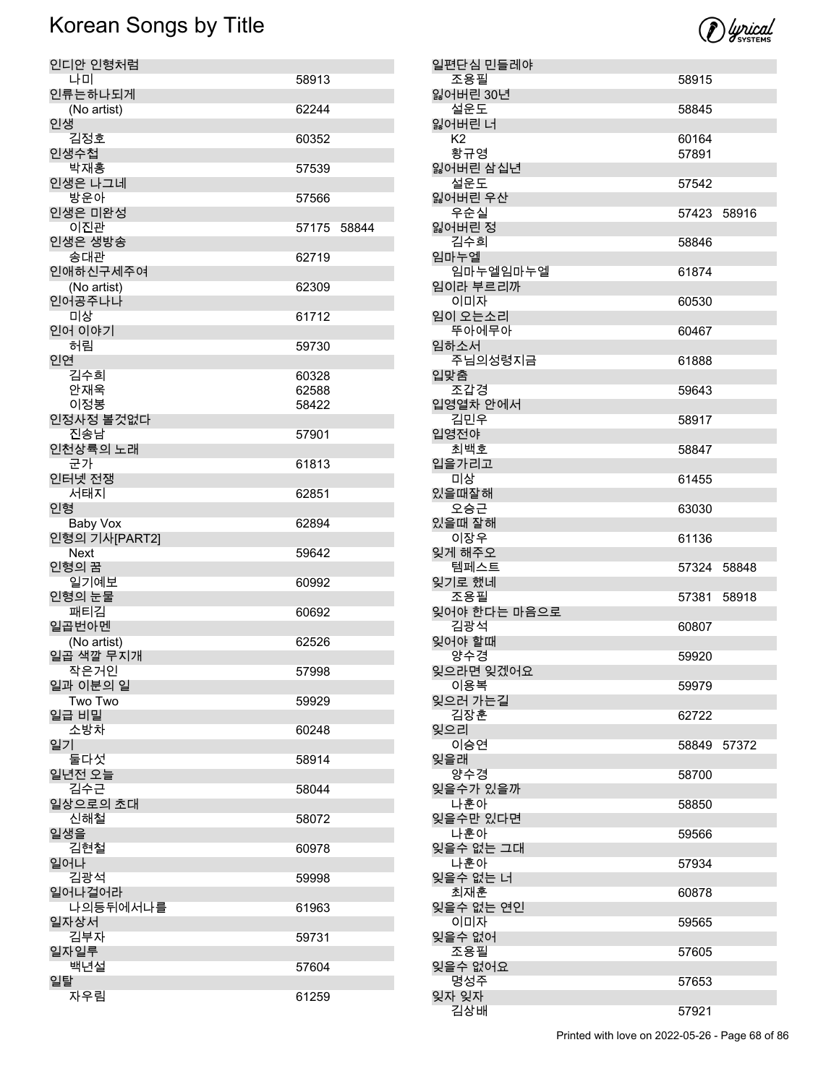

| 인디안 인형처럼                 |       |       |
|--------------------------|-------|-------|
| 나미                       | 58913 |       |
| 인류는하나되게<br>(No artist)   | 62244 |       |
| 인생                       |       |       |
| 김정호                      | 60352 |       |
| 인생수첩<br>박재홍              | 57539 |       |
| 인생은 나그네                  |       |       |
| 방운아<br>인생은 미완성           | 57566 |       |
| 이진관                      | 57175 | 58844 |
| 인생은 생방송                  |       |       |
| 송대관<br>인애하신구세주여          | 62719 |       |
| (No artist)              | 62309 |       |
| 인어공주나나<br>미상             |       |       |
| 인어 이야기                   | 61712 |       |
| 허림                       | 59730 |       |
| 인연<br>김수희                | 60328 |       |
| 안재욱                      | 62588 |       |
| 이정봉                      | 58422 |       |
| 인정사정 볼것없다                |       |       |
| 진송남<br>인천상륙의 노래          | 57901 |       |
| 군가                       | 61813 |       |
| 인터넷 전쟁<br>서태지            | 62851 |       |
| 인형                       |       |       |
| Baby Vox                 | 62894 |       |
| 인형의 기사[PART2]<br>Next    | 59642 |       |
| 인형의 꿈                    |       |       |
| 일기예보                     | 60992 |       |
| 인형의 눈물<br>패티김            | 60692 |       |
| 일곱번아멘                    |       |       |
| (No artist)<br>일곱 색깔 무지개 | 62526 |       |
| 작은거인                     | 57998 |       |
| 일과 이분의 일                 |       |       |
| Two Two<br>일급 비밀         | 59929 |       |
| 소방차                      | 60248 |       |
| 일기<br>둘다섯                | 58914 |       |
| 일년전 오늘                   |       |       |
| 김수근                      | 58044 |       |
| 일상으로의 초대<br>신해철          | 58072 |       |
| 일생을                      |       |       |
| 김현철                      | 60978 |       |
| 일어나<br>김광석               | 59998 |       |
| 일어나걸어라                   |       |       |
| 나의등뒤에서나를<br>일자상서         | 61963 |       |
| 김부자                      | 59731 |       |
| 일자일루                     |       |       |
| 백년설<br>일탈                | 57604 |       |
| 자우림                      | 61259 |       |

| 일편단심 민들레야                |             |       |
|--------------------------|-------------|-------|
| 조용필                      | 58915       |       |
| 잃어버린 30년<br>설운도          | 58845       |       |
| 잃어버린 너<br>K <sub>2</sub> | 60164       |       |
| 황규영<br>잃어버린 삼십년          | 57891       |       |
| 설운도<br>잃어버린 우산           | 57542       |       |
| 우순실<br>잃어버린 정            | 57423 58916 |       |
| 김수희<br>임마누엘              | 58846       |       |
| 임마누엘임마누엘<br>임이라 부르리까     | 61874       |       |
| 이미자<br>임이 오는소리           | 60530       |       |
| 뚜아에무아                    | 60467       |       |
| 임하소서<br>주님의성령지금          | 61888       |       |
| 입맞춤<br>조갑경               | 59643       |       |
| 입영열차 안에서<br>김민우          | 58917       |       |
| 입영전야<br>최백호              | 58847       |       |
| 입을가리고<br>미상              | 61455       |       |
| 있을때잘해<br>오승근             | 63030       |       |
| 있을때 잘해                   |             |       |
| 이장우                      | 61136       |       |
| 잊게 해주오<br>템페스트           | 57324 58848 |       |
| 잊기로 했네                   |             |       |
| 조용필<br>잊어야 한다는 마음으로      | 57381       | 58918 |
| 김광석<br>잊어야 할때            | 60807       |       |
| 양수경<br>잊으라면 잊겠어요         | 59920       |       |
| 이용복<br>잊으러 가는길           | 59979       |       |
| 김장훈<br>잊으리               | 62722       |       |
| 이승연<br>잊을래               | 58849       | 57372 |
| 양수경                      | 58700       |       |
| 잊을수가 있을까<br>나훈아          | 58850       |       |
| 잊을수만 있다면<br>나훈아          | 59566       |       |
| 잊을수 없는 그대<br>나훈아         | 57934       |       |
| 잊을수 없는 너<br>최재훈          | 60878       |       |
| 잊을수 없는 연인<br>이미자         | 59565       |       |
| 잊을수 없어<br>조용필            | 57605       |       |
| 잊을수 없어요<br>명성주<br>잊자 잊자  | 57653       |       |

Printed with love on 2022-05-26 - Page 68 of 86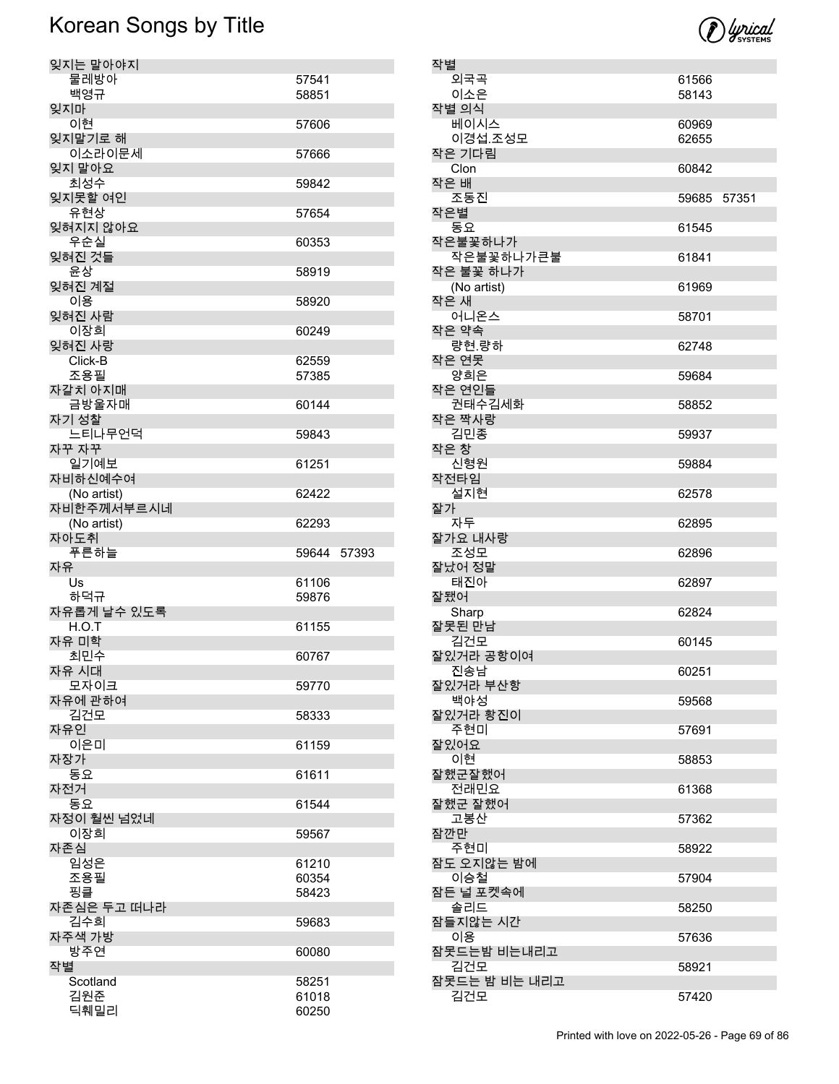

| 작별 |               |             |  |
|----|---------------|-------------|--|
|    | 외국곡           | 61566       |  |
|    | 이소은           | 58143       |  |
|    | 작별 의식         |             |  |
|    | 베이시스          |             |  |
|    |               | 60969       |  |
|    | 이경섭.조성모       | 62655       |  |
|    | 작은 기다림        |             |  |
|    | Clon          | 60842       |  |
|    | 작은 배          |             |  |
|    |               |             |  |
|    | 조동진           | 59685 57351 |  |
|    | 작은별           |             |  |
|    | 동요            | 61545       |  |
|    | 작은불꽃하나가       |             |  |
|    | 작은불꽃하나가큰불     | 61841       |  |
|    |               |             |  |
|    | 작은 불꽃 하나가     |             |  |
|    | (No artist)   | 61969       |  |
|    | 작은 새          |             |  |
|    | 어니온스          | 58701       |  |
|    | 작은 약속         |             |  |
|    |               |             |  |
|    | 량현.량하         | 62748       |  |
|    | 작은 연못         |             |  |
|    | 양희은           | 59684       |  |
|    | 작은 연인들        |             |  |
|    | 권태수김세화        |             |  |
|    |               | 58852       |  |
|    | 작은 짝사랑        |             |  |
|    | 김민종           | 59937       |  |
|    | 작은 창          |             |  |
|    | 신형원           | 59884       |  |
|    | 작전타임          |             |  |
|    |               |             |  |
|    | 설지현           | 62578       |  |
|    | 잘가            |             |  |
|    | 자두            | 62895       |  |
|    | 잘가요 내사랑       |             |  |
|    | 조성모           | 62896       |  |
|    | 잘났어 정말        |             |  |
|    |               |             |  |
|    | 태진아           | 62897       |  |
|    | 잘됐어           |             |  |
|    | Sharp         | 62824       |  |
|    | 잘못된 만남        |             |  |
|    | 김건모           | 60145       |  |
|    | 잘있거라 공항이여     |             |  |
|    |               |             |  |
|    | 진송남           | 60251       |  |
|    | 잘있거라 부산항      |             |  |
|    | 백야성           | 59568       |  |
|    | 잘있거라 황진이      |             |  |
|    | 주현미           | 57691       |  |
|    | 잘있어요          |             |  |
|    | 이현            | 58853       |  |
|    |               |             |  |
|    | 잘했군잘했어        |             |  |
|    | 전래민요          | 61368       |  |
|    | 잘했군 잘했어       |             |  |
|    | 고봉산           | 57362       |  |
|    | 잠깐만           |             |  |
|    | 주현미           | 58922       |  |
|    |               |             |  |
|    | 잠도 오지않는 밤에    |             |  |
|    | 이승철           | 57904       |  |
|    | 잠든 널 포켓속에     |             |  |
|    | 솔리드           | 58250       |  |
|    | 잠들지않는 시간      |             |  |
|    | 이용            | 57636       |  |
|    |               |             |  |
|    | 잠못드는밤 비는내리고   |             |  |
|    | 김건모           | 58921       |  |
|    | 잠못드는 밤 비는 내리고 |             |  |
|    | 김건모           | 57420       |  |
|    |               |             |  |

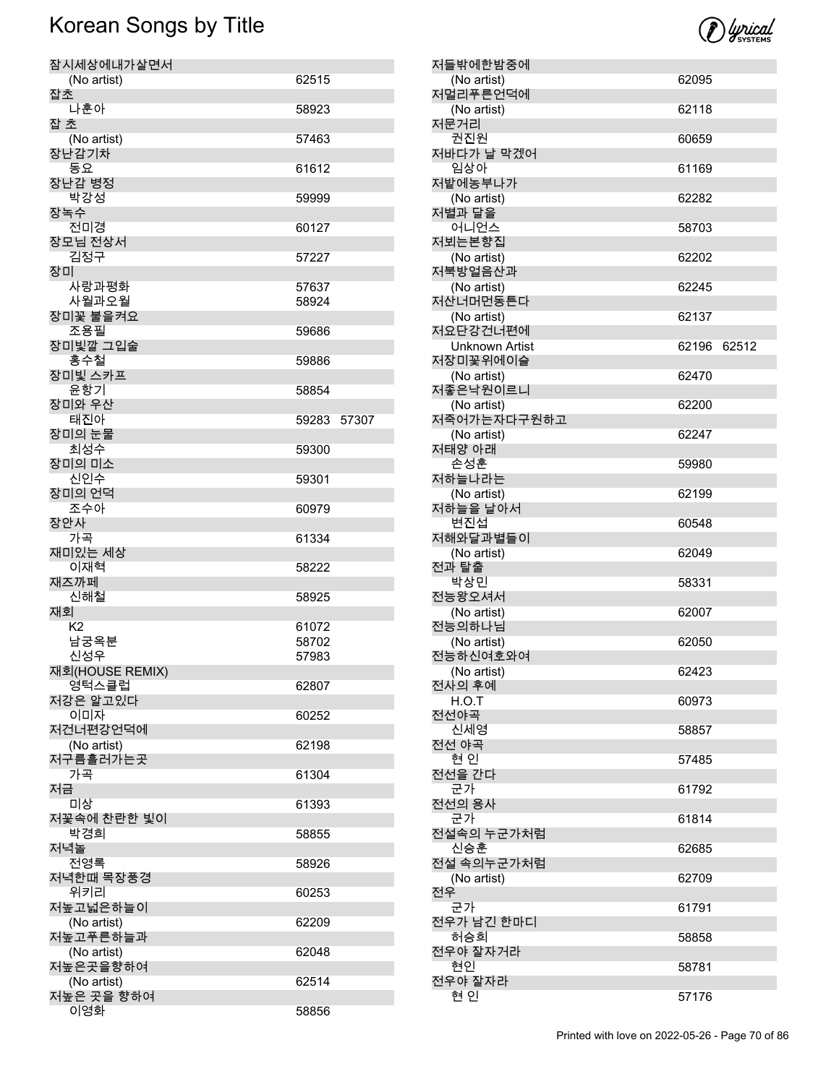

| 잠시세상에내가살면서              |                |       |
|-------------------------|----------------|-------|
| (No artist)             | 62515          |       |
| 잡초<br>나훈아               | 58923          |       |
| 잡 초                     |                |       |
| (No artist)<br>장난감기차    | 57463          |       |
| 동요                      | 61612          |       |
| 장난감 병정<br>박강성           |                |       |
| 장녹수                     | 59999          |       |
| 전미경                     | 60127          |       |
| 장모님 전상서<br>김정구          | 57227          |       |
| 장미<br>사랑과평화             | 57637          |       |
| 사월과오월                   | 58924          |       |
| 장미꽃 불을켜요                |                |       |
| 조용필<br>장미빛깔 그입술         | 59686          |       |
| 홍수철                     | 59886          |       |
| 장미빛 스카프                 |                |       |
| 윤항기<br>장미와 우산           | 58854          |       |
| 태진아                     | 59283          | 57307 |
| 장미의 눈물                  |                |       |
| 최성수<br>장미의 미소           | 59300          |       |
| 신인수                     | 59301          |       |
| 장미의 언덕<br>조수아           | 60979          |       |
| 장안사                     |                |       |
| 가곡<br>재미있는 세상           | 61334          |       |
| 이재혁                     | 58222          |       |
| 재즈까페<br>신해철             | 58925          |       |
| 재회                      |                |       |
| K2                      | 61072          |       |
| 남궁옥분<br>신성우             | 58702<br>57983 |       |
| 재회(HOUSE REMIX)         |                |       |
| 영턱스클럽<br>저강은 알고있다       | 62807          |       |
| 이미자                     | 60252          |       |
| 저건너편강언덕에                |                |       |
| (No artist)<br>저구름흘러가는곳 | 62198          |       |
| 가곡                      | 61304          |       |
| 저금                      |                |       |
| 미상<br>저꽃속에 찬란한 빛이       | 61393          |       |
| 박경희                     | 58855          |       |
| 저녁놀<br>전영록              | 58926          |       |
| 저녁한때 목장풍경<br>위키리        |                |       |
| 저높고넓은하늘이                | 60253          |       |
| (No artist)             | 62209          |       |
| 저높고푸른하늘과<br>(No artist) | 62048          |       |
| 저높은곳을향하여                |                |       |
| (No artist)             | 62514          |       |
| 저높은 곳을 향하여<br>이영화       | 58856          |       |

| 저들밖에한밤중에                   |       |       |
|----------------------------|-------|-------|
| (No artist)                | 62095 |       |
| 저멀리푸른언덕에<br>(No artist)    | 62118 |       |
| 저문거리<br>권진원                | 60659 |       |
| 저바다가 날 막겠어                 |       |       |
| 임상아<br>저밭에농부나가             | 61169 |       |
| (No artist)<br>저별과 달을      | 62282 |       |
| 어니언스<br>저뵈는본향집             | 58703 |       |
| (No artist)                | 62202 |       |
| 저북방얼음산과<br>(No artist)     | 62245 |       |
| 저산너머먼동튼다<br>(No artist)    | 62137 |       |
| 저요단강건너편에                   |       |       |
| Unknown Artist<br>저장미꽃위에이슬 | 62196 | 62512 |
| (No artist)<br>저좋은낙원이르니    | 62470 |       |
| (No artist)<br>저죽어가는자다구원하고 | 62200 |       |
| (No artist)<br>저태양 아래      | 62247 |       |
| 손성훈                        | 59980 |       |
| 저하늘나라는<br>(No artist)      | 62199 |       |
| 저하늘을 날아서<br>변진섭            | 60548 |       |
| 저해와달과별들이<br>(No artist)    | 62049 |       |
| 전과 탈출                      |       |       |
| 박상민<br>전능왕오셔서              | 58331 |       |
| (No artist)<br>전능의하나님      | 62007 |       |
| (No artist)                | 62050 |       |
| 전능하신여호와여                   |       |       |
| (No artist)<br>전사의 후예      | 62423 |       |
| H.O.T<br>전선야곡              | 60973 |       |
| 신세영                        | 58857 |       |
| 전선 야곡<br>현인                | 57485 |       |
| 전선을 간다<br>군가               | 61792 |       |
| 전선의 용사<br>군가               | 61814 |       |
| 전설속의 누군가처럼<br>신승훈          | 62685 |       |
| 전설 속의누군가처럼                 |       |       |
| (No artist)<br>전우          | 62709 |       |
| 군가<br>전우가 남긴 한마디           | 61791 |       |
| 허승희<br>전우야 잘자거라            | 58858 |       |
| 현인                         | 58781 |       |
| 전우야 잘자라<br>현 인             | 57176 |       |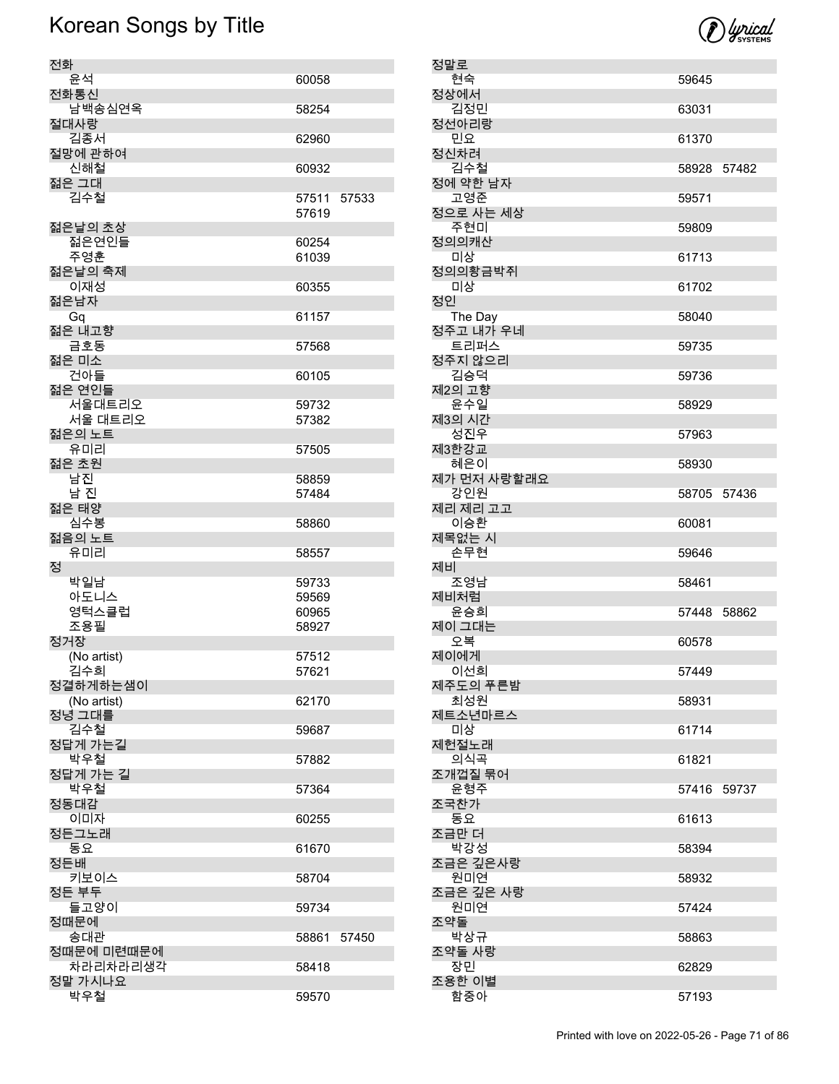

| 전화          |                |       |
|-------------|----------------|-------|
| 유석          | 60058          |       |
| 전화통신        |                |       |
| 남백송심연옥      | 58254          |       |
| 절대사랑        |                |       |
| 김종서         | 62960          |       |
| 절망에 관하여     |                |       |
| 신해철         | 60932          |       |
| 젊은 그대       |                |       |
| 김수철         | 57511          | 57533 |
|             | 57619          |       |
| 젊은날의 초상     |                |       |
| 젊은연인들       | 60254          |       |
| 주영훈         | 61039          |       |
| 젊은날의 축제     |                |       |
| 이재성         | 60355          |       |
| 젊은남자        |                |       |
| Gq          | 61157          |       |
| 젊은 내고향      |                |       |
| 금호동         | 57568          |       |
| 젊은 미소       |                |       |
| 건아들         | 60105          |       |
| 젊은 연인들      |                |       |
| 서울대트리오      | 59732          |       |
| 서울 대트리오     | 57382          |       |
| 젊은의 노트      |                |       |
| 유미리         | 57505          |       |
| 젊은 초원       |                |       |
| 남진          | 58859          |       |
| 남 진         | 57484          |       |
| 젊은 태양       |                |       |
| 심수봉         | 58860          |       |
| 젊음의 노트      |                |       |
| 유미리<br>정    | 58557          |       |
| 박일남         |                |       |
| 아도니스        | 59733<br>59569 |       |
| 영턱스클럽       | 60965          |       |
| 조용필         | 58927          |       |
| 정거장         |                |       |
| (No artist) | 57512          |       |
| 김수희         | 57621          |       |
| 정결하게하는샘이    |                |       |
| (No artist) | 62170          |       |
| 정녕 그대를      |                |       |
| 김수철         | 59687          |       |
| 정답게 가는길     |                |       |
| 박우철         | 57882          |       |
| 정답게 가는 길    |                |       |
| 박우철         | 57364          |       |
| 정동대감        |                |       |
| 이미자         | 60255          |       |
| 정든그노래       |                |       |
| 동요          | 61670          |       |
| 정든배         |                |       |
| 키보이스        | 58704          |       |
| 정든 부두       |                |       |
| 들고양이        | 59734          |       |
| 정때문에        |                |       |
| 송대관         | 58861          | 57450 |
| 정때문에 미련때문에  |                |       |
| 차라리차라리생각    | 58418          |       |
| 정말 가시나요     |                |       |
| 박우철         | 59570          |       |
|             |                |       |

| 정말로                  |             |       |
|----------------------|-------------|-------|
| 현숙                   | 59645       |       |
| 정상에서<br>김정민          | 63031       |       |
| 정선아리랑<br>민요          | 61370       |       |
| 정신차려<br>김수철          | 58928 57482 |       |
| 정에 약한 남자<br>고영준      |             |       |
| 정으로 사는 세상            | 59571       |       |
| 주현미<br>정의의캐산         | 59809       |       |
| 미상<br>정의의황금박쥐        | 61713       |       |
| 미상<br>정인             | 61702       |       |
| The Day<br>정주고 내가 우네 | 58040       |       |
| 트리퍼스<br>정주지 않으리      | 59735       |       |
| 김승덕<br>제2의 고향        | 59736       |       |
| 윤수일<br>제3의 시간        | 58929       |       |
| 성진우<br>제3한강교         | 57963       |       |
| 혜은이<br>제가 먼저 사랑할래요   | 58930       |       |
| 강인원                  | 58705 57436 |       |
| 제리 제리 고고<br>이승환      | 60081       |       |
| 제목없는 시<br>손무현        | 59646       |       |
| 제비<br>조영남            | 58461       |       |
| 제비처럼<br>윤승희          | 57448 58862 |       |
| 제이 그대는<br>오복         | 60578       |       |
| 제이에게<br>이선희          | 57449       |       |
| 제주도의 푸른밤             |             |       |
| 최성원<br>제트소년마르스       | 58931       |       |
| 미상<br>제헌절노래          | 61714       |       |
| 의식곡<br>조개껍질 묶어       | 61821       |       |
| 윤형주<br>조국찬가          | 57416       | 59737 |
| 동요<br>조금만 더          | 61613       |       |
| 박강성<br>조금은 깊은사랑      | 58394       |       |
| 원미연<br>조금은 깊은 사랑     | 58932       |       |
| 원미연<br>조약돌           | 57424       |       |
| 박상규                  | 58863       |       |
| 조약돌 사랑<br>장민         | 62829       |       |
| 조용한 이별<br>함중아        | 57193       |       |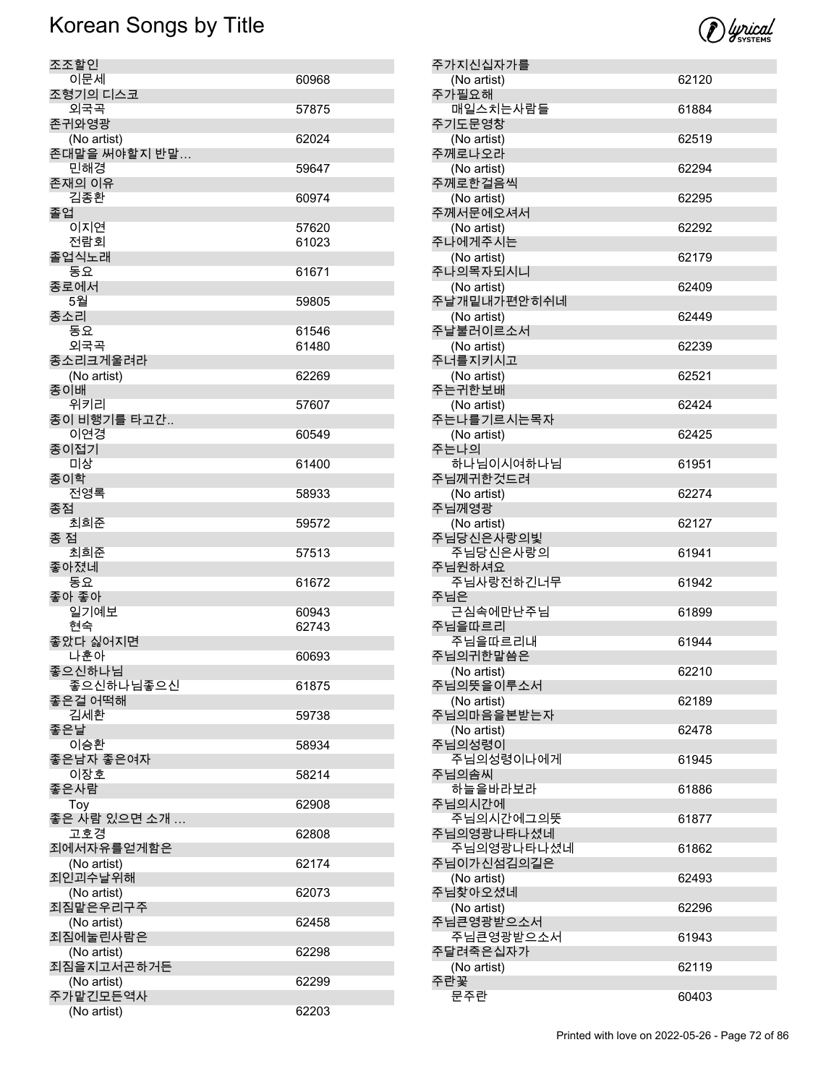

| 조조할인                 |       |
|----------------------|-------|
| 이문세                  | 60968 |
| 조형기의 디스코             |       |
| 외국곡                  | 57875 |
| 존귀와영광                |       |
| (No artist)          | 62024 |
| 존대말을 써야할지 반말         |       |
| 민해경                  | 59647 |
| 존재의 이유               |       |
| 김종환                  | 60974 |
| 졸업                   |       |
| 이지연                  | 57620 |
| 전람회                  | 61023 |
| 졸업식노래                |       |
| 동요                   | 61671 |
| 종로에서                 |       |
| 5월                   | 59805 |
| 종소리                  |       |
| 동요                   | 61546 |
| 외국곡                  | 61480 |
| 종소리크게울려라             |       |
| (No artist)          | 62269 |
| 종이배                  |       |
| 위키리                  | 57607 |
| 종이 비행기를 타고간<br>이연경   |       |
| 종이접기                 | 60549 |
| 미상                   | 61400 |
| 종이학                  |       |
| 전영록                  | 58933 |
| 종점                   |       |
| 최희준                  | 59572 |
| 종 점                  |       |
| 최희준                  | 57513 |
| 좋아졌네                 |       |
| 동요                   | 61672 |
| 좋아 좋아                |       |
| 일기예보                 | 60943 |
| 현숙                   | 62743 |
| 좋았다 싫어지면             |       |
| 나훈아                  | 60693 |
| 좋으신하나님               |       |
| 좋으신하나님좋으신<br>좋은걸 어떡해 | 61875 |
| 김세환                  |       |
| 좋은날                  | 59738 |
| 이승환                  | 58934 |
| 좋은남자 좋은여자            |       |
| 이장호                  | 58214 |
| 좋은사람                 |       |
| Toy                  | 62908 |
| 좋은 사람 있으면 소개 …       |       |
| 고호경                  | 62808 |
| 죄에서자유를얻게함은           |       |
| (No artist)          | 62174 |
| 죄인괴수날위해              |       |
| (No artist)          | 62073 |
| 죄짐맡은우리구주             |       |
| (No artist)          | 62458 |
| 죄짐에눌린사람은             |       |
| (No artist)          | 62298 |
| 죄짐을지고서곤하거든           |       |
| (No artist)          | 62299 |
| 주가맡긴모든역사             |       |
| (No artist)          | 62203 |

| 주가지신십자가를    |       |
|-------------|-------|
| (No artist) | 62120 |
| 주가필요해       |       |
| 매일스치는사람들    | 61884 |
| 주기도문영창      |       |
| (No artist) | 62519 |
| 주께로나오라      |       |
| (No artist) | 62294 |
| 주께로한걸음씩     |       |
| (No artist) | 62295 |
| 주께서문에오셔서    |       |
| (No artist) | 62292 |
| 주나에게주시는     |       |
| (No artist) | 62179 |
| 주나의목자되시니    |       |
| (No artist) | 62409 |
| 주날개밑내가편안히쉬네 |       |
| (No artist) | 62449 |
| 주날불러이르소서    |       |
| (No artist) | 62239 |
| 주너를지키시고     |       |
| (No artist) | 62521 |
| 주는귀한보배      |       |
| (No artist) | 62424 |
| 주는나를기르시는목자  |       |
| (No artist) | 62425 |
| 주는나의        |       |
| 하나님이시여하나님   | 61951 |
| 주님께귀한것드려    |       |
| (No artist) | 62274 |
| 주님께영광       |       |
| (No artist) | 62127 |
| 주님당신은사랑의빛   |       |
| 주님당신은사랑의    | 61941 |
| 주님원하셔요      |       |
| 주님사랑전하긴너무   | 61942 |
| 주님은         |       |
| 근심속에만난주님    | 61899 |
|             |       |
| 주님을따르리      |       |
| 주님을따르리내     | 61944 |
| 주님의귀한말씀은    |       |
| (No artist) | 62210 |
| 주님의뜻을이루소서   |       |
| (No artist) | 62189 |
| 주님의마음을본받는자  |       |
| (No artist) | 62478 |
| 주님의성령이      |       |
| 주님의성령이나에게   | 61945 |
| 주님의솜씨       |       |
| 하늘을바라보라     | 61886 |
| 주님의시간에      |       |
| 주님의시간에그의뜻   | 61877 |
| 주님의영광나타나셨네  |       |
| 주님의영광나타나셨네  | 61862 |
| 주님이가신섬김의길은  |       |
| (No artist) | 62493 |
| 주님찾아오셨네     |       |
| (No artist) | 62296 |
| 주님큰영광받으소서   |       |
| 주님큰영광받으소서   | 61943 |
| 주달려죽은십자가    |       |
| (No artist) | 62119 |
| 주란꽃<br>문주란  | 60403 |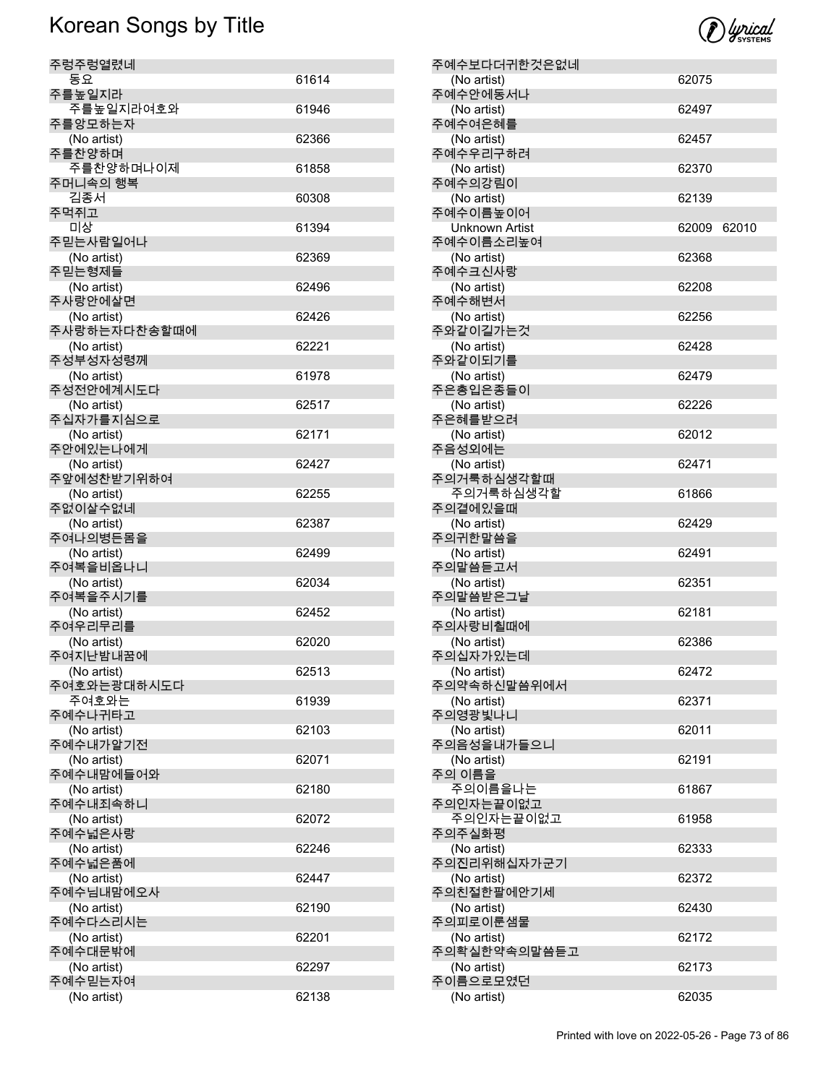| 주렁주렁열렸네                |       |
|------------------------|-------|
| 동요                     | 61614 |
| 주를높일지라                 |       |
| 주를높일지라여호와              | 61946 |
| 주를앙모하는자                |       |
| (No artist)            | 62366 |
| 주를찬양하며                 |       |
| 주를찬양하며나이제              | 61858 |
| 주머니속의 행복               |       |
| 김종서                    | 60308 |
| 주먹쥐고                   |       |
| 미상                     | 61394 |
| 주믿는사람일어나               |       |
| (No artist)            | 62369 |
| 주믿는형제들                 |       |
| (No artist)            | 62496 |
| 주사랑안에살면                |       |
| (No artist)            | 62426 |
| 주사랑하는자다찬송할때에           |       |
| (No artist)            | 62221 |
| 주성부성자성령께               |       |
| (No artist)            | 61978 |
| 주성전안에계시도다              |       |
| (No artist)            | 62517 |
| 주십자가를지심으로              |       |
| (No artist)            | 62171 |
| 주안에있는나에게               |       |
| (No artist)            | 62427 |
| 주앞에성찬받기위하여             |       |
| (No artist)            | 62255 |
| 주없이살수없네                |       |
| (No artist)            | 62387 |
| 주여나의병든몸을               |       |
| (No artist)            | 62499 |
| 주여복을비옵나니               |       |
| (No artist)            | 62034 |
| 주여복을주시기를               |       |
| (No artist)            | 62452 |
| 주여우리무리를                |       |
| (No artist)            | 62020 |
| 주여지난밤내꿈에               |       |
| (No artist)            | 62513 |
| 주여호와는광대하시도다            |       |
| 주여호와는                  | 61939 |
| 주예수나귀타고                |       |
| (No artist)            | 62103 |
| 주예수내가알기전               |       |
| (No artist)            | 62071 |
| 주예수내맘에들어와              |       |
| (No artist)            | 62180 |
| 주예수내죄속하니               |       |
| (No artist)            | 62072 |
| 주예수넓은사랑                |       |
| (No artist)            | 62246 |
| 주예수넓은품에                |       |
| (No artist)            | 62447 |
| 주예수님내맘에오사              |       |
| (No artist)            | 62190 |
| 주예수다스리시는               |       |
|                        | 62201 |
| (No artist)<br>주예수대문밖에 |       |
|                        |       |
| (No artist)            | 62297 |
| 주예수믿는자여                |       |
| (No artist)            | 62138 |

| ומאותוו<br>SYSTEMS |
|--------------------|
|                    |

| 주예수보다더귀한것은없네<br>(No artist) | 62075 |       |
|-----------------------------|-------|-------|
| 주예수안에동서나                    |       |       |
| (No artist)                 | 62497 |       |
| 주예수여은혜를                     |       |       |
| (No artist)<br>주예수우리구하려     | 62457 |       |
| (No artist)                 | 62370 |       |
| 주예수의강림이                     |       |       |
| (No artist)<br>주예수이름높이어     | 62139 |       |
| <b>Unknown Artist</b>       | 62009 | 62010 |
| 주예수이름소리높여                   |       |       |
| (No artist)<br>주예수크신사랑      | 62368 |       |
| (No artist)                 | 62208 |       |
| 주예수해변서                      |       |       |
| (No artist)<br>주와같이길가는것     | 62256 |       |
| (No artist)                 | 62428 |       |
| 주와같이되기를                     |       |       |
| (No artist)<br>주은총입은종들이     | 62479 |       |
| (No artist)                 | 62226 |       |
| 주은혜를받으려                     |       |       |
| (No artist)<br>주음성외에는       | 62012 |       |
| (No artist)                 | 62471 |       |
| 주의거룩하심생각할때                  |       |       |
| 주의거룩하심생각할<br>주의곁에있을때        | 61866 |       |
| (No artist)                 | 62429 |       |
| 주의귀한말씀을                     |       |       |
| (No artist)<br>주의말씀듣고서      | 62491 |       |
| (No artist)                 | 62351 |       |
| 주의말씀받은그날                    |       |       |
| (No artist)<br>주의사랑비췰때에     | 62181 |       |
| (No artist)                 | 62386 |       |
| 주의십자가있는데                    |       |       |
| (No artist)<br>주의약속하신말씀위에서  | 62472 |       |
| (No artist)                 | 62371 |       |
| 주의영광빛나니                     |       |       |
| (No artist)<br>주의음성을내가들으니   | 62011 |       |
| (No artist)                 | 62191 |       |
| 주의 이름을                      |       |       |
| 주의이름을나는<br>주의인자는끝이없고        | 61867 |       |
| 주의인자는끝이없고                   | 61958 |       |
| 주의주실화평                      |       |       |
| (No artist)<br>주의진리위해십자가군기  | 62333 |       |
| (No artist)                 | 62372 |       |
| 주의친절한팔에안기세                  |       |       |
| (No artist)<br>주의피로이룬샘물     | 62430 |       |
| (No artist)                 | 62172 |       |
| 주의확실한약속의말씀듣고                |       |       |
| (No artist)<br>주이름으로모였던     | 62173 |       |
| (No artist)                 | 62035 |       |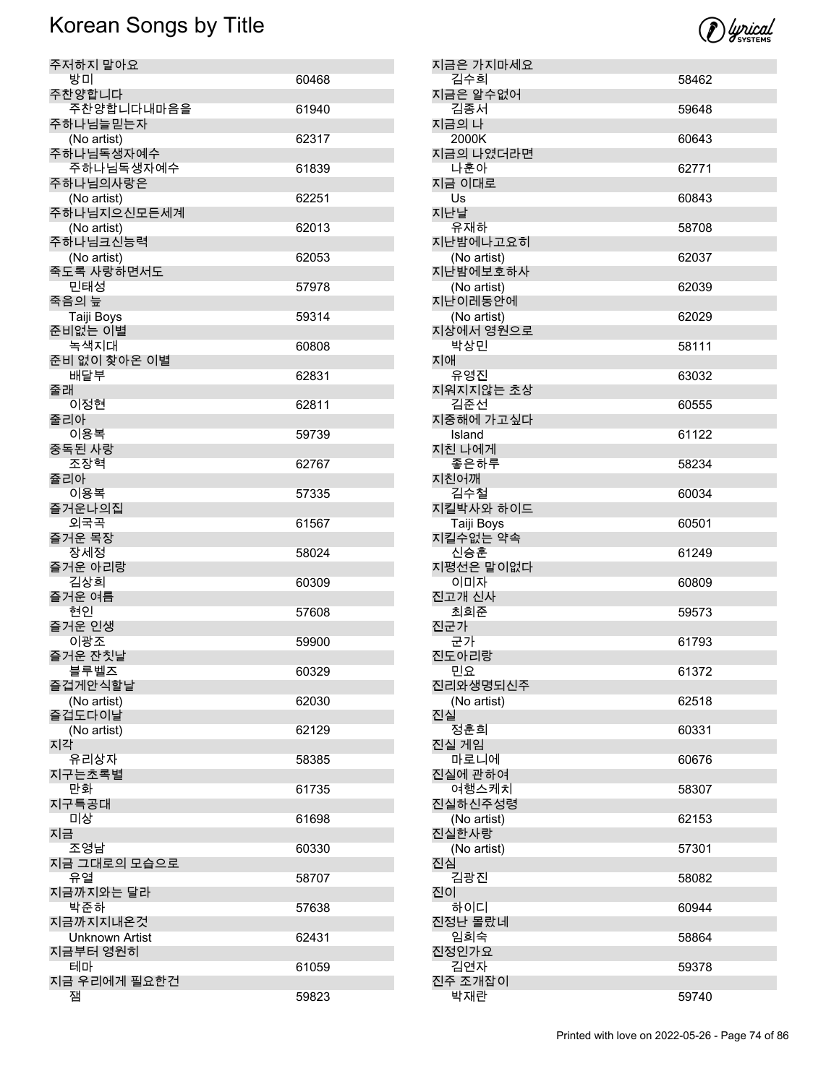| 주저하지 말아요                  |       |
|---------------------------|-------|
| 방미                        | 60468 |
| 주찬양합니다                    |       |
| 주찬양합니다내마음을                | 61940 |
| 주하나님늘믿는자<br>(No artist)   | 62317 |
| 주하나님독생자예수                 |       |
| 주하나님독생자예수                 | 61839 |
| 주하나님의사랑은                  |       |
| (No artist)               | 62251 |
| 주하나님지으신모든세계               |       |
| (No artist)               | 62013 |
| 주하나님크신능력                  |       |
| (No artist)<br>죽도록 사랑하면서도 | 62053 |
| 민태성                       | 57978 |
| 죽음의 늪                     |       |
| Taiji Boys                | 59314 |
| 준비없는 이별                   |       |
| 녹색지대                      | 60808 |
| 준비 없이 찾아온 이별              |       |
| 배달부                       | 62831 |
| 줄래<br>이정현                 | 62811 |
| 줄리아                       |       |
| 이용복                       | 59739 |
| 중독된 사랑                    |       |
| 조장혁                       | 62767 |
| 쥴리아<br>이용복                |       |
| 즐거운나의집                    | 57335 |
| 외국곡                       | 61567 |
| 즐거운 목장                    |       |
| 장세정                       | 58024 |
| 즐거운 아리랑                   |       |
| 김상희<br>즐거운 여름             | 60309 |
| 현인                        | 57608 |
| 즐거운 인생                    |       |
| 이광조                       | 59900 |
| 즐거운 잔칫날                   |       |
| 블루벨즈<br>즐겁게안식할날           | 60329 |
| (No artist)               | 62030 |
| 즐겁도다이날                    |       |
| (No artist)               | 62129 |
| 지각                        |       |
| 유리상자                      | 58385 |
| 지구는초록별<br>만화              | 61735 |
| 지구특공대                     |       |
| 미상                        | 61698 |
| 지금                        |       |
| 조영남                       | 60330 |
| 지금 그대로의 모습으로              |       |
| 유열<br>지금까지와는 달라           | 58707 |
| 박준하                       | 57638 |
| 지금까지지내온것                  |       |
| <b>Unknown Artist</b>     | 62431 |
| 지금부터 영원히                  |       |
| 테마                        | 61059 |
| 지금 우리에게 필요한건<br>잼         | 59823 |
|                           |       |

| 지금은 가지마세요<br>김수희        | 58462 |
|-------------------------|-------|
| 지금은 알수없어                |       |
| 김종서                     | 59648 |
| 지금의 나<br>2000K          | 60643 |
| 지금의 나였더라면               |       |
| 나훈아<br>지금 이대로           | 62771 |
| Us                      | 60843 |
| 지난날<br>유재하              | 58708 |
| 지난밤에나고요히                |       |
| (No artist)<br>지난밤에보호하사 | 62037 |
| (No artist)             | 62039 |
| 지난이레동안에<br>(No artist)  | 62029 |
| 지상에서 영원으로               |       |
| 박상민<br>지애               | 58111 |
| 유영진                     | 63032 |
| 지워지지않는 초상<br>김준선        | 60555 |
| 지중해에 가고싶다               |       |
| Island<br>지친 나에게        | 61122 |
| 좋은하루<br>지친어깨            | 58234 |
| 김수철                     | 60034 |
| 지킬박사와 하이드               |       |
| Taiji Boys<br>지킬수없는 약속  | 60501 |
| 신승훈                     | 61249 |
|                         |       |
| 지평선은 말이없다<br>이미자        | 60809 |
| 진고개 신사                  |       |
| 최희준<br>진군가              | 59573 |
| 군가                      | 61793 |
| 진도아리랑<br>민요             | 61372 |
| 진리와생명되신주                |       |
| (No artist)<br>진실       | 62518 |
| 정훈희<br>진실 게임            | 60331 |
| 마로니에                    | 60676 |
| 진실에 관하여<br>여행스케치        | 58307 |
| 진실하신주성령                 |       |
| (No artist)<br>진실한사랑    | 62153 |
| (No artist)             | 57301 |
| 진심<br>김광진               | 58082 |
| 진이                      |       |
| 하이디<br>진정난 몰랐네          | 60944 |
| 임희숙                     | 58864 |
| 진정인가요<br>김연자            | 59378 |
| 진주 조개잡이<br>박재란          | 59740 |

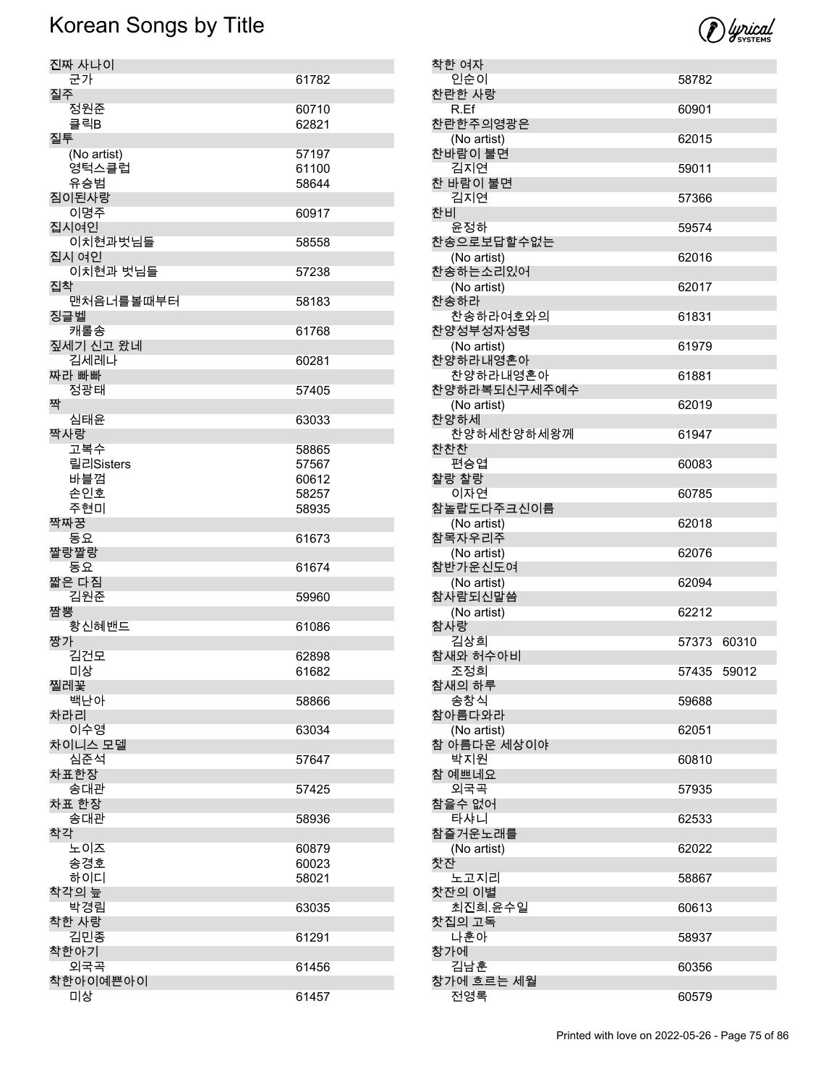| 진짜 사나이                          |       |
|---------------------------------|-------|
| 군가                              | 61782 |
|                                 |       |
| 질주                              |       |
| 정원준                             | 60710 |
| 클릭B                             | 62821 |
| 질투                              |       |
|                                 |       |
| (No artist)                     | 57197 |
| 영턱스클럽                           | 61100 |
| 유승범                             | 58644 |
|                                 |       |
| 짐이된사랑                           |       |
| 이명주                             | 60917 |
| 집시여인                            |       |
|                                 |       |
| 이치현과벗님들                         | 58558 |
| 집시 여인                           |       |
| 이치현과 벗님들                        | 57238 |
| 집착                              |       |
|                                 |       |
| 맨처음너를볼때부터                       | 58183 |
| 징글벨                             |       |
| 캐롤송                             | 61768 |
|                                 |       |
| 짚세기 신고 왔네                       |       |
| 김세레나                            | 60281 |
| 짜라 빠빠                           |       |
|                                 |       |
| 정광태                             | 57405 |
| 짝                               |       |
| 심태윤                             | 63033 |
|                                 |       |
| 짝사랑                             |       |
| 고복수                             | 58865 |
| 릴리Sisters                       | 57567 |
|                                 |       |
| 바블껌                             | 60612 |
| 손인호                             | 58257 |
| 주현미                             | 58935 |
|                                 |       |
| 짝짜꿍                             |       |
| 동요                              | 61673 |
| 짤랑짤랑                            |       |
|                                 |       |
| 동요                              | 61674 |
| 짧은 다짐                           |       |
| 김원준                             | 59960 |
| 짬뽕                              |       |
|                                 |       |
| 황신혜밴드                           | 61086 |
| 짱가                              |       |
| 김건모                             | 62898 |
|                                 |       |
| 미상                              | 61682 |
| 찔레꽃                             |       |
|                                 |       |
|                                 |       |
| 백난아                             | 58866 |
|                                 |       |
| 차라리<br>이수영                      | 63034 |
|                                 |       |
| 차이니스 모델                         |       |
| 심준석                             | 57647 |
| 차표한장                            |       |
|                                 |       |
| 송대관                             | 57425 |
|                                 |       |
| 차표 한장<br>송대관                    | 58936 |
| 착각                              |       |
|                                 |       |
| 노이즈                             | 60879 |
| 송경호                             | 60023 |
|                                 |       |
| 하이디                             | 58021 |
|                                 |       |
| 박경림                             | 63035 |
|                                 |       |
| 착한 사랑                           |       |
| 김민종                             | 61291 |
|                                 |       |
|                                 |       |
| 외국곡                             | 61456 |
| 착각의 늪<br>착한아기<br>착한아이예쁜아이<br>미상 | 61457 |

| 착한 여자                   |             |       |
|-------------------------|-------------|-------|
| 인순이                     | 58782       |       |
| 찬란한 사랑<br>R.Ef          | 60901       |       |
| 찬란한주의영광은                |             |       |
| (No artist)<br>찬바람이 불면  | 62015       |       |
| 김지연                     | 59011       |       |
| 찬 바람이 불면                |             |       |
| 김지연<br>차비               | 57366       |       |
| 윤정하                     | 59574       |       |
| 찬송으로보답할수없는              |             |       |
| (No artist)<br>찬송하는소리있어 | 62016       |       |
| (No artist)             | 62017       |       |
| 찬송하라<br>찬송하라여호와의        | 61831       |       |
| 찬양성부성자성령                |             |       |
| (No artist)             | 61979       |       |
| 찬양하라내영혼아<br>찬양하라내영혼아    | 61881       |       |
| 찬양하라복되신구세주예수            |             |       |
| (No artist)             | 62019       |       |
| 찬양하세<br>찬양하세찬양하세왕께      | 61947       |       |
| 찬찬찬                     |             |       |
| 편승엽<br>찰랑 찰랑            | 60083       |       |
| 이자연                     | 60785       |       |
| 참놀랍도다주크신이름              |             |       |
| (No artist)<br>참목자우리주   | 62018       |       |
| (No artist)             | 62076       |       |
| 참반가운신도여                 |             |       |
| (No artist)<br>참사람되신말씀  | 62094       |       |
| (No artist)             | 62212       |       |
| 참사랑                     |             |       |
| 김상희<br>참새와 허수아비         | 57373       | 60310 |
| 조정희                     | 57435 59012 |       |
| 참새의 하루<br>송창식           |             |       |
| 참아름다와라                  | 59688       |       |
| (No artist)             | 62051       |       |
| 참 아름다운 세상이야<br>박지원      | 60810       |       |
| 참 예쁘네요                  |             |       |
| 외국곡                     | 57935       |       |
| 참을수 없어<br>타샤니           | 62533       |       |
| 참즐거운노래를                 |             |       |
| (No artist)<br>찻잔       | 62022       |       |
| 노고지리                    | 58867       |       |
| 찻잔의 이별<br>최진희.윤수일       | 60613       |       |
| 찻집의 고독                  |             |       |
| 나훈아                     | 58937       |       |
| 창가에<br>김남훈              | 60356       |       |
| 창가에 흐르는 세월              |             |       |
| 전영록                     | 60579       |       |

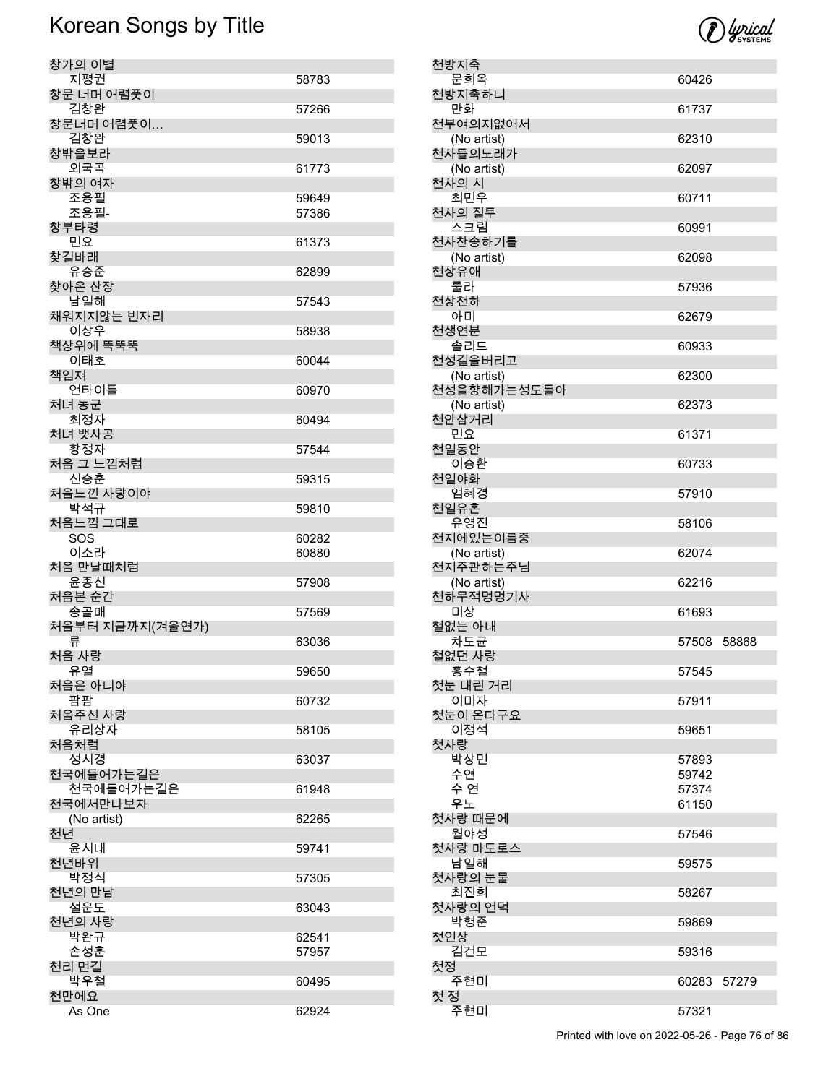| 창가의 이별                 |                |
|------------------------|----------------|
| 지평권<br>창문 너머 어렴풋이      | 58783          |
| 김창완                    | 57266          |
| 창문너머 어렴풋이<br>김창완       | 59013          |
| 창밖을보라<br>외국곡           | 61773          |
| 창밖의 여자                 |                |
| 조용필<br>조용필-            | 59649<br>57386 |
| 창부타령<br>민요             | 61373          |
| 찾길바래                   |                |
| 유승준<br>찾아온 산장          | 62899          |
| 남일해<br>채워지지않는 빈자리      | 57543          |
| 이상우                    | 58938          |
| 책상위에 뚝뚝뚝<br>이태호        | 60044          |
| 책임져<br>언타이틀            | 60970          |
| 처녀 농군                  |                |
| 최정자<br>처녀 뱃사공          | 60494          |
| 황정자<br>처음 그 느낌처럼       | 57544          |
| 신승훈                    | 59315          |
| 처음느낀 사랑이야<br>박석규       | 59810          |
| 처음느낌 그대로<br><b>SOS</b> | 60282          |
| 이소라                    | 60880          |
| 처음 만날때처럼<br>윤종신        | 57908          |
| 처음본 순간<br>송골매          | 57569          |
| 처음부터 지금까지(겨울연가)        |                |
| 류<br>처음 사랑             | 63036          |
| 유열                     | 59650          |
| 처음은 아니야<br>팜팜          | 60732          |
| 처음주신 사랑<br>유리상자        | 58105          |
| 처음처럼                   |                |
| 성시경<br>천국에들어가는길은       | 63037          |
| 천국에들어가는길은<br>천국에서만나보자  | 61948          |
| (No artist)            | 62265          |
| 처년<br>윤시내              | 59741          |
| 천년바위<br>박정식            | 57305          |
| 천년의 만남<br>설운도          |                |
| 천년의 사랑                 | 63043          |
| 박완규<br>손성훈             | 62541<br>57957 |
| 천리 먼길                  |                |
| 박우철                    |                |
| 천만에요                   | 60495          |

|                     |       | <i>() lyrical</i> |
|---------------------|-------|-------------------|
| 방지축                 |       |                   |
| 문희옥                 | 60426 |                   |
| 방지축하니               |       |                   |
| 만화                  | 61737 |                   |
| i여의지없어서             |       |                   |
| (No artist)         | 62310 |                   |
| <b>↓들의노래가</b>       |       |                   |
| (No artist)         | 62097 |                   |
| 나의 시<br>최민우         |       |                   |
| 나의 질투               | 60711 |                   |
| 스크림                 | 60991 |                   |
| √찬송하기를              |       |                   |
| (No artist)         | 62098 |                   |
| 상유애                 |       |                   |
| 룰라                  | 57936 |                   |
| 상천하                 |       |                   |
| 아미                  | 62679 |                   |
| 냉연분                 |       |                   |
| 솔리드                 | 60933 |                   |
| 성길을버리고              |       |                   |
| (No artist)         | 62300 |                   |
| 성을향해가는성도들아          |       |                   |
| (No artist)<br>안삼거리 | 62373 |                   |
| 민요                  | 61371 |                   |
| 일동안                 |       |                   |
| 이승환                 | 60733 |                   |
| 실야화                 |       |                   |
| 엄혜경                 | 57910 |                   |
| 일유혼                 |       |                   |
| 유영진                 | 58106 |                   |
| 디에있는이름중             |       |                   |
| (No artist)         | 62074 |                   |
| 디주관하는주님             |       |                   |
| (No artist)         | 62216 |                   |
| 하무적멍멍기사<br>미상       | 61693 |                   |
| 없는 아내               |       |                   |
| 차도균                 | 57508 | 58868             |
|                     |       |                   |

천방지축 문희옥 천방지축하니<br>만화

천상유애<br>룰라

천상천하<br>아미

천생연분 솔리드 천성길을버리고 (No artist) 천성을향해가는성도들아 (No artist) 천안삼거리<br>민요

천일동안 이승환 천일야화 엄혜경 천일유혼 유영진 천지에있는이름중 (No artist) 천지주관하는주님 (No artist) 천하무적멍멍기사<br>미상

철없는 아내

철없던 사랑

첫사랑

첫눈 내린 거리

첫눈이 온다구요

첫사랑 때문에

첫사랑 마도로스

첫사랑의 눈물

첫사랑의 언덕

첫인상

첫 정

첫정<br>주현미

홍수철 57545

이미자 57911

이정석 59651

박상민 57893<br>수연 59742 수연 59742 수 연 57374

월야성 57546

남일해 59575

최진희 58267

김건모 59316

주현미 57321

천부여의지없어서 (No artist) 천사들의노래가  $(No artist)$ 천사의 시 최민우 천사의 질투 스크림 천사찬송하기를  $(No artist)$ 

Printed with love on 2022-05-26 - Page 76 of 86

61150

59869

60283 57279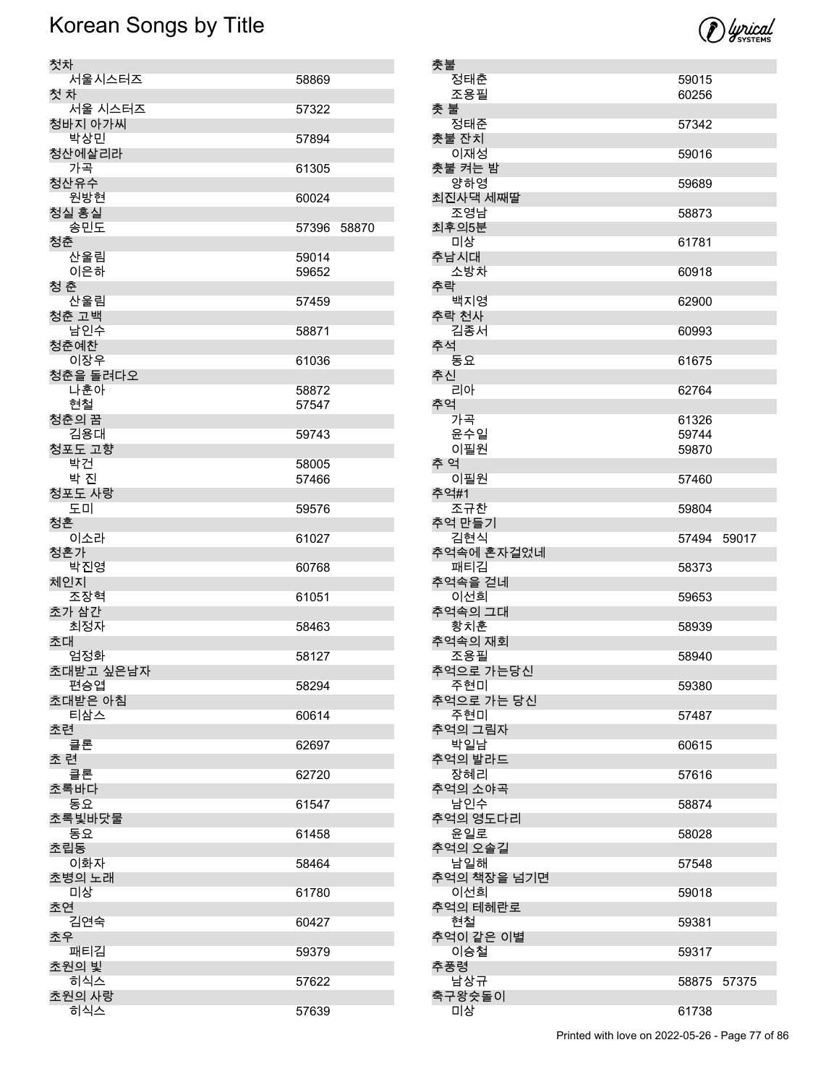| 첫차             |             |  |
|----------------|-------------|--|
| 서울시스터즈         | 58869       |  |
| 첫 차            |             |  |
| 서울 시스터즈        | 57322       |  |
| 청바지 아가씨        |             |  |
| 박상민            | 57894       |  |
| 청산에살리라         |             |  |
| 가곡             | 61305       |  |
| 청산유수<br>원방현    | 60024       |  |
| 청실 홍실          |             |  |
| 송민도            | 57396 58870 |  |
| 청춘             |             |  |
| 산울림            | 59014       |  |
| 이은하            | 59652       |  |
| 청 춘            |             |  |
| 산울림<br>청춘 고백   | 57459       |  |
| 남인수            | 58871       |  |
| 청춘예찬           |             |  |
| 이장우            | 61036       |  |
| 청춘을 돌려다오       |             |  |
| 나훈아            | 58872       |  |
| 현철             | 57547       |  |
| 청춘의 꿈          |             |  |
| 김용대<br>청포도 고향  | 59743       |  |
| 박건             | 58005       |  |
| 박 진            | 57466       |  |
| 청포도 사랑         |             |  |
| 도미             | 59576       |  |
| 청혼<br>이소라      | 61027       |  |
| 청혼가            |             |  |
| 박진영            | 60768       |  |
| 체인지            |             |  |
| 조장혁            | 61051       |  |
| 초가 삼간<br>최정자   | 58463       |  |
| 초대             |             |  |
| 엄정화            | 58127       |  |
| 초대받고 싶은남자      |             |  |
| 편승엽<br>초대받은 아침 | 58294       |  |
| 티삼스            | 60614       |  |
| 초련             |             |  |
| 클론             | 62697       |  |
| 초 련            |             |  |
| 클론             | 62720       |  |
| 초록바다<br>동요     | 61547       |  |
| 초록빛바닷물         |             |  |
| 동요             | 61458       |  |
| 초립동            |             |  |
| 이화자            | 58464       |  |
| 초병의 노래<br>미상   | 61780       |  |
| 초연             |             |  |
| 김연숙            | 60427       |  |
| 초우             |             |  |
| 패티김            | 59379       |  |
| 초원의 빛<br>히식스   | 57622       |  |
| 초원의 사랑         |             |  |
| 히식스            | 57639       |  |

| 촛불          |       |       |
|-------------|-------|-------|
| 정태춘         | 59015 |       |
| 조용필         | 60256 |       |
| 촛 불         |       |       |
| 정태준         | 57342 |       |
| 촛불 잔치       |       |       |
|             |       |       |
| 이재성         | 59016 |       |
| 촛불 켜는 밤     |       |       |
| 양하영         | 59689 |       |
| 최진사댁 세째딸    |       |       |
| 조영남         | 58873 |       |
| 최후의5분       |       |       |
|             |       |       |
| 미상          | 61781 |       |
| 추남시대        |       |       |
| 소방차         | 60918 |       |
| 추락          |       |       |
| 백지영         | 62900 |       |
| 추락 천사       |       |       |
| 김종서         | 60993 |       |
|             |       |       |
| 추석          |       |       |
| 동요          | 61675 |       |
| 추신          |       |       |
| 리아          | 62764 |       |
| 추억          |       |       |
| 가곡          | 61326 |       |
|             |       |       |
| 윤수일         | 59744 |       |
| 이필원         | 59870 |       |
| 추 억         |       |       |
| 이필원         | 57460 |       |
| 추억#1        |       |       |
| 조규찬         |       |       |
|             | 59804 |       |
| 추억 만들기      |       |       |
|             |       |       |
| 김현식         | 57494 | 59017 |
| 추억속에 혼자걸었네  |       |       |
| 패티김         | 58373 |       |
|             |       |       |
| 추억속을 걷네     |       |       |
| 이선희         | 59653 |       |
| 추억속의 그대     |       |       |
| 황치훈         | 58939 |       |
| 추억속의 재회     |       |       |
| 조용필         | 58940 |       |
| 추억으로 가는당신   |       |       |
|             |       |       |
| 주현미         | 59380 |       |
| 추억으로 가는 당신  |       |       |
| 주현미         | 57487 |       |
| 추억의 그림자     |       |       |
| 박일남         | 60615 |       |
| 추억의 발라드     |       |       |
| 장혜리         | 57616 |       |
|             |       |       |
| 추억의 소야곡     |       |       |
| 남인수         | 58874 |       |
| 추억의 영도다리    |       |       |
| 윤일로         | 58028 |       |
| 추억의 오솔길     |       |       |
| 남일해         | 57548 |       |
| 추억의 책장을 넘기면 |       |       |
| 이선희         |       |       |
|             | 59018 |       |
| 추억의 테헤란로    |       |       |
| 현철          | 59381 |       |
| 추억이 같은 이별   |       |       |
| 이승철         | 59317 |       |
| 추풍령         |       |       |
| 남상규         | 58875 | 57375 |
| 축구왕슛돌이      |       |       |
| 미상          | 61738 |       |



Printed with love on 2022-05-26 - Page 77 of 86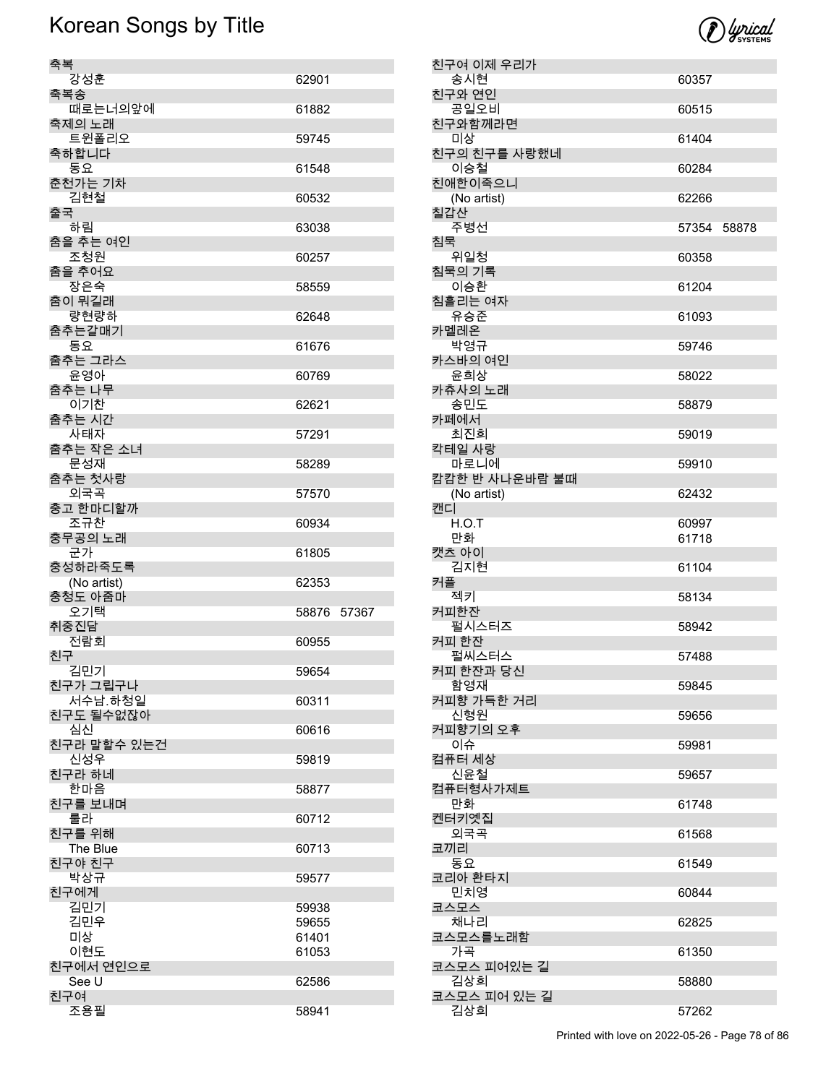

| 축복                     |                |
|------------------------|----------------|
| 강성훈                    | 62901          |
| 축복송<br>때로는너의앞에         | 61882          |
| 축제의 노래<br>트윈폴리오        | 59745          |
| 축하합니다<br>동요            | 61548          |
| 춘천가는 기차<br>김현철         | 60532          |
| 출국<br>하림               | 63038          |
| 춤을 추는 여인<br>조청원        | 60257          |
| 춤을 추어요                 |                |
| 장은숙<br>춤이 뭐길래          | 58559          |
| 량현량하<br>춤추는갈매기         | 62648          |
| 동요<br>춤추는 그라스          | 61676          |
| 윤영아<br>춤추는 나무          | 60769          |
| 이기찬<br>춤추는 시간          | 62621          |
| 사태자<br>춤추는 작은 소녀       | 57291          |
| 문성재<br>춤추는 첫사랑         | 58289          |
| 외국곡<br>충고 한마디할까        | 57570          |
| 조규찬<br>충무공의 노래         | 60934          |
| 군가<br>충성하라죽도록          | 61805          |
| (No artist)<br>충청도 아줌마 | 62353          |
| 오기택<br>취중진담            | 58876<br>57367 |
| 전람회<br>친구              | 60955          |
| 김민기<br>친구가 그립구나        | 59654          |
| 서수남.하청일                | 60311          |
| 친구도 될수없잖아<br>심신        | 60616          |
| 친구라 말할수 있는건<br>신성우     | 59819          |
| 친구라 하네<br>한마음          | 58877          |
| 친구를 보내며<br>룰라          | 60712          |
| 친구를 위해<br>The Blue     | 60713          |
| 친구야 친구<br>박상규          | 59577          |
| 친구에게<br>김민기            | 59938          |
| 김민우<br>미상              | 59655<br>61401 |
| 이현도                    | 61053          |
| 친구에서 연인으로<br>See U     | 62586          |
| 친구여<br>조용필             | 58941          |
|                        |                |

| 친구여 이제 우리가             |       |       |
|------------------------|-------|-------|
| 송시현                    | 60357 |       |
| 친구와 연인<br>공일오비         | 60515 |       |
| 친구와함께라면                |       |       |
| 미상<br>친구의 친구를 사랑했네     | 61404 |       |
| 이승철                    | 60284 |       |
| 친애한이죽으니<br>(No artist) | 62266 |       |
| 칠갑산                    |       |       |
| 주병선                    | 57354 | 58878 |
| 침묵<br>위일청              | 60358 |       |
| 침묵의 기록<br>이승환          | 61204 |       |
| 침흘리는 여자                |       |       |
| 유승준<br>카멜레온            | 61093 |       |
| 박영규                    | 59746 |       |
| 카스바의 여인<br>윤희상         | 58022 |       |
| 카츄사의 노래                |       |       |
| 송민도<br>카페에서            | 58879 |       |
| 최진희                    | 59019 |       |
| 칵테일 사랑<br>마로니에         | 59910 |       |
| 캄캄한 반 사나운바람 불때         |       |       |
| (No artist)<br>캔디      | 62432 |       |
| H.O.T                  | 60997 |       |
| 만화<br>캣츠 아이            | 61718 |       |
| 김지현                    | 61104 |       |
| 커플<br>젝키               | 58134 |       |
| 커피한잔                   |       |       |
| 펄시스터즈                  | 58942 |       |
| 커피 한잔<br>펄씨스터스         | 57488 |       |
| 커피 한잔과 당신              |       |       |
| 함영재<br>커피향 가득한 거리      | 59845 |       |
| 신형원                    | 59656 |       |
| 커피향기의 오후<br>이슈         | 59981 |       |
| 컴퓨터 세상<br>신윤철          | 59657 |       |
| 컴퓨터형사가제트               |       |       |
| 만화<br>켄터키옛집            | 61748 |       |
| 외국곡                    | 61568 |       |
| 코끼리<br>동요              | 61549 |       |
| 코리아 환타지                |       |       |
| 민치영<br>코스모스            | 60844 |       |
| 채나리<br>코스모스를노래함        | 62825 |       |
| 가곡                     | 61350 |       |
| 코스모스 피어있는 길<br>김상희     | 58880 |       |
| 코스모스 피어 있는 길           |       |       |
| 김상희                    | 57262 |       |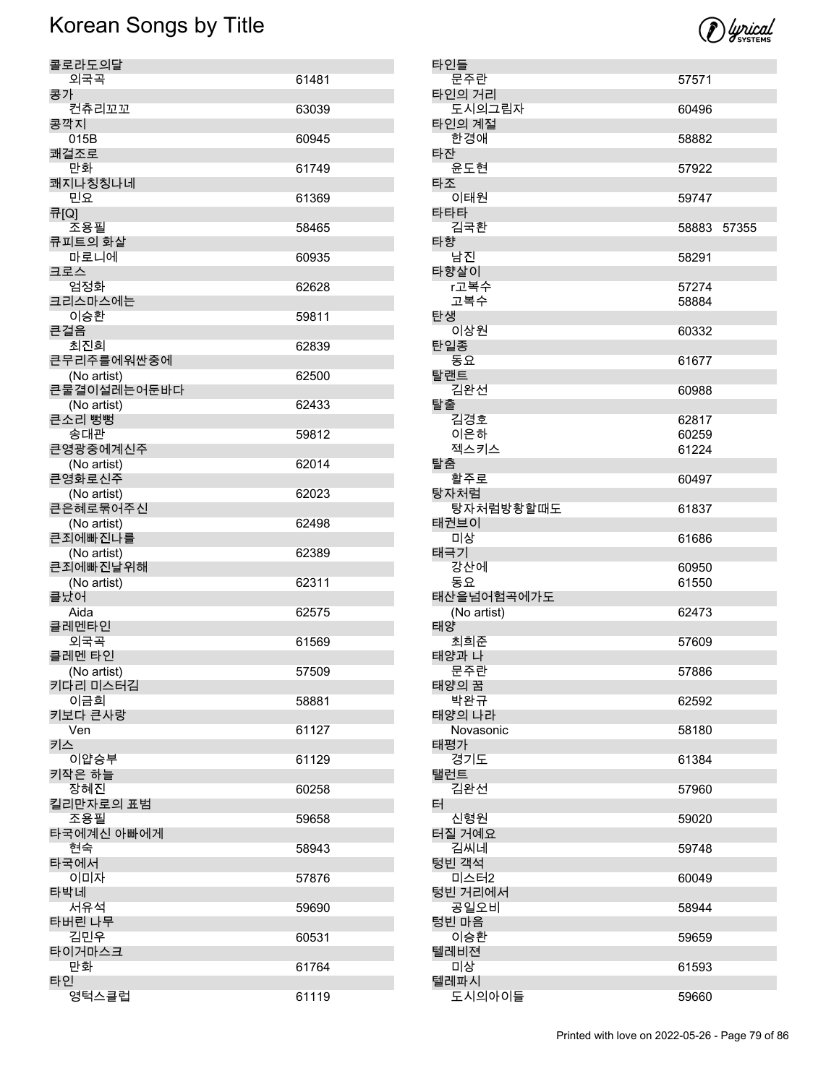

| 타인들 |               |             |  |
|-----|---------------|-------------|--|
|     | 문주란           | 57571       |  |
|     | 타인의 거리        |             |  |
|     | 도시의그림자        | 60496       |  |
|     | 타인의 계절        |             |  |
| 타잔  | 한경애           | 58882       |  |
|     | 윤도현           | 57922       |  |
| 타조  |               |             |  |
|     | 이태원           | 59747       |  |
| 타타타 |               |             |  |
|     | 김국환           | 58883 57355 |  |
| 타향  |               |             |  |
|     | 남진            | 58291       |  |
|     | 타향살이          |             |  |
|     | r고복수          | 57274       |  |
| 탄생  | 고복수           | 58884       |  |
|     | 이상원           | 60332       |  |
| 탄일종 |               |             |  |
|     | 동요            | 61677       |  |
| 탈랜트 |               |             |  |
|     | 김완선           | 60988       |  |
| 탈출  |               |             |  |
|     | 김경호           | 62817       |  |
|     | 이은하           | 60259       |  |
|     | 젝스키스          | 61224       |  |
| 탈춤  | 활주로           | 60497       |  |
|     | 탕자처럼          |             |  |
|     | 탕자처럼방황할때도     | 61837       |  |
|     | 태권브이          |             |  |
|     | 미상            | 61686       |  |
| 태극기 |               |             |  |
|     | 강산에           | 60950       |  |
|     | 동요            | 61550       |  |
|     | 태산을넘어험곡에가도    |             |  |
| 태양  | (No artist)   | 62473       |  |
|     | 최희준           | 57609       |  |
|     | 태양과 나         |             |  |
|     | 문주란           | 57886       |  |
|     | 태양의 꿈         |             |  |
|     | 박완규           | 62592       |  |
|     | 태양의 나라        |             |  |
|     | Novasonic     | 58180       |  |
| 태평가 | 경기도           |             |  |
| 탤런트 |               | 61384       |  |
|     | 김완선           | 57960       |  |
| 터   |               |             |  |
|     | 신형원           | 59020       |  |
|     | 터질 거예요        |             |  |
|     | 김씨네           | 59748       |  |
|     | 텅빈 객석         |             |  |
|     | 미스터2          | 60049       |  |
|     | 텅빈 거리에서       |             |  |
|     | 공일오비<br>텅빈 마음 | 58944       |  |
|     | 이승환           | 59659       |  |
|     | 텔레비젼          |             |  |
|     | 미상            | 61593       |  |
|     | 텔레파시          |             |  |
|     | 도시의아이들        | 59660       |  |

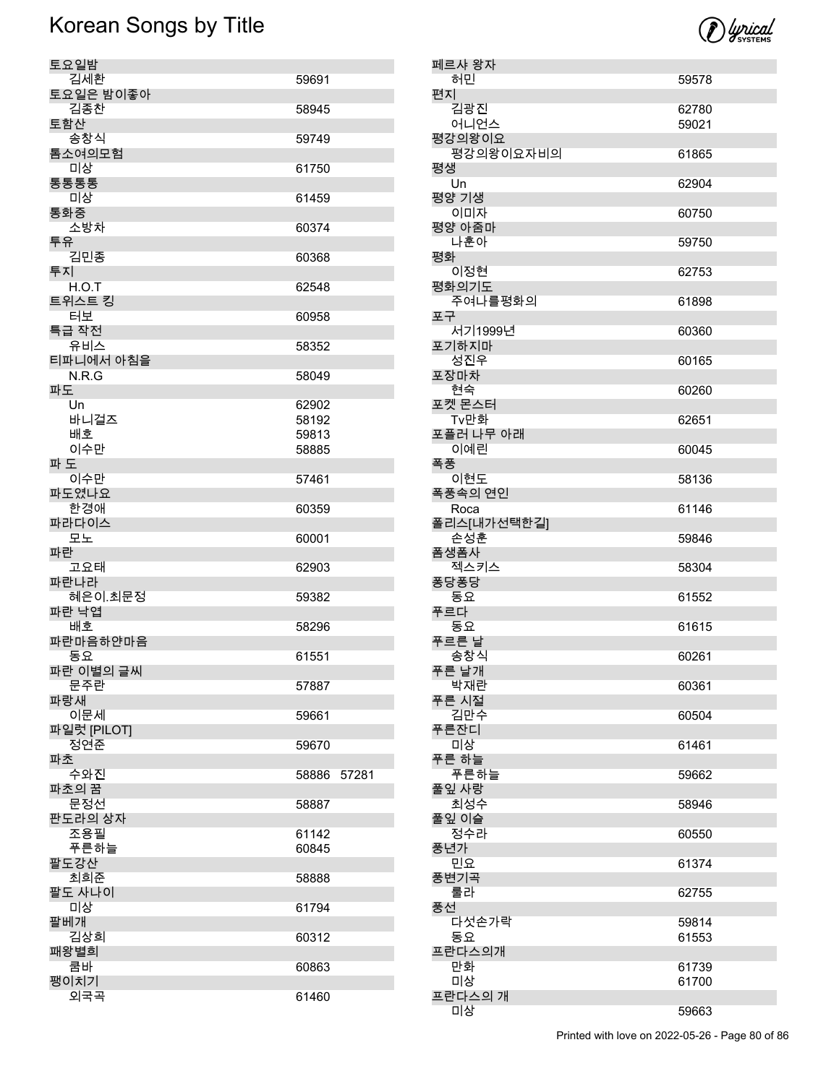

| 토요일밤        |       |       |
|-------------|-------|-------|
|             |       |       |
| 김세환         | 59691 |       |
|             |       |       |
| 토요일은 밤이좋아   |       |       |
| 김종찬         | 58945 |       |
| 토함산         |       |       |
|             |       |       |
| 송창식         | 59749 |       |
| 톰소여의모험      |       |       |
|             |       |       |
| 미상          | 61750 |       |
| 통통통통        |       |       |
|             |       |       |
| 미상          | 61459 |       |
|             |       |       |
| 통화중         |       |       |
| 소방차         | 60374 |       |
|             |       |       |
| 투유          |       |       |
| 김민종         | 60368 |       |
| 투지          |       |       |
|             |       |       |
| H.O.T       | 62548 |       |
|             |       |       |
| 트위스트 킹      |       |       |
| 터보          | 60958 |       |
|             |       |       |
| 특급 작전       |       |       |
| 유비스         | 58352 |       |
| 티파니에서 아침을   |       |       |
|             |       |       |
| N.R.G       | 58049 |       |
| 파도          |       |       |
|             |       |       |
| Un          | 62902 |       |
| 바니걸즈        | 58192 |       |
|             |       |       |
| 배호          | 59813 |       |
| 이수만         |       |       |
|             | 58885 |       |
| 파 도         |       |       |
| 이수만         |       |       |
|             | 57461 |       |
| 파도였나요       |       |       |
| 한경애         | 60359 |       |
|             |       |       |
|             |       |       |
|             |       |       |
| 파라다이스       |       |       |
| 모노          | 60001 |       |
| 파란          |       |       |
|             |       |       |
| 고요태         | 62903 |       |
|             |       |       |
| 파란나라        |       |       |
| 혜은이.최문정     | 59382 |       |
| 파란 낙엽       |       |       |
|             |       |       |
| 배호          | 58296 |       |
|             |       |       |
| 파란마음하얀마음    |       |       |
| 동요          | 61551 |       |
|             |       |       |
| 파란 이별의 글씨   |       |       |
| 문주란         | 57887 |       |
| 파랑새         |       |       |
|             |       |       |
| 이문세         | 59661 |       |
|             |       |       |
| 파일럿 [PILOT] |       |       |
| 정연준         | 59670 |       |
| 파초          |       |       |
|             |       |       |
| 수와진         | 58886 | 57281 |
| 파초의 꿈       |       |       |
|             |       |       |
| 문정선         | 58887 |       |
| 판도라의 상자     |       |       |
|             |       |       |
| 조용필         | 61142 |       |
| 푸른하늘        | 60845 |       |
|             |       |       |
| 팔도강산        |       |       |
| 최희준         | 58888 |       |
|             |       |       |
| 팔도 사나이      |       |       |
| 미상          | 61794 |       |
|             |       |       |
| 팔베개         |       |       |
| 김상희         | 60312 |       |
|             |       |       |
| 패왕별희        |       |       |
| 쿰바          | 60863 |       |
|             |       |       |
| 팽이치기<br>외국곡 | 61460 |       |

| 페르샤 왕자            |       |
|-------------------|-------|
| 허민                | 59578 |
| 편지                |       |
| 김광진               | 62780 |
| 어니언스              | 59021 |
| 평강의왕이요            |       |
| 평강의왕이요자비의         | 61865 |
| 평생                |       |
| Un                | 62904 |
| 평양 기생             |       |
| 이미자               | 60750 |
| 평양 아줌마            |       |
| 나훈아               | 59750 |
| 평화                |       |
| 이정현               | 62753 |
| 평화의기도             |       |
| 주여나를평화의           | 61898 |
| 포구                |       |
| 서기1999년           | 60360 |
| 포기하지마             |       |
| 성진우               | 60165 |
| 포장마차              |       |
| 현숙<br>포켓 몬스터      | 60260 |
|                   |       |
| Tv만화<br>포플러 나무 아래 | 62651 |
| 이예린               | 60045 |
| 폭풍                |       |
| 이현도               | 58136 |
| 폭풍속의 연인           |       |
| Roca              | 61146 |
| 폴리스[내가선택한길]       |       |
| 손성훈               | 59846 |
| 폼생폼사              |       |
| 젝스키스              | 58304 |
| 퐁당퐁당              |       |
| 동요                | 61552 |
| 푸르다               |       |
| 동요                | 61615 |
| 푸르른 날             |       |
| 송창식               | 60261 |
| 푸른 날개             |       |
| 박재란               | 60361 |
| 푸른 시절             |       |
| 김만수               | 60504 |
| 푸른잔디              |       |
| 미상<br>푸른 하늘       | 61461 |
| 푸른하늘              | 59662 |
| 풀잎 사랑             |       |
| 최성수               | 58946 |
| 풀잎 이슬             |       |
| 정수라               | 60550 |
| 풍년가               |       |
| 민요                | 61374 |
| 풍변기곡              |       |
| 룰라                | 62755 |
| 풍선                |       |
| 다섯손가락             | 59814 |
| 동요                | 61553 |
| 프란다스의개            |       |
| 만화                | 61739 |
| 미상                | 61700 |
| 프란다스의 개           |       |
| 미상                | 59663 |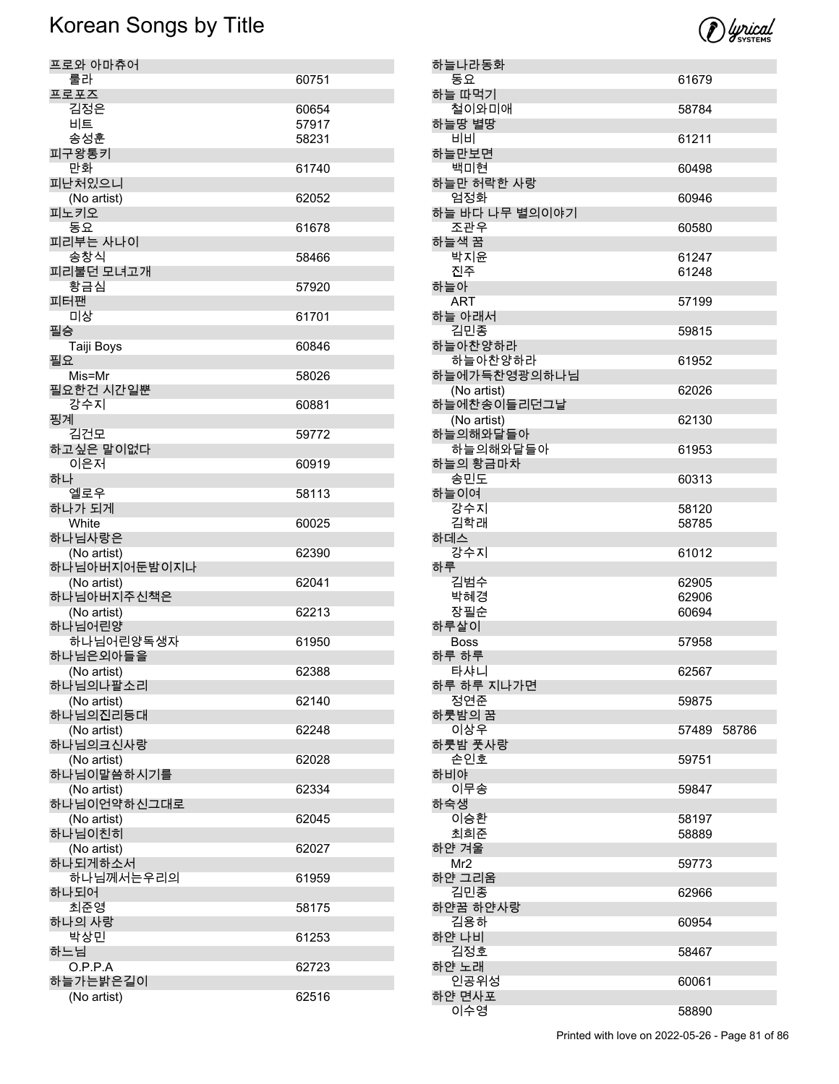

| 하늘나라동화                     |                |       |
|----------------------------|----------------|-------|
| 동요                         | 61679          |       |
| 하늘 따먹기<br>철이와미애            | 58784          |       |
| 하늘땅 별땅<br>비비               | 61211          |       |
| 하늘만보면<br>백미현               | 60498          |       |
| 하늘만 허락한 사랑                 |                |       |
| 엄정화<br>하늘 바다 나무 별의이야기      | 60946          |       |
| 조관우<br>하늘색 꿈               | 60580          |       |
| 박지윤<br>진주                  | 61247<br>61248 |       |
| 하늘아                        |                |       |
| <b>ART</b><br>하늘 아래서       | 57199          |       |
| 김민종<br>하늘아찬양하라             | 59815          |       |
| 하늘아찬양하라<br>하늘에가득찬영광의하나님    | 61952          |       |
| (No artist)                | 62026          |       |
| 하늘에찬송이들리던그날<br>(No artist) | 62130          |       |
| 하늘의해와달들아<br>하늘의해와달들아       | 61953          |       |
| 하늘의 황금마차<br>송민도            | 60313          |       |
| 하늘이여<br>강수지                | 58120          |       |
| 김학래                        | 58785          |       |
| 하데스<br>강수지                 | 61012          |       |
| 하루<br>김범수                  | 62905          |       |
| 박혜경<br>장필순                 | 62906<br>60694 |       |
| 하루살이<br><b>Boss</b>        |                |       |
| 하루 하루                      | 57958          |       |
| 타샤니<br>하루 하루 지나가면          | 62567          |       |
| 정연준<br>하룻밤의 꿈              | 59875          |       |
| 이상우<br>하룻밤 풋사랑             | 57489          | 58786 |
| 손인호                        | 59751          |       |
| 하비야<br>이무송                 | 59847          |       |
| 하숙생<br>이승환                 | 58197          |       |
| 최희준<br>하얀 겨울               | 58889          |       |
| Mr <sub>2</sub><br>하얀 그리움  | 59773          |       |
| 김민종                        | 62966          |       |
| 하얀꿈 하얀사랑<br>김용하            | 60954          |       |
| 하얀 나비<br>김정호               | 58467          |       |
| 하얀 노래<br>인공위성              | 60061          |       |
| 하얀 면사포                     |                |       |
| 이수영                        | 58890          |       |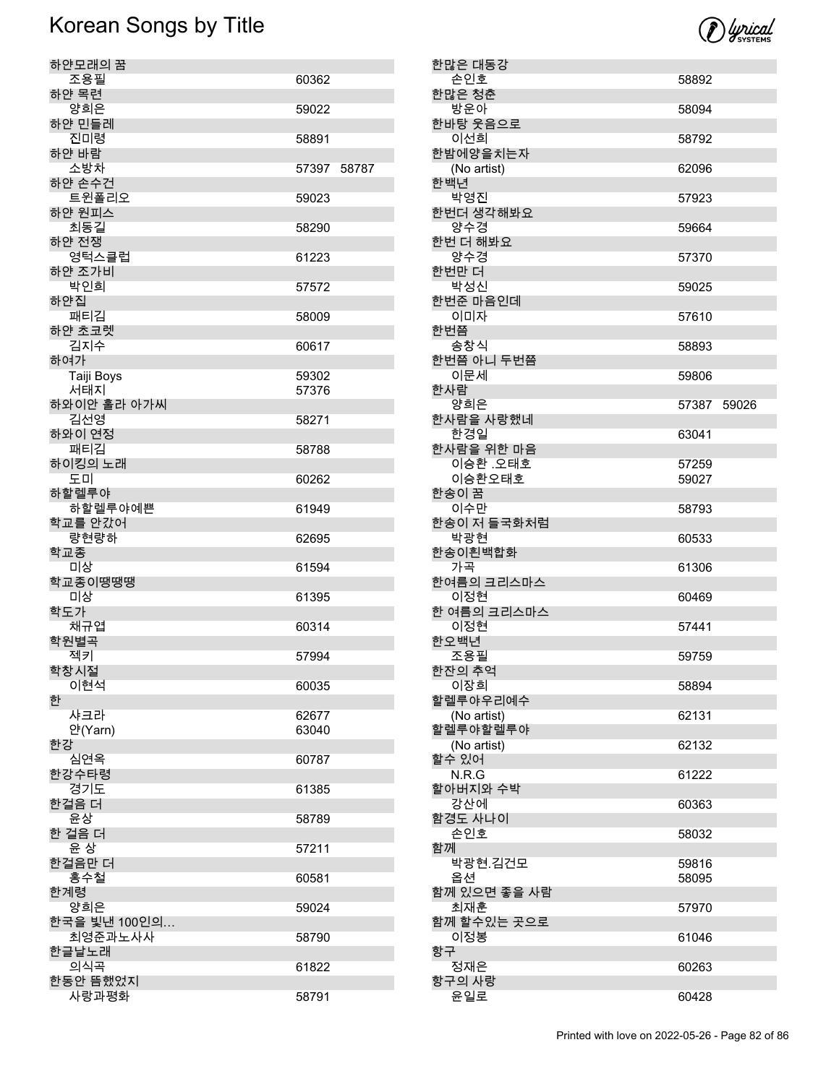

| 하얀모래의 꿈           |                |  |
|-------------------|----------------|--|
| 조용필               | 60362          |  |
| 하얀 목련             |                |  |
| 양희은<br>하얀 민들레     | 59022          |  |
| 진미령               |                |  |
| 하얀 바람             | 58891          |  |
| 소방차               | 57397 58787    |  |
| 하얀 손수건            |                |  |
| 트윈폴리오             | 59023          |  |
| 하얀 원피스            |                |  |
| 최동길               | 58290          |  |
| 하얀 전쟁             |                |  |
| 영턱스클럽             | 61223          |  |
| 하얀 조가비            |                |  |
| 박인희               | 57572          |  |
| 하얀집               |                |  |
| 패티김               | 58009          |  |
| 하얀 초코렛            |                |  |
| 김지수               | 60617          |  |
| 하여가               |                |  |
| Taiji Boys<br>서태지 | 59302<br>57376 |  |
| 하와이안 훌라 아가씨       |                |  |
| 김선영               | 58271          |  |
| 하와이 연정            |                |  |
| 패티김               | 58788          |  |
| 하이킹의 노래           |                |  |
| 도미                | 60262          |  |
| 하할렐루야             |                |  |
| 하할렐루야예쁜           | 61949          |  |
| 학교를 안갔어           |                |  |
| 량현량하              | 62695          |  |
| 학교종               |                |  |
| 미상<br>학교종이땡땡땡     | 61594          |  |
| 미상                | 61395          |  |
| 학도가               |                |  |
| 채규엽               | 60314          |  |
| 학원별곡              |                |  |
| 젝키                | 57994          |  |
| 학장시절              |                |  |
| 이현석               | 60035          |  |
| 한                 |                |  |
| 샤크라               | 62677          |  |
| 얀(Yarn)<br>한강     | 63040          |  |
| 심연옥               | 60787          |  |
| 한강수타령             |                |  |
| 경기도               | 61385          |  |
| 한걸음 더             |                |  |
| 윤상                | 58789          |  |
| 한 걸음 더            |                |  |
| 윤 상               | 57211          |  |
| 한걸음만 더            |                |  |
| 홍수철               | 60581          |  |
| 한계령<br>양희은        | 59024          |  |
| 한국을 빛낸 100인의…     |                |  |
| 최영준과노사사           | 58790          |  |
| 한글날노래             |                |  |
| 의식곡               | 61822          |  |
| 한동안 뜸했었지          |                |  |
| 사랑과평화             | 58791          |  |

|    | 한많은 대동강             |             |  |
|----|---------------------|-------------|--|
|    | 손인호                 | 58892       |  |
|    | 한많은 청춘              |             |  |
|    | 방운아<br>한바탕 웃음으로     | 58094       |  |
|    | 이선희                 | 58792       |  |
|    | 한밤에양을치는자            |             |  |
|    | (No artist)         | 62096       |  |
|    | 한백년<br>박영진          |             |  |
|    | 한번더 생각해봐요           | 57923       |  |
|    | 양수경                 | 59664       |  |
|    | 한번 더 해봐요            |             |  |
|    | 양수경                 | 57370       |  |
|    | 한번만 더<br>박성신        | 59025       |  |
|    | 한번준 마음인데            |             |  |
|    | 이미자                 | 57610       |  |
|    | 한번쯤                 |             |  |
|    | 송창식<br>한번쯤 아니 두번쯤   | 58893       |  |
|    | 이문세                 | 59806       |  |
|    | 한사람                 |             |  |
|    | 양희은                 | 57387 59026 |  |
|    | 한사람을 사랑했네<br>한경일    | 63041       |  |
|    | 한사람을 위한 마음          |             |  |
|    | 이승환 오태호             | 57259       |  |
|    | 이승환오태호              | 59027       |  |
|    | 한송이 꿈<br>이수만        | 58793       |  |
|    | 한송이 저 들국화처럼         |             |  |
|    | 박광현                 | 60533       |  |
|    | 한송이흰백합화<br>가곡       | 61306       |  |
|    | 한여름의 크리스마스          |             |  |
|    | 이정현                 | 60469       |  |
|    | 한 여름의 크리스마스         |             |  |
|    | 이정현<br>한오백년         | 57441       |  |
|    | 조용필                 | 59759       |  |
|    | 한잔의 추억              |             |  |
|    | 이장희<br>할렐루야우리예수     | 58894       |  |
|    | (No artist)         | 62131       |  |
|    | 할렐루야할렐루야            |             |  |
|    | (No artist)         | 62132       |  |
|    | 할수 있어<br>N.R.G      | 61222       |  |
|    | 할아버지와 수박            |             |  |
|    | 강산에                 | 60363       |  |
|    | 함경도 사나이<br>손인호      |             |  |
| 함께 |                     | 58032       |  |
|    | 박광현.김건모             | 59816       |  |
|    | 옵션                  | 58095       |  |
|    | 함께 있으면 좋을 사람<br>최재훈 | 57970       |  |
|    | 함께 할수있는 곳으로         |             |  |
|    | 이정봉                 | 61046       |  |
| 항구 |                     |             |  |
|    | 정재은<br>항구의 사랑       | 60263       |  |
|    | 윤일로                 | 60428       |  |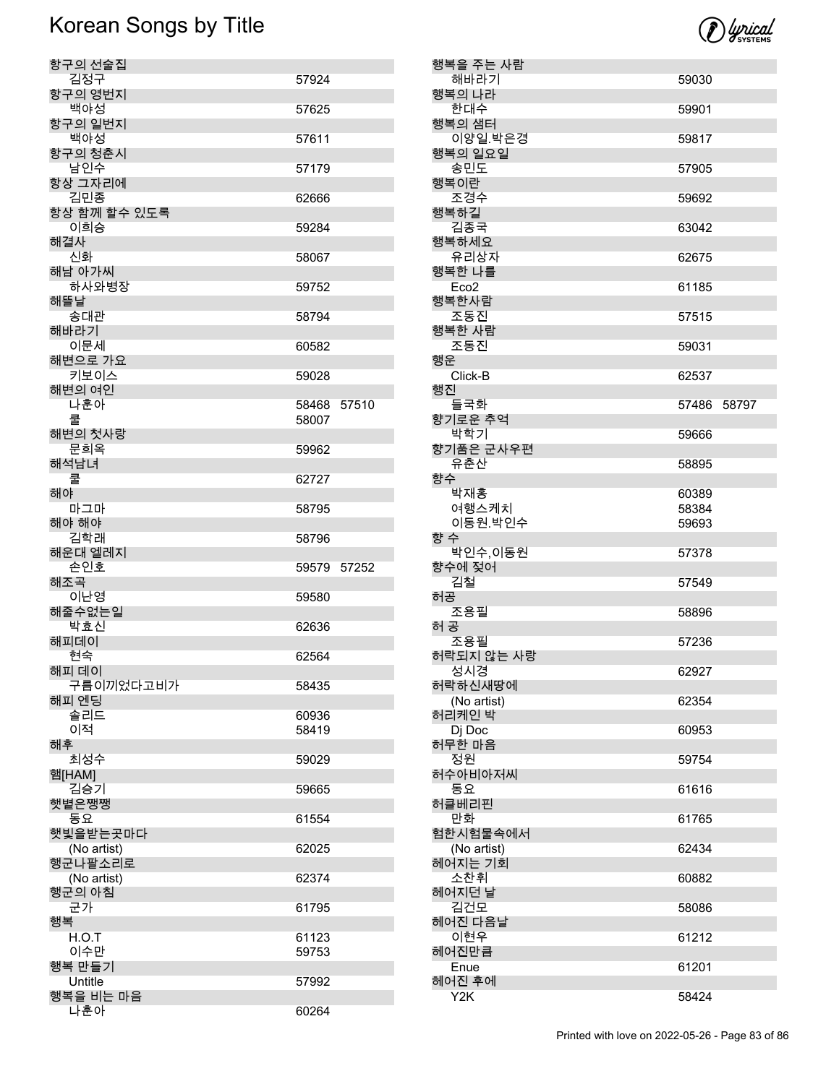| 항구의 선술집               |             |       |
|-----------------------|-------------|-------|
| 김정구                   | 57924       |       |
| 항구의 영번지               |             |       |
| 백야성                   | 57625       |       |
| 항구의 일번지               |             |       |
| 백야성                   | 57611       |       |
| 항구의 청춘시               |             |       |
| 남인수                   | 57179       |       |
| 항상 그자리에               |             |       |
| 김민종                   | 62666       |       |
| 항상 함께 할수 있도록          |             |       |
| 이희승                   | 59284       |       |
| 해결사                   |             |       |
| 신화                    | 58067       |       |
| 해남 아가씨                |             |       |
| 하사와병장                 | 59752       |       |
| 해뜰날                   |             |       |
| 송대관                   | 58794       |       |
| 해바라기                  |             |       |
| 이문세                   | 60582       |       |
| 해변으로 가요               |             |       |
| 키보이스                  | 59028       |       |
| 해변의 여인                |             |       |
| 나훈아                   | 58468       | 57510 |
| 쿨                     | 58007       |       |
| 해변의 첫사랑               |             |       |
| 문희옥                   | 59962       |       |
| 해석남녀                  |             |       |
| 쿨                     | 62727       |       |
| 해야                    |             |       |
| 마그마                   | 58795       |       |
| 해야 해야                 |             |       |
|                       |             |       |
| 김학래                   | 58796       |       |
|                       |             |       |
| 손인호                   | 59579 57252 |       |
|                       |             |       |
| 해운대 엘레지<br>해조곡<br>이난영 | 59580       |       |
| 해줄수없는일                |             |       |
| 박효신                   | 62636       |       |
| 해피데이                  |             |       |
| 현숙                    | 62564       |       |
| 해피 데이                 |             |       |
| 구름이끼었다고비가             | 58435       |       |
| 해피 엔딩                 |             |       |
| 솔리드                   | 60936       |       |
| 이적                    | 58419       |       |
| 해후                    |             |       |
| 최성수                   | 59029       |       |
| 햄[HAM]                |             |       |
| 김승기                   | 59665       |       |
| 햇볕은쨍쨍                 |             |       |
| 동요                    | 61554       |       |
| 햇빛을받는곳마다              |             |       |
| (No artist)           | 62025       |       |
| 행군나팔소리로               |             |       |
| (No artist)           | 62374       |       |
| 행군의 아침                | 61795       |       |
| 군가<br>행복              |             |       |
| H.O.T                 |             |       |
| 이수만                   | 61123       |       |
|                       | 59753       |       |
| 행복 만들기<br>Untitle     | 57992       |       |
| 행복을 비는 마음             |             |       |

|     | 행복을 주는 사람<br>해바라기       | 59030          |  |
|-----|-------------------------|----------------|--|
|     | 행복의 나라                  |                |  |
|     | 한대수                     | 59901          |  |
|     | 행복의 샘터<br>이양일.박은경       |                |  |
|     | 행복의 일요일                 | 59817          |  |
|     | 송민도                     | 57905          |  |
|     | 행복이란                    |                |  |
|     | 조경수<br>행복하길             | 59692          |  |
|     | 김종국                     | 63042          |  |
|     | 행복하세요                   |                |  |
|     | 유리상자<br>행복한 나를          | 62675          |  |
|     | Eco <sub>2</sub>        | 61185          |  |
|     | 행복한사람                   |                |  |
|     | 조동진<br>행복한 사람           | 57515          |  |
|     | 조동진                     | 59031          |  |
| 행운  |                         |                |  |
| 행진  | Click-B                 | 62537          |  |
|     | 들국화                     | 57486 58797    |  |
|     | 향기로운 추억                 |                |  |
|     | 박학기<br>향기품은 군사우편        | 59666          |  |
|     | 유춘산                     | 58895          |  |
| 향수  |                         |                |  |
|     | 박재홍<br>여행스케치            | 60389<br>58384 |  |
|     | 이동원.박인수                 | 59693          |  |
| 향 수 |                         |                |  |
|     | 박인수,이동원<br>향수에 젖어       | 57378          |  |
|     | 김철                      | 57549          |  |
| 히공  |                         |                |  |
| 허 공 | 조용필                     | 58896          |  |
|     | 조용필                     | 57236          |  |
|     | 허락되지 않는 사랑              |                |  |
|     | 성시경<br>허락하신새땅에          | 62927          |  |
|     | (No artist)             | 62354          |  |
|     | 허리케인 박<br>Dj Doc        | 60953          |  |
|     | 허무한 마음                  |                |  |
|     | 정원                      | 59754          |  |
|     | 허수아비아저씨<br>동요           | 61616          |  |
|     | 허클베리핀                   |                |  |
|     | 만화                      | 61765          |  |
|     | 험한시험물속에서<br>(No artist) | 62434          |  |
|     | 헤어지는 기회                 |                |  |
|     | 소찬휘<br>헤어지던 날           | 60882          |  |
|     | 김건모                     | 58086          |  |
|     | 헤어진 다음날                 |                |  |
|     | 이현우<br>헤어진만큼            | 61212          |  |
|     | Enue                    | 61201          |  |
|     | 헤어진 후에                  |                |  |
|     | Y2K                     | 58424          |  |

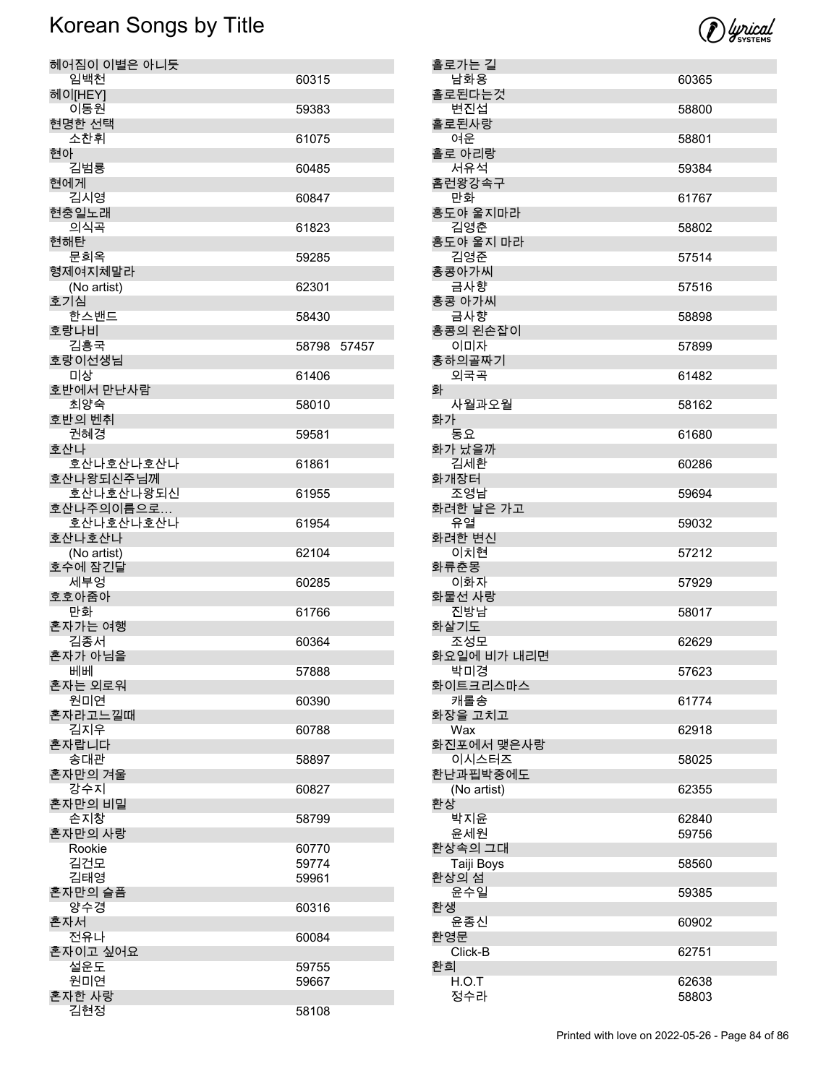

| 헤어짐이 이별은 아니듯           |             |  |
|------------------------|-------------|--|
| 임백천                    | 60315       |  |
| 헤이[HEY]<br>이동원         | 59383       |  |
| 현명한 선택<br>소차휘          | 61075       |  |
| 현아                     |             |  |
| 김범룡<br>현에게             | 60485       |  |
| 김시영                    | 60847       |  |
| 현충일노래<br>의식곡           | 61823       |  |
| 현해탄<br>문희옥             |             |  |
| 형제여지체말라                | 59285       |  |
| (No artist)<br>호기심     | 62301       |  |
| 한스밴드                   | 58430       |  |
| 호랑나비<br>김흥국            | 58798 57457 |  |
| 호랑이선생님                 |             |  |
| 미상<br>호반에서 만난사람        | 61406       |  |
| 최양숙<br>호반의 벤취          | 58010       |  |
| 권혜경                    | 59581       |  |
| 호산나<br>호산나호산나호산나       | 61861       |  |
| 호산나왕되신주님께<br>호산나호산나왕되신 | 61955       |  |
| 호산나주의이름으로              |             |  |
| 호산나호산나호산나<br>호산나호산나    | 61954       |  |
| (No artist)<br>호수에 잠긴달 | 62104       |  |
| 세부엉                    | 60285       |  |
| 호호아줌아<br>만화            | 61766       |  |
| 혼자가는 여행                |             |  |
| 김종서<br>혼자가 아님을         | 60364       |  |
| 베베<br>혼자는 외로워          | 57888       |  |
| 원미연                    | 60390       |  |
| 혼자라고느낄때<br>김지우         | 60788       |  |
| 혼자랍니다                  |             |  |
| 송대관<br>혼자만의 겨울         | 58897       |  |
| 강수지<br>혼자만의 비밀         | 60827       |  |
| 손지창                    | 58799       |  |
| 혼자만의 사랑<br>Rookie      | 60770       |  |
| 김건모                    | 59774       |  |
| 김태영<br>혼자만의 슬픔         | 59961       |  |
| 양수경<br>혼자서             | 60316       |  |
| 전유나                    | 60084       |  |
| 혼자이고 싶어요<br>설운도        | 59755       |  |
| 원미연                    | 59667       |  |
| 혼자한 사랑<br>김현정          | 58108       |  |

| 홀로가는 길                |       |
|-----------------------|-------|
| 남화용<br>홀로된다는것         | 60365 |
| 변진섭                   | 58800 |
| 홀로된사랑                 |       |
| 여운                    | 58801 |
| 홀로 아리랑<br>서유석         | 59384 |
| 홈런왕강속구                |       |
| 만화                    | 61767 |
| 홍도야 울지마라<br>김영춘       | 58802 |
| 홍도야 울지 마라             |       |
| 김영준<br>홍콩아가씨          | 57514 |
| 금사향                   | 57516 |
| 홍콩 아가씨                |       |
| 금사향<br>홍콩의 왼손잡이       | 58898 |
| 이미자                   | 57899 |
| 홍하의골짜기                |       |
| 외국곡<br>화              | 61482 |
| 사월과오월                 | 58162 |
| 화가                    |       |
| 동요<br>화가 났을까          | 61680 |
| 김세환                   | 60286 |
| 화개장터                  |       |
| 조영남<br>화려한 날은 가고      | 59694 |
| 유열                    | 59032 |
| 화려한 변신                |       |
| 이치현<br>화류춘몽           | 57212 |
| 이화자                   |       |
|                       | 57929 |
| 화물선 사랑                |       |
| 진방남                   | 58017 |
| 화살기도<br>조성모           | 62629 |
| 화요일에 비가 내리면           |       |
| 박미경                   | 57623 |
| 화이트크리스마스<br>캐롤송       | 61774 |
| 화장을 고치고               |       |
| Wax                   | 62918 |
| 화진포에서 맺은사랑<br>이시스터즈   | 58025 |
| 환난과핍박중에도              |       |
| (No artist)<br>환상     | 62355 |
| 박지윤                   | 62840 |
| 윤세원                   | 59756 |
| 환상속의 그대<br>Taiji Boys | 58560 |
| 환상의 섬                 |       |
| 윤수일                   | 59385 |
| 환생<br>윤종신             | 60902 |
| 환영문                   |       |
| Click-B               | 62751 |
| 환희<br>H.O.T<br>정수라    | 62638 |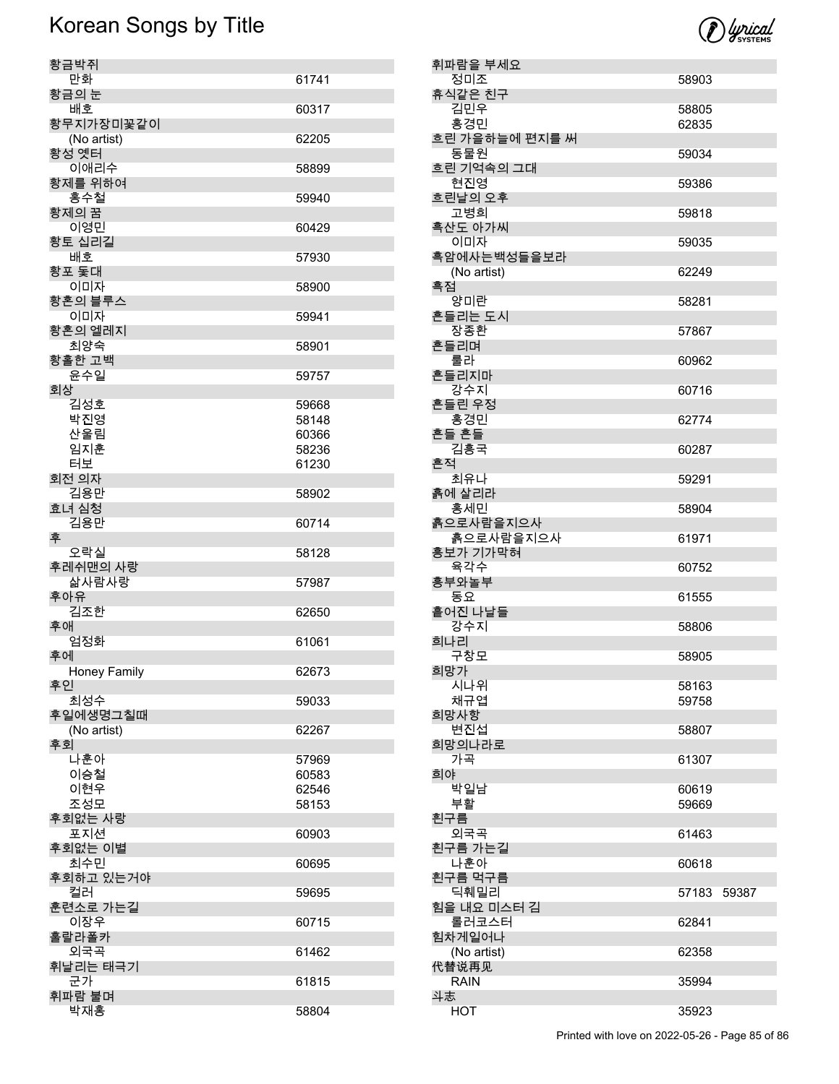

| 황금박쥐                 |                |
|----------------------|----------------|
| 만화                   | 61741          |
| 황금의 눈                |                |
| 배호                   | 60317          |
| 황무지가장미꽃같이            |                |
| (No artist)<br>황성 옛터 | 62205          |
| 이애리수                 | 58899          |
| 황제를 위하여              |                |
| 홍수철                  | 59940          |
| 황제의 꿈                |                |
| 이영민<br>황토 십리길        | 60429          |
| 배호                   | 57930          |
| 황포 돛대                |                |
| 이미자                  | 58900          |
| 황혼의 블루스              |                |
| 이미자                  | 59941          |
| 황혼의 엘레지<br>최양숙       | 58901          |
| 황홀한 고백               |                |
| 윤수일                  | 59757          |
| 회상                   |                |
| 김성호                  | 59668          |
| 박진영<br>산울림           | 58148          |
| 임지훈                  | 60366<br>58236 |
| 터보                   | 61230          |
| 회전 의자                |                |
| 김용만                  | 58902          |
| 효녀 심청                |                |
| 김용만                  | 60714          |
|                      |                |
| 후                    |                |
| 오락실                  | 58128          |
| 후레쉬맨의 사랑<br>삶사람사랑    | 57987          |
| 후아유                  |                |
| 김조한                  | 62650          |
| 후애                   |                |
| 엄정화                  | 61061          |
| 후에<br>Honey Family   | 62673          |
| 후인                   |                |
| 최성수                  | 59033          |
| 후일에생명그칠때             |                |
| (No artist)          | 62267          |
| 후회                   |                |
| 나훈아                  | 57969          |
| 이승철<br>이현우           | 60583          |
|                      | 62546          |
| 조성모<br>후회없는 사랑       | 58153          |
| 포지션                  | 60903          |
| 후회없는 이별              |                |
| 최수민                  | 60695          |
| 후회하고 있는거야            |                |
| 컬러<br>훈련소로 가는길       | 59695          |
| 이장우                  | 60715          |
| 훌랄라폴카                |                |
| 외국곡                  | 61462          |
| 휘날리는 태극기             |                |
| 군가<br>휘파람 불며         | 61815          |

|    | 휘파람을 부세요       |       |       |
|----|----------------|-------|-------|
|    | 정미조            | 58903 |       |
|    | 휴식같은 친구        |       |       |
|    | 김민우            | 58805 |       |
|    | 홍경민            | 62835 |       |
|    | 흐린 가을하늘에 편지를 써 |       |       |
|    | 동물원            | 59034 |       |
|    | 흐린 기억속의 그대     |       |       |
|    | 현진영            | 59386 |       |
|    | 흐린날의 오후        |       |       |
|    | 고병희            | 59818 |       |
|    | 흑산도 아가씨        |       |       |
|    | 이미자            | 59035 |       |
|    | 흑암에사는백성들을보라    |       |       |
|    | (No artist)    | 62249 |       |
| 흑점 |                |       |       |
|    | 양미란            | 58281 |       |
|    | 흔들리는 도시        |       |       |
|    | 장종환            | 57867 |       |
|    | 흔들리며           |       |       |
|    | 룰라             | 60962 |       |
|    | 흔들리지마          |       |       |
|    | 강수지            | 60716 |       |
|    | 흔들린 우정         |       |       |
|    | 홍경민            | 62774 |       |
|    | 흔들 흔들          |       |       |
|    | 김흥국            | 60287 |       |
| 흔적 |                |       |       |
|    | 최유나            | 59291 |       |
|    | 흙에 살리라         |       |       |
|    | 홍세민            | 58904 |       |
|    | 흙으로사람을지으사      |       |       |
|    | 흙으로사람을지으사      | 61971 |       |
|    | 흥보가 기가막혀       |       |       |
|    | 육각수            | 60752 |       |
|    | 흥부와놀부          |       |       |
|    | 동요             | 61555 |       |
|    | 흩어진 나날들        |       |       |
|    | 강수지            | 58806 |       |
|    | 희나리            |       |       |
|    | 구창모            | 58905 |       |
|    | 희망가            |       |       |
|    | 시나위            | 58163 |       |
|    | 채규엽            | 59758 |       |
|    | 희망사항           |       |       |
|    | 변진섭            | 58807 |       |
|    | 희망의나라로         |       |       |
|    | 가곡             | 61307 |       |
| 희야 |                |       |       |
|    | 박일남            | 60619 |       |
|    | 부활             | 59669 |       |
|    | 흰구름            |       |       |
|    | 외국곡            | 61463 |       |
|    | 흰구름 가는길        |       |       |
|    | 나훈아            | 60618 |       |
|    | 흰구름 먹구름        |       |       |
|    | 딕훼밀리           | 57183 | 59387 |
|    | 힘을 내요 미스터 김    |       |       |
|    | 롤러코스터          | 62841 |       |
|    | 힘차게일어나         |       |       |
|    | (No artist)    | 62358 |       |
|    | 代替说再见          |       |       |
|    | <b>RAIN</b>    | 35994 |       |
| 斗志 |                |       |       |
|    | <b>HOT</b>     | 35923 |       |